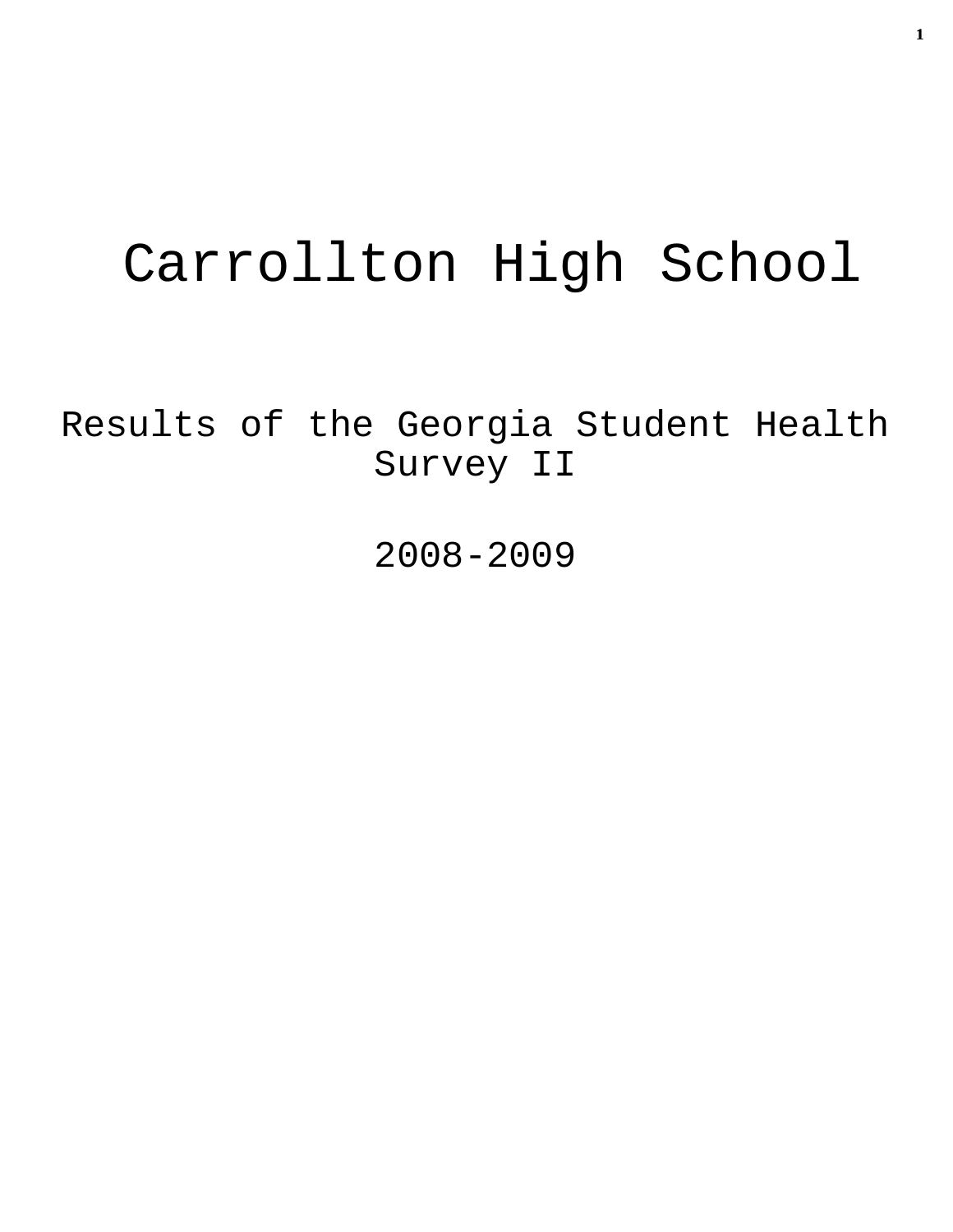# Carrollton High School

Results of the Georgia Student Health Survey II

2008-2009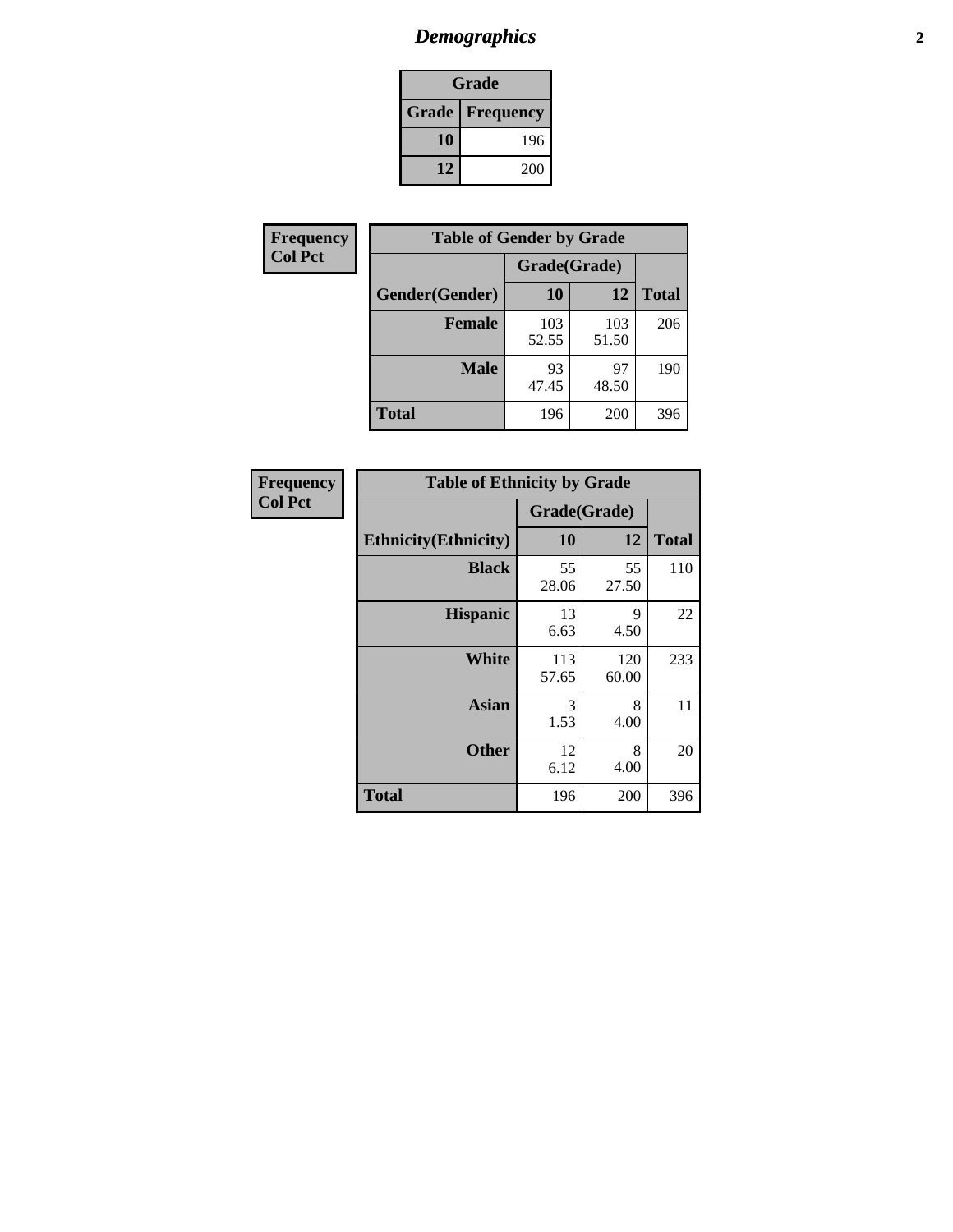# *Demographics* **2**

| Grade                    |     |  |  |  |
|--------------------------|-----|--|--|--|
| <b>Grade   Frequency</b> |     |  |  |  |
| 10                       | 196 |  |  |  |
| 12                       | 200 |  |  |  |

| Frequency      | <b>Table of Gender by Grade</b> |              |              |              |  |
|----------------|---------------------------------|--------------|--------------|--------------|--|
| <b>Col Pct</b> |                                 | Grade(Grade) |              |              |  |
|                | Gender(Gender)                  | 10           | 12           | <b>Total</b> |  |
|                | <b>Female</b>                   | 103<br>52.55 | 103<br>51.50 | 206          |  |
|                | <b>Male</b>                     | 93<br>47.45  | 97<br>48.50  | 190          |  |
|                | <b>Total</b>                    | 196          | 200          | 396          |  |

| Frequency<br>Col Pct |
|----------------------|

| <b>Table of Ethnicity by Grade</b> |              |              |              |  |  |  |
|------------------------------------|--------------|--------------|--------------|--|--|--|
|                                    | Grade(Grade) |              |              |  |  |  |
| <b>Ethnicity</b> (Ethnicity)       | 10           | 12           | <b>Total</b> |  |  |  |
| <b>Black</b>                       | 55<br>28.06  | 55<br>27.50  | 110          |  |  |  |
| <b>Hispanic</b>                    | 13<br>6.63   | 9<br>4.50    | 22           |  |  |  |
| <b>White</b>                       | 113<br>57.65 | 120<br>60.00 | 233          |  |  |  |
| <b>Asian</b>                       | 3<br>1.53    | 8<br>4.00    | 11           |  |  |  |
| <b>Other</b>                       | 12<br>6.12   | 8<br>4.00    | 20           |  |  |  |
| <b>Total</b>                       | 196          | 200          | 396          |  |  |  |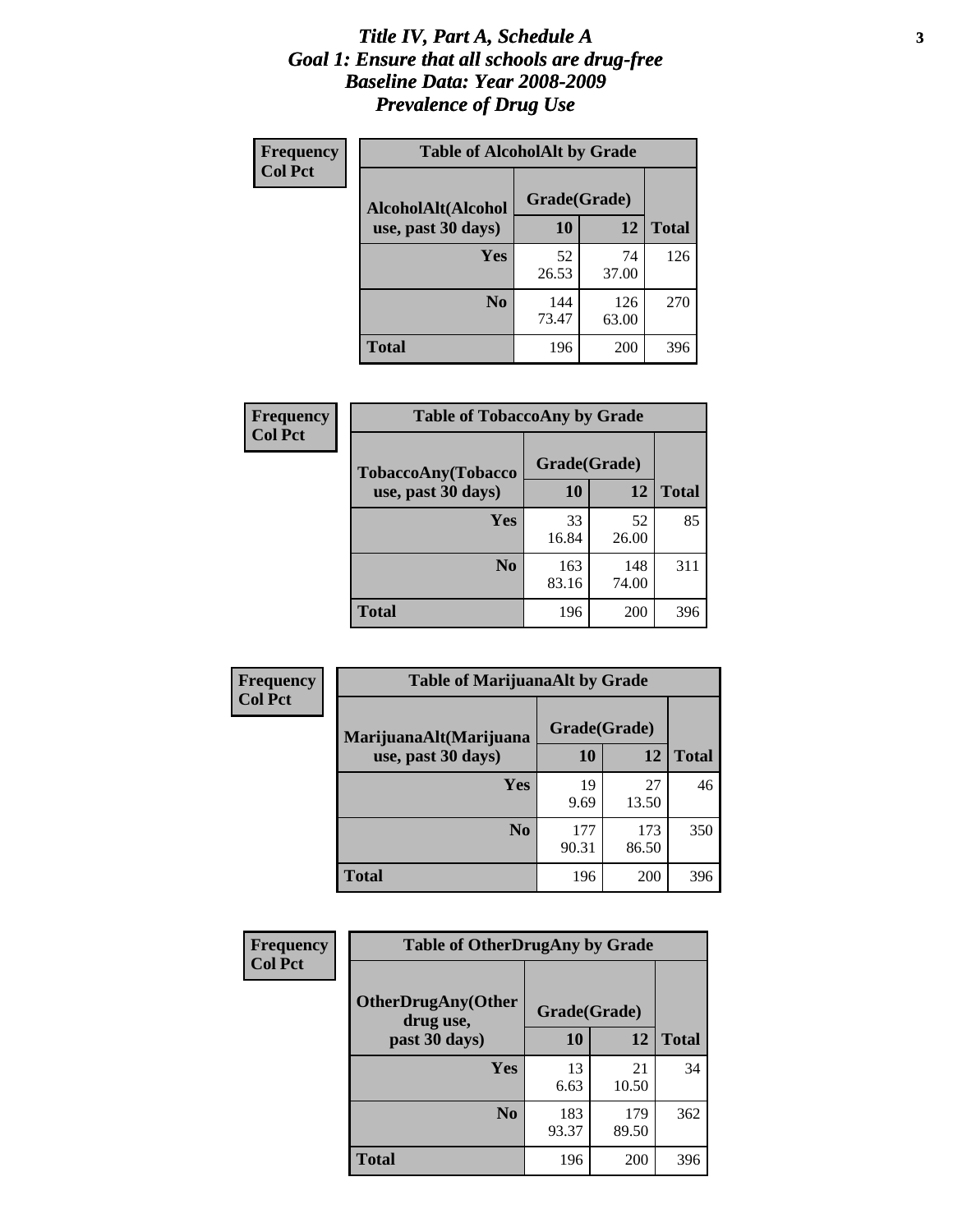#### *Title IV, Part A, Schedule A* **3** *Goal 1: Ensure that all schools are drug-free Baseline Data: Year 2008-2009 Prevalence of Drug Use*

| Frequency<br><b>Col Pct</b> | <b>Table of AlcoholAlt by Grade</b> |              |              |              |  |
|-----------------------------|-------------------------------------|--------------|--------------|--------------|--|
|                             | AlcoholAlt(Alcohol                  | Grade(Grade) |              |              |  |
|                             | use, past 30 days)                  | <b>10</b>    | 12           | <b>Total</b> |  |
|                             | Yes                                 | 52<br>26.53  | 74<br>37.00  | 126          |  |
|                             | N <sub>0</sub>                      | 144<br>73.47 | 126<br>63.00 | 270          |  |
|                             | Total                               | 196          | 200          | 396          |  |

| Frequency<br><b>Col Pct</b> | <b>Table of TobaccoAny by Grade</b> |              |              |              |  |  |
|-----------------------------|-------------------------------------|--------------|--------------|--------------|--|--|
|                             | TobaccoAny(Tobacco                  | Grade(Grade) |              |              |  |  |
|                             | use, past 30 days)                  | 10           | 12           | <b>Total</b> |  |  |
|                             | <b>Yes</b>                          | 33<br>16.84  | 52<br>26.00  | 85           |  |  |
|                             | N <sub>0</sub>                      | 163<br>83.16 | 148<br>74.00 | 311          |  |  |
|                             | <b>Total</b>                        | 196          | 200          | 396          |  |  |

| Frequency      | <b>Table of MarijuanaAlt by Grade</b> |              |              |              |  |
|----------------|---------------------------------------|--------------|--------------|--------------|--|
| <b>Col Pct</b> | MarijuanaAlt(Marijuana                | Grade(Grade) |              |              |  |
|                | use, past 30 days)                    | 10           | 12           | <b>Total</b> |  |
|                | Yes                                   | 19<br>9.69   | 27<br>13.50  | 46           |  |
|                | N <sub>0</sub>                        | 177<br>90.31 | 173<br>86.50 | 350          |  |
|                | <b>Total</b>                          | 196          | <b>200</b>   | 396          |  |

| Frequency<br><b>Col Pct</b> | <b>Table of OtherDrugAny by Grade</b>  |              |              |              |  |
|-----------------------------|----------------------------------------|--------------|--------------|--------------|--|
|                             | <b>OtherDrugAny(Other</b><br>drug use, | Grade(Grade) |              |              |  |
|                             | past 30 days)                          | 10           | <b>12</b>    | <b>Total</b> |  |
|                             | Yes                                    | 13<br>6.63   | 21<br>10.50  | 34           |  |
|                             | N <sub>0</sub>                         | 183<br>93.37 | 179<br>89.50 | 362          |  |
|                             | <b>Total</b>                           | 196          | 200          | 396          |  |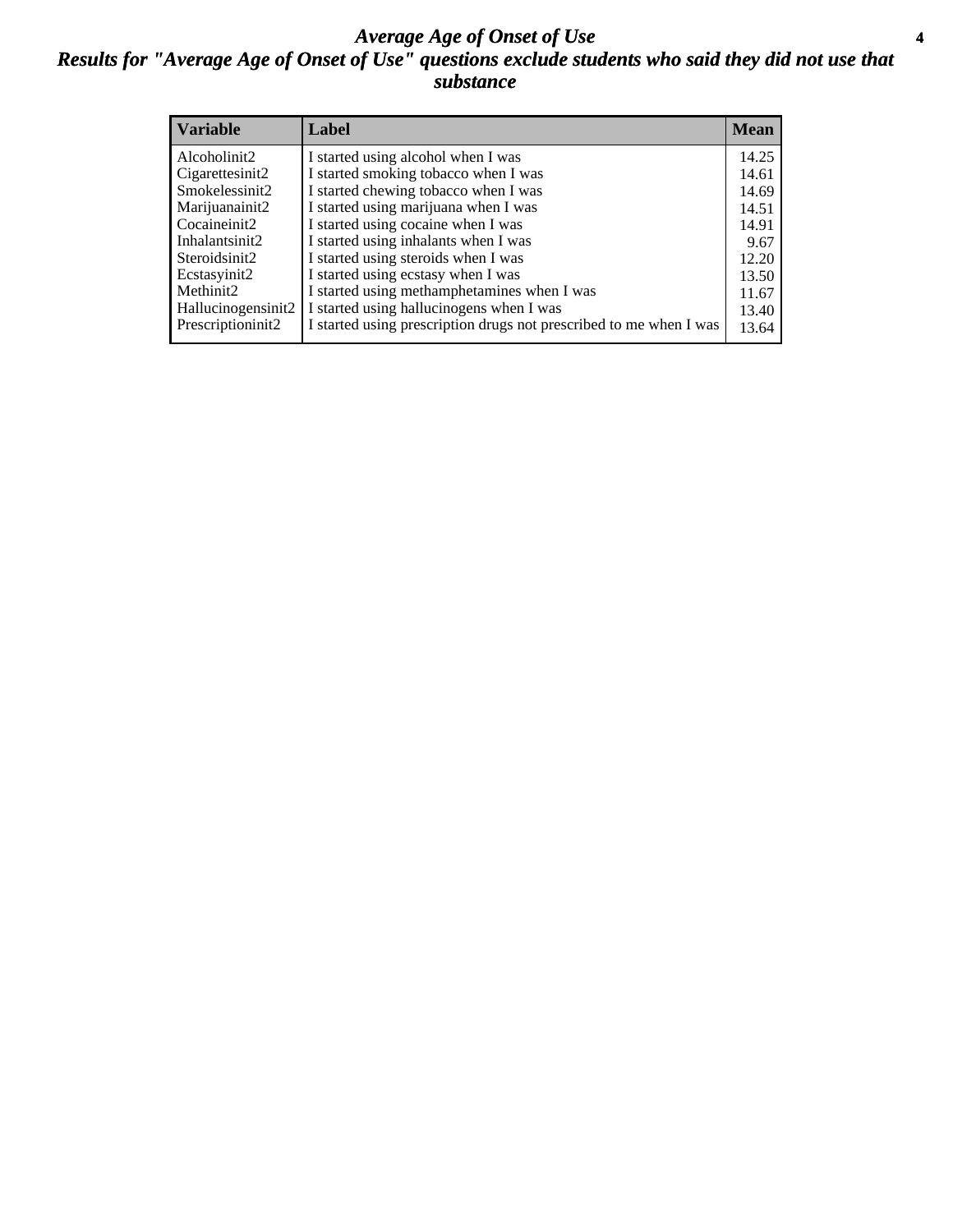#### *Average Age of Onset of Use* **4** *Results for "Average Age of Onset of Use" questions exclude students who said they did not use that substance*

| <b>Variable</b>       | Label                                                              | <b>Mean</b> |
|-----------------------|--------------------------------------------------------------------|-------------|
| Alcoholinit2          | I started using alcohol when I was                                 | 14.25       |
| Cigarettesinit2       | I started smoking tobacco when I was                               | 14.61       |
| Smokelessinit2        | I started chewing tobacco when I was                               | 14.69       |
| Marijuanainit2        | I started using marijuana when I was                               | 14.51       |
| Cocaineinit2          | I started using cocaine when I was                                 | 14.91       |
| Inhalantsinit2        | I started using inhalants when I was                               | 9.67        |
| Steroidsinit2         | I started using steroids when I was                                | 12.20       |
| Ecstasyinit2          | I started using ecstasy when I was                                 | 13.50       |
| Methinit <sub>2</sub> | I started using methamphetamines when I was                        | 11.67       |
| Hallucinogensinit2    | I started using hallucinogens when I was                           | 13.40       |
| Prescriptioninit2     | I started using prescription drugs not prescribed to me when I was | 13.64       |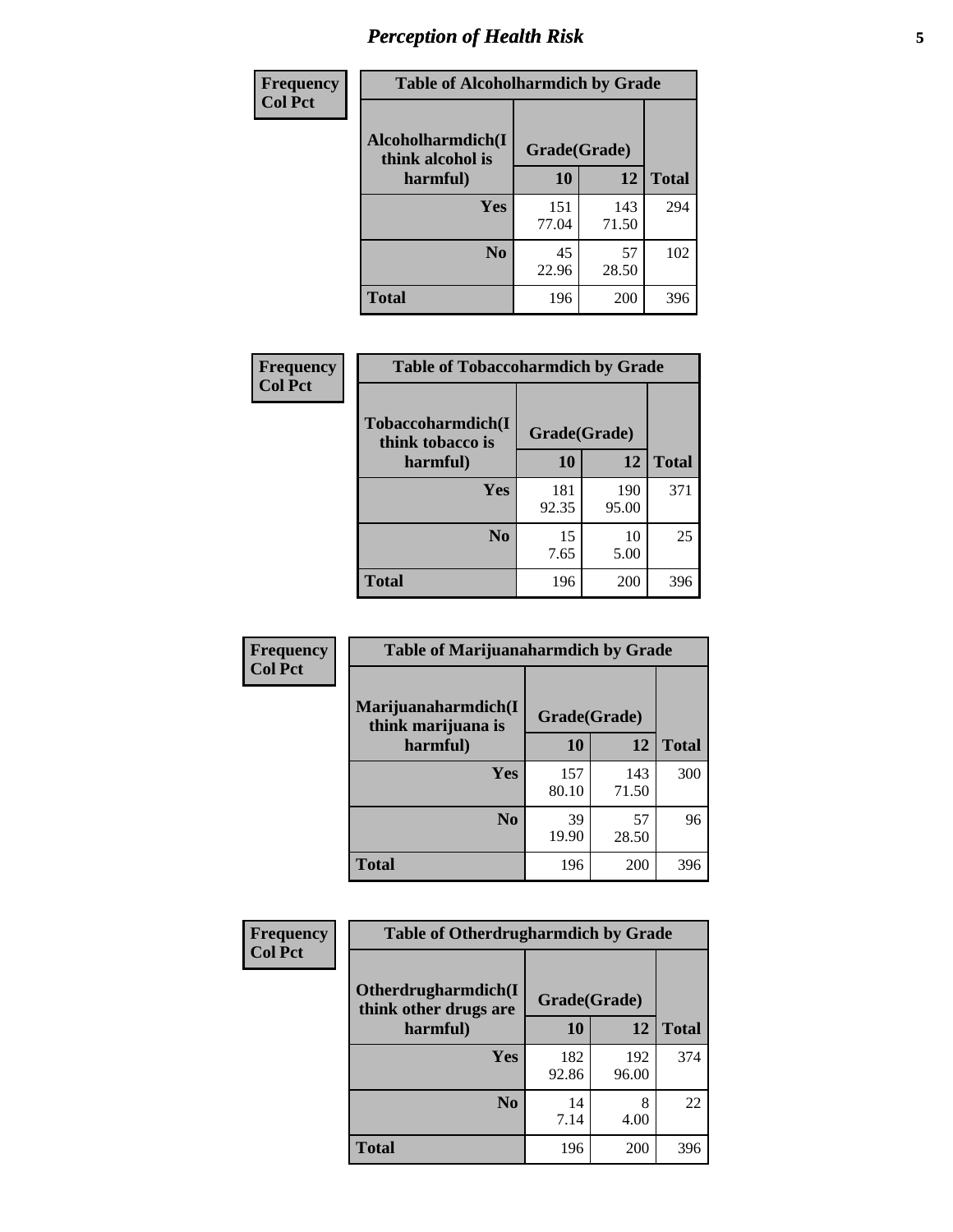# *Perception of Health Risk* **5**

| Frequency      | <b>Table of Alcoholharmdich by Grade</b> |              |              |              |  |
|----------------|------------------------------------------|--------------|--------------|--------------|--|
| <b>Col Pct</b> | Alcoholharmdich(I<br>think alcohol is    | Grade(Grade) |              |              |  |
|                | harmful)                                 | 10           | 12           | <b>Total</b> |  |
|                | <b>Yes</b>                               | 151<br>77.04 | 143<br>71.50 | 294          |  |
|                | N <sub>0</sub>                           | 45<br>22.96  | 57<br>28.50  | 102          |  |
|                | <b>Total</b>                             | 196          | 200          | 396          |  |

| <b>Frequency</b> | <b>Table of Tobaccoharmdich by Grade</b> |              |              |              |
|------------------|------------------------------------------|--------------|--------------|--------------|
| <b>Col Pct</b>   | Tobaccoharmdich(I<br>think tobacco is    | Grade(Grade) |              |              |
|                  | harmful)                                 | 10           | 12           | <b>Total</b> |
|                  | Yes                                      | 181<br>92.35 | 190<br>95.00 | 371          |
|                  | N <sub>0</sub>                           | 15<br>7.65   | 10<br>5.00   | 25           |
|                  | Total                                    | 196          | 200          | 396          |

| Frequency      | <b>Table of Marijuanaharmdich by Grade</b> |              |              |              |  |  |
|----------------|--------------------------------------------|--------------|--------------|--------------|--|--|
| <b>Col Pct</b> | Marijuanaharmdich(I<br>think marijuana is  | Grade(Grade) |              |              |  |  |
|                | harmful)                                   | 10           | 12           | <b>Total</b> |  |  |
|                | Yes                                        | 157<br>80.10 | 143<br>71.50 | 300          |  |  |
|                | N <sub>0</sub>                             | 39<br>19.90  | 57<br>28.50  | 96           |  |  |
|                | <b>Total</b>                               | 196          | 200          | 396          |  |  |

| Frequency      | <b>Table of Otherdrugharmdich by Grade</b>   |              |              |              |  |  |
|----------------|----------------------------------------------|--------------|--------------|--------------|--|--|
| <b>Col Pct</b> | Otherdrugharmdich(I<br>think other drugs are | Grade(Grade) |              |              |  |  |
|                | harmful)                                     | 10           | 12           | <b>Total</b> |  |  |
|                | <b>Yes</b>                                   | 182<br>92.86 | 192<br>96.00 | 374          |  |  |
|                | N <sub>0</sub>                               | 14<br>7.14   | 8<br>4.00    | 22           |  |  |
|                | <b>Total</b>                                 | 196          | 200          | 396          |  |  |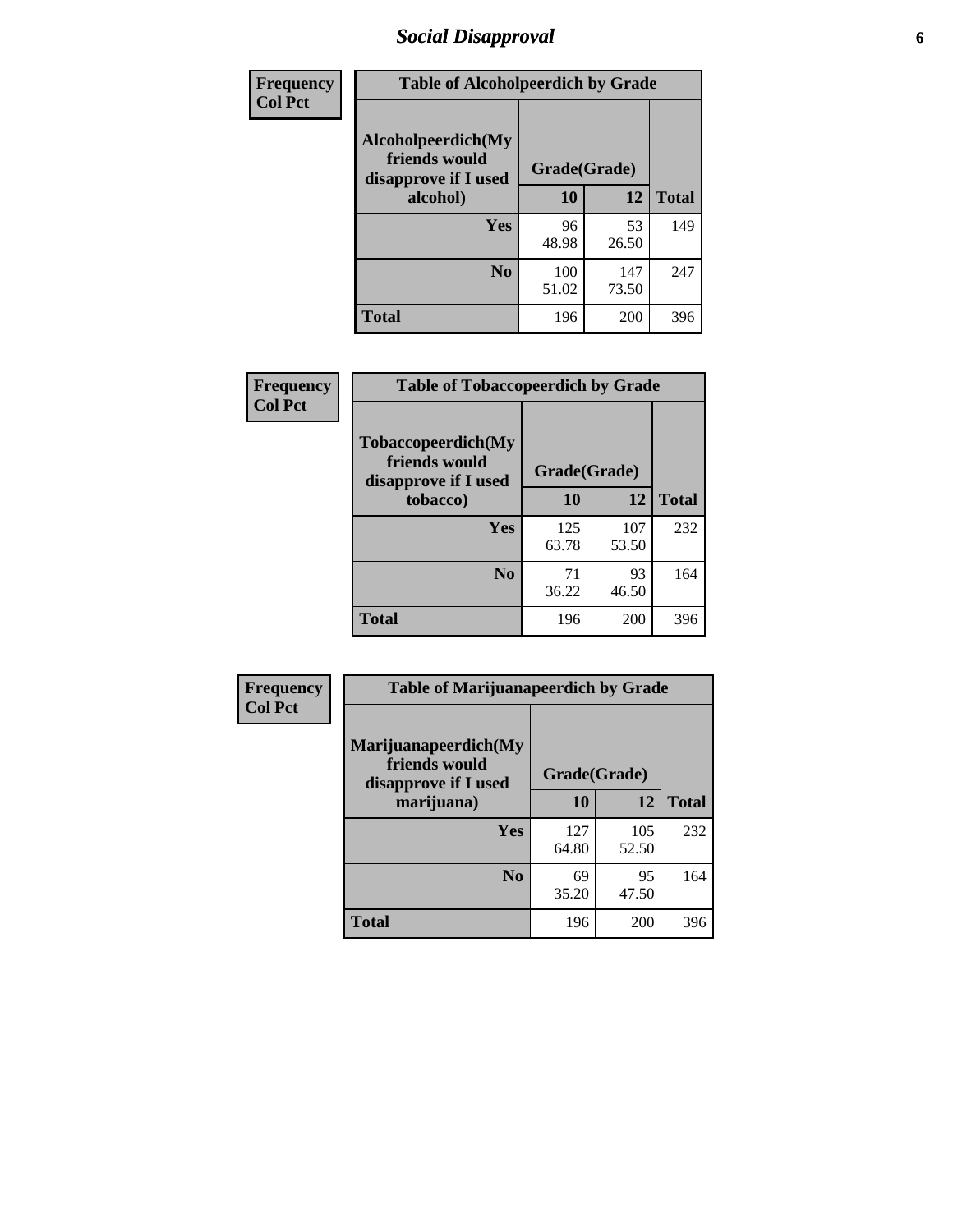# *Social Disapproval* **6**

| Frequency      | <b>Table of Alcoholpeerdich by Grade</b>                    |              |              |              |  |  |  |  |
|----------------|-------------------------------------------------------------|--------------|--------------|--------------|--|--|--|--|
| <b>Col Pct</b> | Alcoholpeerdich(My<br>friends would<br>disapprove if I used | Grade(Grade) |              |              |  |  |  |  |
|                | alcohol)                                                    | 10           | 12           | <b>Total</b> |  |  |  |  |
|                | <b>Yes</b>                                                  | 96<br>48.98  | 53<br>26.50  | 149          |  |  |  |  |
|                | N <sub>0</sub>                                              | 100<br>51.02 | 147<br>73.50 | 247          |  |  |  |  |
|                | <b>Total</b>                                                | 196          | 200          | 396          |  |  |  |  |

| <b>Frequency</b> |
|------------------|
| <b>Col Pct</b>   |

| <b>Table of Tobaccopeerdich by Grade</b>                    |              |              |              |  |  |
|-------------------------------------------------------------|--------------|--------------|--------------|--|--|
| Tobaccopeerdich(My<br>friends would<br>disapprove if I used | Grade(Grade) |              |              |  |  |
| tobacco)                                                    | 10           | 12           | <b>Total</b> |  |  |
| Yes                                                         | 125<br>63.78 | 107<br>53.50 | 232          |  |  |
| N <sub>0</sub>                                              | 71<br>36.22  | 93<br>46.50  | 164          |  |  |
| <b>Total</b>                                                | 196          | 200          | 396          |  |  |

| <b>Frequency</b> | <b>Table of Marijuanapeerdich by Grade</b>                    |              |              |              |  |  |
|------------------|---------------------------------------------------------------|--------------|--------------|--------------|--|--|
| <b>Col Pct</b>   | Marijuanapeerdich(My<br>friends would<br>disapprove if I used | Grade(Grade) |              |              |  |  |
|                  | marijuana)                                                    | 10           | 12           | <b>Total</b> |  |  |
|                  | <b>Yes</b>                                                    | 127<br>64.80 | 105<br>52.50 | 232          |  |  |
|                  | N <sub>0</sub>                                                | 69<br>35.20  | 95<br>47.50  | 164          |  |  |
|                  | <b>Total</b>                                                  | 196          | 200          | 396          |  |  |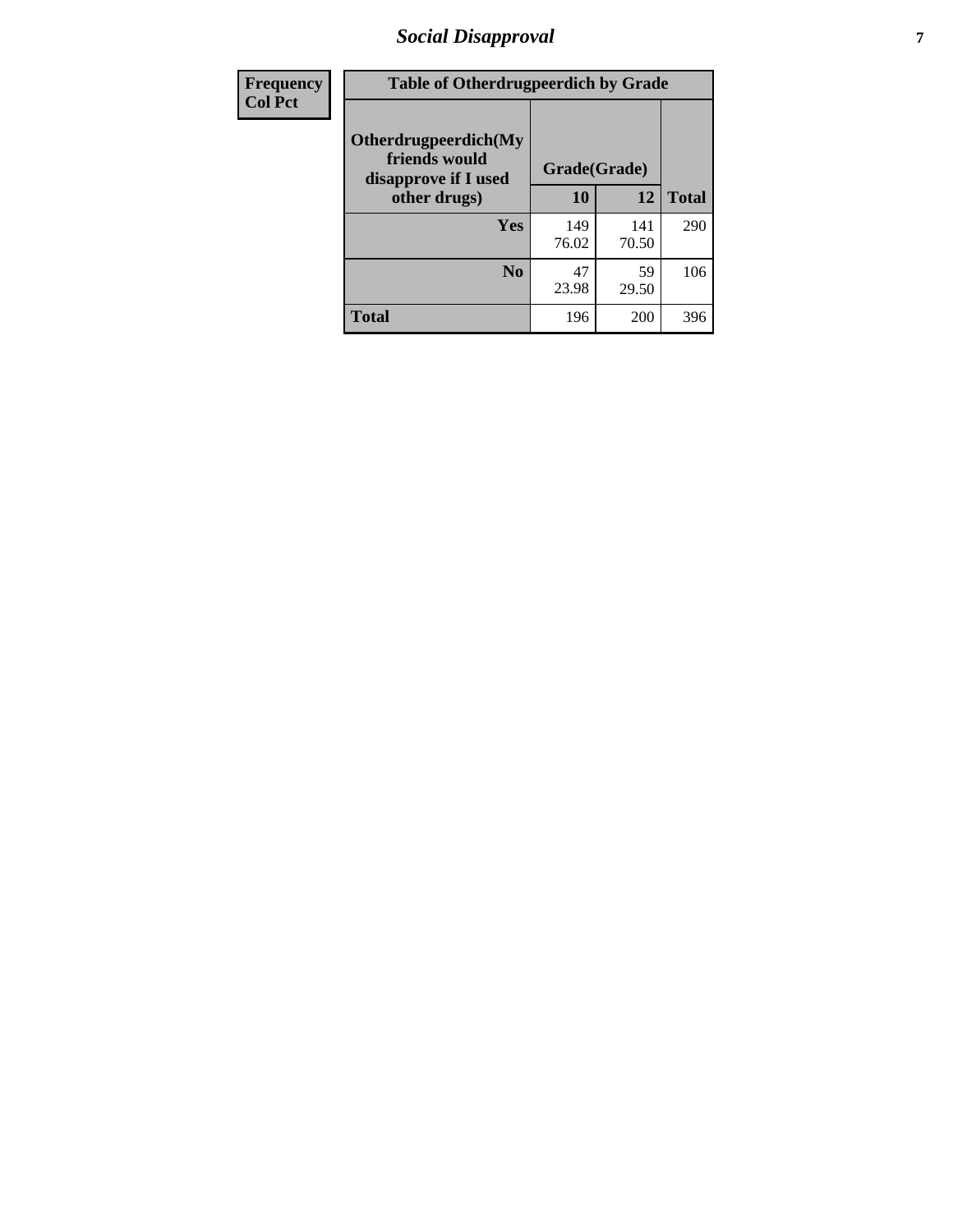# *Social Disapproval* **7**

| Frequency      | <b>Table of Otherdrugpeerdich by Grade</b>                    |              |              |              |  |  |  |
|----------------|---------------------------------------------------------------|--------------|--------------|--------------|--|--|--|
| <b>Col Pct</b> | Otherdrugpeerdich(My<br>friends would<br>disapprove if I used | Grade(Grade) |              |              |  |  |  |
|                | other drugs)                                                  | 10           | 12           | <b>Total</b> |  |  |  |
|                | Yes                                                           | 149<br>76.02 | 141<br>70.50 | 290          |  |  |  |
|                | N <sub>0</sub>                                                | 47<br>23.98  | 59<br>29.50  | 106          |  |  |  |
|                | <b>Total</b>                                                  | 196          | 200          | 396          |  |  |  |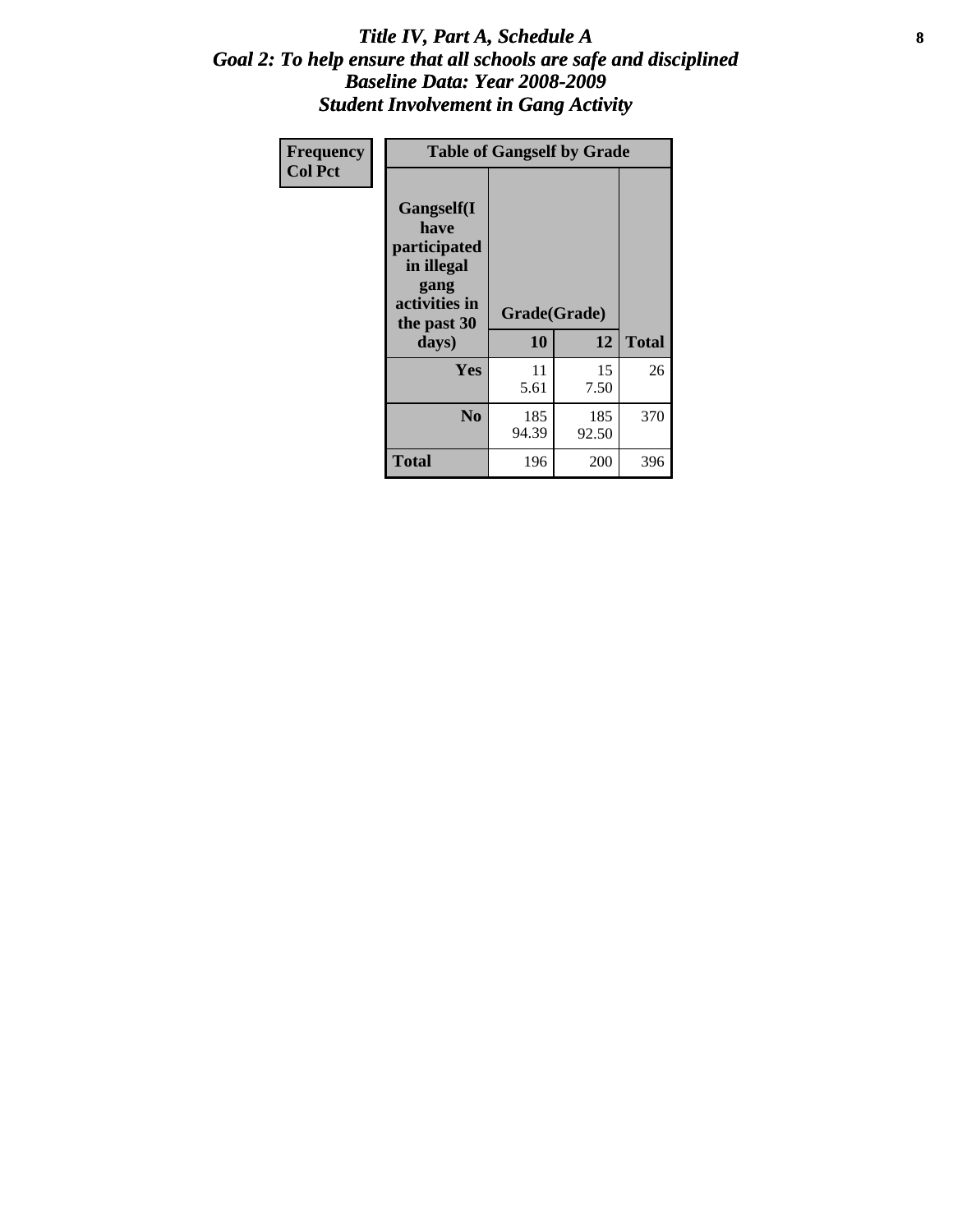#### Title IV, Part A, Schedule A **8** *Goal 2: To help ensure that all schools are safe and disciplined Baseline Data: Year 2008-2009 Student Involvement in Gang Activity*

| Frequency      | <b>Table of Gangself by Grade</b>                                                                         |                    |              |              |  |
|----------------|-----------------------------------------------------------------------------------------------------------|--------------------|--------------|--------------|--|
| <b>Col Pct</b> | <b>Gangself</b> (I<br>have<br>participated<br>in illegal<br>gang<br>activities in<br>the past 30<br>days) | Grade(Grade)<br>10 | 12           | <b>Total</b> |  |
|                | Yes                                                                                                       | 11<br>5.61         | 15<br>7.50   | 26           |  |
|                | N <sub>0</sub>                                                                                            | 185<br>94.39       | 185<br>92.50 | 370          |  |
|                | <b>Total</b>                                                                                              | 196                | 200          | 396          |  |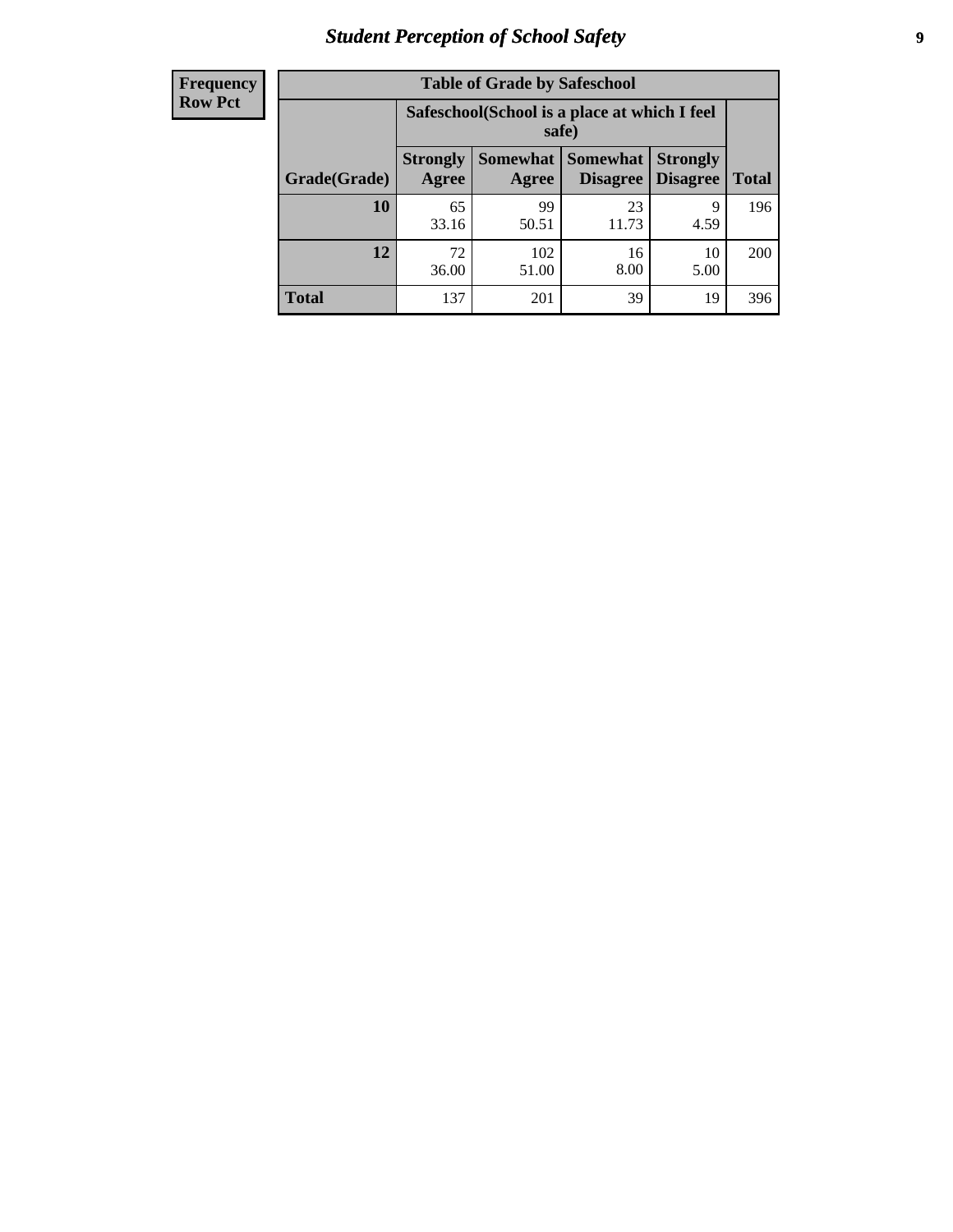# *Student Perception of School Safety* **9**

| <b>Frequency</b><br>Row Pct |
|-----------------------------|
|                             |

| <b>Table of Grade by Safeschool</b> |                                                                                                                               |                                                        |             |            |     |  |  |
|-------------------------------------|-------------------------------------------------------------------------------------------------------------------------------|--------------------------------------------------------|-------------|------------|-----|--|--|
|                                     |                                                                                                                               | Safeschool (School is a place at which I feel<br>safe) |             |            |     |  |  |
| Grade(Grade)                        | Somewhat  <br>Somewhat<br><b>Strongly</b><br><b>Strongly</b><br><b>Disagree</b><br>Agree<br>Disagree<br><b>Total</b><br>Agree |                                                        |             |            |     |  |  |
| 10                                  | 65<br>33.16                                                                                                                   | 99<br>50.51                                            | 23<br>11.73 | 9<br>4.59  | 196 |  |  |
| 12                                  | 72<br>36.00                                                                                                                   | 102<br>51.00                                           | 16<br>8.00  | 10<br>5.00 | 200 |  |  |
| <b>Total</b>                        | 137                                                                                                                           | 201                                                    | 39          | 19         | 396 |  |  |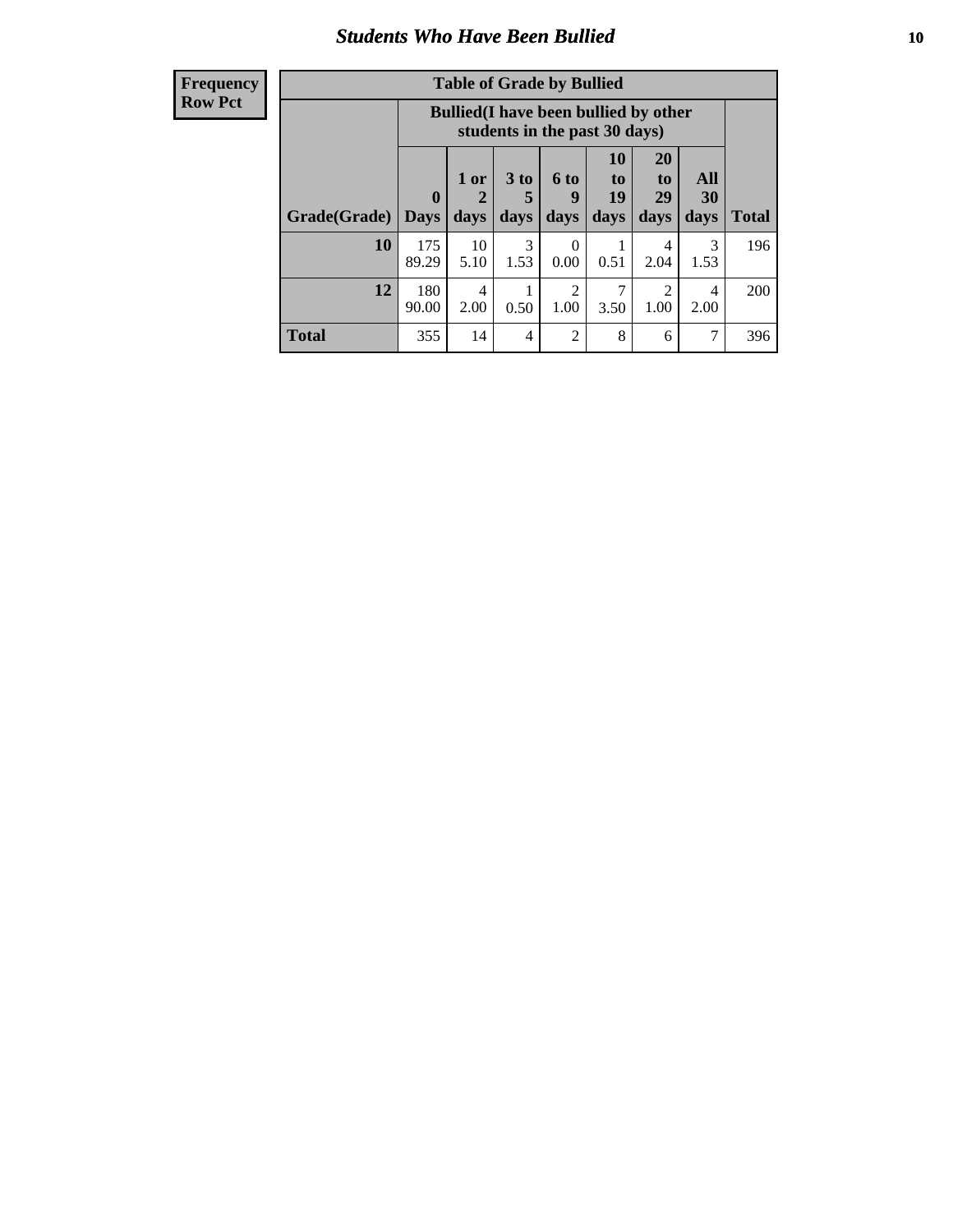### *Students Who Have Been Bullied* **10**

#### **Frequency Row Pct**

| <b>Table of Grade by Bullied</b> |                  |                                                                               |                              |                        |                        |                        |                          |              |
|----------------------------------|------------------|-------------------------------------------------------------------------------|------------------------------|------------------------|------------------------|------------------------|--------------------------|--------------|
|                                  |                  | <b>Bullied</b> (I have been bullied by other<br>students in the past 30 days) |                              |                        |                        |                        |                          |              |
| Grade(Grade)                     | 0<br><b>Days</b> | 1 or<br>days                                                                  | 3 <sub>to</sub><br>5<br>days | 6 to<br>9<br>days      | 10<br>to<br>19<br>days | 20<br>to<br>29<br>days | <b>All</b><br>30<br>days | <b>Total</b> |
| 10                               | 175<br>89.29     | 10<br>5.10                                                                    | 3<br>1.53                    | $\Omega$<br>0.00       | 0.51                   | 4<br>2.04              | 3<br>1.53                | 196          |
| 12                               | 180<br>90.00     | 4<br>2.00                                                                     | 0.50                         | $\overline{2}$<br>1.00 | 3.50                   | $\overline{2}$<br>1.00 | 4<br>2.00                | 200          |
| <b>Total</b>                     | 355              | 14                                                                            | 4                            | $\overline{2}$         | 8                      | 6                      | 7                        | 396          |

 $\blacksquare$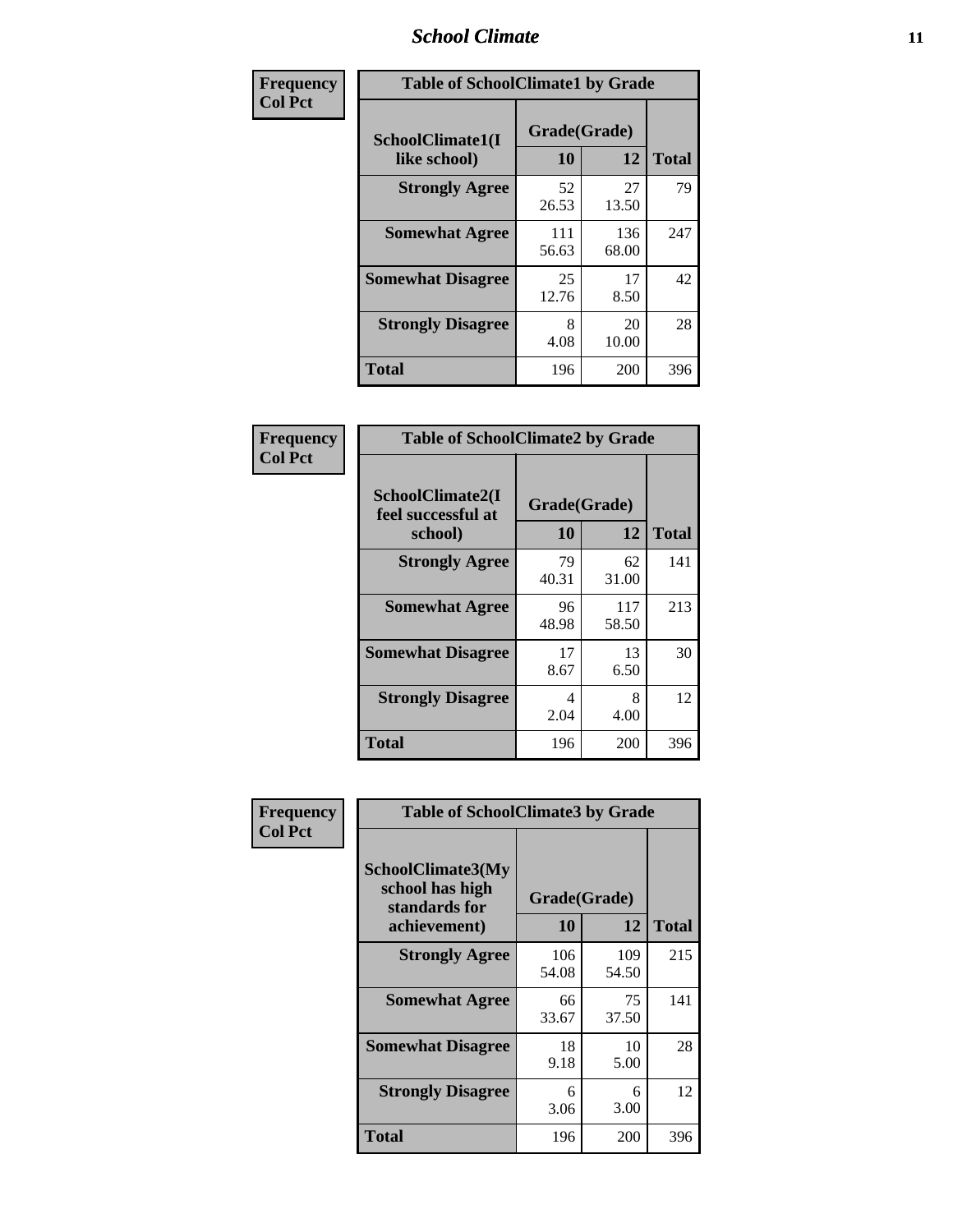#### *School Climate* **11**

| <b>Frequency</b> | <b>Table of SchoolClimate1 by Grade</b> |                    |              |              |  |  |
|------------------|-----------------------------------------|--------------------|--------------|--------------|--|--|
| <b>Col Pct</b>   | SchoolClimate1(I<br>like school)        | Grade(Grade)<br>10 | 12           | <b>Total</b> |  |  |
|                  | <b>Strongly Agree</b>                   | 52<br>26.53        | 27<br>13.50  | 79           |  |  |
|                  | <b>Somewhat Agree</b>                   | 111<br>56.63       | 136<br>68.00 | 247          |  |  |
|                  | <b>Somewhat Disagree</b>                | 25<br>12.76        | 17<br>8.50   | 42           |  |  |
|                  | <b>Strongly Disagree</b>                | 8<br>4.08          | 20<br>10.00  | 28           |  |  |
|                  | <b>Total</b>                            | 196                | 200          | 396          |  |  |

| <b>Frequency</b> |
|------------------|
| <b>Col Pct</b>   |

|                                                   | <b>Table of SchoolClimate2 by Grade</b> |              |              |  |  |
|---------------------------------------------------|-----------------------------------------|--------------|--------------|--|--|
| SchoolClimate2(I<br>feel successful at<br>school) | Grade(Grade)<br>10                      | 12           | <b>Total</b> |  |  |
| <b>Strongly Agree</b>                             | 79<br>40.31                             | 62<br>31.00  | 141          |  |  |
| <b>Somewhat Agree</b>                             | 96<br>48.98                             | 117<br>58.50 | 213          |  |  |
| <b>Somewhat Disagree</b>                          | 17<br>8.67                              | 13<br>6.50   | 30           |  |  |
| <b>Strongly Disagree</b>                          | 4<br>2.04                               | 8<br>4.00    | 12           |  |  |
| Total                                             | 196                                     | 200          | 396          |  |  |

| Frequency      | <b>Table of SchoolClimate3 by Grade</b>                                      |                    |              |              |  |
|----------------|------------------------------------------------------------------------------|--------------------|--------------|--------------|--|
| <b>Col Pct</b> | <b>SchoolClimate3(My</b><br>school has high<br>standards for<br>achievement) | Grade(Grade)<br>10 | 12           | <b>Total</b> |  |
|                |                                                                              |                    |              |              |  |
|                | <b>Strongly Agree</b>                                                        | 106<br>54.08       | 109<br>54.50 | 215          |  |
|                | <b>Somewhat Agree</b>                                                        | 66<br>33.67        | 75<br>37.50  | 141          |  |
|                | <b>Somewhat Disagree</b>                                                     | 18<br>9.18         | 10<br>5.00   | 28           |  |
|                | <b>Strongly Disagree</b>                                                     | 6<br>3.06          | 6<br>3.00    | 12           |  |
|                | Total                                                                        | 196                | 200          | 396          |  |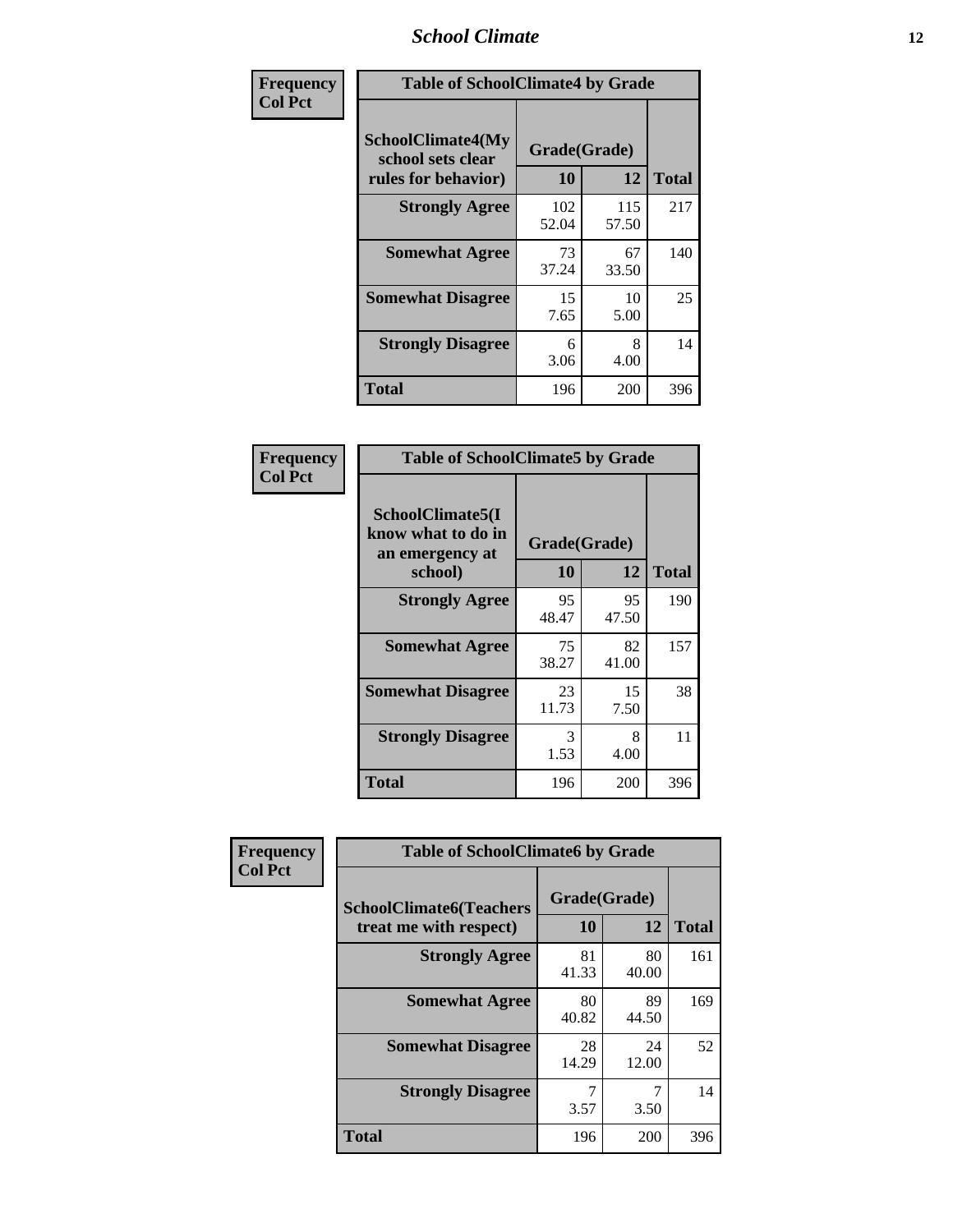#### *School Climate* **12**

| Frequency      | <b>Table of SchoolClimate4 by Grade</b>                       |                    |              |              |
|----------------|---------------------------------------------------------------|--------------------|--------------|--------------|
| <b>Col Pct</b> | SchoolClimate4(My<br>school sets clear<br>rules for behavior) | Grade(Grade)<br>10 | 12           | <b>Total</b> |
|                | <b>Strongly Agree</b>                                         | 102<br>52.04       | 115<br>57.50 | 217          |
|                | <b>Somewhat Agree</b>                                         | 73<br>37.24        | 67<br>33.50  | 140          |
|                | <b>Somewhat Disagree</b>                                      | 15<br>7.65         | 10<br>5.00   | 25           |
|                | <b>Strongly Disagree</b>                                      | 6<br>3.06          | 8<br>4.00    | 14           |
|                | <b>Total</b>                                                  | 196                | 200          | 396          |

| <b>Table of SchoolClimate5 by Grade</b>                   |              |             |              |  |
|-----------------------------------------------------------|--------------|-------------|--------------|--|
| SchoolClimate5(I<br>know what to do in<br>an emergency at | Grade(Grade) |             |              |  |
| school)                                                   | 10           | 12          | <b>Total</b> |  |
| <b>Strongly Agree</b>                                     | 95<br>48.47  | 95<br>47.50 | 190          |  |
| <b>Somewhat Agree</b>                                     | 75<br>38.27  | 82<br>41.00 | 157          |  |
| <b>Somewhat Disagree</b>                                  | 23<br>11.73  | 15<br>7.50  | 38           |  |
| <b>Strongly Disagree</b>                                  | 3<br>1.53    | 8<br>4.00   | 11           |  |
| Total                                                     | 196          | 200         | 396          |  |

| Frequency      | <b>Table of SchoolClimate6 by Grade</b>                  |                    |             |              |
|----------------|----------------------------------------------------------|--------------------|-------------|--------------|
| <b>Col Pct</b> | <b>SchoolClimate6(Teachers</b><br>treat me with respect) | Grade(Grade)<br>10 | 12          | <b>Total</b> |
|                | <b>Strongly Agree</b>                                    | 81<br>41.33        | 80<br>40.00 | 161          |
|                | <b>Somewhat Agree</b>                                    | 80<br>40.82        | 89<br>44.50 | 169          |
|                | <b>Somewhat Disagree</b>                                 | 28<br>14.29        | 24<br>12.00 | 52           |
|                | <b>Strongly Disagree</b>                                 | 3.57               | 3.50        | 14           |
|                | <b>Total</b>                                             | 196                | 200         | 396          |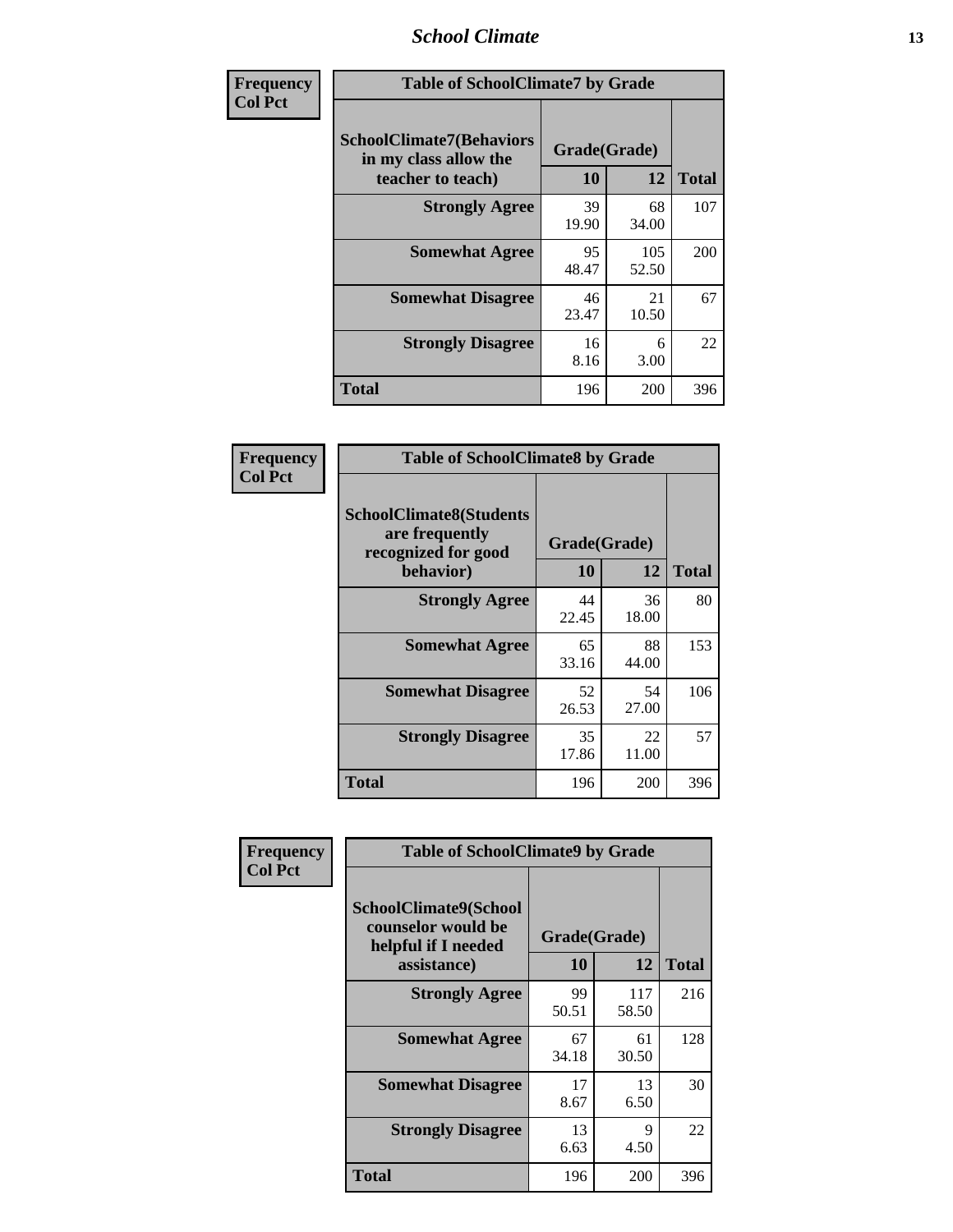#### *School Climate* **13**

| Frequency      | <b>Table of SchoolClimate7 by Grade</b>                                       |                           |              |              |
|----------------|-------------------------------------------------------------------------------|---------------------------|--------------|--------------|
| <b>Col Pct</b> | <b>SchoolClimate7(Behaviors</b><br>in my class allow the<br>teacher to teach) | Grade(Grade)<br><b>10</b> | 12           | <b>Total</b> |
|                | <b>Strongly Agree</b>                                                         | 39<br>19.90               | 68<br>34.00  | 107          |
|                | <b>Somewhat Agree</b>                                                         | 95<br>48.47               | 105<br>52.50 | 200          |
|                | <b>Somewhat Disagree</b>                                                      | 46<br>23.47               | 21<br>10.50  | 67           |
|                | <b>Strongly Disagree</b>                                                      | 16<br>8.16                | 6<br>3.00    | 22           |
|                | <b>Total</b>                                                                  | 196                       | 200          | 396          |

| Frequency      | <b>Table of SchoolClimate8 by Grade</b>                                              |                    |             |              |
|----------------|--------------------------------------------------------------------------------------|--------------------|-------------|--------------|
| <b>Col Pct</b> | <b>SchoolClimate8(Students</b><br>are frequently<br>recognized for good<br>behavior) | Grade(Grade)<br>10 | 12          | <b>Total</b> |
|                | <b>Strongly Agree</b>                                                                | 44<br>22.45        | 36<br>18.00 | 80           |
|                | <b>Somewhat Agree</b>                                                                | 65<br>33.16        | 88<br>44.00 | 153          |
|                | <b>Somewhat Disagree</b>                                                             | 52<br>26.53        | 54<br>27.00 | 106          |
|                | <b>Strongly Disagree</b>                                                             | 35<br>17.86        | 22<br>11.00 | 57           |
|                | <b>Total</b>                                                                         | 196                | 200         | 396          |

| Frequency      | <b>Table of SchoolClimate9 by Grade</b>                                           |                    |                     |              |
|----------------|-----------------------------------------------------------------------------------|--------------------|---------------------|--------------|
| <b>Col Pct</b> | SchoolClimate9(School<br>counselor would be<br>helpful if I needed<br>assistance) | Grade(Grade)<br>10 | 12                  | <b>Total</b> |
|                | <b>Strongly Agree</b>                                                             | 99<br>50.51        | 117<br>58.50        | 216          |
|                | <b>Somewhat Agree</b>                                                             | 67<br>34.18        | 61<br>30.50         | 128          |
|                | <b>Somewhat Disagree</b>                                                          | 17<br>8.67         | 13<br>6.50          | 30           |
|                | <b>Strongly Disagree</b>                                                          | 13<br>6.63         | $\mathbf Q$<br>4.50 | 22           |
|                | Total                                                                             | 196                | 200                 | 396          |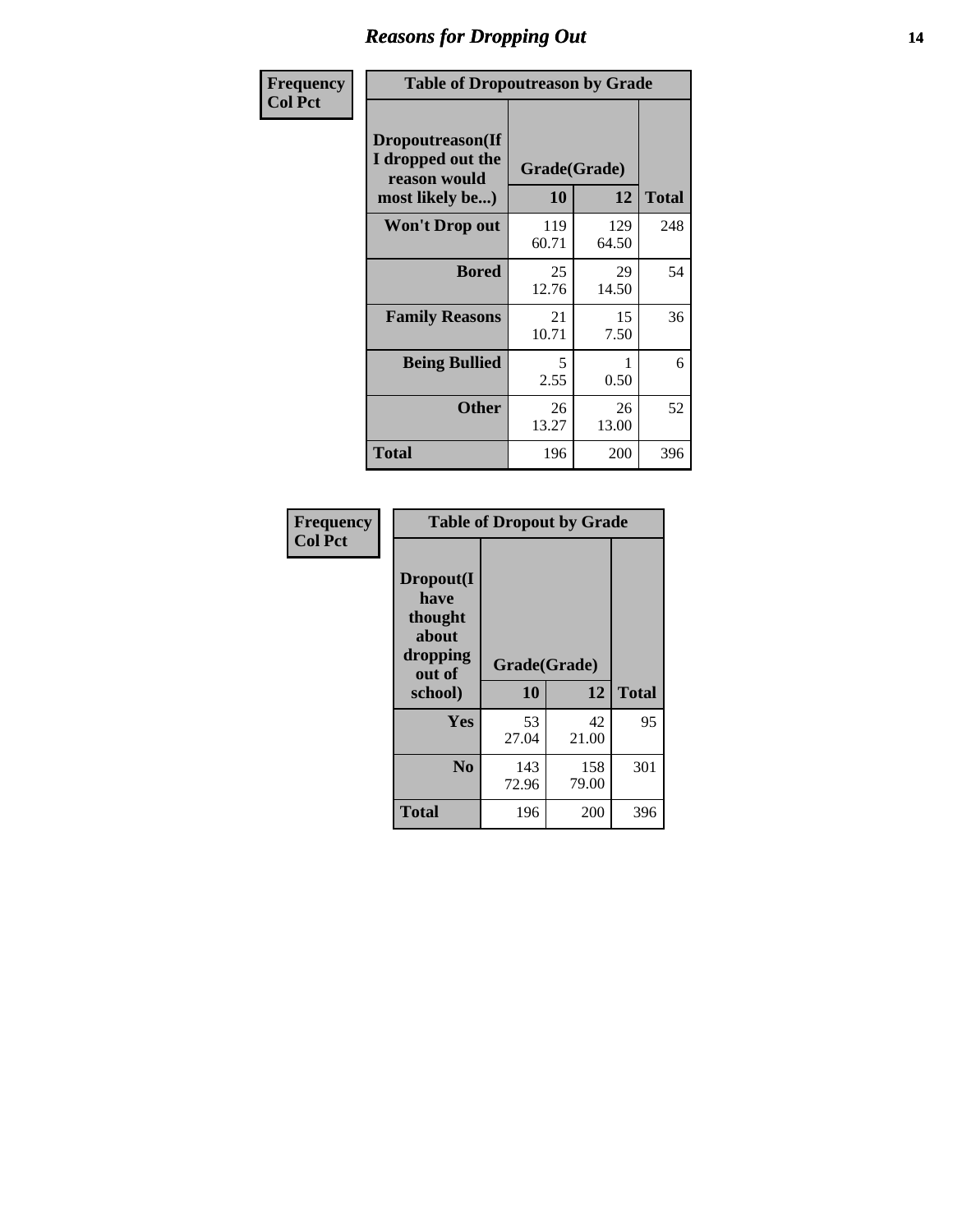### *Reasons for Dropping Out* **14**

| Frequency      | <b>Table of Dropoutreason by Grade</b>                                   |                           |              |              |
|----------------|--------------------------------------------------------------------------|---------------------------|--------------|--------------|
| <b>Col Pct</b> | Dropoutreason(If<br>I dropped out the<br>reason would<br>most likely be) | Grade(Grade)<br><b>10</b> | 12           | <b>Total</b> |
|                | Won't Drop out                                                           | 119<br>60.71              | 129<br>64.50 | 248          |
|                | <b>Bored</b>                                                             | 25<br>12.76               | 29<br>14.50  | 54           |
|                | <b>Family Reasons</b>                                                    | 21<br>10.71               | 15<br>7.50   | 36           |
|                | <b>Being Bullied</b>                                                     | 5<br>2.55                 | 1<br>0.50    | 6            |
|                | <b>Other</b>                                                             | 26<br>13.27               | 26<br>13.00  | 52           |
|                | <b>Total</b>                                                             | 196                       | 200          | 396          |

| <b>Frequency</b> | <b>Table of Dropout by Grade</b>                                       |                    |              |              |
|------------------|------------------------------------------------------------------------|--------------------|--------------|--------------|
| <b>Col Pct</b>   | Dropout(I<br>have<br>thought<br>about<br>dropping<br>out of<br>school) | Grade(Grade)<br>10 | 12           | <b>Total</b> |
|                  | Yes                                                                    | 53                 | 42           | 95           |
|                  |                                                                        | 27.04              | 21.00        |              |
|                  | N <sub>0</sub>                                                         | 143<br>72.96       | 158<br>79.00 | 301          |
|                  | <b>Total</b>                                                           | 196                | 200          | 396          |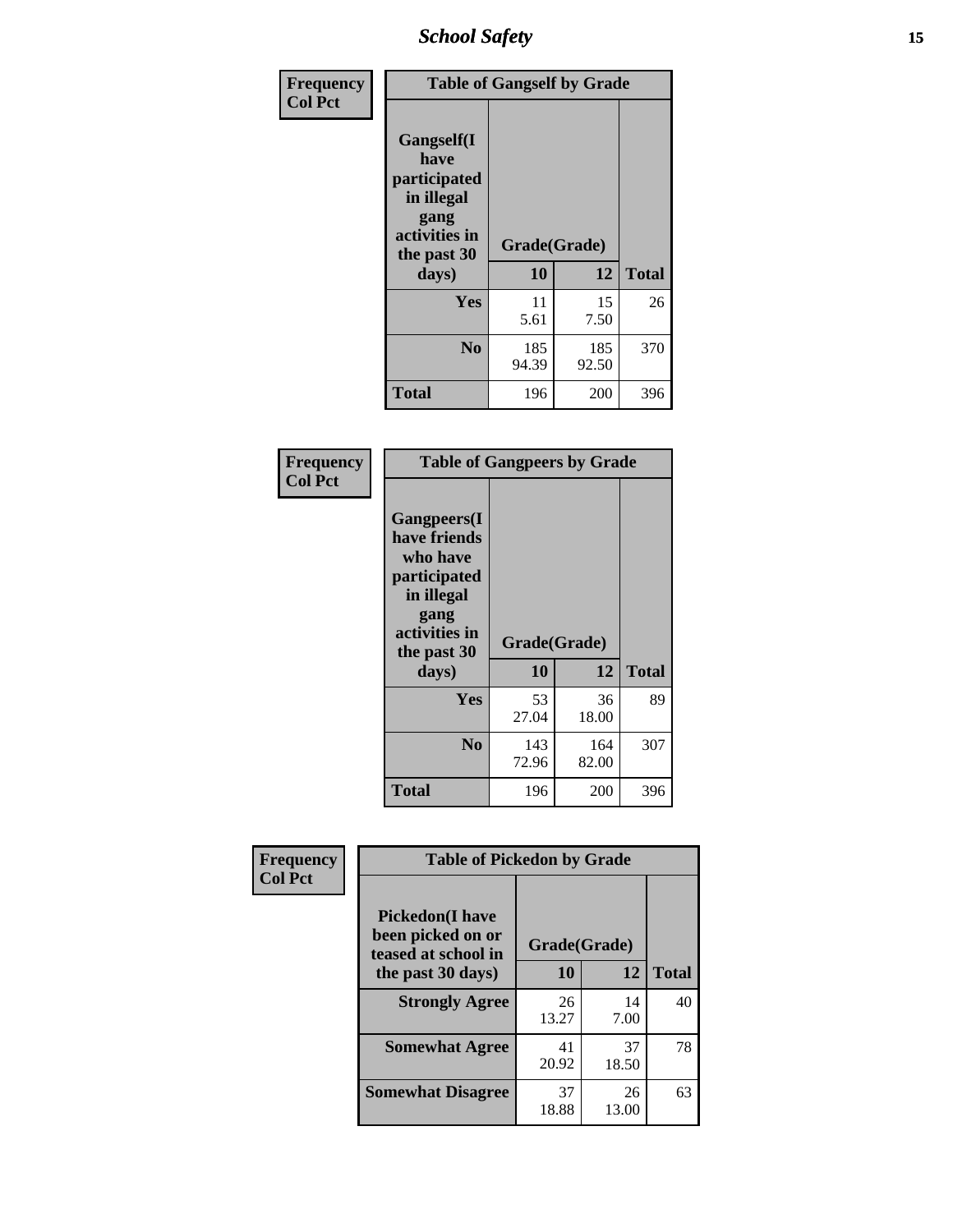*School Safety* **15**

| Frequency      | <b>Table of Gangself by Grade</b>                                                                 |                    |              |              |
|----------------|---------------------------------------------------------------------------------------------------|--------------------|--------------|--------------|
| <b>Col Pct</b> | Gangself(I<br>have<br>participated<br>in illegal<br>gang<br>activities in<br>the past 30<br>days) | Grade(Grade)<br>10 | 12           | <b>Total</b> |
|                | Yes                                                                                               | 11<br>5.61         | 15<br>7.50   | 26           |
|                | N <sub>0</sub>                                                                                    | 185<br>94.39       | 185<br>92.50 | 370          |
|                | Total                                                                                             | 196                | 200          | 396          |

| Frequency<br><b>Col Pct</b> | <b>Table of Gangpeers by Grade</b>                                                                                             |                    |              |              |
|-----------------------------|--------------------------------------------------------------------------------------------------------------------------------|--------------------|--------------|--------------|
|                             | <b>Gangpeers</b> (I<br>have friends<br>who have<br>participated<br>in illegal<br>gang<br>activities in<br>the past 30<br>days) | Grade(Grade)<br>10 | 12           | <b>Total</b> |
|                             | Yes                                                                                                                            | 53<br>27.04        | 36<br>18.00  | 89           |
|                             | N <sub>0</sub>                                                                                                                 | 143<br>72.96       | 164<br>82.00 | 307          |
|                             | <b>Total</b>                                                                                                                   | 196                | 200          | 396          |

| Frequency      | <b>Table of Pickedon by Grade</b>                                                       |                    |              |    |  |  |  |  |  |
|----------------|-----------------------------------------------------------------------------------------|--------------------|--------------|----|--|--|--|--|--|
| <b>Col Pct</b> | <b>Pickedon(I have</b><br>been picked on or<br>teased at school in<br>the past 30 days) | Grade(Grade)<br>10 | <b>Total</b> |    |  |  |  |  |  |
|                | <b>Strongly Agree</b>                                                                   | 26<br>13.27        | 14<br>7.00   | 40 |  |  |  |  |  |
|                | <b>Somewhat Agree</b>                                                                   | 41<br>20.92        | 37<br>18.50  | 78 |  |  |  |  |  |
|                | <b>Somewhat Disagree</b>                                                                | 37<br>18.88        | 26<br>13.00  | 63 |  |  |  |  |  |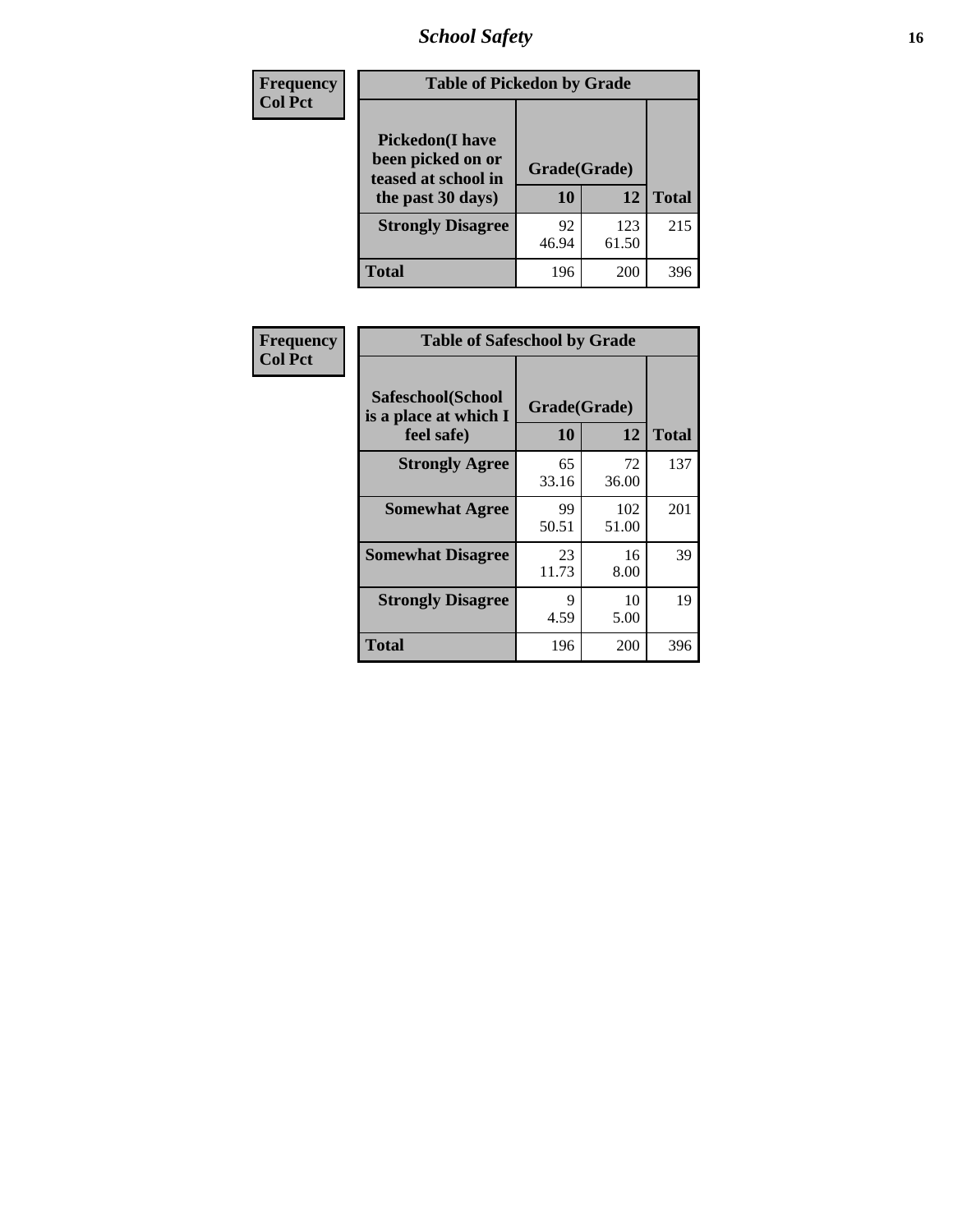# *School Safety* **16**

| <b>Frequency</b> | <b>Table of Pickedon by Grade</b>                                                        |                    |              |     |
|------------------|------------------------------------------------------------------------------------------|--------------------|--------------|-----|
| <b>Col Pct</b>   | <b>Pickedon</b> (I have<br>been picked on or<br>teased at school in<br>the past 30 days) | Grade(Grade)<br>10 | <b>Total</b> |     |
|                  | <b>Strongly Disagree</b>                                                                 | 92<br>46.94        | 123<br>61.50 | 215 |
|                  | Total                                                                                    | 196                | 200          | 396 |

| Frequency      |                                                          | <b>Table of Safeschool by Grade</b> |              |     |  |  |  |  |  |
|----------------|----------------------------------------------------------|-------------------------------------|--------------|-----|--|--|--|--|--|
| <b>Col Pct</b> | Safeschool(School<br>is a place at which I<br>feel safe) | Grade(Grade)<br>10                  | <b>Total</b> |     |  |  |  |  |  |
|                | <b>Strongly Agree</b>                                    | 65<br>33.16                         | 72<br>36.00  | 137 |  |  |  |  |  |
|                | <b>Somewhat Agree</b>                                    | 99<br>50.51                         | 102<br>51.00 | 201 |  |  |  |  |  |
|                | <b>Somewhat Disagree</b>                                 | 23<br>11.73                         | 16<br>8.00   | 39  |  |  |  |  |  |
|                | <b>Strongly Disagree</b>                                 | 9<br>4.59                           | 10<br>5.00   | 19  |  |  |  |  |  |
|                | <b>Total</b>                                             | 196                                 | 200          | 396 |  |  |  |  |  |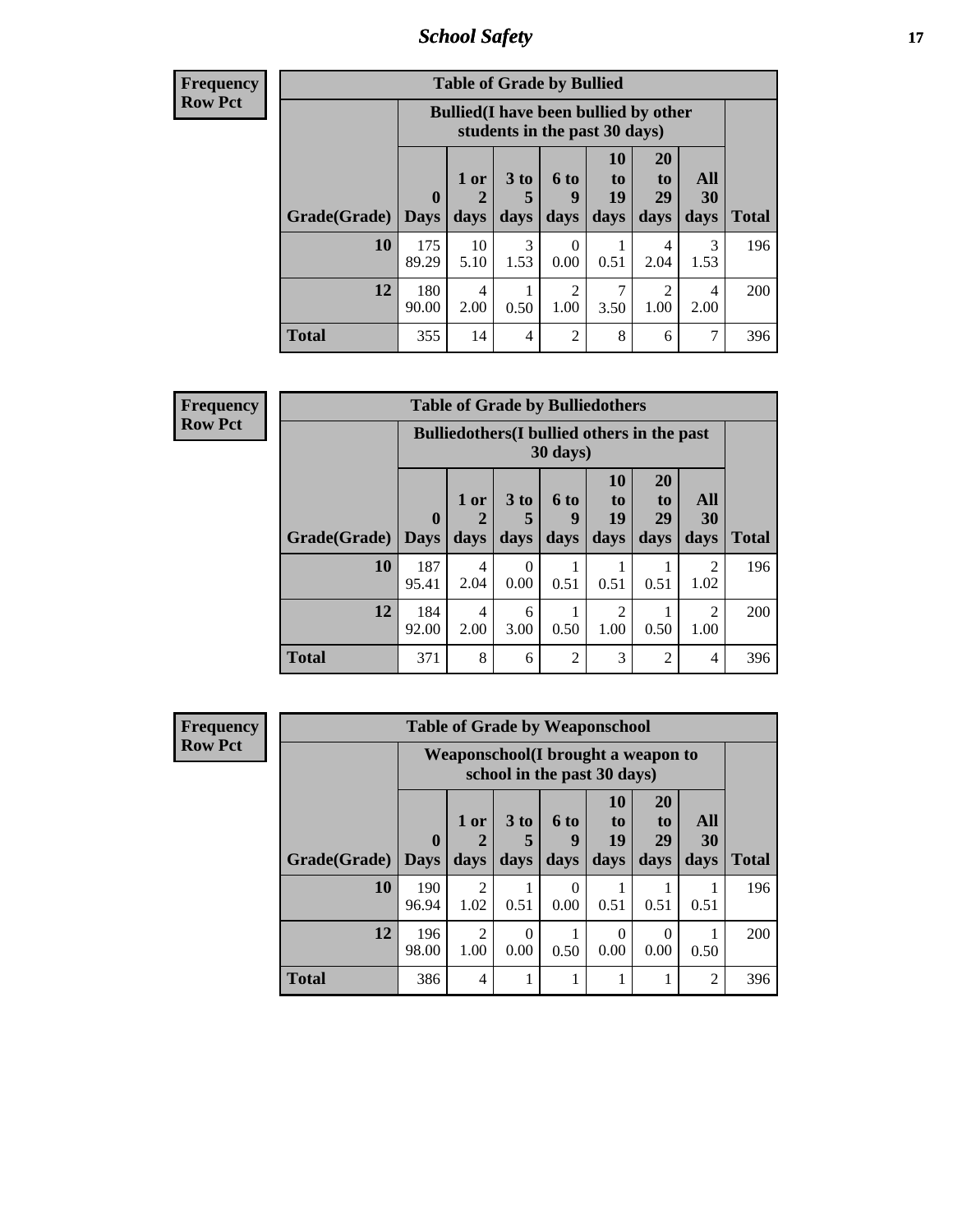*School Safety* **17**

| Frequency      |
|----------------|
| <b>Row Pct</b> |

| <b>Table of Grade by Bullied</b> |              |                                                                               |                      |                |                |                |           |              |  |  |  |
|----------------------------------|--------------|-------------------------------------------------------------------------------|----------------------|----------------|----------------|----------------|-----------|--------------|--|--|--|
|                                  |              | <b>Bullied</b> (I have been bullied by other<br>students in the past 30 days) |                      |                |                |                |           |              |  |  |  |
|                                  | $\bf{0}$     | $1$ or                                                                        | 3 <sub>to</sub><br>5 | 6 to<br>q      | 10<br>to<br>19 | 20<br>to<br>29 | All<br>30 |              |  |  |  |
| Grade(Grade)                     | <b>Days</b>  | days                                                                          | days                 | days           | days           | days           | days      | <b>Total</b> |  |  |  |
| 10                               | 175<br>89.29 | 10<br>5.10                                                                    | 3<br>1.53            | 0<br>0.00      | 0.51           | 4<br>2.04      | 3<br>1.53 | 196          |  |  |  |
| 12                               | 180<br>90.00 | 4<br>2.00                                                                     | 0.50                 | 2<br>1.00      | 3.50           | 2<br>1.00      | 4<br>2.00 | 200          |  |  |  |
| Total                            | 355          | 14                                                                            | 4                    | $\overline{c}$ | 8              | 6              |           | 396          |  |  |  |

| <b>Frequency</b> | <b>Table of Grade by Bulliedothers</b> |              |                                                                |                  |                |                                     |                       |                        |              |  |
|------------------|----------------------------------------|--------------|----------------------------------------------------------------|------------------|----------------|-------------------------------------|-----------------------|------------------------|--------------|--|
| <b>Row Pct</b>   |                                        |              | <b>Bulliedothers</b> (I bullied others in the past<br>30 days) |                  |                |                                     |                       |                        |              |  |
|                  |                                        | $\mathbf{0}$ | 1 or                                                           | 3 to             | 6 to<br>q      | 10<br>to<br>19                      | <b>20</b><br>to<br>29 | All<br>30              |              |  |
|                  | Grade(Grade)                           | <b>Days</b>  | days                                                           | days             | days           | days                                | days                  | days                   | <b>Total</b> |  |
|                  | 10                                     | 187<br>95.41 | 4<br>2.04                                                      | $\Omega$<br>0.00 | 0.51           | 0.51                                | 0.51                  | $\mathfrak{D}$<br>1.02 | 196          |  |
|                  | 12                                     | 184<br>92.00 | 4<br>2.00                                                      | 6<br>3.00        | 0.50           | $\mathcal{D}_{\mathcal{L}}$<br>1.00 | 0.50                  | $\mathfrak{D}$<br>1.00 | 200          |  |
|                  | <b>Total</b>                           | 371          | 8                                                              | 6                | $\mathfrak{D}$ | 3                                   | $\overline{2}$        | 4                      | 396          |  |

| Frequency      | <b>Table of Grade by Weaponschool</b> |              |                                                                    |                 |                  |                       |                  |                |              |  |
|----------------|---------------------------------------|--------------|--------------------------------------------------------------------|-----------------|------------------|-----------------------|------------------|----------------|--------------|--|
| <b>Row Pct</b> |                                       |              | Weaponschool (I brought a weapon to<br>school in the past 30 days) |                 |                  |                       |                  |                |              |  |
|                |                                       | $\mathbf{0}$ | 1 or                                                               | 3 <sub>to</sub> | <b>6 to</b><br>9 | <b>10</b><br>to<br>19 | 20<br>to<br>29   | All<br>30      |              |  |
|                | Grade(Grade)   Days                   |              | days                                                               | days            | days             | days                  | days             | days           | <b>Total</b> |  |
|                | 10                                    | 190<br>96.94 | $\overline{2}$<br>1.02                                             | 0.51            | $\Omega$<br>0.00 | 0.51                  | 0.51             | 0.51           | 196          |  |
|                | 12                                    | 196<br>98.00 | $\mathfrak{D}$<br>1.00                                             | 0<br>0.00       | 0.50             | $\Omega$<br>0.00      | $\Omega$<br>0.00 | 0.50           | 200          |  |
|                | <b>Total</b>                          | 386          | 4                                                                  |                 |                  |                       |                  | $\overline{2}$ | 396          |  |

Ĩ.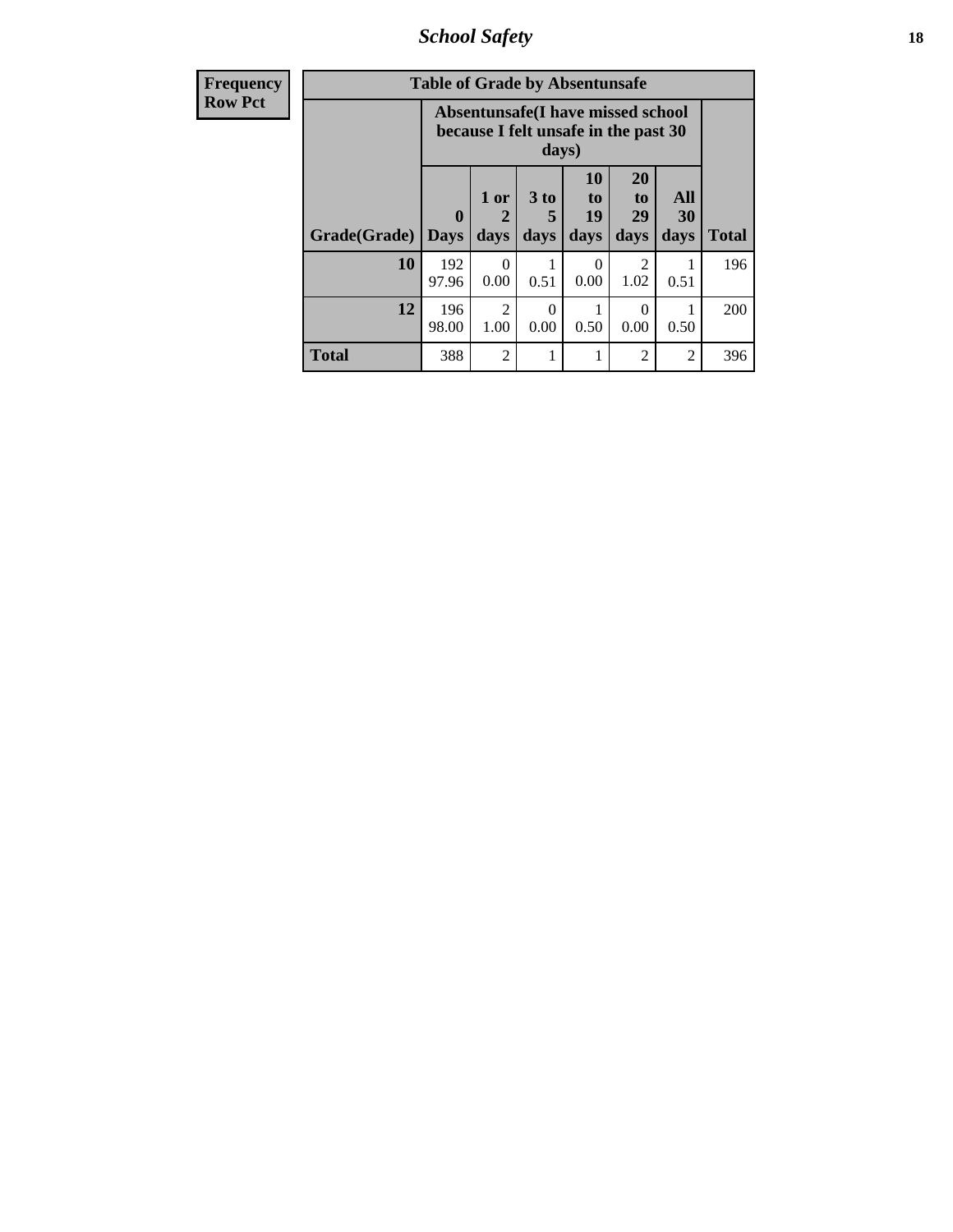*School Safety* **18**

| <b>Frequency</b> | <b>Table of Grade by Absentunsafe</b> |                                                                                    |                             |                              |                               |                                           |                   |              |  |
|------------------|---------------------------------------|------------------------------------------------------------------------------------|-----------------------------|------------------------------|-------------------------------|-------------------------------------------|-------------------|--------------|--|
| <b>Row Pct</b>   |                                       | Absentunsafe(I have missed school<br>because I felt unsafe in the past 30<br>days) |                             |                              |                               |                                           |                   |              |  |
|                  | Grade(Grade)                          | $\mathbf 0$<br><b>Days</b>                                                         | 1 or<br>$\mathbf 2$<br>days | 3 <sub>to</sub><br>5<br>days | <b>10</b><br>to<br>19<br>days | <b>20</b><br>t <sub>0</sub><br>29<br>days | All<br>30<br>days | <b>Total</b> |  |
|                  | 10                                    | 192<br>97.96                                                                       | 0.00                        | 0.51                         | $\Omega$<br>0.00              | 1.02                                      | 0.51              | 196          |  |
|                  | 12                                    | 196<br>98.00                                                                       | $\mathfrak{D}$<br>1.00      | 0<br>0.00                    | 0.50                          | 0<br>0.00                                 | 0.50              | 200          |  |
|                  | <b>Total</b>                          | 388                                                                                | $\overline{c}$              |                              |                               | 2                                         | 2                 | 396          |  |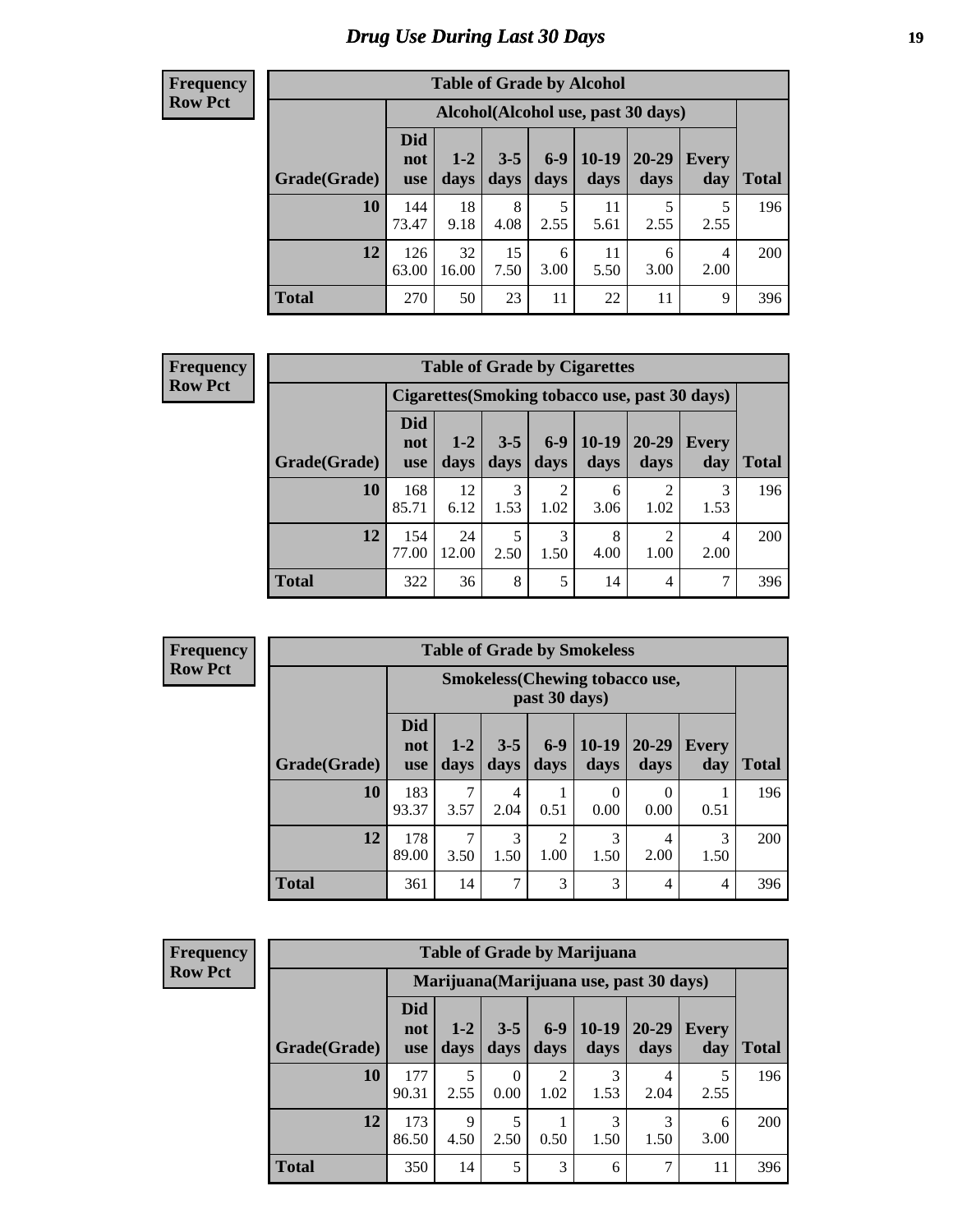# *Drug Use During Last 30 Days* **19**

#### **Frequency Row Pct**

| <b>Table of Grade by Alcohol</b> |                                 |                                    |                 |               |                 |               |                     |       |  |  |  |
|----------------------------------|---------------------------------|------------------------------------|-----------------|---------------|-----------------|---------------|---------------------|-------|--|--|--|
|                                  |                                 | Alcohol(Alcohol use, past 30 days) |                 |               |                 |               |                     |       |  |  |  |
| Grade(Grade)                     | <b>Did</b><br>not<br><b>use</b> | $1 - 2$<br>days                    | $3 - 5$<br>days | $6-9$<br>days | $10-19$<br>days | 20-29<br>days | <b>Every</b><br>day | Total |  |  |  |
| 10                               | 144<br>73.47                    | 18<br>9.18                         | 8<br>4.08       | 5<br>2.55     | 11<br>5.61      | 5<br>2.55     | 5<br>2.55           | 196   |  |  |  |
| 12                               | 126<br>63.00                    | 32<br>16.00                        | 15<br>7.50      | 6<br>3.00     | 11<br>5.50      | 6<br>3.00     | 4<br>2.00           | 200   |  |  |  |
| <b>Total</b>                     | 270                             | 50                                 | 23              | 11            | 22              | 11            | 9                   | 396   |  |  |  |

#### **Frequency Row Pct**

| <b>Table of Grade by Cigarettes</b> |                          |                                                |                 |                        |                 |                   |                     |              |  |  |  |
|-------------------------------------|--------------------------|------------------------------------------------|-----------------|------------------------|-----------------|-------------------|---------------------|--------------|--|--|--|
|                                     |                          | Cigarettes (Smoking tobacco use, past 30 days) |                 |                        |                 |                   |                     |              |  |  |  |
| Grade(Grade)                        | Did<br>not<br><b>use</b> | $1 - 2$<br>days                                | $3 - 5$<br>days | $6-9$<br>days          | $10-19$<br>days | $20 - 29$<br>days | <b>Every</b><br>day | <b>Total</b> |  |  |  |
| 10                                  | 168<br>85.71             | 12<br>6.12                                     | 3<br>1.53       | $\overline{2}$<br>1.02 | 6<br>3.06       | ◠<br>1.02         | 3<br>1.53           | 196          |  |  |  |
| 12                                  | 154<br>77.00             | 24<br>12.00                                    | 5<br>2.50       | 3<br>1.50              | 8<br>4.00       | ◠<br>1.00         | 4<br>2.00           | 200          |  |  |  |
| <b>Total</b>                        | 322                      | 36                                             | 8               | 5                      | 14              | 4                 |                     | 396          |  |  |  |

| <b>Frequency</b> |
|------------------|
| <b>Row Pct</b>   |

| <b>Table of Grade by Smokeless</b> |                                 |                                                        |                 |                        |                  |                   |              |              |  |  |  |  |
|------------------------------------|---------------------------------|--------------------------------------------------------|-----------------|------------------------|------------------|-------------------|--------------|--------------|--|--|--|--|
|                                    |                                 | <b>Smokeless</b> (Chewing tobaccouse,<br>past 30 days) |                 |                        |                  |                   |              |              |  |  |  |  |
| Grade(Grade)                       | <b>Did</b><br>not<br><b>use</b> | $1 - 2$<br>days                                        | $3 - 5$<br>days | $6-9$<br>days          | $10-19$<br>days  | $20 - 29$<br>days | Every<br>day | <b>Total</b> |  |  |  |  |
| 10                                 | 183<br>93.37                    | 3.57                                                   | 4<br>2.04       | 0.51                   | $\theta$<br>0.00 | 0<br>0.00         | 0.51         | 196          |  |  |  |  |
| 12                                 | 178<br>89.00                    | 3.50                                                   | 3<br>1.50       | $\overline{c}$<br>1.00 | 3<br>1.50        | 4<br>2.00         | 3<br>1.50    | 200          |  |  |  |  |
| <b>Total</b>                       | 361                             | 14                                                     | 7               | 3                      | 3                | 4                 | 4            | 396          |  |  |  |  |

| <b>Frequency</b> |  |
|------------------|--|
| <b>Row Pct</b>   |  |

| <b>Table of Grade by Marijuana</b> |                                 |                                         |                 |                        |                 |                   |                     |              |  |
|------------------------------------|---------------------------------|-----------------------------------------|-----------------|------------------------|-----------------|-------------------|---------------------|--------------|--|
|                                    |                                 | Marijuana (Marijuana use, past 30 days) |                 |                        |                 |                   |                     |              |  |
| Grade(Grade)                       | <b>Did</b><br>not<br><b>use</b> | $1 - 2$<br>days                         | $3 - 5$<br>days | $6-9$<br>days          | $10-19$<br>days | $20 - 29$<br>days | <b>Every</b><br>day | <b>Total</b> |  |
| 10                                 | 177<br>90.31                    | 5<br>2.55                               | 0<br>0.00       | $\overline{2}$<br>1.02 | 3<br>1.53       | 4<br>2.04         | 2.55                | 196          |  |
| 12                                 | 173<br>86.50                    | 9<br>4.50                               | 5<br>2.50       | 0.50                   | 3<br>1.50       | 3<br>1.50         | 6<br>3.00           | 200          |  |
| <b>Total</b>                       | 350                             | 14                                      | 5               | 3                      | 6               | 7                 | 11                  | 396          |  |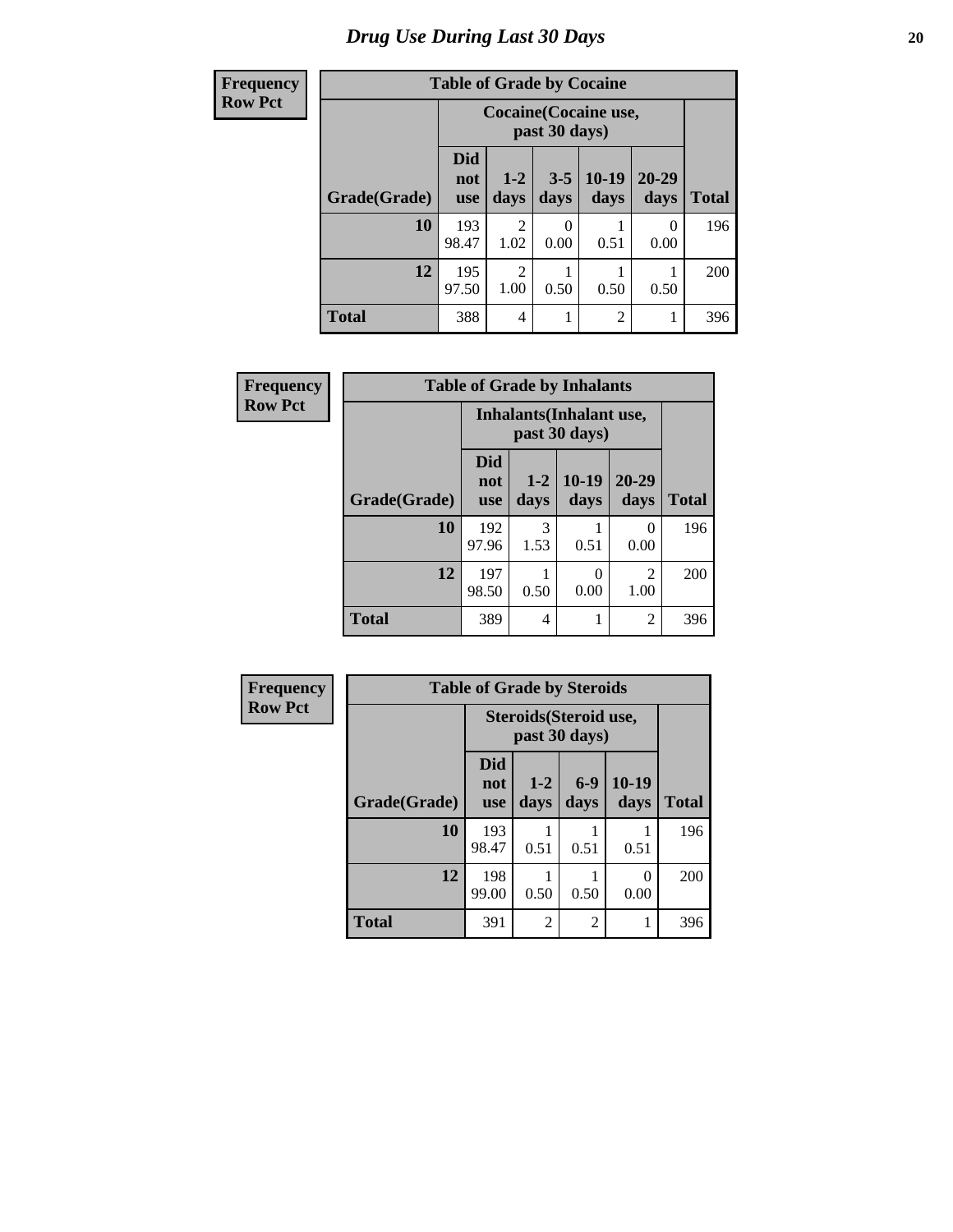# *Drug Use During Last 30 Days* 20

| <b>Frequency</b> | <b>Table of Grade by Cocaine</b> |                                               |                        |                 |                 |                   |              |  |
|------------------|----------------------------------|-----------------------------------------------|------------------------|-----------------|-----------------|-------------------|--------------|--|
| <b>Row Pct</b>   |                                  | <b>Cocaine</b> (Cocaine use,<br>past 30 days) |                        |                 |                 |                   |              |  |
|                  | Grade(Grade)                     | <b>Did</b><br>not<br><b>use</b>               | $1-2$<br>days          | $3 - 5$<br>days | $10-19$<br>days | $20 - 29$<br>days | <b>Total</b> |  |
|                  | 10                               | 193<br>98.47                                  | 2<br>1.02              | 0<br>0.00       | 0.51            | 0<br>0.00         | 196          |  |
|                  | 12                               | 195<br>97.50                                  | $\overline{2}$<br>1.00 | 0.50            | 0.50            | 0.50              | 200          |  |
|                  | <b>Total</b>                     | 388                                           | 4                      | 1               | $\overline{c}$  |                   | 396          |  |

| Frequency      | <b>Table of Grade by Inhalants</b> |                                 |                 |                                           |                        |              |  |  |
|----------------|------------------------------------|---------------------------------|-----------------|-------------------------------------------|------------------------|--------------|--|--|
| <b>Row Pct</b> |                                    |                                 |                 | Inhalants (Inhalant use,<br>past 30 days) |                        |              |  |  |
|                | Grade(Grade)                       | <b>Did</b><br>not<br><b>use</b> | $1 - 2$<br>days | $10-19$<br>days                           | $20 - 29$<br>days      | <b>Total</b> |  |  |
|                | 10                                 | 192<br>97.96                    | 3<br>1.53       | 0.51                                      | $\Omega$<br>0.00       | 196          |  |  |
|                | 12                                 | 197<br>98.50                    | 0.50            | 0<br>0.00                                 | $\overline{2}$<br>1.00 | 200          |  |  |
|                | <b>Total</b>                       | 389                             | 4               | 1                                         | $\overline{2}$         | 396          |  |  |

| <b>Frequency</b> | <b>Table of Grade by Steroids</b> |                   |                                                |                |                 |              |
|------------------|-----------------------------------|-------------------|------------------------------------------------|----------------|-----------------|--------------|
| <b>Row Pct</b>   |                                   |                   | <b>Steroids</b> (Steroid use,<br>past 30 days) |                |                 |              |
|                  | Grade(Grade)                      | Did<br>not<br>use | $1 - 2$<br>days                                | $6-9$<br>days  | $10-19$<br>days | <b>Total</b> |
|                  | 10                                | 193<br>98.47      | 0.51                                           | 0.51           | 0.51            | 196          |
|                  | 12                                | 198<br>99.00      | 0.50                                           | 0.50           | 0<br>0.00       | 200          |
|                  | <b>Total</b>                      | 391               | $\overline{c}$                                 | $\overline{2}$ |                 | 396          |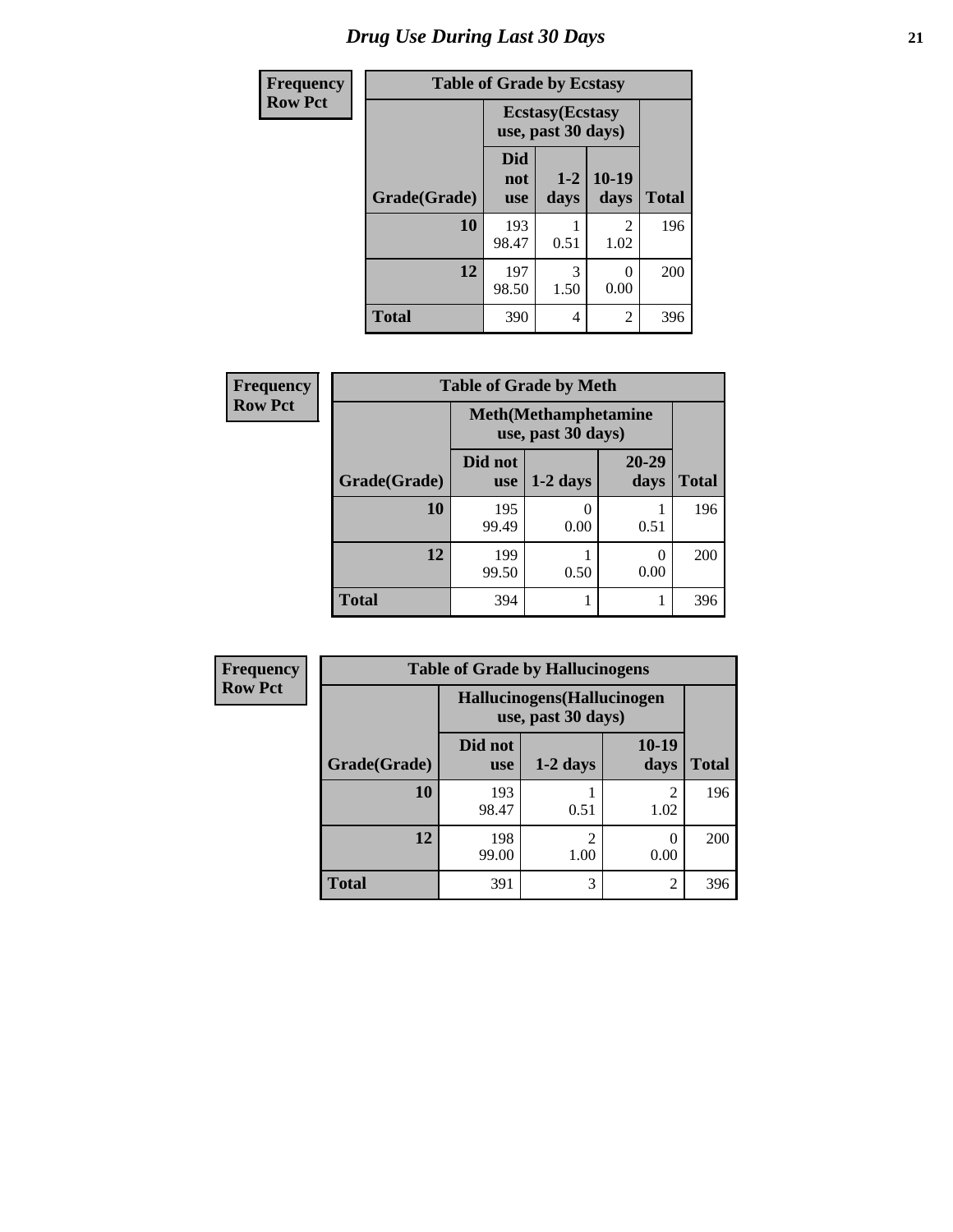# *Drug Use During Last 30 Days* **21**

| <b>Frequency</b> | <b>Table of Grade by Ecstasy</b> |                                 |                                               |                        |              |  |  |
|------------------|----------------------------------|---------------------------------|-----------------------------------------------|------------------------|--------------|--|--|
| <b>Row Pct</b>   |                                  |                                 | <b>Ecstasy</b> (Ecstasy<br>use, past 30 days) |                        |              |  |  |
|                  | Grade(Grade)                     | <b>Did</b><br>not<br><b>use</b> | $1 - 2$<br>days                               | $10-19$<br>days        | <b>Total</b> |  |  |
|                  | 10                               | 193<br>98.47                    | 0.51                                          | $\mathfrak{D}$<br>1.02 | 196          |  |  |
|                  | 12                               | 197<br>98.50                    | 3<br>1.50                                     | 0.00                   | 200          |  |  |
|                  | <b>Total</b>                     | 390                             | 4                                             | $\overline{2}$         | 396          |  |  |

| Frequency      | <b>Table of Grade by Meth</b> |                |                                                    |                   |              |  |  |
|----------------|-------------------------------|----------------|----------------------------------------------------|-------------------|--------------|--|--|
| <b>Row Pct</b> |                               |                | <b>Meth</b> (Methamphetamine<br>use, past 30 days) |                   |              |  |  |
|                | Grade(Grade)                  | Did not<br>use | $1-2$ days                                         | $20 - 29$<br>days | <b>Total</b> |  |  |
|                | 10                            | 195<br>99.49   | 0.00                                               | 0.51              | 196          |  |  |
|                | 12                            | 199<br>99.50   | 0.50                                               | 0.00              | 200          |  |  |
|                | <b>Total</b>                  | 394            |                                                    |                   | 396          |  |  |

| <b>Frequency</b> | <b>Table of Grade by Hallucinogens</b>           |                       |                        |                        |              |  |  |  |
|------------------|--------------------------------------------------|-----------------------|------------------------|------------------------|--------------|--|--|--|
| <b>Row Pct</b>   | Hallucinogens(Hallucinogen<br>use, past 30 days) |                       |                        |                        |              |  |  |  |
|                  | Grade(Grade)                                     | Did not<br><b>use</b> | $1-2$ days             | 10-19<br>days          | <b>Total</b> |  |  |  |
|                  | 10                                               | 193<br>98.47          | 0.51                   | $\mathfrak{D}$<br>1.02 | 196          |  |  |  |
|                  | 12                                               | 198<br>99.00          | $\overline{2}$<br>1.00 | $\mathcal{O}$<br>0.00  | 200          |  |  |  |
|                  | <b>Total</b>                                     | 391                   | 3                      | $\overline{2}$         | 396          |  |  |  |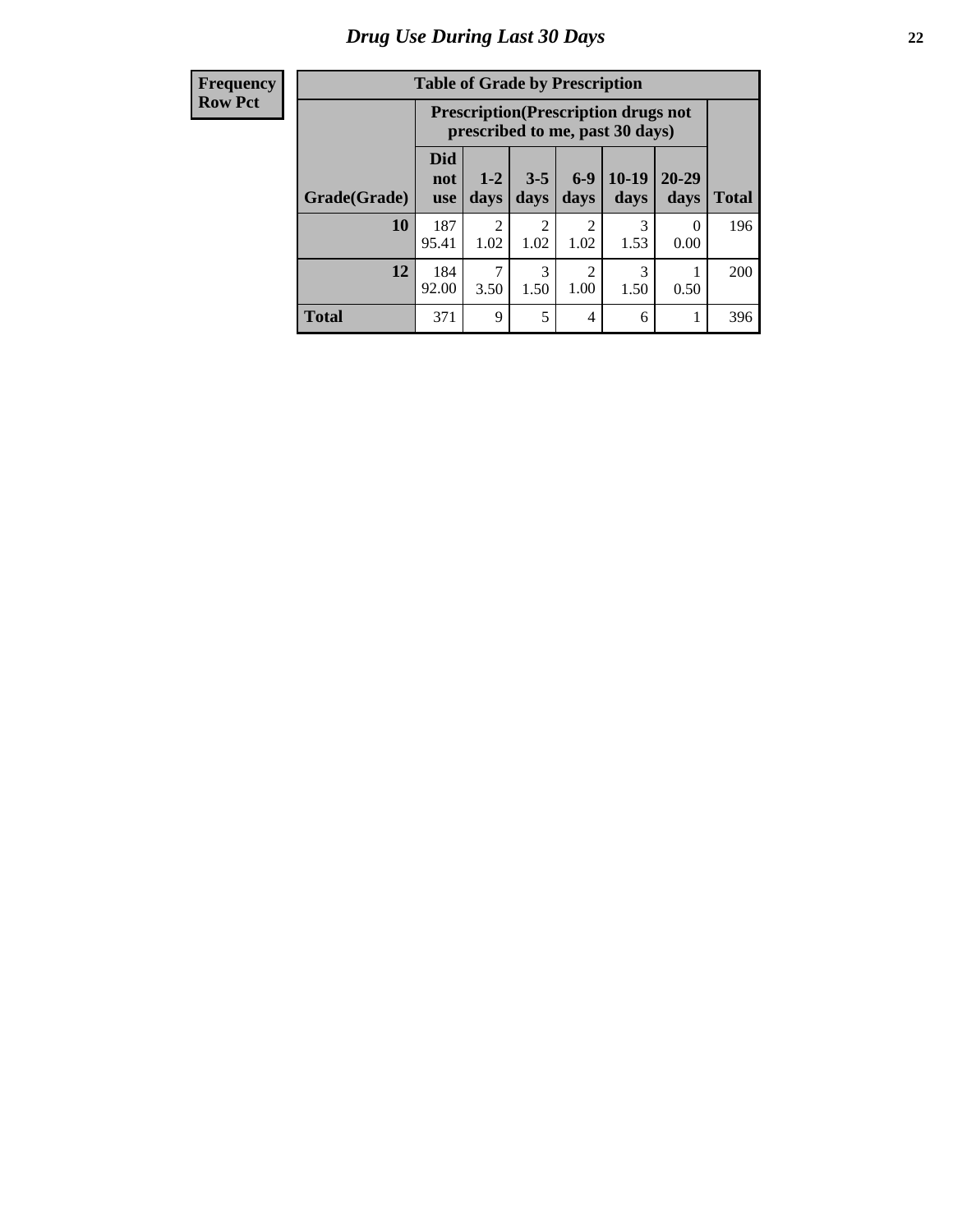| <b>Frequency</b> |  |
|------------------|--|
| <b>Row Pct</b>   |  |

| <b>Table of Grade by Prescription</b> |                          |                                                                                |                 |                        |                 |                   |              |  |
|---------------------------------------|--------------------------|--------------------------------------------------------------------------------|-----------------|------------------------|-----------------|-------------------|--------------|--|
|                                       |                          | <b>Prescription</b> (Prescription drugs not<br>prescribed to me, past 30 days) |                 |                        |                 |                   |              |  |
| Grade(Grade)                          | Did<br>not<br><b>use</b> | $1 - 2$<br>days                                                                | $3 - 5$<br>days | $6-9$<br>days          | $10-19$<br>days | $20 - 29$<br>days | <b>Total</b> |  |
| 10                                    | 187<br>95.41             | $\mathfrak{D}$<br>1.02                                                         | 2<br>1.02       | $\mathfrak{D}$<br>1.02 | 3<br>1.53       | 0<br>0.00         | 196          |  |
| 12                                    | 184<br>92.00             | 7<br>3.50                                                                      | 3<br>1.50       | 2<br>1.00              | 3<br>1.50       | 0.50              | 200          |  |
| <b>Total</b>                          | 371                      | 9                                                                              | 5               | 4                      | 6               |                   | 396          |  |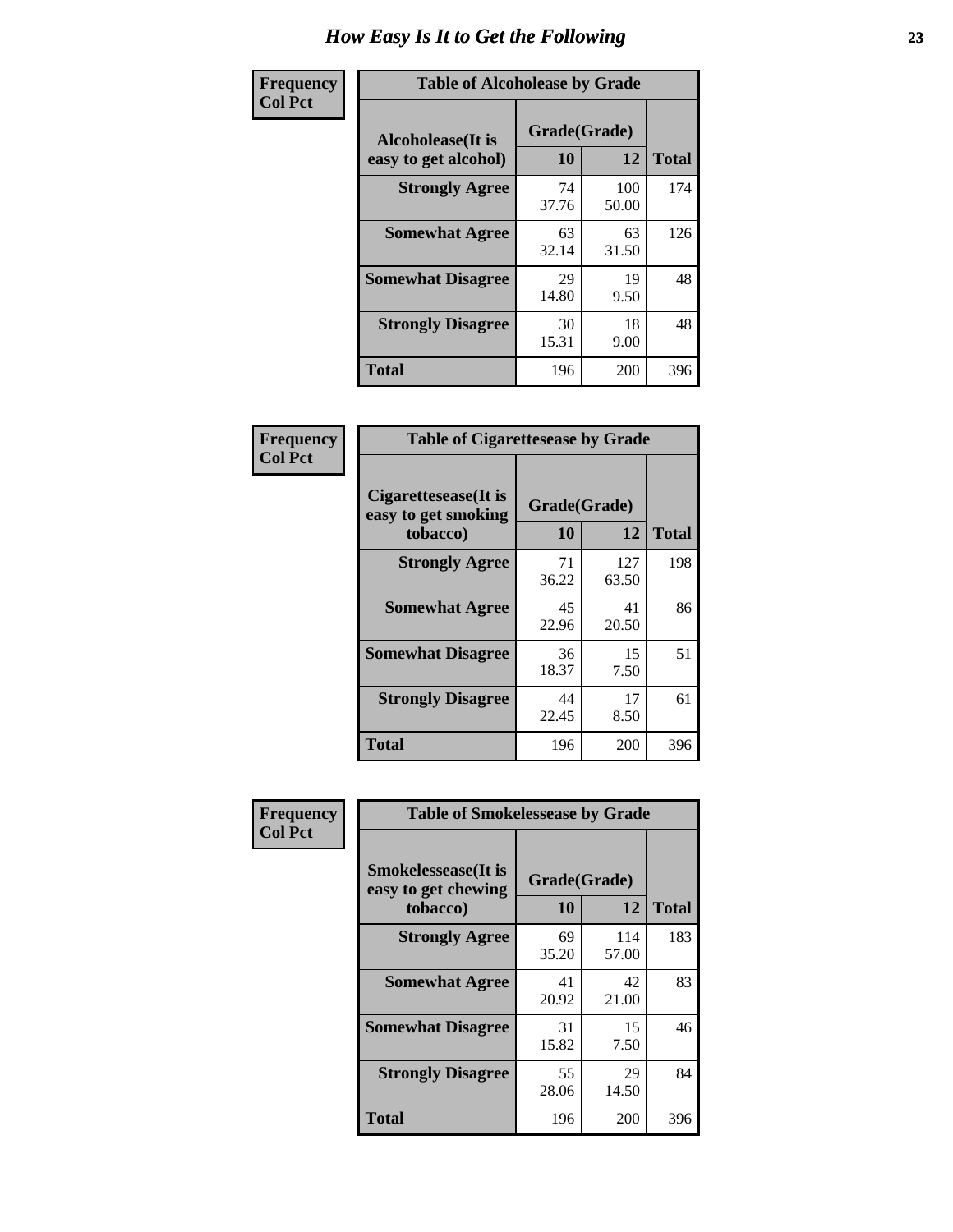| Frequency      | <b>Table of Alcoholease by Grade</b>              |                    |              |              |  |  |  |
|----------------|---------------------------------------------------|--------------------|--------------|--------------|--|--|--|
| <b>Col Pct</b> | <b>Alcoholease</b> (It is<br>easy to get alcohol) | Grade(Grade)<br>10 | 12           | <b>Total</b> |  |  |  |
|                | <b>Strongly Agree</b>                             | 74<br>37.76        | 100<br>50.00 | 174          |  |  |  |
|                | <b>Somewhat Agree</b>                             | 63<br>32.14        | 63<br>31.50  | 126          |  |  |  |
|                | <b>Somewhat Disagree</b>                          | 29<br>14.80        | 19<br>9.50   | 48           |  |  |  |
|                | <b>Strongly Disagree</b>                          | 30<br>15.31        | 18<br>9.00   | 48           |  |  |  |
|                | <b>Total</b>                                      | 196                | 200          | 396          |  |  |  |

| Frequency      | <b>Table of Cigarettesease by Grade</b>                 |                    |              |              |  |  |
|----------------|---------------------------------------------------------|--------------------|--------------|--------------|--|--|
| <b>Col Pct</b> | Cigarettesease(It is<br>easy to get smoking<br>tobacco) | Grade(Grade)<br>10 | 12           | <b>Total</b> |  |  |
|                | <b>Strongly Agree</b>                                   | 71<br>36.22        | 127<br>63.50 | 198          |  |  |
|                | <b>Somewhat Agree</b>                                   | 45<br>22.96        | 41<br>20.50  | 86           |  |  |
|                | <b>Somewhat Disagree</b>                                | 36<br>18.37        | 15<br>7.50   | 51           |  |  |
|                | <b>Strongly Disagree</b>                                | 44<br>22.45        | 17<br>8.50   | 61           |  |  |
|                | <b>Total</b>                                            | 196                | 200          | 396          |  |  |

| Frequency      | <b>Table of Smokelessease by Grade</b>                         |                           |              |     |  |  |  |  |  |  |  |
|----------------|----------------------------------------------------------------|---------------------------|--------------|-----|--|--|--|--|--|--|--|
| <b>Col Pct</b> | <b>Smokelessease</b> (It is<br>easy to get chewing<br>tobacco) | Grade(Grade)<br><b>10</b> | <b>Total</b> |     |  |  |  |  |  |  |  |
|                | <b>Strongly Agree</b>                                          | 69<br>35.20               | 114<br>57.00 | 183 |  |  |  |  |  |  |  |
|                | <b>Somewhat Agree</b>                                          | 41<br>20.92               | 42<br>21.00  | 83  |  |  |  |  |  |  |  |
|                | <b>Somewhat Disagree</b>                                       | 31<br>15.82               | 15<br>7.50   | 46  |  |  |  |  |  |  |  |
|                | <b>Strongly Disagree</b>                                       | 55<br>28.06               | 29<br>14.50  | 84  |  |  |  |  |  |  |  |
|                | <b>Total</b>                                                   | 196                       | 200          | 396 |  |  |  |  |  |  |  |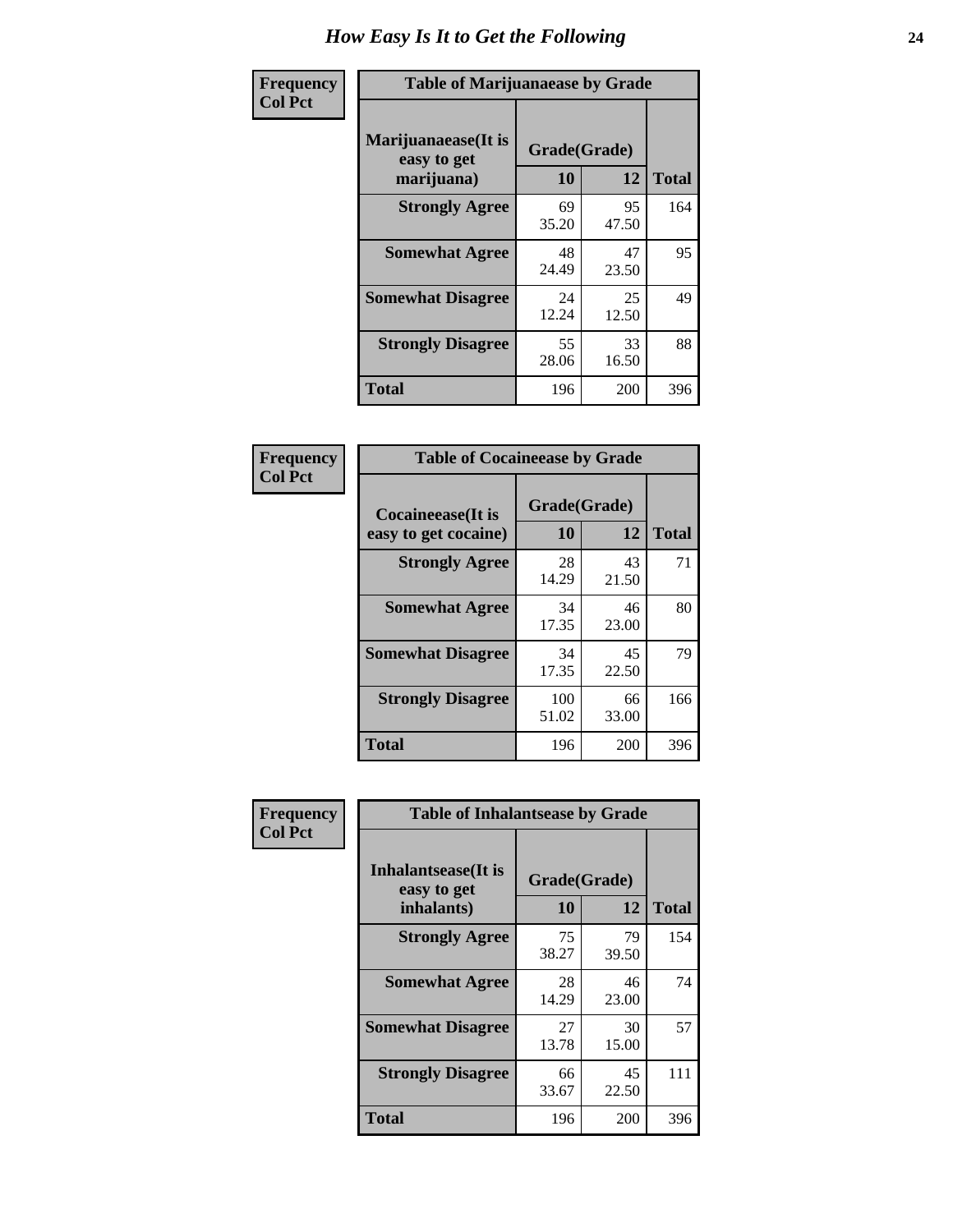| Frequency      | <b>Table of Marijuanaease by Grade</b>           |                           |              |     |  |  |  |  |  |  |
|----------------|--------------------------------------------------|---------------------------|--------------|-----|--|--|--|--|--|--|
| <b>Col Pct</b> | Marijuanaease(It is<br>easy to get<br>marijuana) | Grade(Grade)<br><b>10</b> | <b>Total</b> |     |  |  |  |  |  |  |
|                | <b>Strongly Agree</b>                            | 69<br>35.20               | 95<br>47.50  | 164 |  |  |  |  |  |  |
|                | <b>Somewhat Agree</b>                            | 48<br>24.49               | 47<br>23.50  | 95  |  |  |  |  |  |  |
|                | <b>Somewhat Disagree</b>                         | 24<br>12.24               | 25<br>12.50  | 49  |  |  |  |  |  |  |
|                | <b>Strongly Disagree</b>                         | 55<br>28.06               | 33<br>16.50  | 88  |  |  |  |  |  |  |
|                | <b>Total</b>                                     | 196                       | 200          | 396 |  |  |  |  |  |  |

| <b>Table of Cocaineease by Grade</b>      |              |                    |     |  |  |  |  |  |  |  |
|-------------------------------------------|--------------|--------------------|-----|--|--|--|--|--|--|--|
| Cocaineease(It is<br>easy to get cocaine) | 10           | Grade(Grade)<br>12 |     |  |  |  |  |  |  |  |
| <b>Strongly Agree</b>                     | 28<br>14.29  | 43<br>21.50        | 71  |  |  |  |  |  |  |  |
| <b>Somewhat Agree</b>                     | 34<br>17.35  | 46<br>23.00        | 80  |  |  |  |  |  |  |  |
| <b>Somewhat Disagree</b>                  | 34<br>17.35  | 45<br>22.50        | 79  |  |  |  |  |  |  |  |
| <b>Strongly Disagree</b>                  | 100<br>51.02 | 66<br>33.00        | 166 |  |  |  |  |  |  |  |
| <b>Total</b>                              | 196          | 200                | 396 |  |  |  |  |  |  |  |

| Frequency      | <b>Table of Inhalantsease by Grade</b>           |             |                    |     |  |  |  |  |  |  |  |
|----------------|--------------------------------------------------|-------------|--------------------|-----|--|--|--|--|--|--|--|
| <b>Col Pct</b> | Inhalantsease(It is<br>easy to get<br>inhalants) | 10          | Grade(Grade)<br>12 |     |  |  |  |  |  |  |  |
|                | <b>Strongly Agree</b>                            | 75<br>38.27 | 79<br>39.50        | 154 |  |  |  |  |  |  |  |
|                | <b>Somewhat Agree</b>                            | 28<br>14.29 | 46<br>23.00        | 74  |  |  |  |  |  |  |  |
|                | <b>Somewhat Disagree</b>                         | 27<br>13.78 | 30<br>15.00        | 57  |  |  |  |  |  |  |  |
|                | <b>Strongly Disagree</b>                         | 66<br>33.67 | 45<br>22.50        | 111 |  |  |  |  |  |  |  |
|                | <b>Total</b>                                     | 196         | 200                | 396 |  |  |  |  |  |  |  |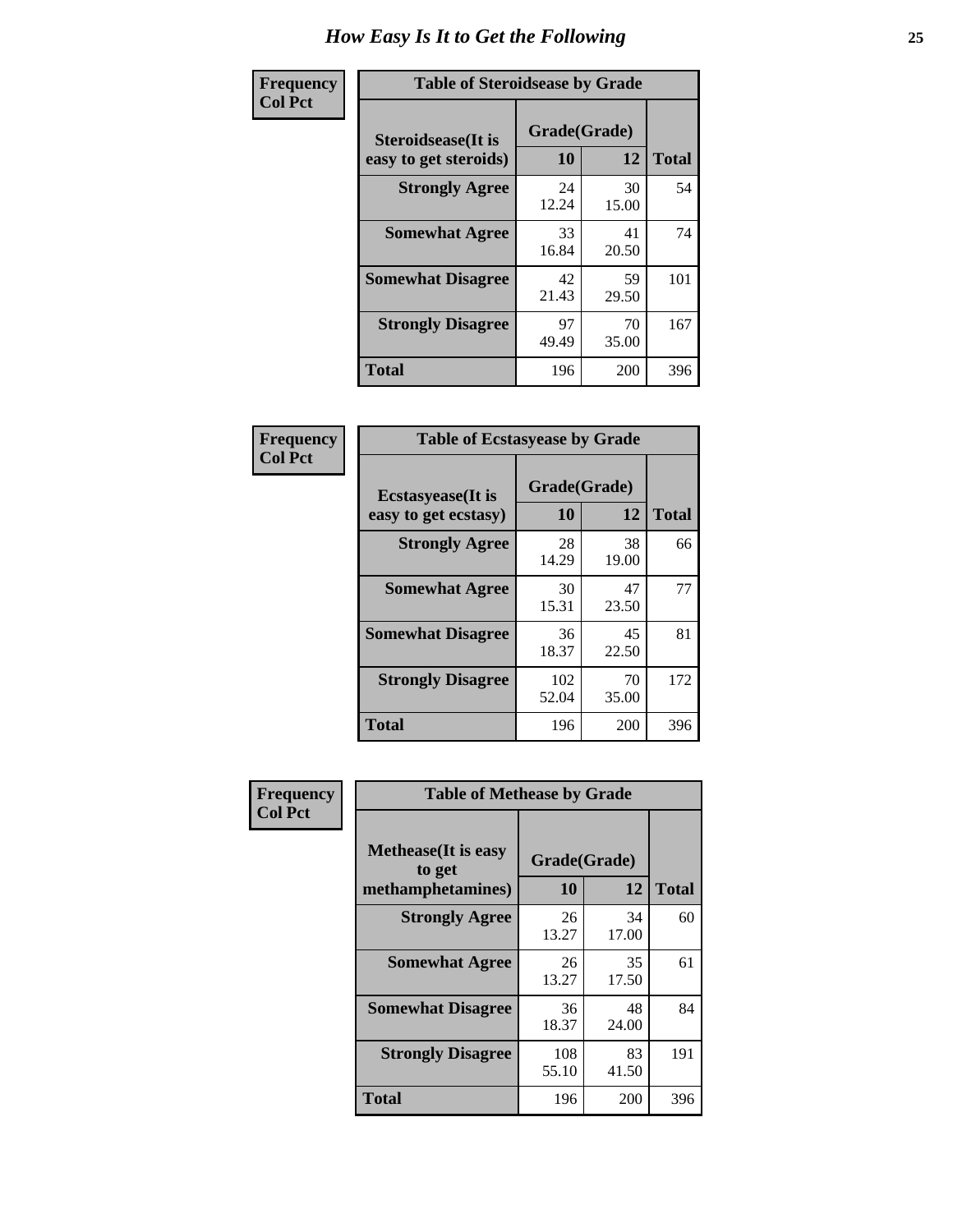| Frequency      | <b>Table of Steroidsease by Grade</b>               |             |                    |     |  |  |  |  |  |  |
|----------------|-----------------------------------------------------|-------------|--------------------|-----|--|--|--|--|--|--|
| <b>Col Pct</b> | <b>Steroidsease</b> (It is<br>easy to get steroids) | 10          | Grade(Grade)<br>12 |     |  |  |  |  |  |  |
|                | <b>Strongly Agree</b>                               | 24<br>12.24 | 30<br>15.00        | 54  |  |  |  |  |  |  |
|                | <b>Somewhat Agree</b>                               | 33<br>16.84 | 41<br>20.50        | 74  |  |  |  |  |  |  |
|                | <b>Somewhat Disagree</b>                            | 42<br>21.43 | 59<br>29.50        | 101 |  |  |  |  |  |  |
|                | <b>Strongly Disagree</b>                            | 97<br>49.49 | 70<br>35.00        | 167 |  |  |  |  |  |  |
|                | <b>Total</b>                                        | 196         | 200                | 396 |  |  |  |  |  |  |

| Frequency      | <b>Table of Ecstasyease by Grade</b>              |                           |              |     |  |  |  |  |  |  |
|----------------|---------------------------------------------------|---------------------------|--------------|-----|--|--|--|--|--|--|
| <b>Col Pct</b> | <b>Ecstasyease</b> (It is<br>easy to get ecstasy) | Grade(Grade)<br><b>10</b> | <b>Total</b> |     |  |  |  |  |  |  |
|                | <b>Strongly Agree</b>                             | 28<br>14.29               | 38<br>19.00  | 66  |  |  |  |  |  |  |
|                | <b>Somewhat Agree</b>                             | 30<br>15.31               | 47<br>23.50  | 77  |  |  |  |  |  |  |
|                | <b>Somewhat Disagree</b>                          | 36<br>18.37               | 45<br>22.50  | 81  |  |  |  |  |  |  |
|                | <b>Strongly Disagree</b>                          | 102<br>52.04              | 70<br>35.00  | 172 |  |  |  |  |  |  |
|                | <b>Total</b>                                      | 196                       | 200          | 396 |  |  |  |  |  |  |

| Frequency      | <b>Table of Methease by Grade</b>                          |                    |             |              |  |  |  |  |  |  |
|----------------|------------------------------------------------------------|--------------------|-------------|--------------|--|--|--|--|--|--|
| <b>Col Pct</b> | <b>Methease</b> (It is easy<br>to get<br>methamphetamines) | Grade(Grade)<br>10 | 12          | <b>Total</b> |  |  |  |  |  |  |
|                | <b>Strongly Agree</b>                                      | 26<br>13.27        | 34<br>17.00 | 60           |  |  |  |  |  |  |
|                | <b>Somewhat Agree</b>                                      | 26<br>13.27        | 35<br>17.50 | 61           |  |  |  |  |  |  |
|                | <b>Somewhat Disagree</b>                                   | 36<br>18.37        | 48<br>24.00 | 84           |  |  |  |  |  |  |
|                | <b>Strongly Disagree</b>                                   | 108<br>55.10       | 83<br>41.50 | 191          |  |  |  |  |  |  |
|                | <b>Total</b>                                               | 196                | 200         | 396          |  |  |  |  |  |  |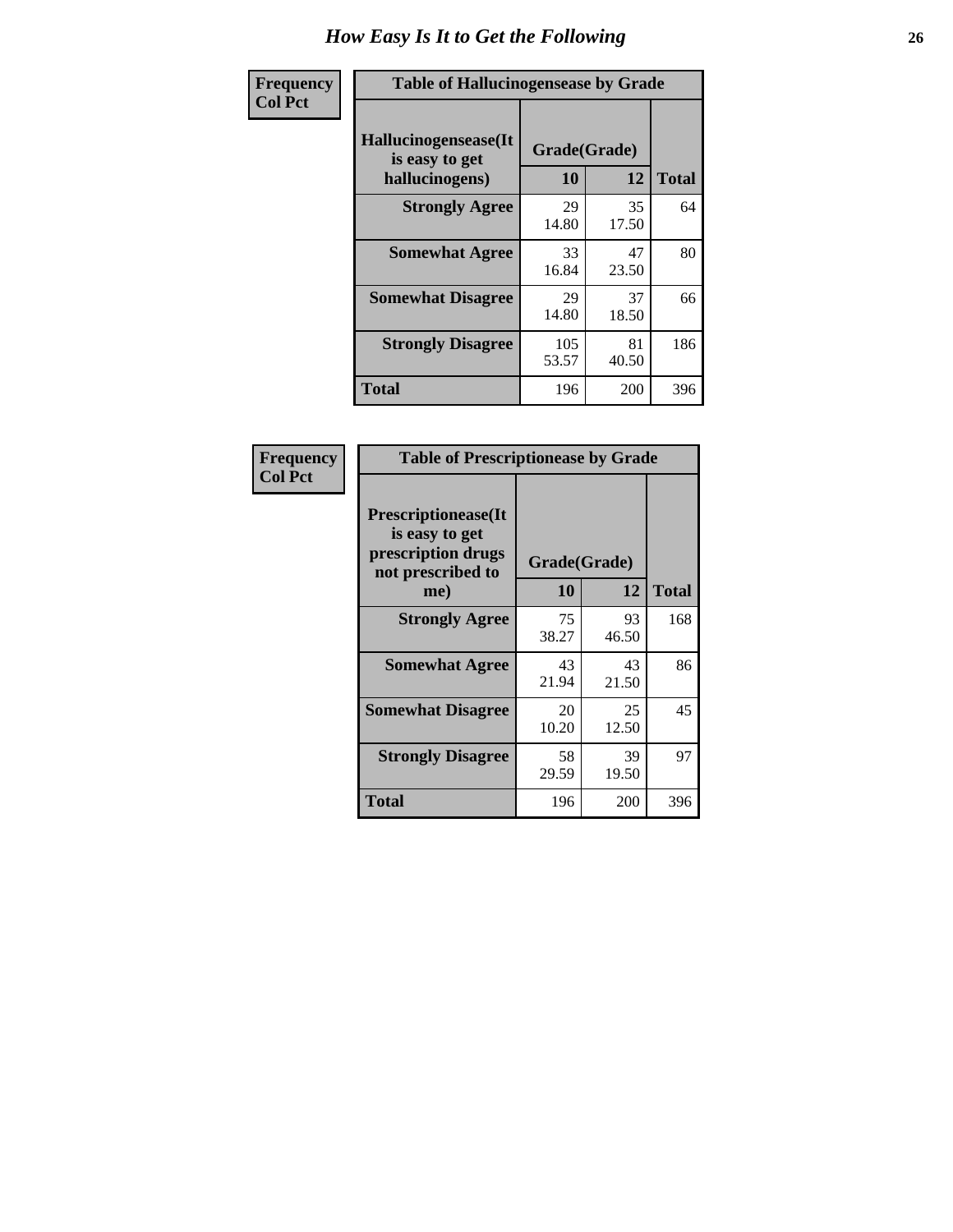| <b>Frequency</b> | <b>Table of Hallucinogensease by Grade</b>               |                    |             |              |  |  |  |  |  |  |
|------------------|----------------------------------------------------------|--------------------|-------------|--------------|--|--|--|--|--|--|
| <b>Col Pct</b>   | Hallucinogensease(It<br>is easy to get<br>hallucinogens) | Grade(Grade)<br>10 | 12          | <b>Total</b> |  |  |  |  |  |  |
|                  | <b>Strongly Agree</b>                                    | 29<br>14.80        | 35<br>17.50 | 64           |  |  |  |  |  |  |
|                  | <b>Somewhat Agree</b>                                    | 33<br>16.84        | 47<br>23.50 | 80           |  |  |  |  |  |  |
|                  | <b>Somewhat Disagree</b>                                 | 29<br>14.80        | 37<br>18.50 | 66           |  |  |  |  |  |  |
|                  | <b>Strongly Disagree</b>                                 | 105<br>53.57       | 81<br>40.50 | 186          |  |  |  |  |  |  |
|                  | <b>Total</b>                                             | 196                | 200         | 396          |  |  |  |  |  |  |

| Frequency<br>Col Pct |
|----------------------|
|                      |

| <b>Table of Prescriptionease by Grade</b>                                                |             |              |              |  |  |  |  |  |  |  |
|------------------------------------------------------------------------------------------|-------------|--------------|--------------|--|--|--|--|--|--|--|
| <b>Prescriptionease</b> (It<br>is easy to get<br>prescription drugs<br>not prescribed to |             | Grade(Grade) |              |  |  |  |  |  |  |  |
| me)                                                                                      | 10          | 12           | <b>Total</b> |  |  |  |  |  |  |  |
| <b>Strongly Agree</b>                                                                    | 75<br>38.27 | 93<br>46.50  | 168          |  |  |  |  |  |  |  |
| <b>Somewhat Agree</b>                                                                    | 43<br>21.94 | 43<br>21.50  | 86           |  |  |  |  |  |  |  |
| <b>Somewhat Disagree</b>                                                                 | 20<br>10.20 | 25<br>12.50  | 45           |  |  |  |  |  |  |  |
| <b>Strongly Disagree</b>                                                                 | 58<br>29.59 | 39<br>19.50  | 97           |  |  |  |  |  |  |  |
| <b>Total</b>                                                                             | 196         | 200          | 396          |  |  |  |  |  |  |  |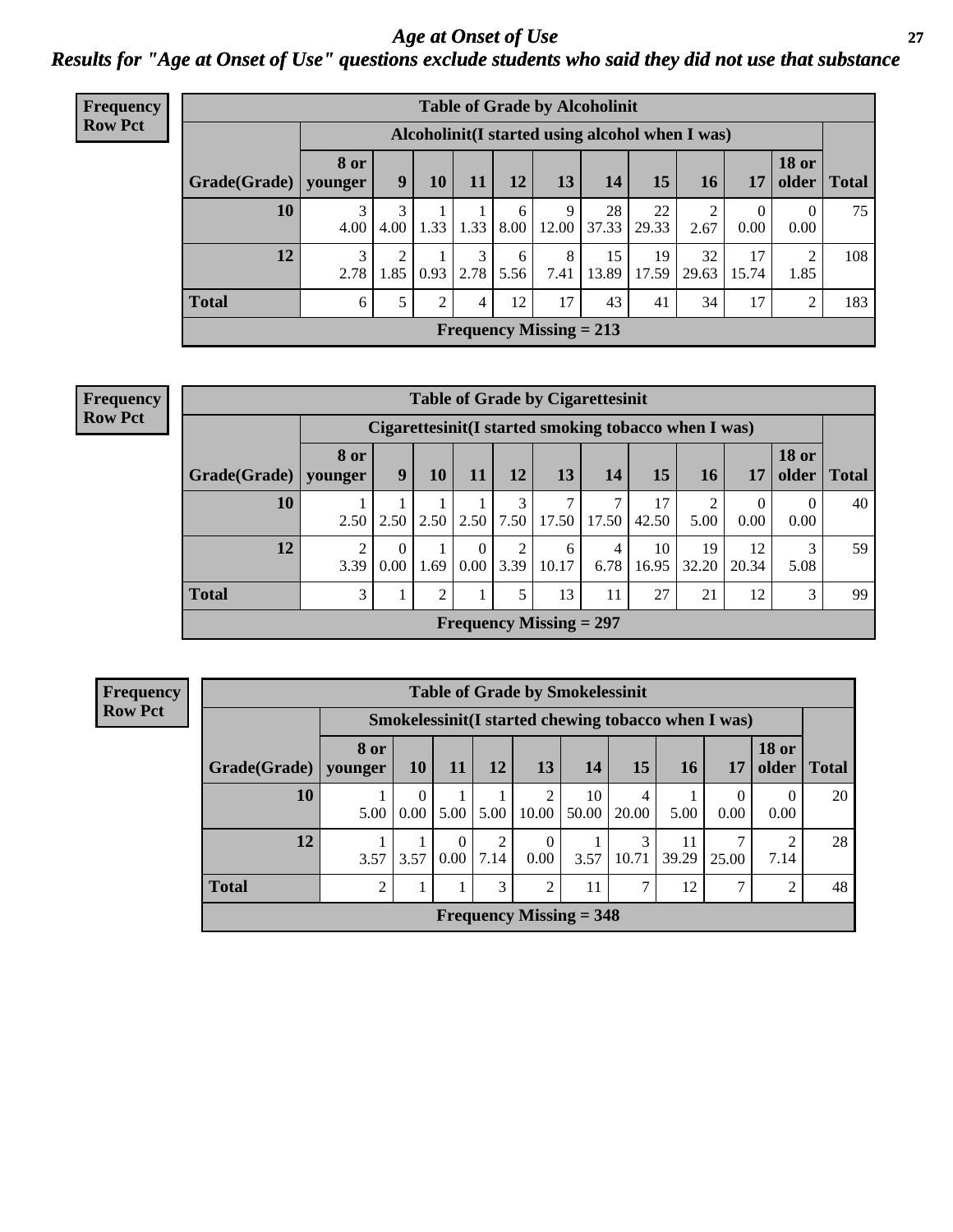*Age at Onset of Use* **27** *Results for "Age at Onset of Use" questions exclude students who said they did not use that substance*

| <b>Frequency</b> | <b>Table of Grade by Alcoholinit</b> |                                                  |                        |      |           |           |                           |             |             |             |                        |                       |              |
|------------------|--------------------------------------|--------------------------------------------------|------------------------|------|-----------|-----------|---------------------------|-------------|-------------|-------------|------------------------|-----------------------|--------------|
| <b>Row Pct</b>   |                                      | Alcoholinit (I started using alcohol when I was) |                        |      |           |           |                           |             |             |             |                        |                       |              |
|                  | Grade(Grade)                         | <b>8 or</b><br>younger                           | 9                      | 10   | 11        | 12        | 13                        | 14          | 15          | 16          | 17                     | <b>18 or</b><br>older | <b>Total</b> |
|                  | 10                                   | 3<br>4.00                                        | 3<br>4.00              | 1.33 | 1.33      | 6<br>8.00 | 9<br>12.00                | 28<br>37.33 | 22<br>29.33 | 2<br>2.67   | $\overline{0}$<br>0.00 | 0.00                  | 75           |
|                  | 12                                   | 3<br>2.78                                        | $\overline{2}$<br>1.85 | 0.93 | 3<br>2.78 | 6<br>5.56 | 8<br>7.41                 | 15<br>13.89 | 19<br>17.59 | 32<br>29.63 | 17<br>15.74            | 2<br>1.85             | 108          |
|                  | <b>Total</b>                         | 6                                                | 5                      | 2    | 4         | 12        | 17                        | 43          | 41          | 34          | 17                     | 2                     | 183          |
|                  |                                      |                                                  |                        |      |           |           | Frequency Missing $= 213$ |             |             |             |                        |                       |              |

| <b>Frequency</b> |                        | <b>Table of Grade by Cigarettesinit</b>              |                  |      |           |           |                           |           |             |                 |                  |                       |              |  |
|------------------|------------------------|------------------------------------------------------|------------------|------|-----------|-----------|---------------------------|-----------|-------------|-----------------|------------------|-----------------------|--------------|--|
| <b>Row Pct</b>   |                        | Cigarettesinit(I started smoking tobacco when I was) |                  |      |           |           |                           |           |             |                 |                  |                       |              |  |
|                  | Grade(Grade)   younger | 8 or                                                 | 9                | 10   | 11        | 12        | 13                        | 14        | 15          | 16 <sup>1</sup> | 17               | <b>18 or</b><br>older | <b>Total</b> |  |
|                  | 10                     | 2.50                                                 | 2.50             | 2.50 | 2.50      | 7.50      | 7<br>17.50                | 17.50     | 17<br>42.50 | 5.00            | $\Omega$<br>0.00 | $\Omega$<br>0.00      | 40           |  |
|                  | 12                     | 2<br>3.39                                            | $\theta$<br>0.00 | 1.69 | 0<br>0.00 | ∍<br>3.39 | 6<br>10.17                | 4<br>6.78 | 10<br>16.95 | 19<br>32.20     | 12<br>20.34      | 3<br>5.08             | 59           |  |
|                  | <b>Total</b>           | 3                                                    | $\bf{I}$         | 2    |           |           | 13                        | 11        | 27          | 21              | 12               | 3                     | 99           |  |
|                  |                        |                                                      |                  |      |           |           | Frequency Missing $= 297$ |           |             |                 |                  |                       |              |  |

**Frequency Row Pct**

|              | <b>Table of Grade by Smokelessinit</b> |                                                     |                      |           |                           |             |                        |             |       |                       |              |
|--------------|----------------------------------------|-----------------------------------------------------|----------------------|-----------|---------------------------|-------------|------------------------|-------------|-------|-----------------------|--------------|
|              |                                        | Smokelessinit(I started chewing tobacco when I was) |                      |           |                           |             |                        |             |       |                       |              |
| Grade(Grade) | 8 or<br>younger                        | 10 <sup>1</sup>                                     | 11                   | <b>12</b> | <b>13</b>                 | 14          | 15                     | 16          | 17    | <b>18 or</b><br>older | <b>Total</b> |
| 10           | 5.00                                   | 0<br>$0.00\downharpoonright$                        | 5.00                 | 5.00      | 2<br>10.00                | 10<br>50.00 | 4<br>20.00             | 5.00        | 0.00  | $\Omega$<br>0.00      | 20           |
| 12           | 3.57                                   | 3.57                                                | $\Omega$<br>$0.00\,$ | 2<br>7.14 | $\Omega$<br>0.00          | 3.57        | $\mathcal{F}$<br>10.71 | 11<br>39.29 | 25.00 | 7.14                  | 28           |
| <b>Total</b> | $\overline{2}$                         |                                                     |                      | 3         | $\overline{2}$            | 11          | ⇁                      | 12          | ℸ     | ∍                     | 48           |
|              |                                        |                                                     |                      |           | Frequency Missing $=$ 348 |             |                        |             |       |                       |              |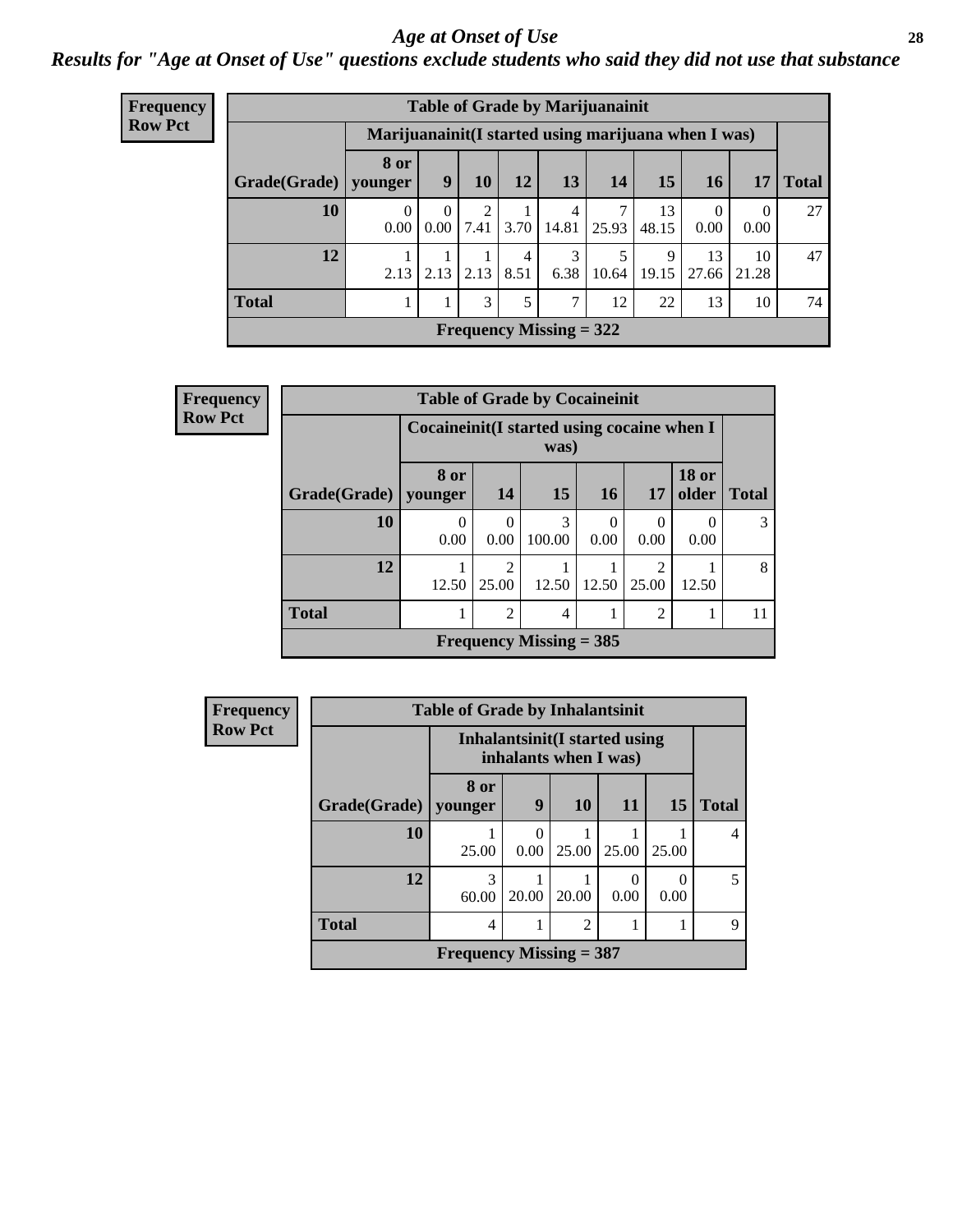#### *Age at Onset of Use* **28**

*Results for "Age at Onset of Use" questions exclude students who said they did not use that substance*

| <b>Frequency</b> | <b>Table of Grade by Marijuanainit</b> |                                                      |                  |           |           |            |       |             |                  |             |              |
|------------------|----------------------------------------|------------------------------------------------------|------------------|-----------|-----------|------------|-------|-------------|------------------|-------------|--------------|
| <b>Row Pct</b>   |                                        | Marijuanainit (I started using marijuana when I was) |                  |           |           |            |       |             |                  |             |              |
|                  | Grade(Grade)                           | 8 or<br>vounger                                      | 9                | 10        | 12        | 13         | 14    | 15          | 16               | 17          | <b>Total</b> |
|                  | 10                                     | $\Omega$<br>0.00                                     | $\Omega$<br>0.00 | 2<br>7.41 | 3.70      | 4<br>14.81 | 25.93 | 13<br>48.15 | $\Omega$<br>0.00 | 0<br>0.00   | 27           |
|                  | 12                                     | 2.13                                                 | 2.13             | 2.13      | 4<br>8.51 | 6.38       | 10.64 | 9<br>19.15  | 13<br>27.66      | 10<br>21.28 | 47           |
|                  | <b>Total</b>                           |                                                      |                  | 3         | 5         | 7          | 12    | 22          | 13               | 10          | 74           |
|                  | <b>Frequency Missing = 322</b>         |                                                      |                  |           |           |            |       |             |                  |             |              |

| <b>Frequency</b> |              | <b>Table of Grade by Cocaineinit</b> |                                                     |                           |           |                         |                          |              |  |  |
|------------------|--------------|--------------------------------------|-----------------------------------------------------|---------------------------|-----------|-------------------------|--------------------------|--------------|--|--|
| <b>Row Pct</b>   |              |                                      | Cocaineinit (I started using cocaine when I<br>was) |                           |           |                         |                          |              |  |  |
|                  | Grade(Grade) | 8 or<br>younger                      | <b>14</b>                                           | 15                        | <b>16</b> | 17                      | <b>18 or</b><br>older    | <b>Total</b> |  |  |
|                  | 10           | 0<br>0.00                            | $\Omega$<br>0.00                                    | 3<br>100.00               | 0<br>0.00 | $\Omega$<br>0.00        | $\left( \right)$<br>0.00 | 3            |  |  |
|                  | 12           | 12.50                                | $\mathfrak{D}$<br>25.00                             | 12.50                     | 12.50     | $\overline{c}$<br>25.00 | 12.50                    | 8            |  |  |
|                  | <b>Total</b> |                                      | $\mathfrak{D}$                                      | 4                         | 1         | $\overline{2}$          |                          | 11           |  |  |
|                  |              |                                      |                                                     | Frequency Missing $=$ 385 |           |                         |                          |              |  |  |

| <b>Frequency</b> |                           | <b>Table of Grade by Inhalantsinit</b>                  |           |                |                           |                  |              |  |  |
|------------------|---------------------------|---------------------------------------------------------|-----------|----------------|---------------------------|------------------|--------------|--|--|
| <b>Row Pct</b>   |                           | Inhalantsinit (I started using<br>inhalants when I was) |           |                |                           |                  |              |  |  |
|                  | Grade(Grade)              | 8 or<br>younger                                         | 9         | <b>10</b>      | <b>11</b>                 | 15               | <b>Total</b> |  |  |
|                  | <b>10</b>                 | 25.00                                                   | 0<br>0.00 | 25.00          | 25.00                     | 25.00            | 4            |  |  |
|                  | 12                        | 3<br>60.00                                              | 20.00     | 20.00          | $\mathbf{\Omega}$<br>0.00 | $\Omega$<br>0.00 | 5            |  |  |
|                  | <b>Total</b>              | 4                                                       |           | $\overline{2}$ |                           |                  | 9            |  |  |
|                  | Frequency Missing $=$ 387 |                                                         |           |                |                           |                  |              |  |  |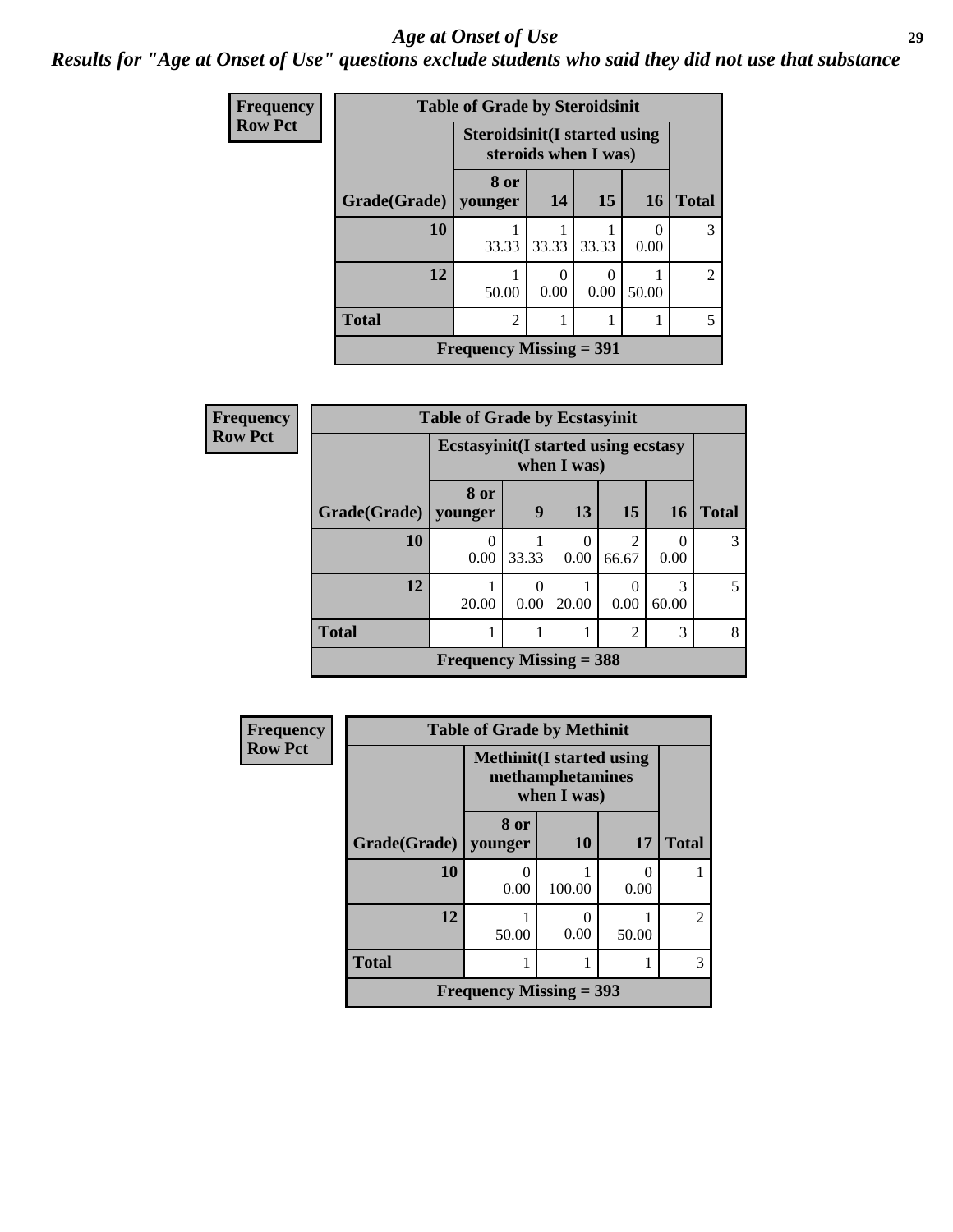#### *Age at Onset of Use* **29**

*Results for "Age at Onset of Use" questions exclude students who said they did not use that substance*

| <b>Frequency</b> |              | <b>Table of Grade by Steroidsinit</b> |                      |           |                  |                |  |  |  |
|------------------|--------------|---------------------------------------|----------------------|-----------|------------------|----------------|--|--|--|
| <b>Row Pct</b>   |              | <b>Steroidsinit(I started using</b>   | steroids when I was) |           |                  |                |  |  |  |
|                  | Grade(Grade) | 8 or<br>younger                       | 14                   | <b>15</b> | 16               | <b>Total</b>   |  |  |  |
|                  | 10           | 33.33                                 | 33.33                | 33.33     | $\Omega$<br>0.00 | 3              |  |  |  |
|                  | 12           | 50.00                                 | 0.00                 | 0.00      | 50.00            | $\mathfrak{D}$ |  |  |  |
|                  | <b>Total</b> | $\overline{2}$                        |                      |           |                  |                |  |  |  |
|                  |              | <b>Frequency Missing = 391</b>        |                      |           |                  |                |  |  |  |

| Frequency      |              | <b>Table of Grade by Ecstasyinit</b>        |                      |             |                         |            |              |  |  |
|----------------|--------------|---------------------------------------------|----------------------|-------------|-------------------------|------------|--------------|--|--|
| <b>Row Pct</b> |              | <b>Ecstasyinit</b> (I started using ecstasy |                      | when I was) |                         |            |              |  |  |
|                | Grade(Grade) | 8 or<br>younger                             | 9                    | 13          | 15                      | 16         | <b>Total</b> |  |  |
|                | 10           | $\left( \right)$<br>0.00                    | 33.33                | 0<br>0.00   | $\mathfrak{D}$<br>66.67 | 0.00       | 3            |  |  |
|                | 12           | 20.00                                       | $\mathbf{0}$<br>0.00 | 20.00       | 0.00                    | 3<br>60.00 | 5            |  |  |
|                | <b>Total</b> |                                             |                      |             | $\overline{2}$          | 3          | 8            |  |  |
|                |              | Frequency Missing $=$ 388                   |                      |             |                         |            |              |  |  |

| <b>Frequency</b> |              | <b>Table of Grade by Methinit</b>                                   |           |           |                |  |  |  |  |
|------------------|--------------|---------------------------------------------------------------------|-----------|-----------|----------------|--|--|--|--|
| <b>Row Pct</b>   |              | <b>Methinit</b> (I started using<br>methamphetamines<br>when I was) |           |           |                |  |  |  |  |
|                  | Grade(Grade) | 8 or<br>younger                                                     | <b>10</b> | 17        | <b>Total</b>   |  |  |  |  |
|                  | 10           | 0.00                                                                | 100.00    | 0<br>0.00 |                |  |  |  |  |
|                  | 12           | 50.00                                                               | 0.00      | 50.00     | $\mathfrak{D}$ |  |  |  |  |
|                  | <b>Total</b> |                                                                     |           |           | 3              |  |  |  |  |
|                  |              | Frequency Missing $=$ 393                                           |           |           |                |  |  |  |  |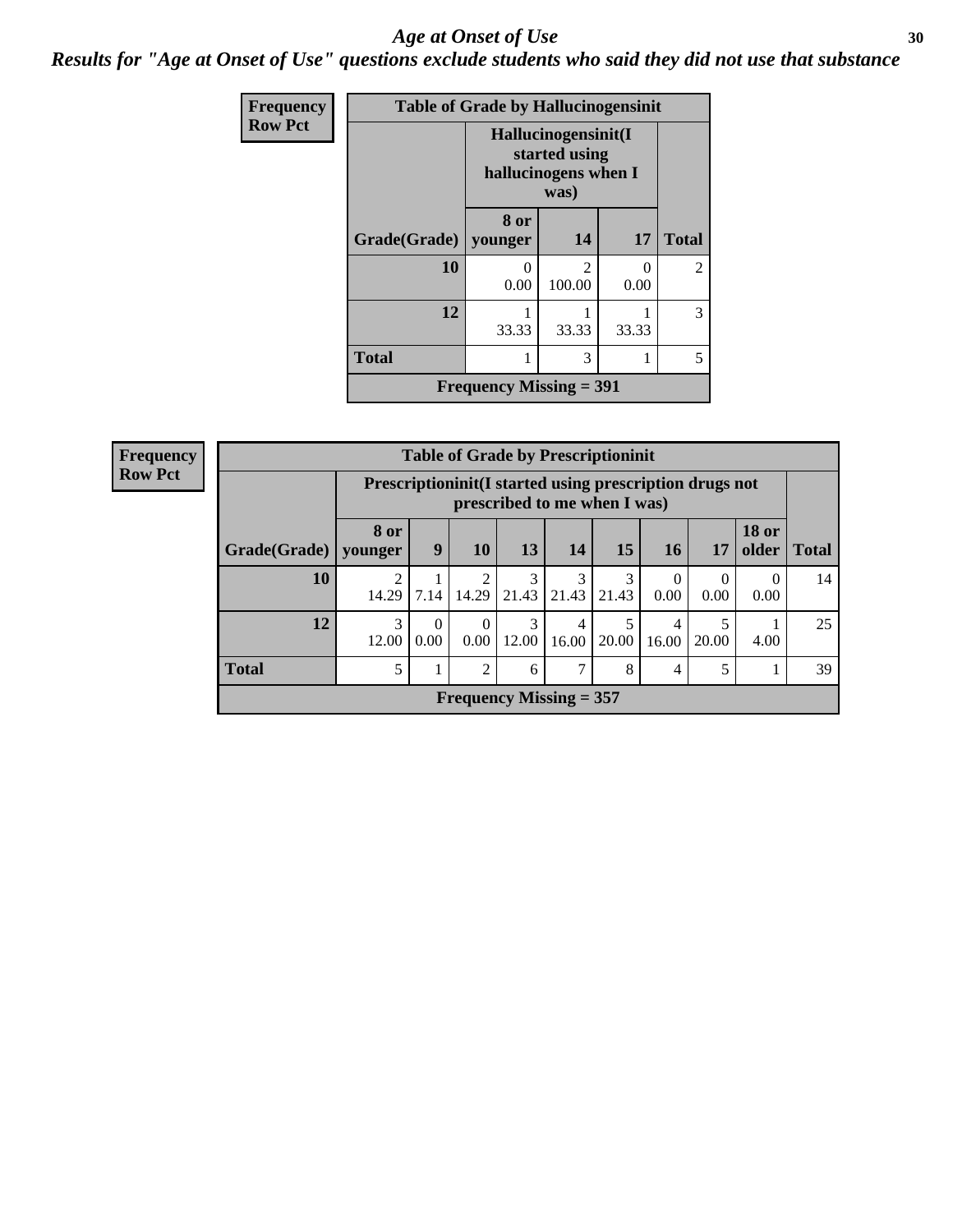#### Age at Onset of Use **30**

*Results for "Age at Onset of Use" questions exclude students who said they did not use that substance*

| Frequency      |                        | <b>Table of Grade by Hallucinogensinit</b> |                                                                      |           |                |
|----------------|------------------------|--------------------------------------------|----------------------------------------------------------------------|-----------|----------------|
| <b>Row Pct</b> |                        |                                            | Hallucinogensinit(I<br>started using<br>hallucinogens when I<br>was) |           |                |
|                | Grade(Grade)   younger | 8 or                                       | 14                                                                   | 17        | <b>Total</b>   |
|                | 10                     | $\mathbf{\Omega}$<br>0.00                  | $\mathfrak{D}$<br>100.00                                             | 0<br>0.00 | $\overline{2}$ |
|                | 12                     | 33.33                                      | 33.33                                                                | 33.33     | 3              |
|                | <b>Total</b>           |                                            | 3                                                                    | 1         | 5              |
|                |                        | <b>Frequency Missing = 391</b>             |                                                                      |           |                |

| Frequency      | <b>Table of Grade by Prescriptioninit</b> |                 |                                                                                            |                           |                      |            |            |            |           |                       |              |
|----------------|-------------------------------------------|-----------------|--------------------------------------------------------------------------------------------|---------------------------|----------------------|------------|------------|------------|-----------|-----------------------|--------------|
| <b>Row Pct</b> |                                           |                 | Prescription in it (I started using prescription drugs not<br>prescribed to me when I was) |                           |                      |            |            |            |           |                       |              |
|                | Grade(Grade)                              | 8 or<br>vounger | 9                                                                                          | 10                        | 13                   | 14         | 15         | 16         | 17        | <b>18 or</b><br>older | <b>Total</b> |
|                | 10                                        | 2<br>14.29      | 7.14                                                                                       |                           | 3<br>$14.29$   21.43 | 21.43      | 3<br>21.43 | 0.00       | 0<br>0.00 | $\theta$<br>0.00      | 14           |
|                | 12                                        | 3<br>12.00      | $\Omega$<br>0.00                                                                           | $\theta$<br>0.00          | 3<br>12.00           | 4<br>16.00 | 5<br>20.00 | 4<br>16.00 | 20.00     | 4.00                  | 25           |
|                | <b>Total</b>                              | 5               |                                                                                            | 2                         | 6                    | ⇁          | 8          | 4          | 5         |                       | 39           |
|                |                                           |                 |                                                                                            | Frequency Missing $= 357$ |                      |            |            |            |           |                       |              |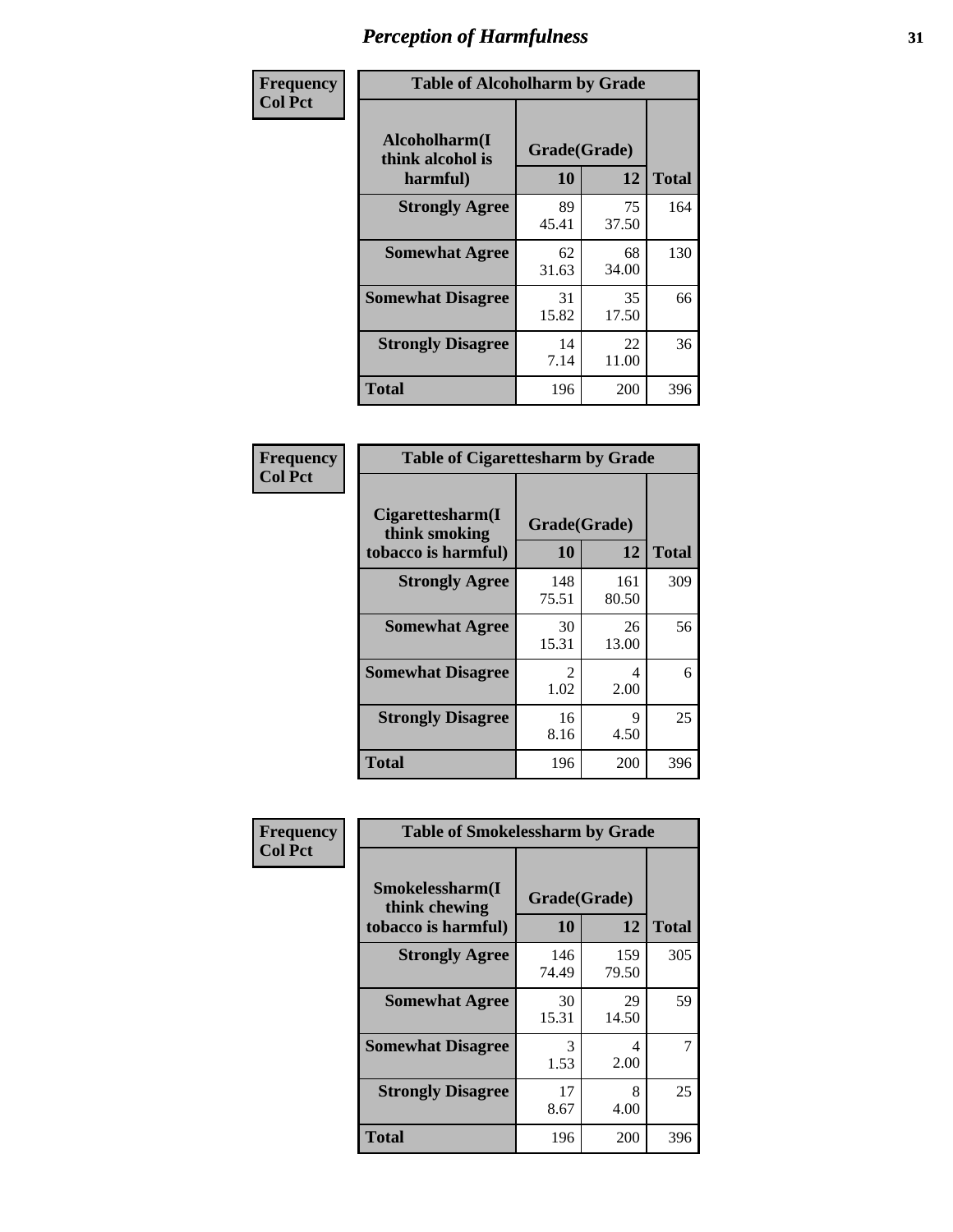| Frequency      | <b>Table of Alcoholharm by Grade</b>          |                    |             |              |  |  |  |  |  |
|----------------|-----------------------------------------------|--------------------|-------------|--------------|--|--|--|--|--|
| <b>Col Pct</b> | Alcoholharm(I<br>think alcohol is<br>harmful) | Grade(Grade)<br>10 | 12          | <b>Total</b> |  |  |  |  |  |
|                | <b>Strongly Agree</b>                         | 89<br>45.41        | 75<br>37.50 | 164          |  |  |  |  |  |
|                | <b>Somewhat Agree</b>                         | 62<br>31.63        | 68<br>34.00 | 130          |  |  |  |  |  |
|                | <b>Somewhat Disagree</b>                      | 31<br>15.82        | 35<br>17.50 | 66           |  |  |  |  |  |
|                | <b>Strongly Disagree</b>                      | 14<br>7.14         | 22<br>11.00 | 36           |  |  |  |  |  |
|                | <b>Total</b>                                  | 196                | 200         | 396          |  |  |  |  |  |

| <b>Table of Cigarettesharm by Grade</b>                  |                    |              |              |
|----------------------------------------------------------|--------------------|--------------|--------------|
| Cigarettesharm(I<br>think smoking<br>tobacco is harmful) | Grade(Grade)<br>10 | 12           | <b>Total</b> |
| <b>Strongly Agree</b>                                    | 148<br>75.51       | 161<br>80.50 | 309          |
| <b>Somewhat Agree</b>                                    | 30<br>15.31        | 26<br>13.00  | 56           |
| <b>Somewhat Disagree</b>                                 | 2<br>1.02          | 4<br>2.00    | 6            |
| <b>Strongly Disagree</b>                                 | 16<br>8.16         | 9<br>4.50    | 25           |
| <b>Total</b>                                             | 196                | 200          | 396          |

| Frequency      | <b>Table of Smokelessharm by Grade</b>                  |                    |              |              |
|----------------|---------------------------------------------------------|--------------------|--------------|--------------|
| <b>Col Pct</b> | Smokelessharm(I<br>think chewing<br>tobacco is harmful) | Grade(Grade)<br>10 | 12           | <b>Total</b> |
|                | <b>Strongly Agree</b>                                   | 146<br>74.49       | 159<br>79.50 | 305          |
|                | <b>Somewhat Agree</b>                                   | 30<br>15.31        | 29<br>14.50  | 59           |
|                | <b>Somewhat Disagree</b>                                | 3<br>1.53          | 4<br>2.00    | 7            |
|                | <b>Strongly Disagree</b>                                | 17<br>8.67         | 8<br>4.00    | 25           |
|                | <b>Total</b>                                            | 196                | 200          | 396          |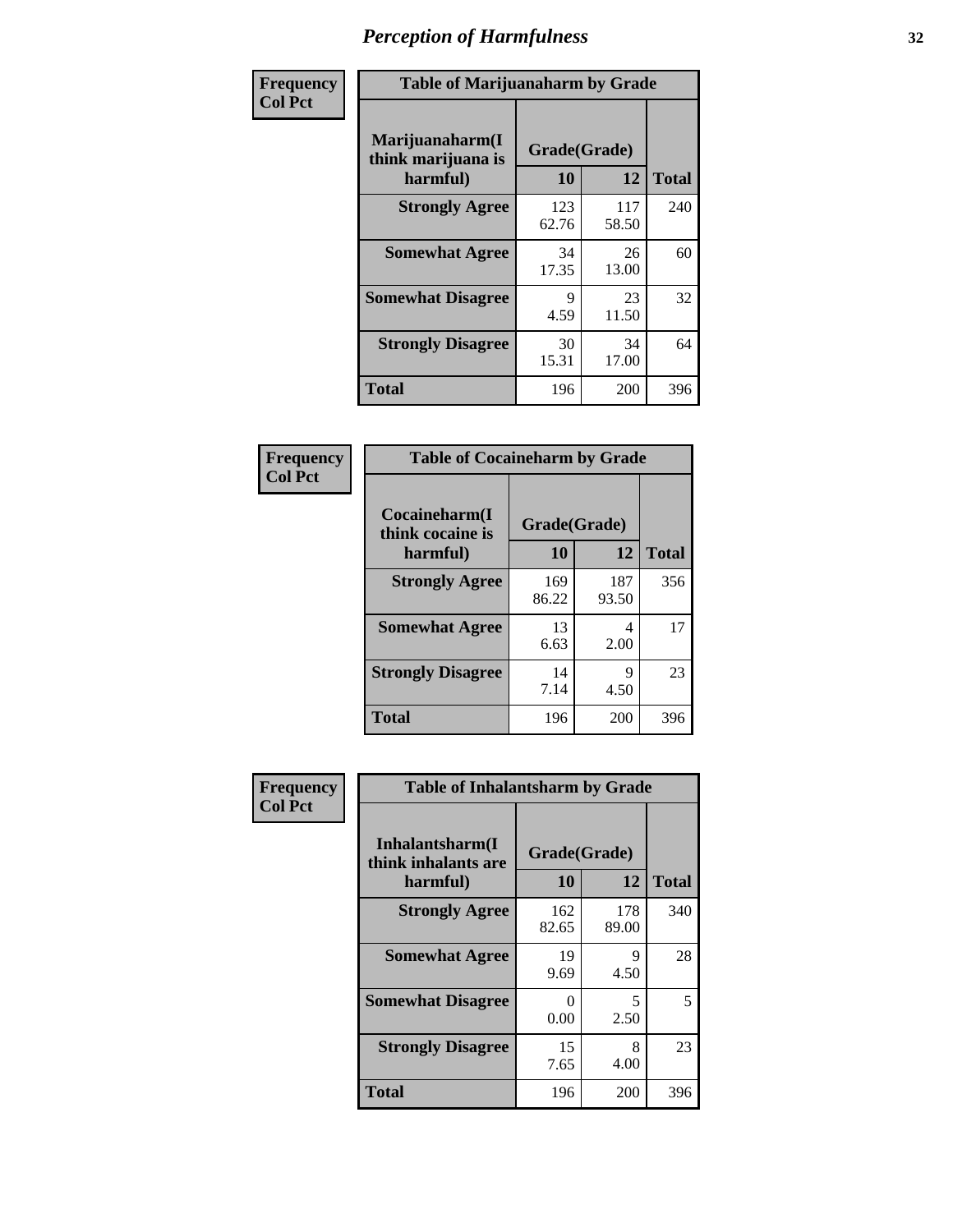| Frequency      | <b>Table of Marijuanaharm by Grade</b>            |                    |              |              |
|----------------|---------------------------------------------------|--------------------|--------------|--------------|
| <b>Col Pct</b> | Marijuanaharm(I<br>think marijuana is<br>harmful) | Grade(Grade)<br>10 | 12           | <b>Total</b> |
|                | <b>Strongly Agree</b>                             | 123<br>62.76       | 117<br>58.50 | 240          |
|                | <b>Somewhat Agree</b>                             | 34<br>17.35        | 26<br>13.00  | 60           |
|                | <b>Somewhat Disagree</b>                          | 9<br>4.59          | 23<br>11.50  | 32           |
|                | <b>Strongly Disagree</b>                          | 30<br>15.31        | 34<br>17.00  | 64           |
|                | <b>Total</b>                                      | 196                | 200          | 396          |

| <b>Table of Cocaineharm by Grade</b> |              |              |              |  |  |
|--------------------------------------|--------------|--------------|--------------|--|--|
| Cocaineharm(I<br>think cocaine is    | Grade(Grade) |              |              |  |  |
| harmful)                             | 10           | 12           | <b>Total</b> |  |  |
| <b>Strongly Agree</b>                | 169<br>86.22 | 187<br>93.50 | 356          |  |  |
| <b>Somewhat Agree</b>                | 13<br>6.63   | 4<br>2.00    | 17           |  |  |
| <b>Strongly Disagree</b>             | 14<br>7.14   | 9<br>4.50    | 23           |  |  |
| <b>Total</b>                         | 196          | 200          | 396          |  |  |

| Frequency      | <b>Table of Inhalantsharm by Grade</b>              |                    |              |              |  |
|----------------|-----------------------------------------------------|--------------------|--------------|--------------|--|
| <b>Col Pct</b> | Inhalantsharm(I)<br>think inhalants are<br>harmful) | Grade(Grade)<br>10 | 12           | <b>Total</b> |  |
|                | <b>Strongly Agree</b>                               | 162<br>82.65       | 178<br>89.00 | 340          |  |
|                | <b>Somewhat Agree</b>                               | 19<br>9.69         | 9<br>4.50    | 28           |  |
|                | <b>Somewhat Disagree</b>                            | 0<br>0.00          | 5<br>2.50    | 5            |  |
|                | <b>Strongly Disagree</b>                            | 15<br>7.65         | 8<br>4.00    | 23           |  |
|                | <b>Total</b>                                        | 196                | 200          | 396          |  |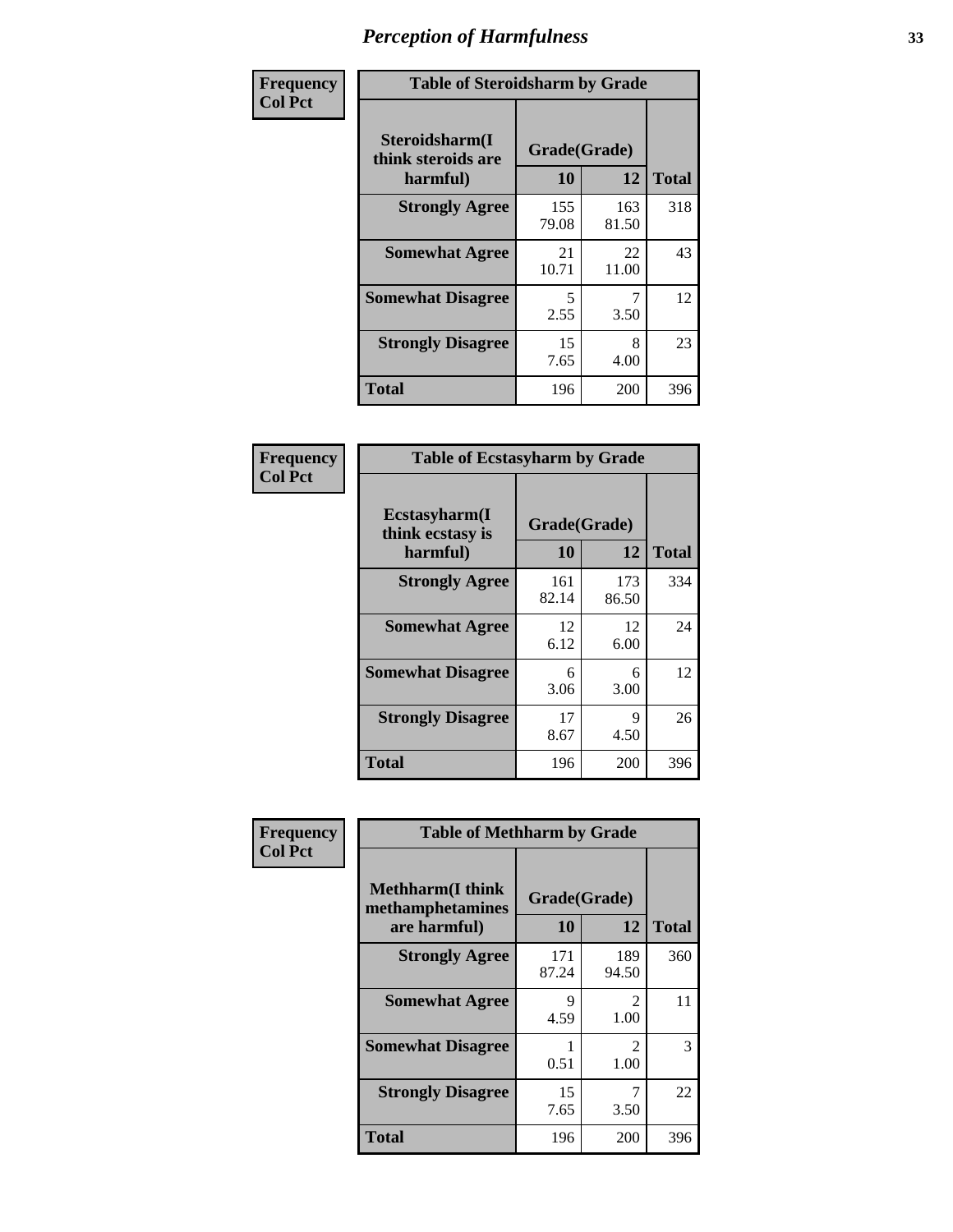| Frequency      | <b>Table of Steroidsharm by Grade</b>            |                    |              |              |
|----------------|--------------------------------------------------|--------------------|--------------|--------------|
| <b>Col Pct</b> | Steroidsharm(I<br>think steroids are<br>harmful) | Grade(Grade)<br>10 | 12           | <b>Total</b> |
|                | <b>Strongly Agree</b>                            | 155<br>79.08       | 163<br>81.50 | 318          |
|                | <b>Somewhat Agree</b>                            | 21<br>10.71        | 22<br>11.00  | 43           |
|                | <b>Somewhat Disagree</b>                         | 5<br>2.55          | 3.50         | 12           |
|                | <b>Strongly Disagree</b>                         | 15<br>7.65         | 8<br>4.00    | 23           |
|                | <b>Total</b>                                     | 196                | 200          | 396          |

| <b>Table of Ecstasyharm by Grade</b>          |                    |              |     |  |  |
|-----------------------------------------------|--------------------|--------------|-----|--|--|
| Ecstasyharm(I<br>think ecstasy is<br>harmful) | Grade(Grade)<br>10 | <b>Total</b> |     |  |  |
| <b>Strongly Agree</b>                         | 161<br>82.14       | 173<br>86.50 | 334 |  |  |
| <b>Somewhat Agree</b>                         | 12<br>6.12         | 12<br>6.00   | 24  |  |  |
| <b>Somewhat Disagree</b>                      | 6<br>3.06          | 6<br>3.00    | 12  |  |  |
| <b>Strongly Disagree</b>                      | 17<br>8.67         | 9<br>4.50    | 26  |  |  |
| Total                                         | 196                | 200          | 396 |  |  |

| Frequency      | <b>Table of Methharm by Grade</b>                            |                    |                       |              |
|----------------|--------------------------------------------------------------|--------------------|-----------------------|--------------|
| <b>Col Pct</b> | <b>Methharm</b> (I think<br>methamphetamines<br>are harmful) | Grade(Grade)<br>10 | 12                    | <b>Total</b> |
|                | <b>Strongly Agree</b>                                        | 171<br>87.24       | 189<br>94.50          | 360          |
|                | <b>Somewhat Agree</b>                                        | 9<br>4.59          | 2<br>1.00             | 11           |
|                | <b>Somewhat Disagree</b>                                     | 0.51               | $\mathcal{L}$<br>1.00 | 3            |
|                | <b>Strongly Disagree</b>                                     | 15<br>7.65         | 3.50                  | 22           |
|                | Total                                                        | 196                | 200                   | 396          |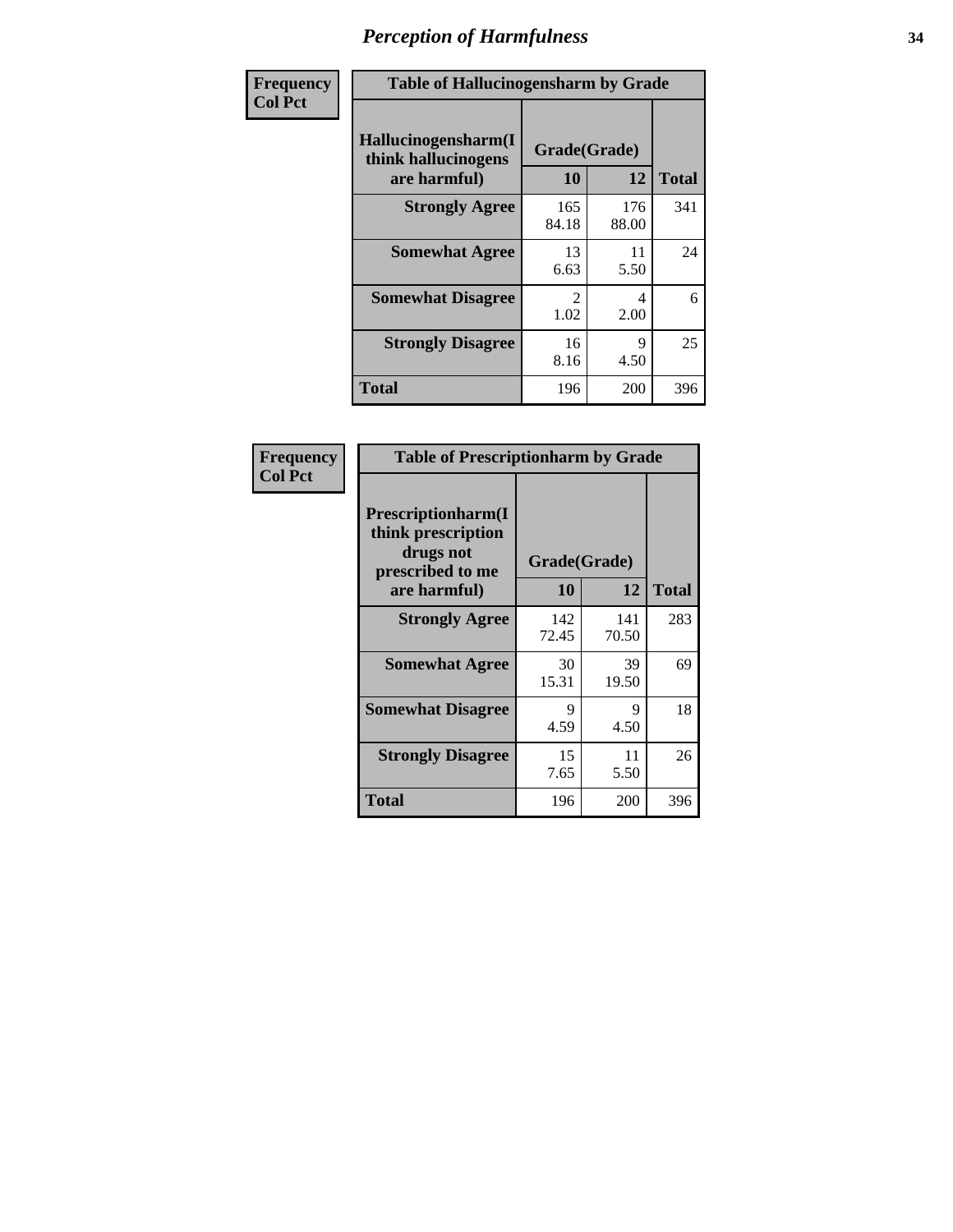| Frequency      | <b>Table of Hallucinogensharm by Grade</b>                 |                       |              |              |
|----------------|------------------------------------------------------------|-----------------------|--------------|--------------|
| <b>Col Pct</b> | Hallucinogensharm(I<br>think hallucinogens<br>are harmful) | Grade(Grade)<br>10    | 12           | <b>Total</b> |
|                | <b>Strongly Agree</b>                                      | 165<br>84.18          | 176<br>88.00 | 341          |
|                | <b>Somewhat Agree</b>                                      | 13<br>6.63            | 11<br>5.50   | 24           |
|                | <b>Somewhat Disagree</b>                                   | $\mathcal{L}$<br>1.02 | 4<br>2.00    | 6            |
|                | <b>Strongly Disagree</b>                                   | 16<br>8.16            | 9<br>4.50    | 25           |
|                | <b>Total</b>                                               | 196                   | 200          | 396          |

| <b>Table of Prescriptionharm by Grade</b>                                                         |              |                    |              |  |
|---------------------------------------------------------------------------------------------------|--------------|--------------------|--------------|--|
| <b>Prescriptionharm</b> (I<br>think prescription<br>drugs not<br>prescribed to me<br>are harmful) | 10           | Grade(Grade)<br>12 | <b>Total</b> |  |
| <b>Strongly Agree</b>                                                                             | 142<br>72.45 | 141<br>70.50       | 283          |  |
| <b>Somewhat Agree</b>                                                                             | 30<br>15.31  | 39<br>19.50        | 69           |  |
| <b>Somewhat Disagree</b>                                                                          | 9<br>4.59    | 9<br>4.50          | 18           |  |
| <b>Strongly Disagree</b>                                                                          | 15<br>7.65   | 11<br>5.50         | 26           |  |
| Total                                                                                             | 196          | 200                | 396          |  |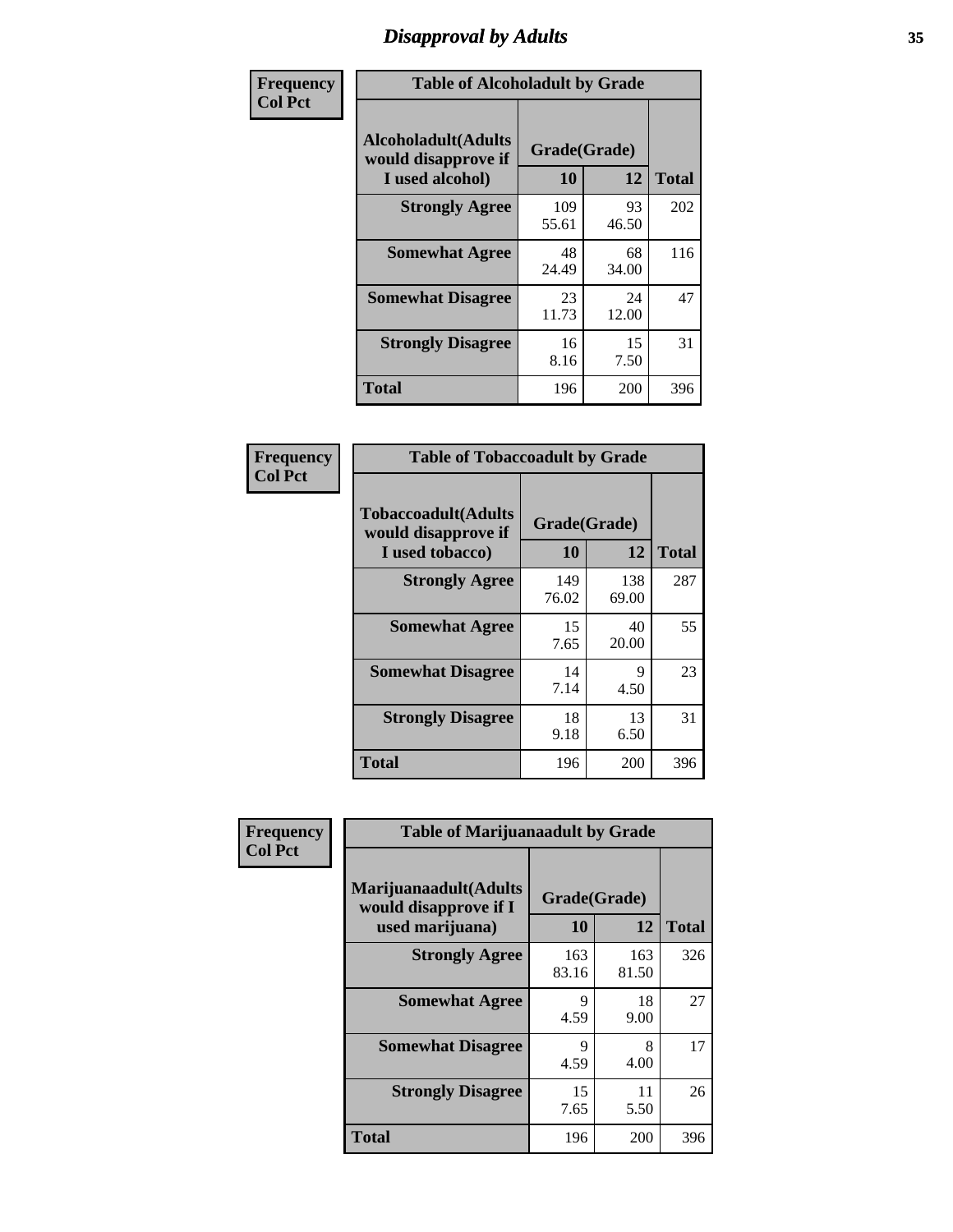# *Disapproval by Adults* **35**

| Frequency      |                                                                       | <b>Table of Alcoholadult by Grade</b> |             |              |  |
|----------------|-----------------------------------------------------------------------|---------------------------------------|-------------|--------------|--|
| <b>Col Pct</b> | <b>Alcoholadult</b> (Adults<br>would disapprove if<br>I used alcohol) | Grade(Grade)<br>10                    | 12          | <b>Total</b> |  |
|                | <b>Strongly Agree</b>                                                 | 109<br>55.61                          | 93<br>46.50 | 202          |  |
|                | <b>Somewhat Agree</b>                                                 | 48<br>24.49                           | 68<br>34.00 | 116          |  |
|                | <b>Somewhat Disagree</b>                                              | 23<br>11.73                           | 24<br>12.00 | 47           |  |
|                | <b>Strongly Disagree</b>                                              | 16<br>8.16                            | 15<br>7.50  | 31           |  |
|                | <b>Total</b>                                                          | 196                                   | 200         | 396          |  |

| <b>Table of Tobaccoadult by Grade</b>                                |                    |              |              |  |
|----------------------------------------------------------------------|--------------------|--------------|--------------|--|
| <b>Tobaccoadult(Adults</b><br>would disapprove if<br>I used tobacco) | Grade(Grade)<br>10 | 12           | <b>Total</b> |  |
| <b>Strongly Agree</b>                                                | 149<br>76.02       | 138<br>69.00 | 287          |  |
| <b>Somewhat Agree</b>                                                | 15<br>7.65         | 40<br>20.00  | 55           |  |
| <b>Somewhat Disagree</b>                                             | 14<br>7.14         | 9<br>4.50    | 23           |  |
| <b>Strongly Disagree</b>                                             | 18<br>9.18         | 13<br>6.50   | 31           |  |
| <b>Total</b>                                                         | 196                | 200          | 396          |  |

| Frequency      | <b>Table of Marijuanaadult by Grade</b>                           |                    |              |              |
|----------------|-------------------------------------------------------------------|--------------------|--------------|--------------|
| <b>Col Pct</b> | Marijuanaadult(Adults<br>would disapprove if I<br>used marijuana) | Grade(Grade)<br>10 | 12           | <b>Total</b> |
|                | <b>Strongly Agree</b>                                             | 163<br>83.16       | 163<br>81.50 | 326          |
|                | <b>Somewhat Agree</b>                                             | 9<br>4.59          | 18<br>9.00   | 27           |
|                | <b>Somewhat Disagree</b>                                          | 9<br>4.59          | 8<br>4.00    | 17           |
|                | <b>Strongly Disagree</b>                                          | 15<br>7.65         | 11<br>5.50   | 26           |
|                | <b>Total</b>                                                      | 196                | 200          | 396          |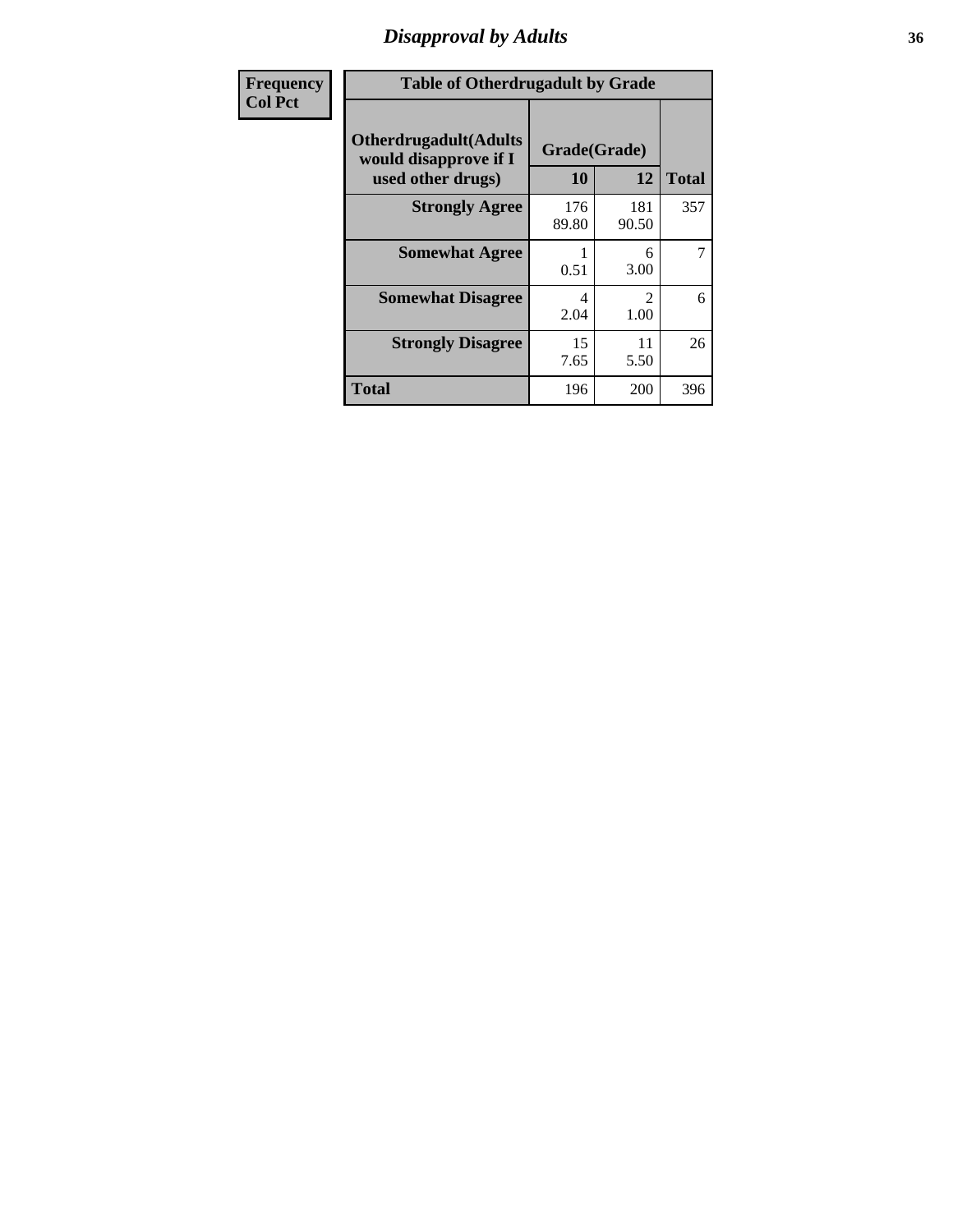### *Disapproval by Adults* **36**

| Frequency      | <b>Table of Otherdrugadult by Grade</b>                                     |                    |                        |              |
|----------------|-----------------------------------------------------------------------------|--------------------|------------------------|--------------|
| <b>Col Pct</b> | <b>Otherdrugadult</b> (Adults<br>would disapprove if I<br>used other drugs) | Grade(Grade)<br>10 | 12                     | <b>Total</b> |
|                | <b>Strongly Agree</b>                                                       | 176<br>89.80       | 181<br>90.50           | 357          |
|                | <b>Somewhat Agree</b>                                                       | 0.51               | 6<br>3.00              | 7            |
|                | <b>Somewhat Disagree</b>                                                    | 4<br>2.04          | $\mathfrak{D}$<br>1.00 | 6            |
|                | <b>Strongly Disagree</b>                                                    | 15<br>7.65         | 11<br>5.50             | 26           |
|                | <b>Total</b>                                                                | 196                | 200                    | 396          |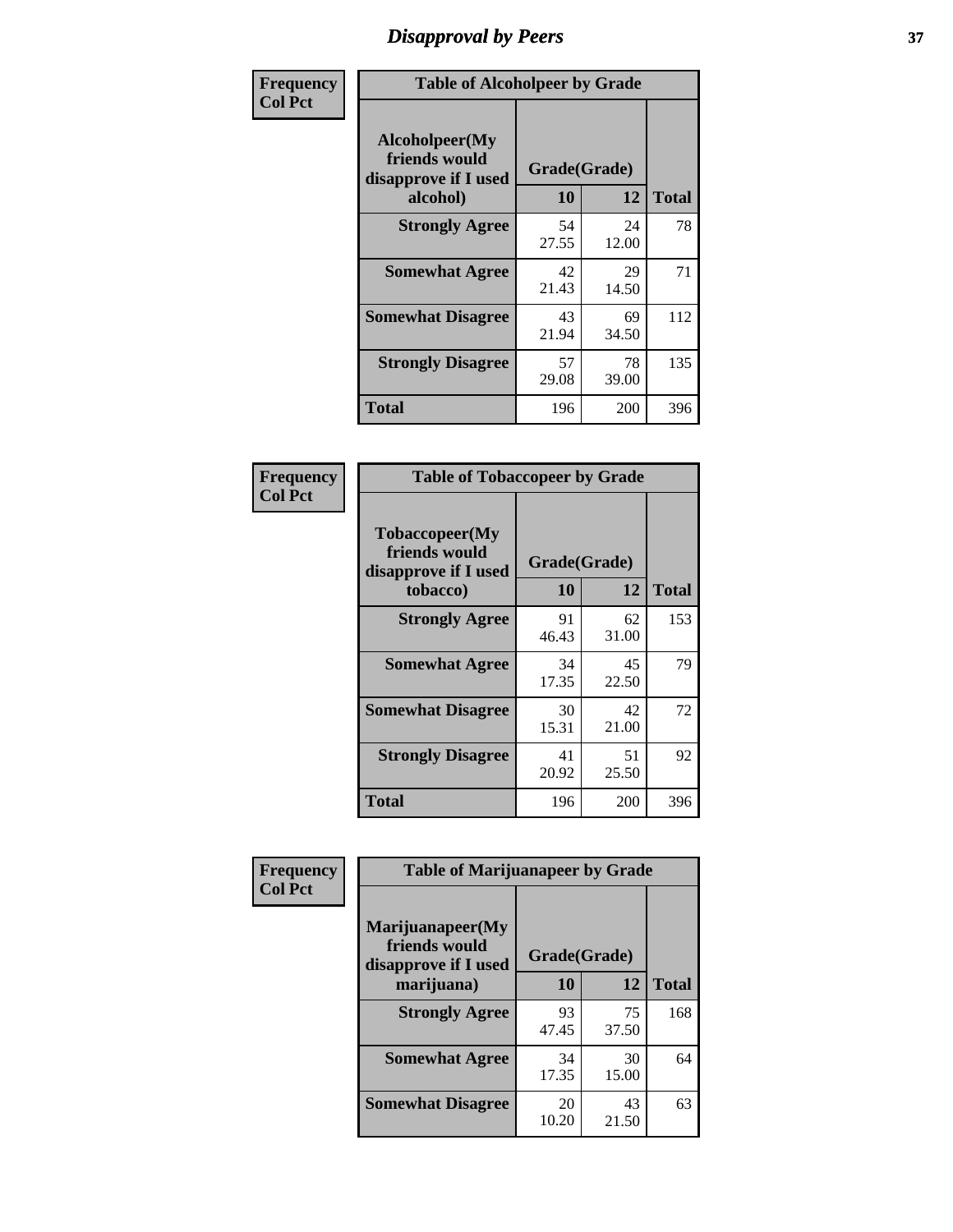# *Disapproval by Peers* **37**

| Frequency      | <b>Table of Alcoholpeer by Grade</b>                    |              |             |              |  |
|----------------|---------------------------------------------------------|--------------|-------------|--------------|--|
| <b>Col Pct</b> | Alcoholpeer(My<br>friends would<br>disapprove if I used | Grade(Grade) |             |              |  |
|                | alcohol)                                                | 10           | 12          | <b>Total</b> |  |
|                | <b>Strongly Agree</b>                                   | 54<br>27.55  | 24<br>12.00 | 78           |  |
|                | <b>Somewhat Agree</b>                                   | 42<br>21.43  | 29<br>14.50 | 71           |  |
|                | <b>Somewhat Disagree</b>                                | 43<br>21.94  | 69<br>34.50 | 112          |  |
|                | <b>Strongly Disagree</b>                                | 57<br>29.08  | 78<br>39.00 | 135          |  |
|                | Total                                                   | 196          | 200         | 396          |  |

| Frequency      | <b>Table of Tobaccopeer by Grade</b>                                |                           |             |              |
|----------------|---------------------------------------------------------------------|---------------------------|-------------|--------------|
| <b>Col Pct</b> | Tobaccopeer(My<br>friends would<br>disapprove if I used<br>tobacco) | Grade(Grade)<br><b>10</b> | 12          | <b>Total</b> |
|                | <b>Strongly Agree</b>                                               | 91<br>46.43               | 62<br>31.00 | 153          |
|                | <b>Somewhat Agree</b>                                               | 34<br>17.35               | 45<br>22.50 | 79           |
|                | <b>Somewhat Disagree</b>                                            | 30<br>15.31               | 42<br>21.00 | 72           |
|                | <b>Strongly Disagree</b>                                            | 41<br>20.92               | 51<br>25.50 | 92           |
|                | <b>Total</b>                                                        | 196                       | 200         | 396          |

| Frequency      | <b>Table of Marijuanapeer by Grade</b>                    |              |             |              |
|----------------|-----------------------------------------------------------|--------------|-------------|--------------|
| <b>Col Pct</b> | Marijuanapeer(My<br>friends would<br>disapprove if I used | Grade(Grade) |             |              |
|                | marijuana)                                                | 10           | 12          | <b>Total</b> |
|                | <b>Strongly Agree</b>                                     | 93<br>47.45  | 75<br>37.50 | 168          |
|                | <b>Somewhat Agree</b>                                     | 34<br>17.35  | 30<br>15.00 | 64           |
|                | <b>Somewhat Disagree</b>                                  | 20<br>10.20  | 43<br>21.50 | 63           |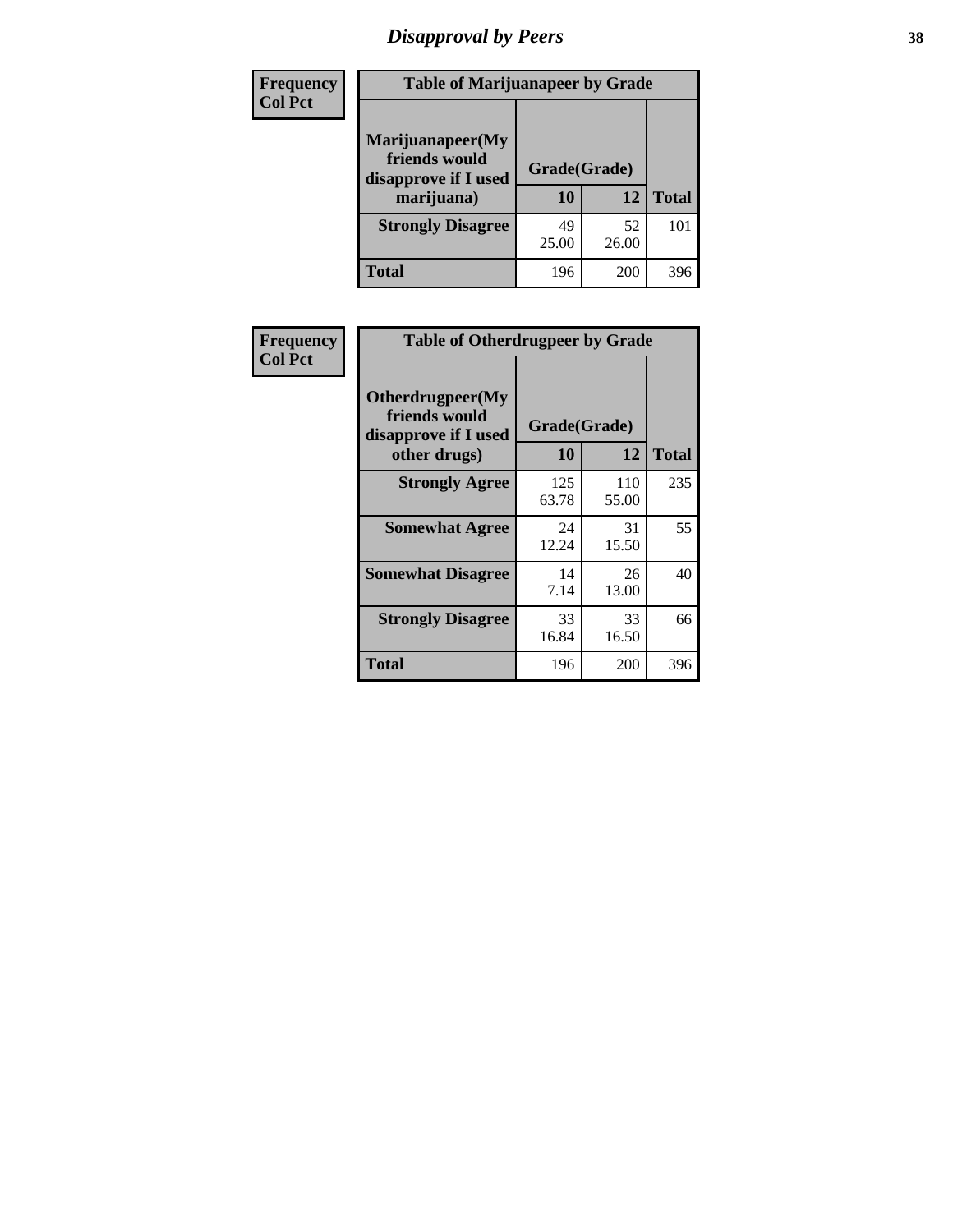# *Disapproval by Peers* **38**

| <b>Frequency</b> | <b>Table of Marijuanapeer by Grade</b>                                  |                    |             |              |  |
|------------------|-------------------------------------------------------------------------|--------------------|-------------|--------------|--|
| <b>Col Pct</b>   | Marijuanapeer(My<br>friends would<br>disapprove if I used<br>marijuana) | Grade(Grade)<br>10 | 12          | <b>Total</b> |  |
|                  | <b>Strongly Disagree</b>                                                | 49<br>25.00        | 52<br>26.00 | 101          |  |
|                  | <b>Total</b>                                                            | 196                | 200         | 396          |  |

| Frequency      | <b>Table of Otherdrugpeer by Grade</b>                                    |                    |              |              |
|----------------|---------------------------------------------------------------------------|--------------------|--------------|--------------|
| <b>Col Pct</b> | Otherdrugpeer(My<br>friends would<br>disapprove if I used<br>other drugs) | Grade(Grade)<br>10 | 12           | <b>Total</b> |
|                | <b>Strongly Agree</b>                                                     | 125<br>63.78       | 110<br>55.00 | 235          |
|                | <b>Somewhat Agree</b>                                                     | 24<br>12.24        | 31<br>15.50  | 55           |
|                | <b>Somewhat Disagree</b>                                                  | 14<br>7.14         | 26<br>13.00  | 40           |
|                | <b>Strongly Disagree</b>                                                  | 33<br>16.84        | 33<br>16.50  | 66           |
|                | <b>Total</b>                                                              | 196                | 200          | 396          |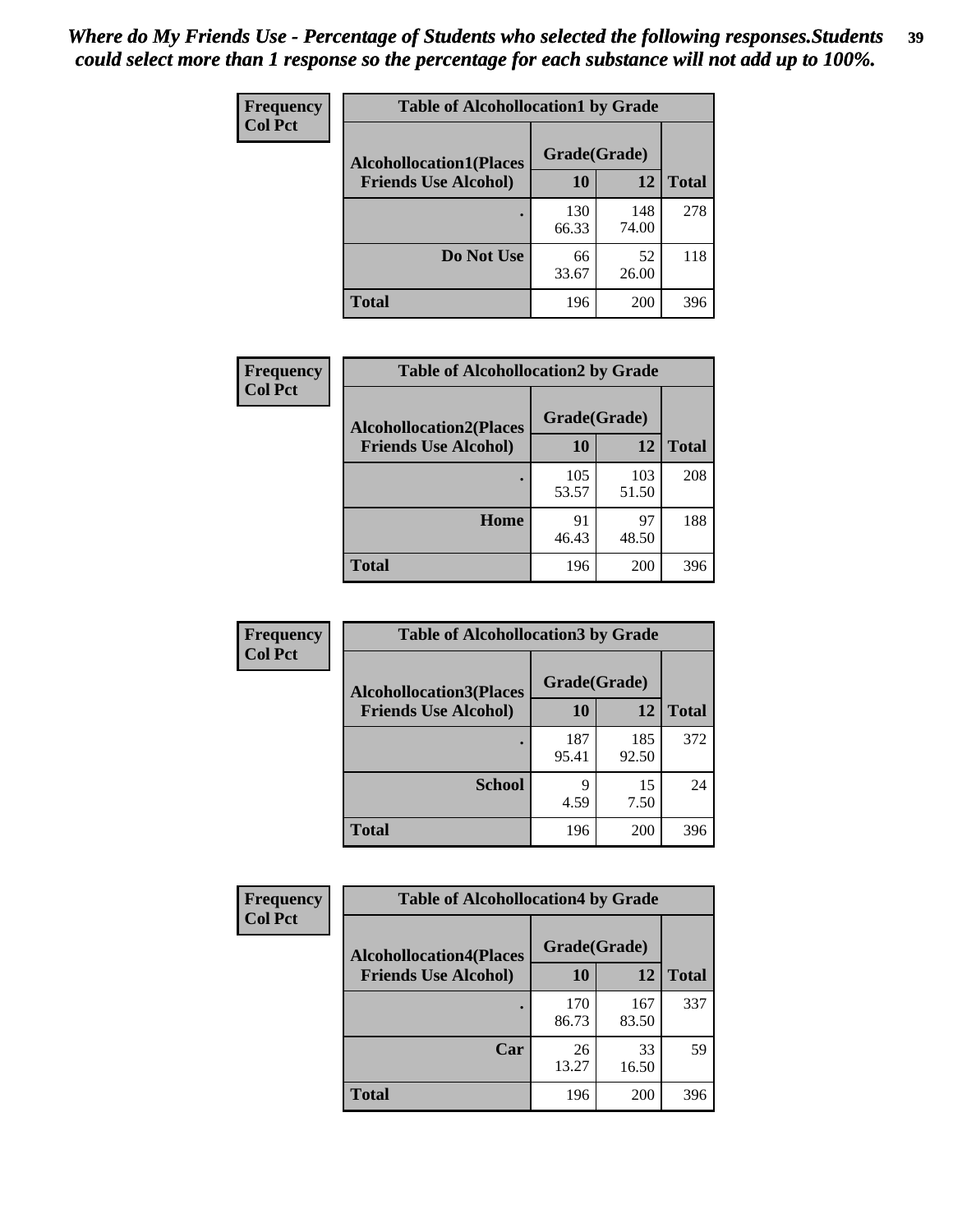| Frequency      | <b>Table of Alcohollocation1 by Grade</b> |              |              |              |
|----------------|-------------------------------------------|--------------|--------------|--------------|
| <b>Col Pct</b> | <b>Alcohollocation1(Places</b>            | Grade(Grade) |              |              |
|                | <b>Friends Use Alcohol)</b>               | 10           | 12           | <b>Total</b> |
|                |                                           | 130<br>66.33 | 148<br>74.00 | 278          |
|                | Do Not Use                                | 66<br>33.67  | 52<br>26.00  | 118          |
|                | <b>Total</b>                              | 196          | 200          | 396          |

| <b>Frequency</b> | <b>Table of Alcohollocation2 by Grade</b>                     |                    |              |              |
|------------------|---------------------------------------------------------------|--------------------|--------------|--------------|
| <b>Col Pct</b>   | <b>Alcohollocation2(Places</b><br><b>Friends Use Alcohol)</b> | Grade(Grade)<br>10 | 12           | <b>Total</b> |
|                  |                                                               | 105<br>53.57       | 103<br>51.50 | 208          |
|                  | Home                                                          | 91<br>46.43        | 97<br>48.50  | 188          |
|                  | <b>Total</b>                                                  | 196                | 200          | 396          |

| Frequency<br><b>Col Pct</b> | <b>Table of Alcohollocation 3 by Grade</b> |              |              |              |  |
|-----------------------------|--------------------------------------------|--------------|--------------|--------------|--|
|                             | <b>Alcohollocation3(Places</b>             | Grade(Grade) |              |              |  |
|                             | <b>Friends Use Alcohol)</b>                | 10           | 12           | <b>Total</b> |  |
|                             |                                            | 187<br>95.41 | 185<br>92.50 | 372          |  |
|                             | <b>School</b>                              | 9<br>4.59    | 15<br>7.50   | 24           |  |
|                             | <b>Total</b>                               | 196          | <b>200</b>   | 396          |  |

| <b>Frequency</b> | <b>Table of Alcohollocation4 by Grade</b> |              |              |              |  |
|------------------|-------------------------------------------|--------------|--------------|--------------|--|
| <b>Col Pct</b>   | <b>Alcohollocation4(Places</b>            | Grade(Grade) |              |              |  |
|                  | <b>Friends Use Alcohol)</b>               | 10           | 12           | <b>Total</b> |  |
|                  |                                           | 170<br>86.73 | 167<br>83.50 | 337          |  |
|                  | Car                                       | 26<br>13.27  | 33<br>16.50  | 59           |  |
|                  | <b>Total</b>                              | 196          | 200          | 396          |  |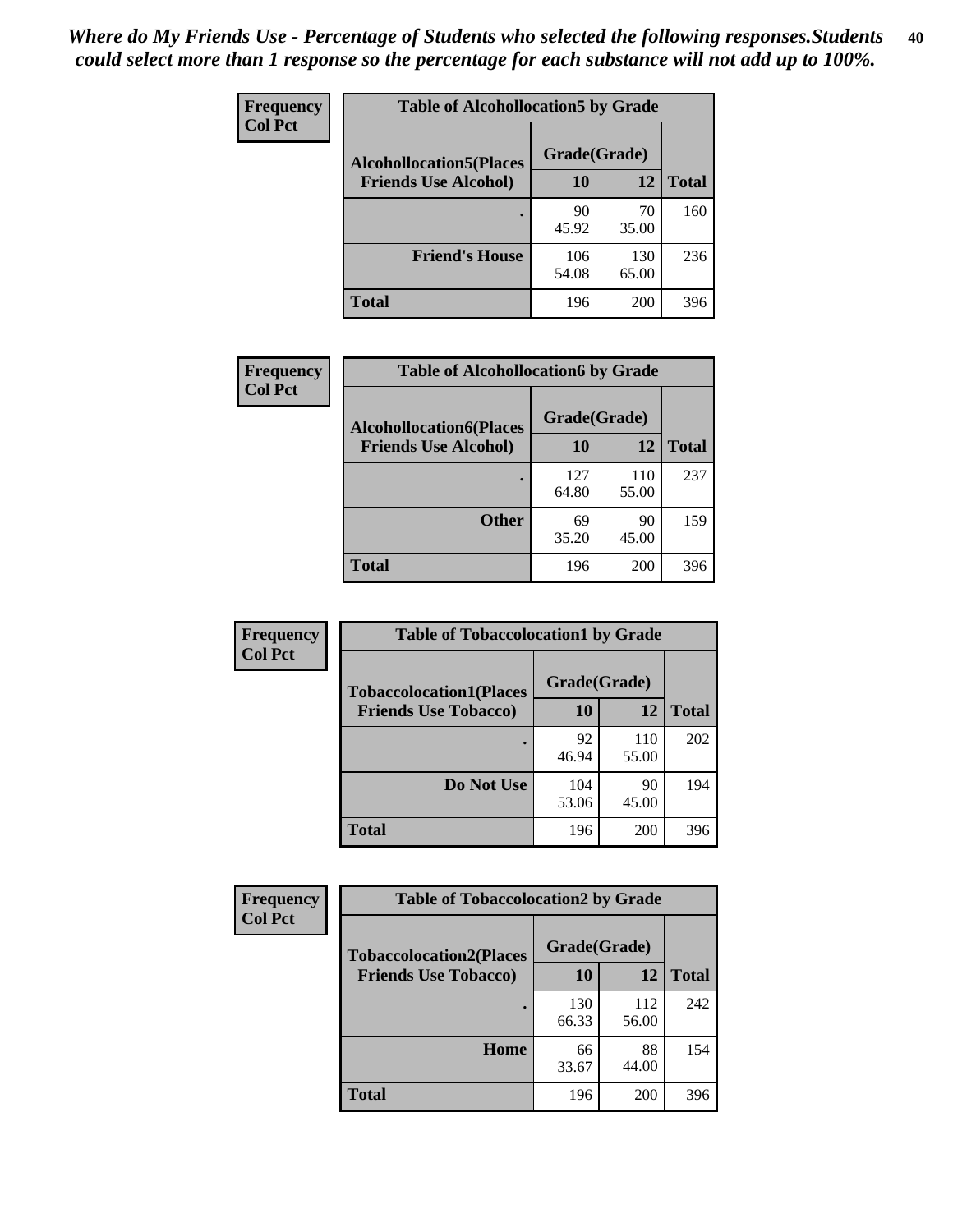| Frequency<br><b>Col Pct</b> | <b>Table of Alcohollocation5 by Grade</b>      |              |              |              |  |
|-----------------------------|------------------------------------------------|--------------|--------------|--------------|--|
|                             | Grade(Grade)<br><b>Alcohollocation5(Places</b> |              |              |              |  |
|                             | <b>Friends Use Alcohol)</b>                    | 10           | 12           | <b>Total</b> |  |
|                             |                                                | 90<br>45.92  | 70<br>35.00  | 160          |  |
|                             | <b>Friend's House</b>                          | 106<br>54.08 | 130<br>65.00 | 236          |  |
|                             | <b>Total</b>                                   | 196          | 200          | 396          |  |

| <b>Frequency</b> | <b>Table of Alcohollocation6 by Grade</b>                     |                           |              |              |
|------------------|---------------------------------------------------------------|---------------------------|--------------|--------------|
| <b>Col Pct</b>   | <b>Alcohollocation6(Places</b><br><b>Friends Use Alcohol)</b> | Grade(Grade)<br><b>10</b> | 12           | <b>Total</b> |
|                  |                                                               | 127<br>64.80              | 110<br>55.00 | 237          |
|                  | <b>Other</b>                                                  | 69<br>35.20               | 90<br>45.00  | 159          |
|                  | <b>Total</b>                                                  | 196                       | 200          | 396          |

| Frequency      | <b>Table of Tobaccolocation1 by Grade</b>                     |                    |              |              |
|----------------|---------------------------------------------------------------|--------------------|--------------|--------------|
| <b>Col Pct</b> | <b>Tobaccolocation1(Places</b><br><b>Friends Use Tobacco)</b> | Grade(Grade)<br>10 | 12           | <b>Total</b> |
|                |                                                               |                    |              |              |
|                |                                                               | 92<br>46.94        | 110<br>55.00 | 202          |
|                | Do Not Use                                                    | 104<br>53.06       | 90<br>45.00  | 194          |
|                | <b>Total</b>                                                  | 196                | 200          | 396          |

| <b>Frequency</b> | <b>Table of Tobaccolocation2 by Grade</b> |              |              |              |  |
|------------------|-------------------------------------------|--------------|--------------|--------------|--|
| <b>Col Pct</b>   | <b>Tobaccolocation2(Places</b>            | Grade(Grade) |              |              |  |
|                  | <b>Friends Use Tobacco)</b>               | 10           | 12           | <b>Total</b> |  |
|                  |                                           | 130<br>66.33 | 112<br>56.00 | 242          |  |
|                  | Home                                      | 66<br>33.67  | 88<br>44.00  | 154          |  |
|                  | <b>Total</b>                              | 196          | 200          | 396          |  |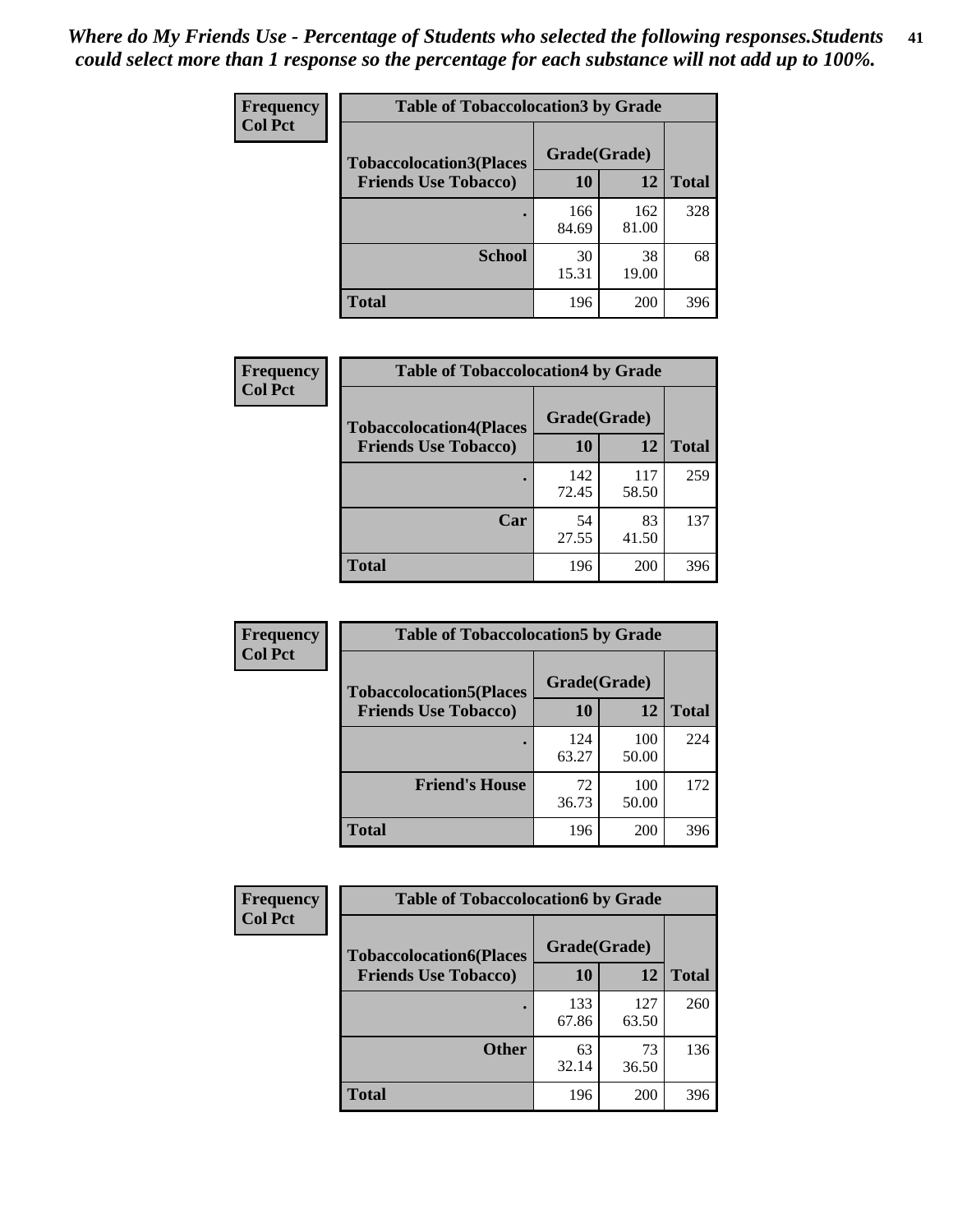| Frequency      | <b>Table of Tobaccolocation 3 by Grade</b> |              |              |              |
|----------------|--------------------------------------------|--------------|--------------|--------------|
| <b>Col Pct</b> | <b>Tobaccolocation3(Places</b>             | Grade(Grade) |              |              |
|                | <b>Friends Use Tobacco)</b>                | 10           | <b>12</b>    | <b>Total</b> |
|                |                                            | 166<br>84.69 | 162<br>81.00 | 328          |
|                | <b>School</b>                              | 30<br>15.31  | 38<br>19.00  | 68           |
|                | <b>Total</b>                               | 196          | 200          | 396          |

| Frequency      | <b>Table of Tobaccolocation4 by Grade</b> |              |              |              |  |  |
|----------------|-------------------------------------------|--------------|--------------|--------------|--|--|
| <b>Col Pct</b> | <b>Tobaccolocation4(Places</b>            | Grade(Grade) |              |              |  |  |
|                | <b>Friends Use Tobacco)</b>               | 10           | 12           | <b>Total</b> |  |  |
|                |                                           | 142<br>72.45 | 117<br>58.50 | 259          |  |  |
|                | Car                                       | 54<br>27.55  | 83<br>41.50  | 137          |  |  |
|                | <b>Total</b>                              | 196          | 200          | 396          |  |  |

| Frequency      | <b>Table of Tobaccolocation5 by Grade</b>                     |                    |              |              |
|----------------|---------------------------------------------------------------|--------------------|--------------|--------------|
| <b>Col Pct</b> | <b>Tobaccolocation5(Places</b><br><b>Friends Use Tobacco)</b> | Grade(Grade)<br>10 | 12           | <b>Total</b> |
|                |                                                               | 124<br>63.27       | 100<br>50.00 | 224          |
|                | <b>Friend's House</b>                                         | 72<br>36.73        | 100<br>50.00 | 172          |
|                | <b>Total</b>                                                  | 196                | 200          | 396          |

| <b>Frequency</b> | <b>Table of Tobaccolocation6 by Grade</b> |              |              |              |
|------------------|-------------------------------------------|--------------|--------------|--------------|
| <b>Col Pct</b>   | <b>Tobaccolocation6(Places</b>            | Grade(Grade) |              |              |
|                  | <b>Friends Use Tobacco)</b>               | 10           | 12           | <b>Total</b> |
|                  |                                           | 133<br>67.86 | 127<br>63.50 | 260          |
|                  | <b>Other</b>                              | 63<br>32.14  | 73<br>36.50  | 136          |
|                  | <b>Total</b>                              | 196          | 200          | 396          |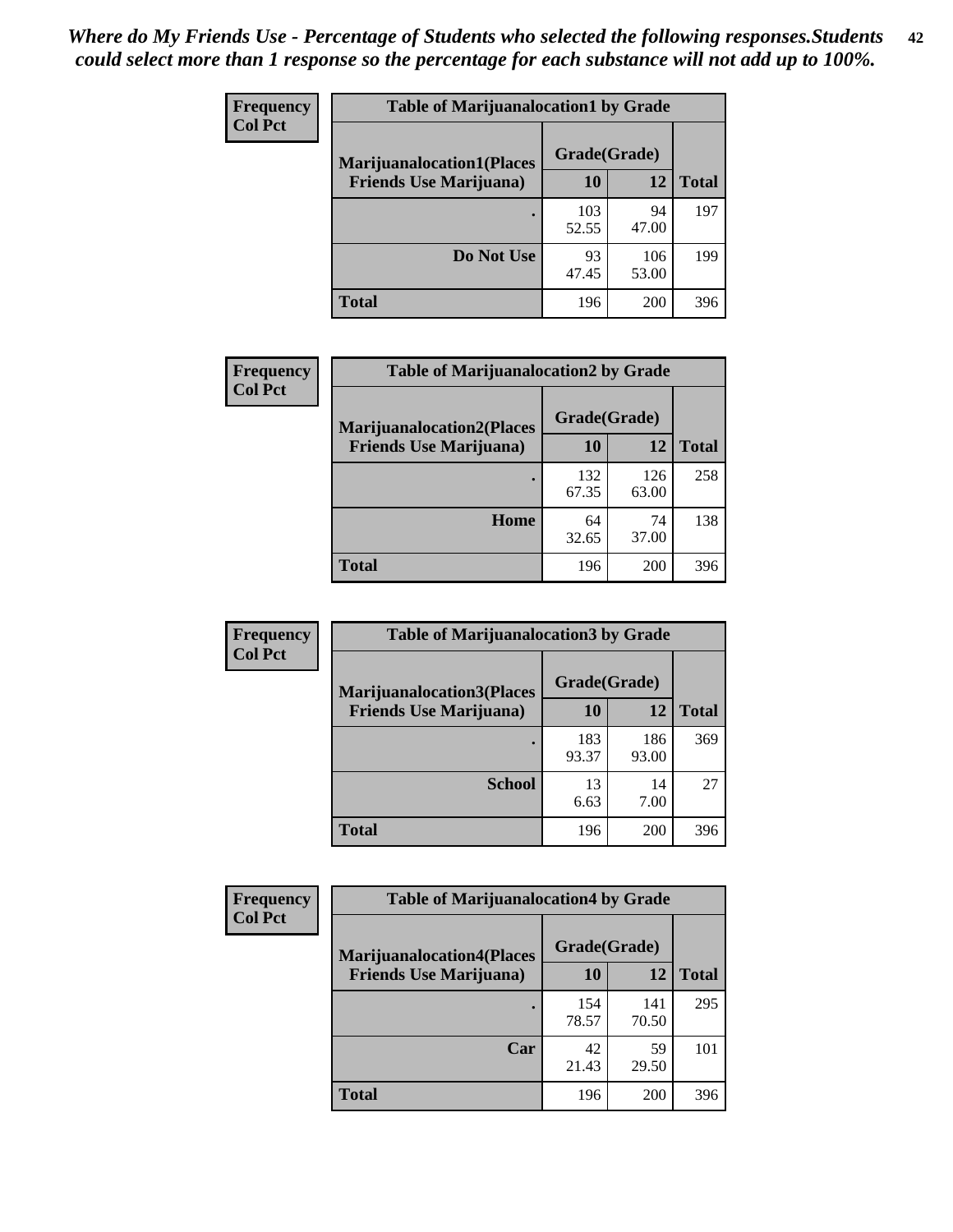| <b>Frequency</b> | <b>Table of Marijuanalocation1 by Grade</b> |              |              |              |
|------------------|---------------------------------------------|--------------|--------------|--------------|
| <b>Col Pct</b>   | <b>Marijuanalocation1(Places</b>            | Grade(Grade) |              |              |
|                  | <b>Friends Use Marijuana</b> )              | <b>10</b>    | 12           | <b>Total</b> |
|                  |                                             | 103<br>52.55 | 94<br>47.00  | 197          |
|                  | Do Not Use                                  | 93<br>47.45  | 106<br>53.00 | 199          |
|                  | <b>Total</b>                                | 196          | 200          | 396          |

| <b>Frequency</b> | <b>Table of Marijuanalocation2 by Grade</b>                        |                    |              |              |
|------------------|--------------------------------------------------------------------|--------------------|--------------|--------------|
| <b>Col Pct</b>   | <b>Marijuanalocation2(Places</b><br><b>Friends Use Marijuana</b> ) | Grade(Grade)<br>10 | 12           | <b>Total</b> |
|                  |                                                                    | 132<br>67.35       | 126<br>63.00 | 258          |
|                  | Home                                                               | 64<br>32.65        | 74<br>37.00  | 138          |
|                  | <b>Total</b>                                                       | 196                | 200          | 396          |

| <b>Frequency</b><br><b>Col Pct</b> | <b>Table of Marijuanalocation3 by Grade</b> |              |              |              |
|------------------------------------|---------------------------------------------|--------------|--------------|--------------|
|                                    | <b>Marijuanalocation3(Places</b>            | Grade(Grade) |              |              |
|                                    | <b>Friends Use Marijuana</b> )              | <b>10</b>    | 12           | <b>Total</b> |
|                                    |                                             | 183<br>93.37 | 186<br>93.00 | 369          |
|                                    | <b>School</b>                               | 13<br>6.63   | 14<br>7.00   | 27           |
|                                    | <b>Total</b>                                | 196          | 200          | 396          |

| <b>Frequency</b> | <b>Table of Marijuanalocation4 by Grade</b> |              |              |              |  |
|------------------|---------------------------------------------|--------------|--------------|--------------|--|
| <b>Col Pct</b>   | <b>Marijuanalocation4(Places</b>            | Grade(Grade) |              |              |  |
|                  | <b>Friends Use Marijuana</b> )              | <b>10</b>    | 12           | <b>Total</b> |  |
|                  |                                             | 154<br>78.57 | 141<br>70.50 | 295          |  |
|                  | Car                                         | 42<br>21.43  | 59<br>29.50  | 101          |  |
|                  | <b>Total</b>                                | 196          | 200          | 396          |  |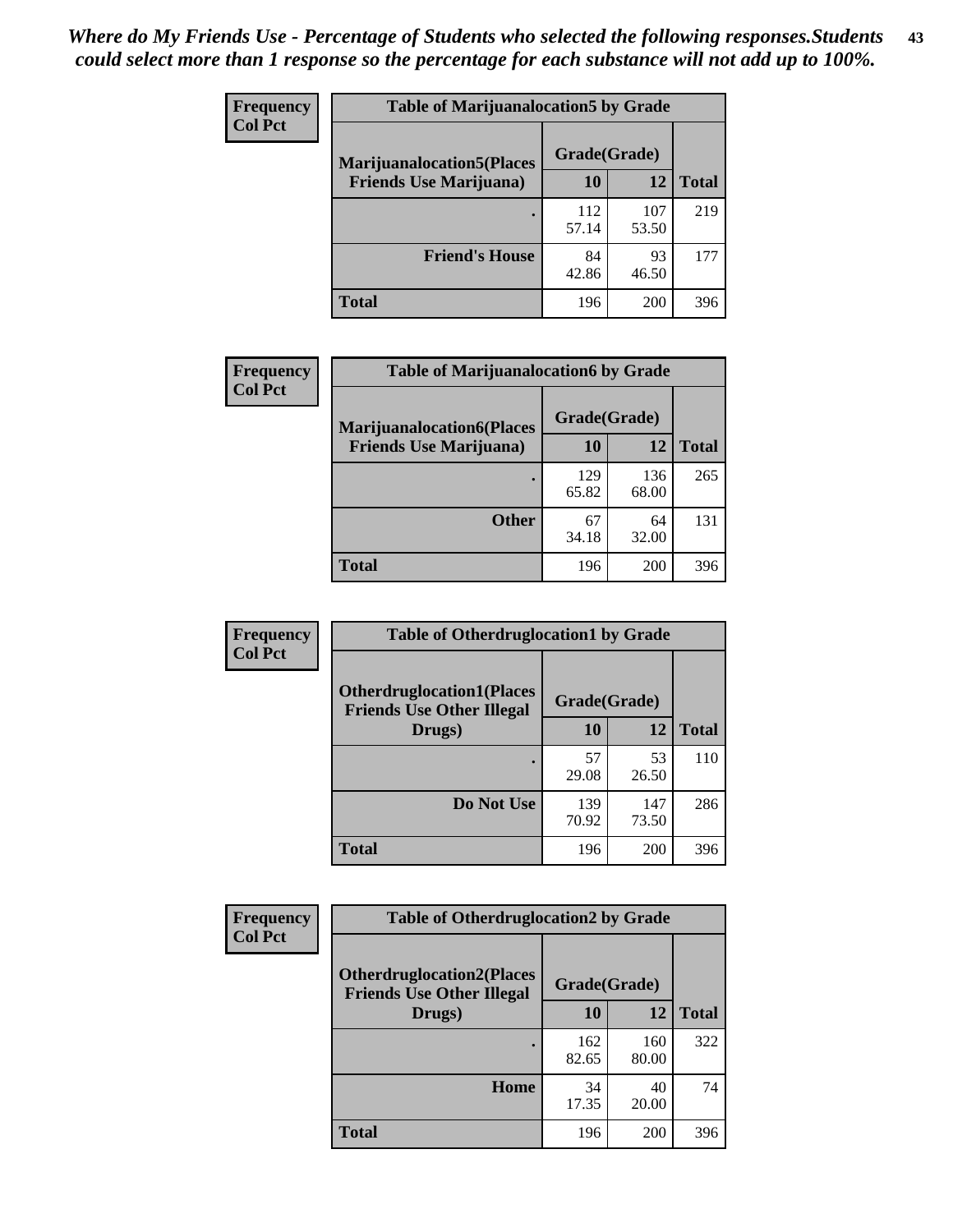| <b>Frequency</b> | <b>Table of Marijuanalocation5 by Grade</b> |              |              |              |
|------------------|---------------------------------------------|--------------|--------------|--------------|
| <b>Col Pct</b>   | <b>Marijuanalocation5</b> (Places           | Grade(Grade) |              |              |
|                  | <b>Friends Use Marijuana</b> )              | 10           | 12           | <b>Total</b> |
|                  |                                             | 112<br>57.14 | 107<br>53.50 | 219          |
|                  | <b>Friend's House</b>                       | 84<br>42.86  | 93<br>46.50  | 177          |
|                  | <b>Total</b>                                | 196          | 200          | 396          |

| <b>Frequency</b> | <b>Table of Marijuanalocation6 by Grade</b>                        |                    |              |              |
|------------------|--------------------------------------------------------------------|--------------------|--------------|--------------|
| <b>Col Pct</b>   | <b>Marijuanalocation6(Places</b><br><b>Friends Use Marijuana</b> ) | Grade(Grade)<br>10 | 12           | <b>Total</b> |
|                  |                                                                    | 129<br>65.82       | 136<br>68.00 | 265          |
|                  | <b>Other</b>                                                       | 67<br>34.18        | 64<br>32.00  | 131          |
|                  | <b>Total</b>                                                       | 196                | 200          | 396          |

| <b>Frequency</b> | <b>Table of Otherdruglocation1 by Grade</b>                          |              |              |              |
|------------------|----------------------------------------------------------------------|--------------|--------------|--------------|
| <b>Col Pct</b>   | <b>Otherdruglocation1(Places</b><br><b>Friends Use Other Illegal</b> | Grade(Grade) |              |              |
|                  | Drugs)                                                               | 10           | 12           | <b>Total</b> |
|                  |                                                                      | 57<br>29.08  | 53<br>26.50  | 110          |
|                  | Do Not Use                                                           | 139<br>70.92 | 147<br>73.50 | 286          |
|                  | <b>Total</b>                                                         | 196          | 200          | 396          |

| Frequency      | <b>Table of Otherdruglocation2 by Grade</b>                           |              |              |              |
|----------------|-----------------------------------------------------------------------|--------------|--------------|--------------|
| <b>Col Pct</b> | <b>Otherdruglocation2(Places)</b><br><b>Friends Use Other Illegal</b> | Grade(Grade) |              |              |
|                | Drugs)                                                                | 10           | 12           | <b>Total</b> |
|                |                                                                       | 162<br>82.65 | 160<br>80.00 | 322          |
|                | Home                                                                  | 34<br>17.35  | 40<br>20.00  | 74           |
|                | <b>Total</b>                                                          | 196          | 200          | 396          |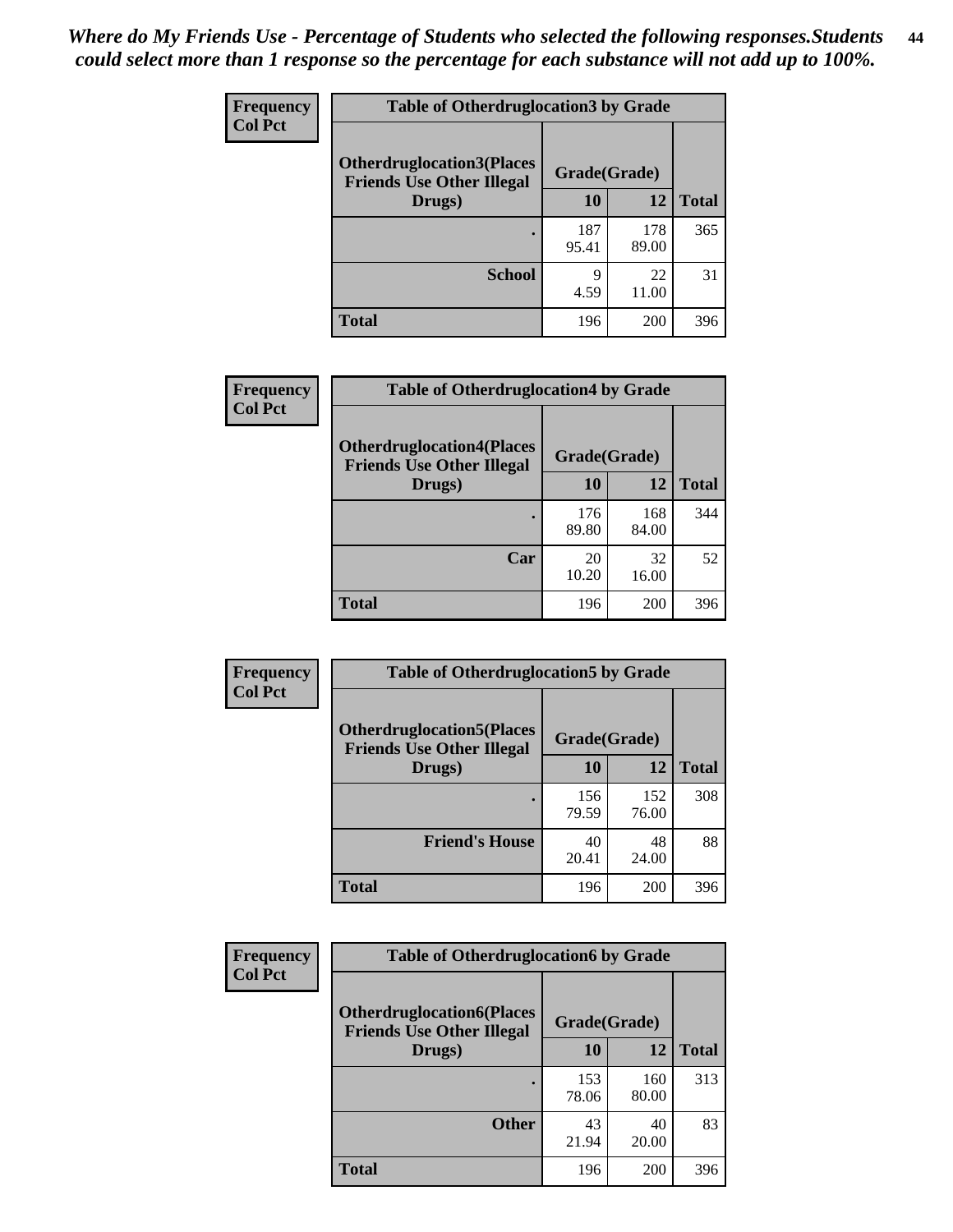| <b>Frequency</b> | <b>Table of Otherdruglocation 3 by Grade</b>                          |              |              |              |
|------------------|-----------------------------------------------------------------------|--------------|--------------|--------------|
| <b>Col Pct</b>   | <b>Otherdruglocation3(Places)</b><br><b>Friends Use Other Illegal</b> | Grade(Grade) |              |              |
|                  | Drugs)                                                                | 10           | 12           | <b>Total</b> |
|                  |                                                                       | 187<br>95.41 | 178<br>89.00 | 365          |
|                  | <b>School</b>                                                         | 9<br>4.59    | 22<br>11.00  | 31           |
|                  | <b>Total</b>                                                          | 196          | 200          | 396          |

| Frequency      | <b>Table of Otherdruglocation4 by Grade</b>                          |              |              |              |
|----------------|----------------------------------------------------------------------|--------------|--------------|--------------|
| <b>Col Pct</b> | <b>Otherdruglocation4(Places</b><br><b>Friends Use Other Illegal</b> | Grade(Grade) |              |              |
|                | Drugs)                                                               | <b>10</b>    | 12           | <b>Total</b> |
|                |                                                                      | 176<br>89.80 | 168<br>84.00 | 344          |
|                | Car                                                                  | 20<br>10.20  | 32<br>16.00  | 52           |
|                | <b>Total</b>                                                         | 196          | 200          | 396          |

| <b>Frequency</b> | <b>Table of Otherdruglocation5 by Grade</b>                          |              |              |              |
|------------------|----------------------------------------------------------------------|--------------|--------------|--------------|
| <b>Col Pct</b>   | <b>Otherdruglocation5(Places</b><br><b>Friends Use Other Illegal</b> | Grade(Grade) |              |              |
|                  | Drugs)                                                               | 10           | 12           | <b>Total</b> |
|                  |                                                                      | 156<br>79.59 | 152<br>76.00 | 308          |
|                  | <b>Friend's House</b>                                                | 40<br>20.41  | 48<br>24.00  | 88           |
|                  | <b>Total</b>                                                         | 196          | 200          | 396          |

| <b>Frequency</b> | <b>Table of Otherdruglocation6 by Grade</b>                           |              |              |              |
|------------------|-----------------------------------------------------------------------|--------------|--------------|--------------|
| <b>Col Pct</b>   | <b>Otherdruglocation6(Places)</b><br><b>Friends Use Other Illegal</b> | Grade(Grade) |              |              |
|                  | Drugs)                                                                | 10           | 12           | <b>Total</b> |
|                  |                                                                       | 153<br>78.06 | 160<br>80.00 | 313          |
|                  | <b>Other</b>                                                          | 43<br>21.94  | 40<br>20.00  | 83           |
|                  | <b>Total</b>                                                          | 196          | 200          | 396          |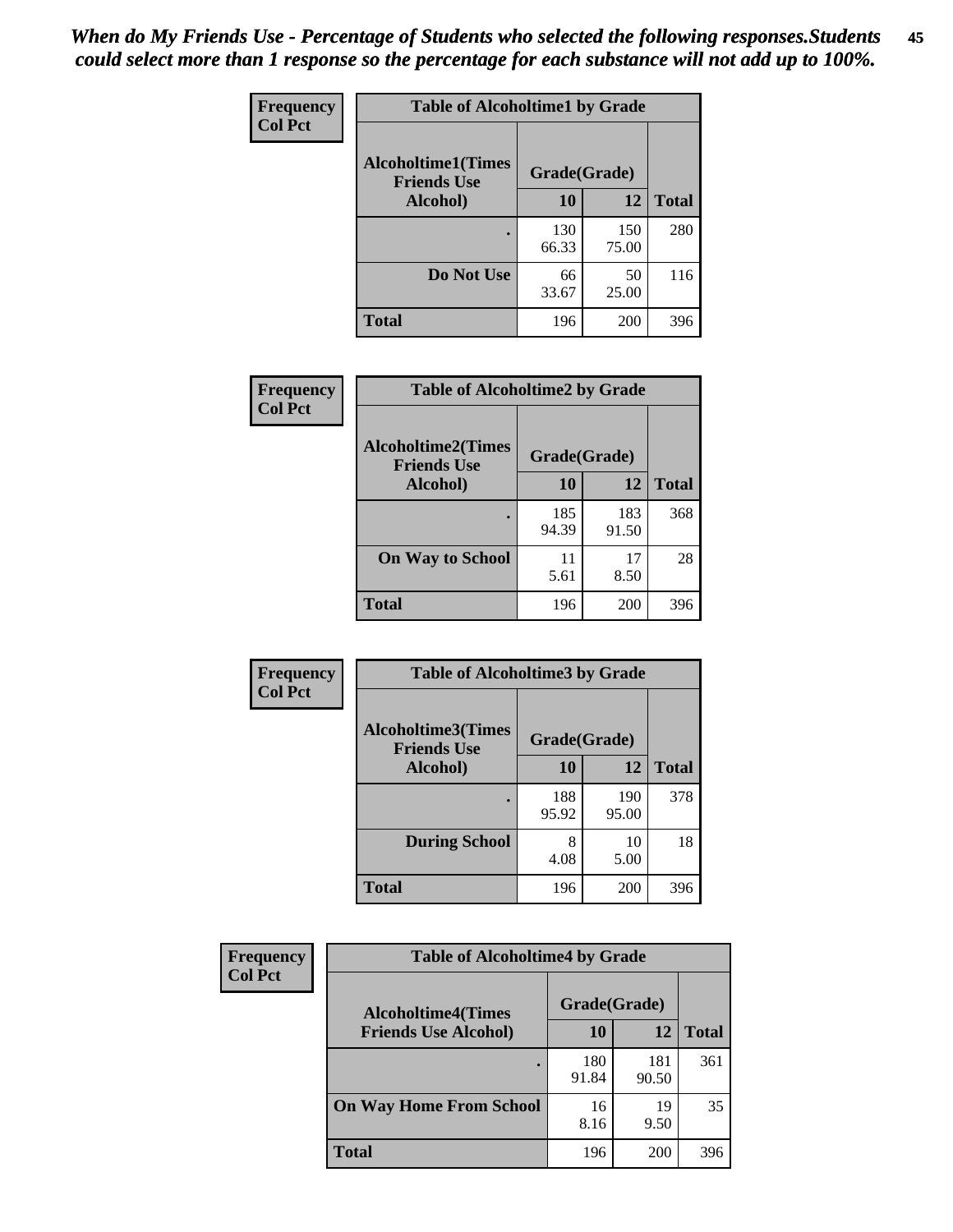| Frequency      | <b>Table of Alcoholtime1 by Grade</b>           |              |              |              |
|----------------|-------------------------------------------------|--------------|--------------|--------------|
| <b>Col Pct</b> | <b>Alcoholtime1(Times</b><br><b>Friends Use</b> | Grade(Grade) |              |              |
|                | Alcohol)                                        | <b>10</b>    | 12           | <b>Total</b> |
|                |                                                 | 130<br>66.33 | 150<br>75.00 | 280          |
|                | Do Not Use                                      | 66<br>33.67  | 50<br>25.00  | 116          |
|                | <b>Total</b>                                    | 196          | 200          | 396          |

| <b>Frequency</b> | <b>Table of Alcoholtime2 by Grade</b>           |              |              |              |
|------------------|-------------------------------------------------|--------------|--------------|--------------|
| <b>Col Pct</b>   | <b>Alcoholtime2(Times</b><br><b>Friends Use</b> | Grade(Grade) |              |              |
|                  | Alcohol)                                        | 10           | 12           | <b>Total</b> |
|                  |                                                 | 185<br>94.39 | 183<br>91.50 | 368          |
|                  | <b>On Way to School</b>                         | 11<br>5.61   | 17<br>8.50   | 28           |
|                  | <b>Total</b>                                    | 196          | 200          | 396          |

| Frequency<br><b>Col Pct</b> | <b>Table of Alcoholtime3 by Grade</b>           |              |              |              |
|-----------------------------|-------------------------------------------------|--------------|--------------|--------------|
|                             | <b>Alcoholtime3(Times</b><br><b>Friends Use</b> | Grade(Grade) |              |              |
|                             | Alcohol)                                        | 10           | 12           | <b>Total</b> |
|                             |                                                 | 188<br>95.92 | 190<br>95.00 | 378          |
|                             | <b>During School</b>                            | 8<br>4.08    | 10<br>5.00   | 18           |
|                             | Total                                           | 196          | 200          | 396          |

| <b>Frequency</b><br><b>Col Pct</b> | <b>Table of Alcoholtime4 by Grade</b>     |              |              |              |
|------------------------------------|-------------------------------------------|--------------|--------------|--------------|
|                                    | Grade(Grade)<br><b>Alcoholtime4(Times</b> |              |              |              |
|                                    | <b>Friends Use Alcohol)</b>               | 10           | 12           | <b>Total</b> |
|                                    |                                           | 180<br>91.84 | 181<br>90.50 | 361          |
|                                    | <b>On Way Home From School</b>            | 16<br>8.16   | 19<br>9.50   | 35           |
|                                    | <b>Total</b>                              | 196          | 200          | 396          |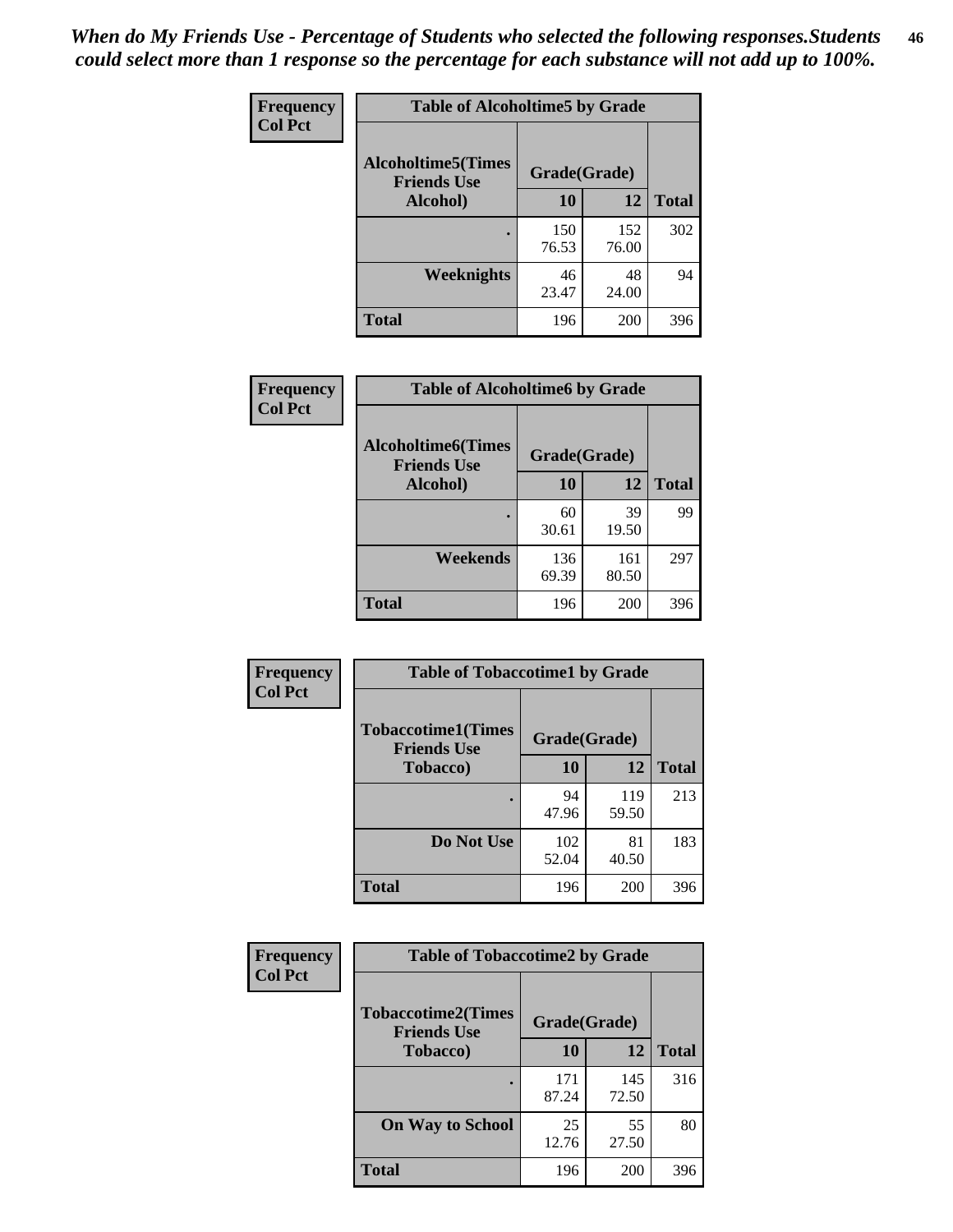*When do My Friends Use - Percentage of Students who selected the following responses.Students could select more than 1 response so the percentage for each substance will not add up to 100%.* **46**

| Frequency      | <b>Table of Alcoholtime5 by Grade</b>            |              |              |              |
|----------------|--------------------------------------------------|--------------|--------------|--------------|
| <b>Col Pct</b> | <b>Alcoholtime5</b> (Times<br><b>Friends Use</b> | Grade(Grade) |              |              |
|                | Alcohol)                                         | 10           | 12           | <b>Total</b> |
|                |                                                  | 150<br>76.53 | 152<br>76.00 | 302          |
|                | Weeknights                                       | 46<br>23.47  | 48<br>24.00  | 94           |
|                | <b>Total</b>                                     | 196          | 200          | 396          |

| Frequency      | <b>Table of Alcoholtime6 by Grade</b>                           |              |              |              |
|----------------|-----------------------------------------------------------------|--------------|--------------|--------------|
| <b>Col Pct</b> | <b>Alcoholtime6(Times</b><br>Grade(Grade)<br><b>Friends Use</b> |              |              |              |
|                | Alcohol)                                                        | 10           | 12           | <b>Total</b> |
|                |                                                                 | 60<br>30.61  | 39<br>19.50  | 99           |
|                | Weekends                                                        | 136<br>69.39 | 161<br>80.50 | 297          |
|                | <b>Total</b>                                                    | 196          | 200          | 396          |

| Frequency      | <b>Table of Tobaccotime1 by Grade</b>                           |              |              |              |
|----------------|-----------------------------------------------------------------|--------------|--------------|--------------|
| <b>Col Pct</b> | <b>Tobaccotime1(Times</b><br>Grade(Grade)<br><b>Friends Use</b> |              |              |              |
|                | <b>Tobacco</b> )                                                | 10           | 12           | <b>Total</b> |
|                |                                                                 | 94<br>47.96  | 119<br>59.50 | 213          |
|                | Do Not Use                                                      | 102<br>52.04 | 81<br>40.50  | 183          |
|                | <b>Total</b>                                                    | 196          | 200          | 396          |

| <b>Frequency</b> | <b>Table of Tobaccotime2 by Grade</b>           |              |              |              |
|------------------|-------------------------------------------------|--------------|--------------|--------------|
| <b>Col Pct</b>   | <b>Tobaccotime2(Times</b><br><b>Friends Use</b> | Grade(Grade) |              |              |
|                  | <b>Tobacco</b> )                                | 10           | 12           | <b>Total</b> |
|                  |                                                 | 171<br>87.24 | 145<br>72.50 | 316          |
|                  | <b>On Way to School</b>                         | 25<br>12.76  | 55<br>27.50  | 80           |
|                  | <b>Total</b>                                    | 196          | 200          | 396          |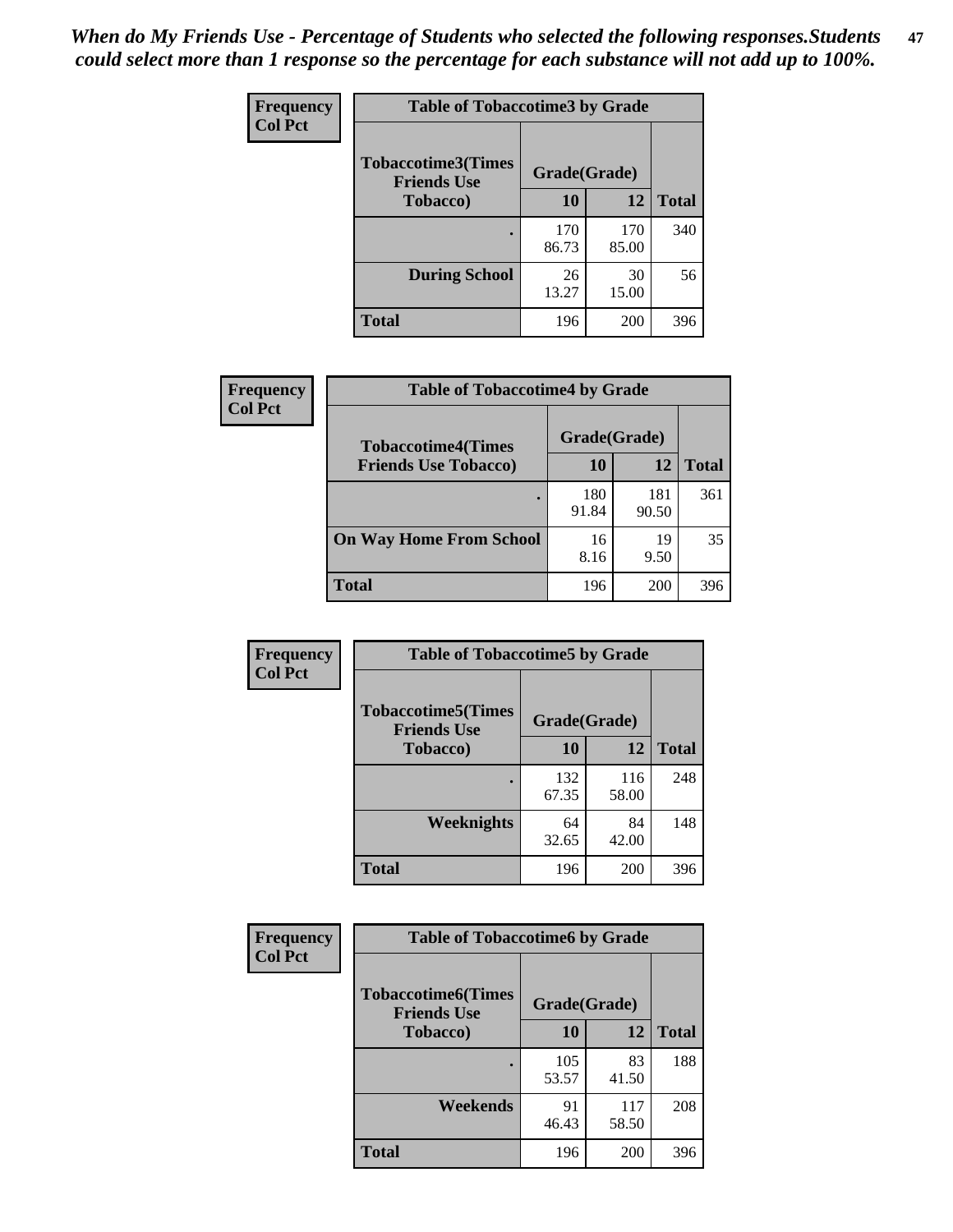*When do My Friends Use - Percentage of Students who selected the following responses.Students could select more than 1 response so the percentage for each substance will not add up to 100%.* **47**

| <b>Frequency</b> | <b>Table of Tobaccotime3 by Grade</b>           |              |              |              |  |
|------------------|-------------------------------------------------|--------------|--------------|--------------|--|
| <b>Col Pct</b>   | <b>Tobaccotime3(Times</b><br><b>Friends Use</b> | Grade(Grade) |              |              |  |
|                  | <b>Tobacco</b> )                                | 10           | 12           | <b>Total</b> |  |
|                  |                                                 | 170<br>86.73 | 170<br>85.00 | 340          |  |
|                  | <b>During School</b>                            | 26<br>13.27  | 30<br>15.00  | 56           |  |
|                  | <b>Total</b>                                    | 196          | 200          | 396          |  |

| Frequency<br><b>Col Pct</b> | <b>Table of Tobaccotime4 by Grade</b> |              |              |              |
|-----------------------------|---------------------------------------|--------------|--------------|--------------|
|                             | <b>Tobaccotime4(Times</b>             | Grade(Grade) |              |              |
|                             | <b>Friends Use Tobacco)</b>           | 10           | 12           | <b>Total</b> |
|                             |                                       | 180<br>91.84 | 181<br>90.50 | 361          |
|                             | <b>On Way Home From School</b>        | 16<br>8.16   | 19<br>9.50   | 35           |
|                             | Total                                 | 196          | 200          | 396          |

| Frequency      | <b>Table of Tobaccotime5 by Grade</b>                           |              |              |              |
|----------------|-----------------------------------------------------------------|--------------|--------------|--------------|
| <b>Col Pct</b> | <b>Tobaccotime5(Times</b><br>Grade(Grade)<br><b>Friends Use</b> |              |              |              |
|                | <b>Tobacco</b> )                                                | 10           | 12           | <b>Total</b> |
|                |                                                                 | 132<br>67.35 | 116<br>58.00 | 248          |
|                | Weeknights                                                      | 64<br>32.65  | 84<br>42.00  | 148          |
|                | <b>Total</b>                                                    | 196          | 200          | 396          |

| Frequency<br><b>Col Pct</b> | <b>Table of Tobaccotime6 by Grade</b>           |              |              |              |  |
|-----------------------------|-------------------------------------------------|--------------|--------------|--------------|--|
|                             | <b>Tobaccotime6(Times</b><br><b>Friends Use</b> | Grade(Grade) |              |              |  |
|                             | <b>Tobacco</b> )                                | 10           | 12           | <b>Total</b> |  |
|                             |                                                 | 105<br>53.57 | 83<br>41.50  | 188          |  |
|                             | Weekends                                        | 91<br>46.43  | 117<br>58.50 | 208          |  |
|                             | <b>Total</b>                                    | 196          | 200          | 396          |  |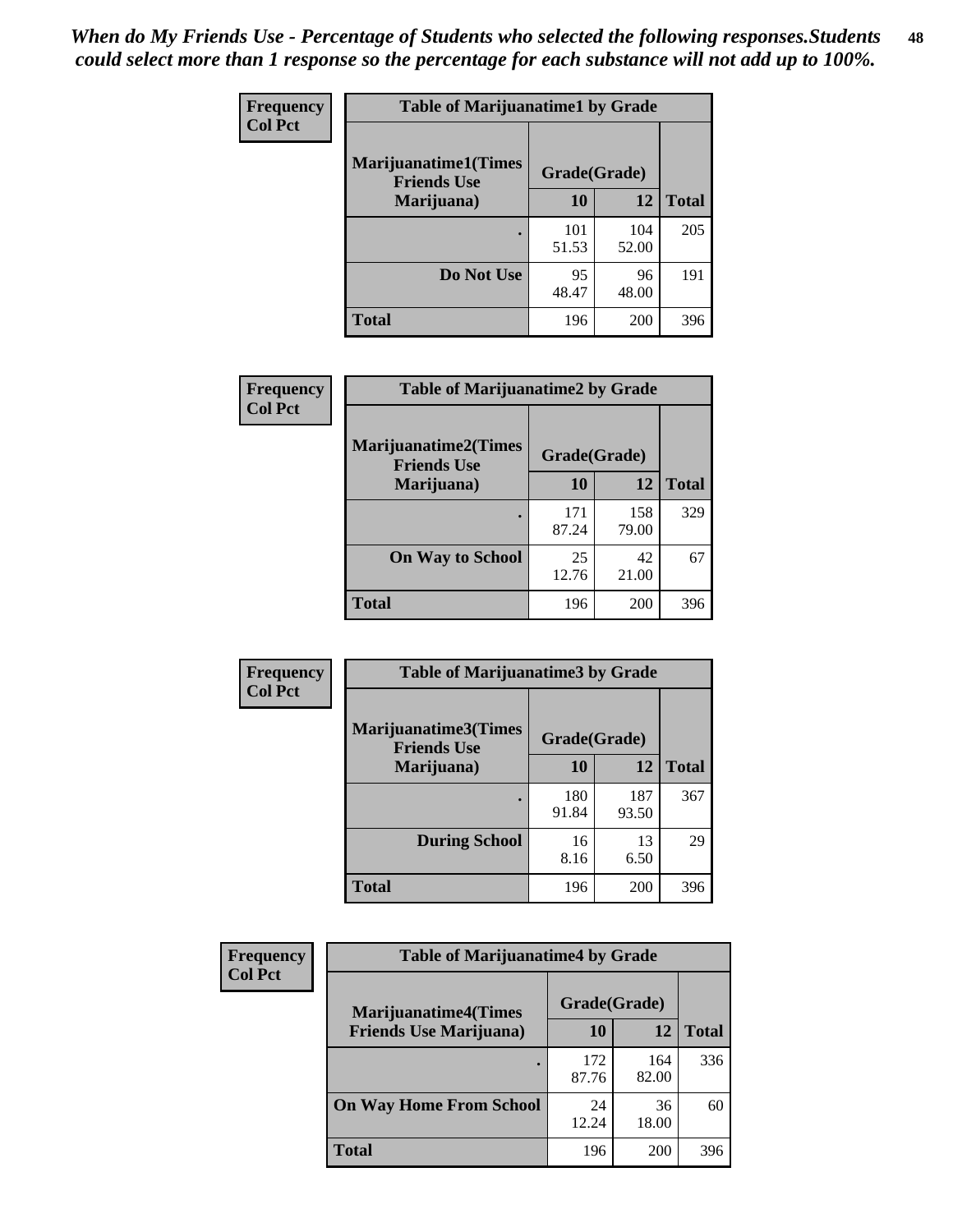| Frequency      | <b>Table of Marijuanatime1 by Grade</b>           |              |              |              |
|----------------|---------------------------------------------------|--------------|--------------|--------------|
| <b>Col Pct</b> | <b>Marijuanatime1(Times</b><br><b>Friends Use</b> | Grade(Grade) |              |              |
|                | Marijuana)                                        | 10           | 12           | <b>Total</b> |
|                |                                                   | 101<br>51.53 | 104<br>52.00 | 205          |
|                | Do Not Use                                        | 95<br>48.47  | 96<br>48.00  | 191          |
|                | <b>Total</b>                                      | 196          | 200          | 396          |

| Frequency      | <b>Table of Marijuanatime2 by Grade</b>           |              |              |              |
|----------------|---------------------------------------------------|--------------|--------------|--------------|
| <b>Col Pct</b> | <b>Marijuanatime2(Times</b><br><b>Friends Use</b> | Grade(Grade) |              |              |
|                | Marijuana)                                        | 10           | 12           | <b>Total</b> |
|                |                                                   | 171<br>87.24 | 158<br>79.00 | 329          |
|                | <b>On Way to School</b>                           | 25<br>12.76  | 42<br>21.00  | 67           |
|                | <b>Total</b>                                      | 196          | 200          | 396          |

| <b>Frequency</b> | <b>Table of Marijuanatime3 by Grade</b>    |              |              |              |  |
|------------------|--------------------------------------------|--------------|--------------|--------------|--|
| <b>Col Pct</b>   | Marijuanatime3(Times<br><b>Friends Use</b> | Grade(Grade) |              |              |  |
|                  | Marijuana)                                 | 10           | 12           | <b>Total</b> |  |
|                  |                                            | 180<br>91.84 | 187<br>93.50 | 367          |  |
|                  | <b>During School</b>                       | 16<br>8.16   | 13<br>6.50   | 29           |  |
|                  | <b>Total</b>                               | 196          | 200          | 396          |  |

| <b>Frequency</b><br><b>Col Pct</b> | <b>Table of Marijuanatime4 by Grade</b> |              |              |       |
|------------------------------------|-----------------------------------------|--------------|--------------|-------|
|                                    | <b>Marijuanatime4</b> (Times            | Grade(Grade) |              |       |
|                                    | <b>Friends Use Marijuana</b> )          | 10           | 12           | Total |
|                                    |                                         | 172<br>87.76 | 164<br>82.00 | 336   |
|                                    | <b>On Way Home From School</b>          | 24<br>12.24  | 36<br>18.00  | 60    |
|                                    | <b>Total</b>                            | 196          | 200          | 396   |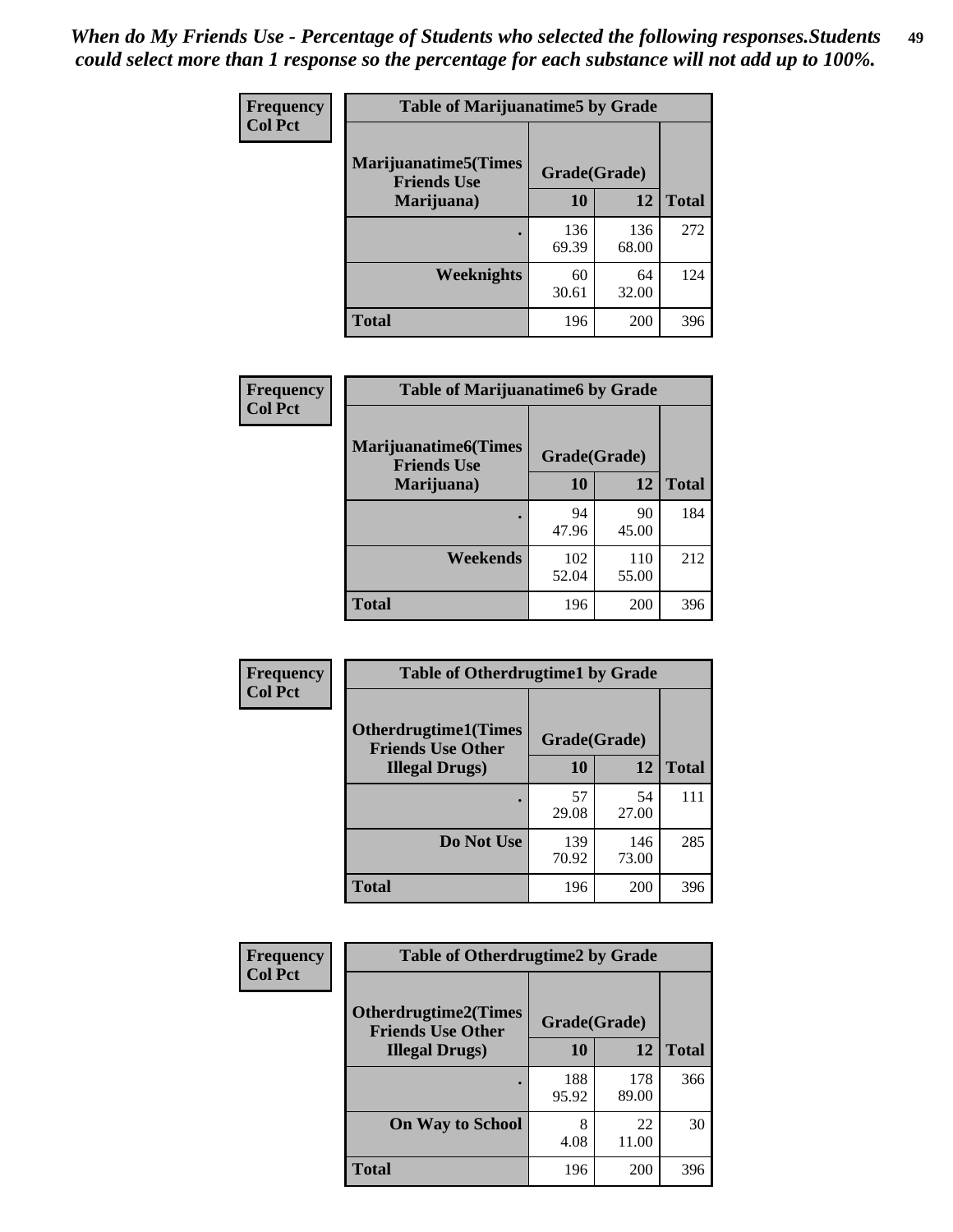| Frequency      | <b>Table of Marijuanatime5 by Grade</b>            |              |              |              |  |
|----------------|----------------------------------------------------|--------------|--------------|--------------|--|
| <b>Col Pct</b> | <b>Marijuanatime5</b> (Times<br><b>Friends Use</b> | Grade(Grade) |              |              |  |
|                | Marijuana)                                         | 10           | 12           | <b>Total</b> |  |
|                |                                                    | 136<br>69.39 | 136<br>68.00 | 272          |  |
|                | Weeknights                                         | 60<br>30.61  | 64<br>32.00  | 124          |  |
|                | <b>Total</b>                                       | 196          | 200          | 396          |  |

| Frequency      | <b>Table of Marijuanatime6 by Grade</b>            |              |              |              |
|----------------|----------------------------------------------------|--------------|--------------|--------------|
| <b>Col Pct</b> | <b>Marijuanatime6</b> (Times<br><b>Friends Use</b> | Grade(Grade) |              |              |
|                | Marijuana)                                         | 10           | 12           | <b>Total</b> |
|                |                                                    | 94<br>47.96  | 90<br>45.00  | 184          |
|                | Weekends                                           | 102<br>52.04 | 110<br>55.00 | 212          |
|                | <b>Total</b>                                       | 196          | 200          | 396          |

| <b>Frequency</b> | <b>Table of Otherdrugtime1 by Grade</b>                 |              |              |              |  |
|------------------|---------------------------------------------------------|--------------|--------------|--------------|--|
| <b>Col Pct</b>   | <b>Otherdrugtime1(Times</b><br><b>Friends Use Other</b> | Grade(Grade) |              |              |  |
|                  | <b>Illegal Drugs</b> )                                  | 10           | 12           | <b>Total</b> |  |
|                  |                                                         | 57<br>29.08  | 54<br>27.00  | 111          |  |
|                  | Do Not Use                                              | 139<br>70.92 | 146<br>73.00 | 285          |  |
|                  | Total                                                   | 196          | 200          | 396          |  |

| Frequency      | <b>Table of Otherdrugtime2 by Grade</b>                 |              |              |              |  |  |  |
|----------------|---------------------------------------------------------|--------------|--------------|--------------|--|--|--|
| <b>Col Pct</b> | <b>Otherdrugtime2(Times</b><br><b>Friends Use Other</b> | Grade(Grade) |              |              |  |  |  |
|                | <b>Illegal Drugs</b> )                                  | 10           | 12           | <b>Total</b> |  |  |  |
|                |                                                         | 188<br>95.92 | 178<br>89.00 | 366          |  |  |  |
|                | <b>On Way to School</b>                                 | 8<br>4.08    | 22<br>11.00  | 30           |  |  |  |
|                | Total                                                   | 196          | 200          | 396          |  |  |  |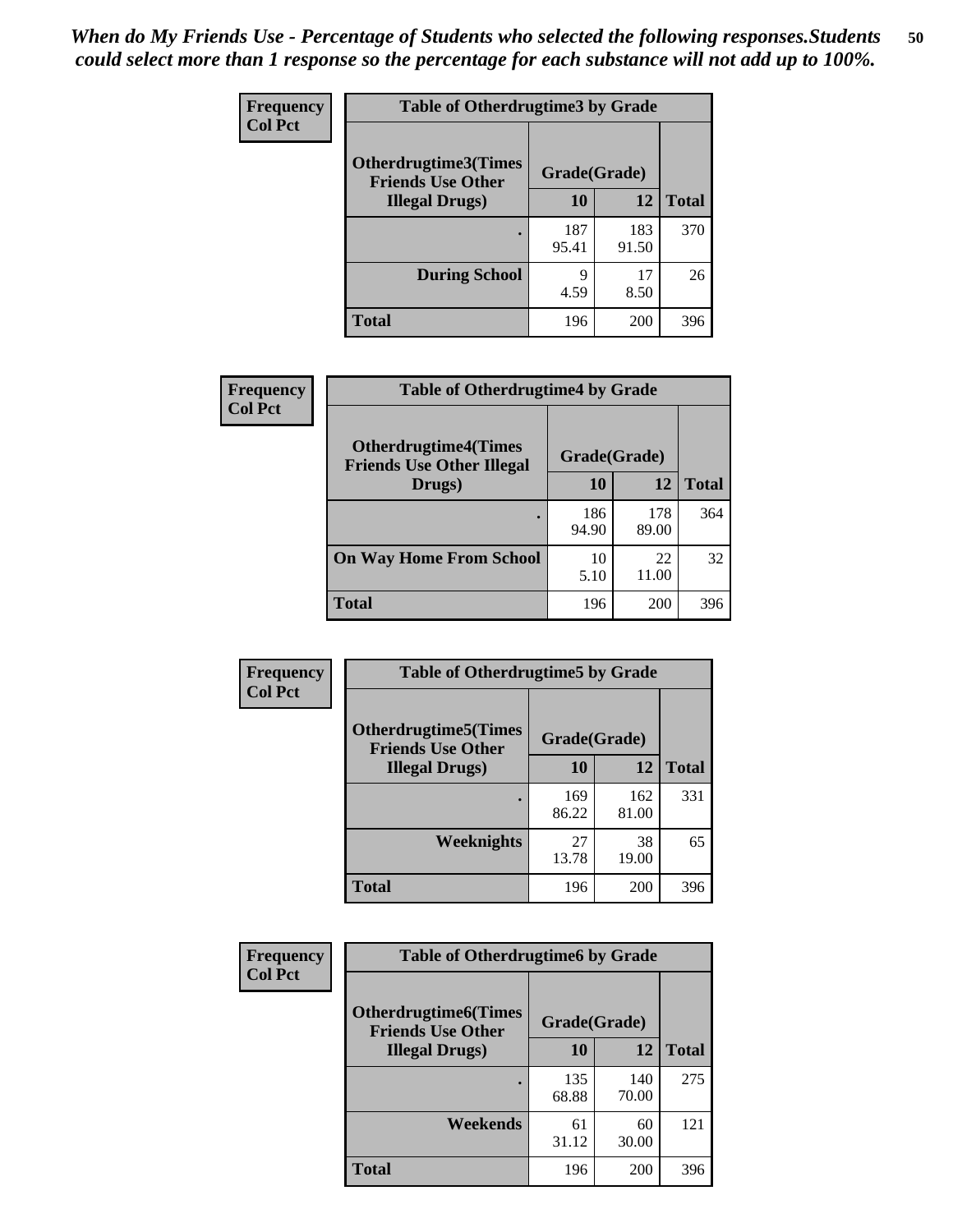| <b>Frequency</b> | <b>Table of Otherdrugtime3 by Grade</b>                 |              |              |              |  |  |
|------------------|---------------------------------------------------------|--------------|--------------|--------------|--|--|
| <b>Col Pct</b>   | <b>Otherdrugtime3(Times</b><br><b>Friends Use Other</b> | Grade(Grade) |              |              |  |  |
|                  | <b>Illegal Drugs</b> )                                  | 10           | 12           | <b>Total</b> |  |  |
|                  |                                                         | 187<br>95.41 | 183<br>91.50 | 370          |  |  |
|                  | <b>During School</b>                                    | 9<br>4.59    | 17<br>8.50   | 26           |  |  |
|                  | <b>Total</b>                                            | 196          | 200          | 396          |  |  |

| <b>Frequency</b> | <b>Table of Otherdrugtime4 by Grade</b>                         |              |              |              |  |  |
|------------------|-----------------------------------------------------------------|--------------|--------------|--------------|--|--|
| <b>Col Pct</b>   | <b>Otherdrugtime4(Times</b><br><b>Friends Use Other Illegal</b> | Grade(Grade) |              |              |  |  |
|                  | Drugs)                                                          | 10           | 12           | <b>Total</b> |  |  |
|                  |                                                                 | 186<br>94.90 | 178<br>89.00 | 364          |  |  |
|                  | <b>On Way Home From School</b>                                  | 10<br>5.10   | 22<br>11.00  | 32           |  |  |
|                  | <b>Total</b>                                                    | 196          | 200          | 396          |  |  |

| <b>Frequency</b><br><b>Col Pct</b> | <b>Table of Otherdrugtime5 by Grade</b>                  |              |              |              |  |  |
|------------------------------------|----------------------------------------------------------|--------------|--------------|--------------|--|--|
|                                    | <b>Otherdrugtime5</b> (Times<br><b>Friends Use Other</b> | Grade(Grade) |              |              |  |  |
|                                    | <b>Illegal Drugs</b> )                                   | 10           | 12           | <b>Total</b> |  |  |
|                                    |                                                          | 169<br>86.22 | 162<br>81.00 | 331          |  |  |
|                                    | Weeknights                                               | 27<br>13.78  | 38<br>19.00  | 65           |  |  |
|                                    | Total                                                    | 196          | 200          | 396          |  |  |

| <b>Frequency</b> | <b>Table of Otherdrugtime6 by Grade</b>                  |              |              |              |  |  |
|------------------|----------------------------------------------------------|--------------|--------------|--------------|--|--|
| <b>Col Pct</b>   | <b>Otherdrugtime6</b> (Times<br><b>Friends Use Other</b> | Grade(Grade) |              |              |  |  |
|                  | <b>Illegal Drugs</b> )                                   | 10           | 12           | <b>Total</b> |  |  |
|                  |                                                          | 135<br>68.88 | 140<br>70.00 | 275          |  |  |
|                  | Weekends                                                 | 61<br>31.12  | 60<br>30.00  | 121          |  |  |
|                  | <b>Total</b>                                             | 196          | 200          | 396          |  |  |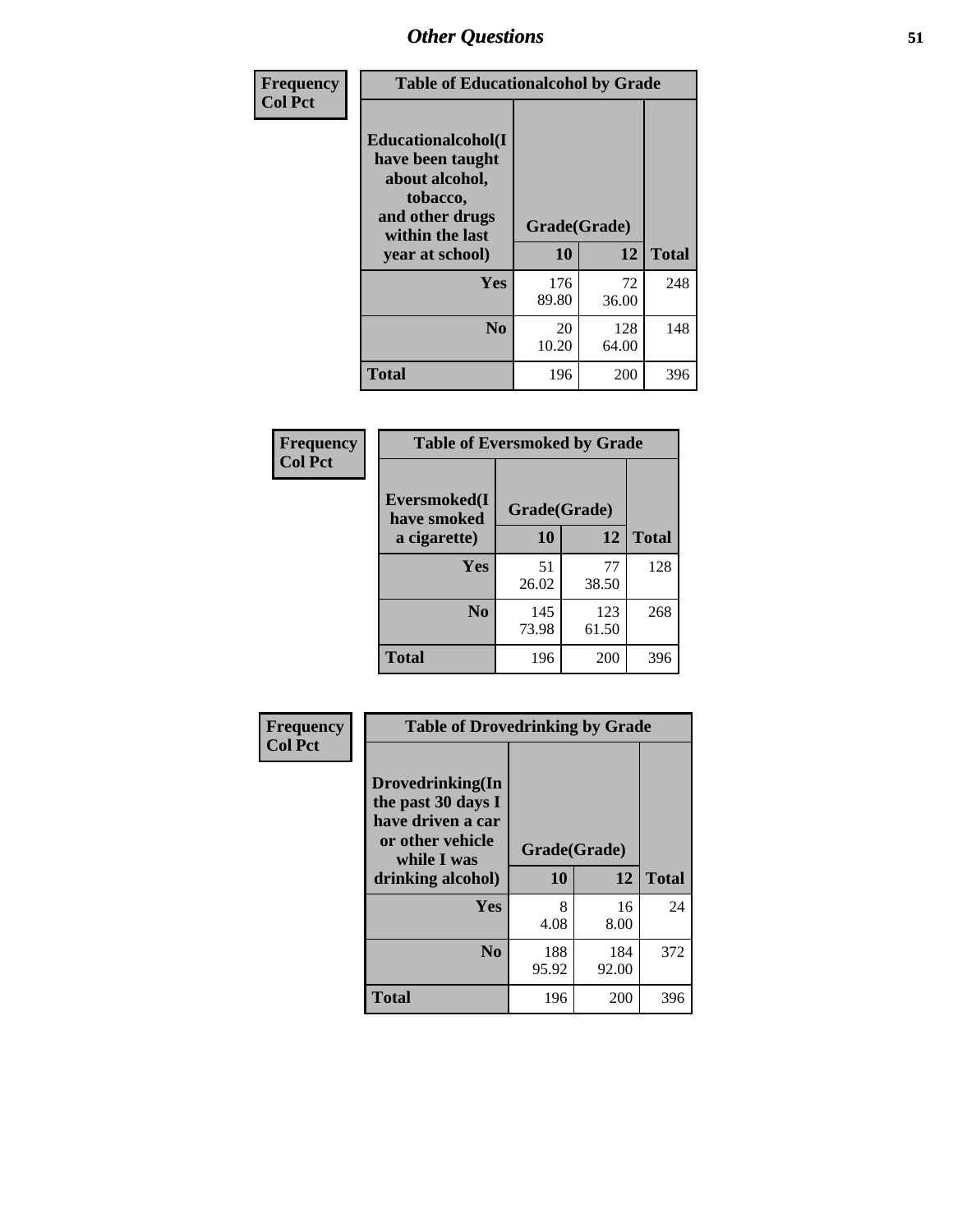| Frequency      | <b>Table of Educationalcohol by Grade</b>                                                                  |              |              |              |  |
|----------------|------------------------------------------------------------------------------------------------------------|--------------|--------------|--------------|--|
| <b>Col Pct</b> | Educationalcohol(I<br>have been taught<br>about alcohol,<br>tobacco,<br>and other drugs<br>within the last | Grade(Grade) |              |              |  |
|                | year at school)                                                                                            | 10           | 12           | <b>Total</b> |  |
|                | <b>Yes</b>                                                                                                 | 176<br>89.80 | 72<br>36.00  | 248          |  |
|                | N <sub>0</sub>                                                                                             | 20<br>10.20  | 128<br>64.00 | 148          |  |
|                | <b>Total</b>                                                                                               | 196          | 200          | 396          |  |

| Frequency      | <b>Table of Eversmoked by Grade</b> |              |              |              |  |  |
|----------------|-------------------------------------|--------------|--------------|--------------|--|--|
| <b>Col Pct</b> | Eversmoked(I<br>have smoked         | Grade(Grade) |              |              |  |  |
|                | a cigarette)                        | 10           | 12           | <b>Total</b> |  |  |
|                | Yes                                 | 51<br>26.02  | 77<br>38.50  | 128          |  |  |
|                | N <sub>0</sub>                      | 145<br>73.98 | 123<br>61.50 | 268          |  |  |
|                | Total                               | 196          | 200          | 396          |  |  |

| Frequency      | <b>Table of Drovedrinking by Grade</b>                                                                              |                    |              |              |  |
|----------------|---------------------------------------------------------------------------------------------------------------------|--------------------|--------------|--------------|--|
| <b>Col Pct</b> | Drovedrinking(In<br>the past 30 days I<br>have driven a car<br>or other vehicle<br>while I was<br>drinking alcohol) | Grade(Grade)<br>10 | 12           | <b>Total</b> |  |
|                | <b>Yes</b>                                                                                                          | 8<br>4.08          | 16<br>8.00   | 24           |  |
|                | N <sub>0</sub>                                                                                                      | 188<br>95.92       | 184<br>92.00 | 372          |  |
|                | <b>Total</b>                                                                                                        | 196                | 200          | 396          |  |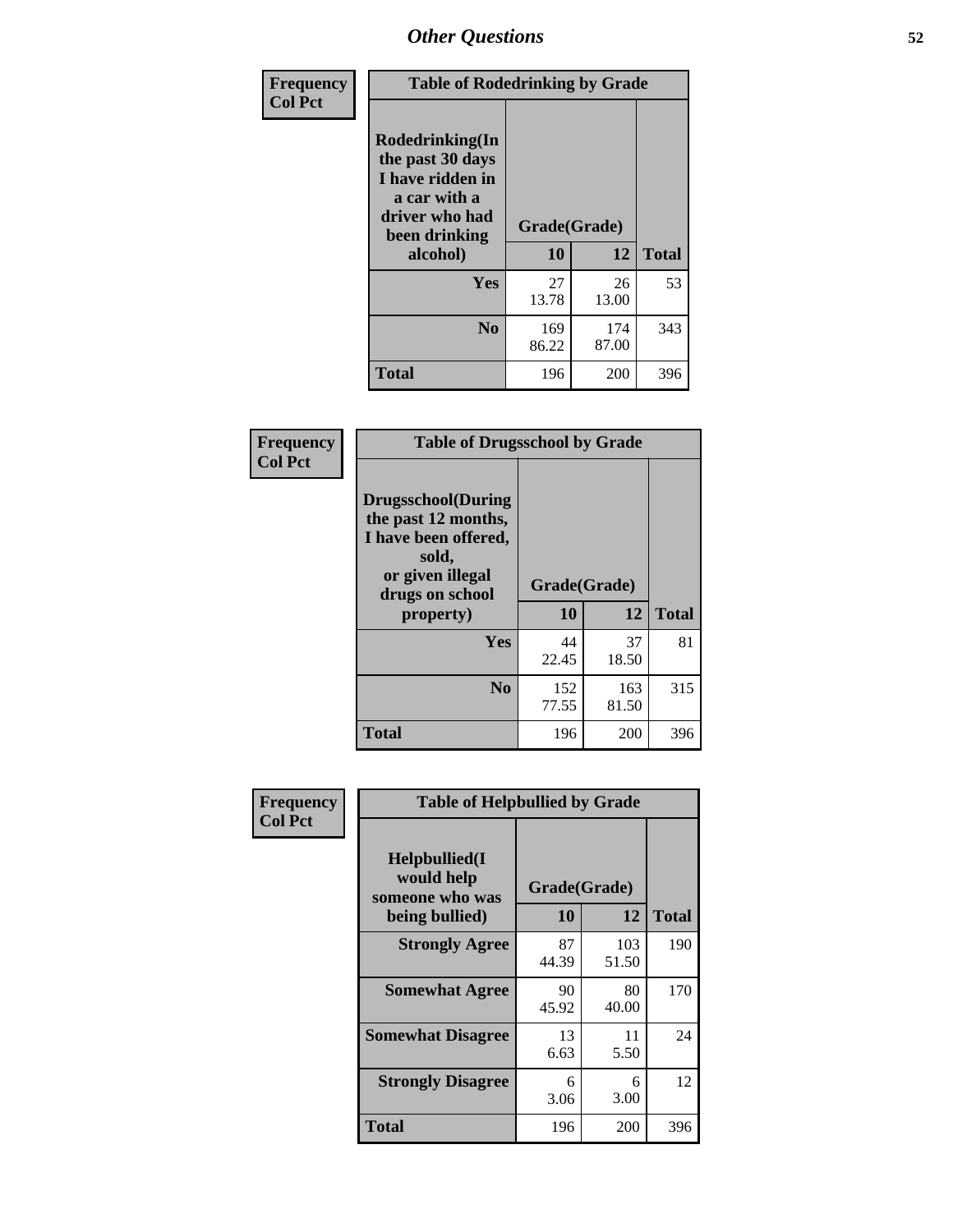| Frequency<br><b>Col Pct</b> | <b>Table of Rodedrinking by Grade</b>                                                                      |              |              |              |  |  |
|-----------------------------|------------------------------------------------------------------------------------------------------------|--------------|--------------|--------------|--|--|
|                             | Rodedrinking(In<br>the past 30 days<br>I have ridden in<br>a car with a<br>driver who had<br>been drinking | Grade(Grade) |              |              |  |  |
|                             | alcohol)                                                                                                   | 10           | 12           | <b>Total</b> |  |  |
|                             | Yes                                                                                                        | 27<br>13.78  | 26<br>13.00  | 53           |  |  |
|                             | N <sub>0</sub>                                                                                             | 169<br>86.22 | 174<br>87.00 | 343          |  |  |
|                             | <b>Total</b>                                                                                               | 196          | 200          | 396          |  |  |

#### **Frequency Col Pct**

| <b>Table of Drugsschool by Grade</b>                                                                                      |              |       |              |  |  |  |
|---------------------------------------------------------------------------------------------------------------------------|--------------|-------|--------------|--|--|--|
| <b>Drugsschool</b> (During<br>the past 12 months,<br>I have been offered,<br>sold,<br>or given illegal<br>drugs on school | Grade(Grade) |       |              |  |  |  |
| property)                                                                                                                 | 10           | 12    | <b>Total</b> |  |  |  |
|                                                                                                                           |              |       |              |  |  |  |
| Yes                                                                                                                       | 44           | 37    | 81           |  |  |  |
|                                                                                                                           | 22.45        | 18.50 |              |  |  |  |
| N <sub>0</sub>                                                                                                            | 152          | 163   | 315          |  |  |  |
|                                                                                                                           | 77.55        | 81.50 |              |  |  |  |

| Frequency      | <b>Table of Helpbullied by Grade</b>                 |              |              |              |  |  |  |
|----------------|------------------------------------------------------|--------------|--------------|--------------|--|--|--|
| <b>Col Pct</b> | $Helpb$ ullied $(I$<br>would help<br>someone who was | Grade(Grade) |              |              |  |  |  |
|                | being bullied)                                       | <b>10</b>    | 12           | <b>Total</b> |  |  |  |
|                | <b>Strongly Agree</b>                                | 87<br>44.39  | 103<br>51.50 | 190          |  |  |  |
|                | <b>Somewhat Agree</b>                                | 90<br>45.92  | 80<br>40.00  | 170          |  |  |  |
|                | <b>Somewhat Disagree</b>                             | 13<br>6.63   | 11<br>5.50   | 24           |  |  |  |
|                | <b>Strongly Disagree</b>                             | 6<br>3.06    | 6<br>3.00    | 12           |  |  |  |
|                | <b>Total</b>                                         | 196          | 200          | 396          |  |  |  |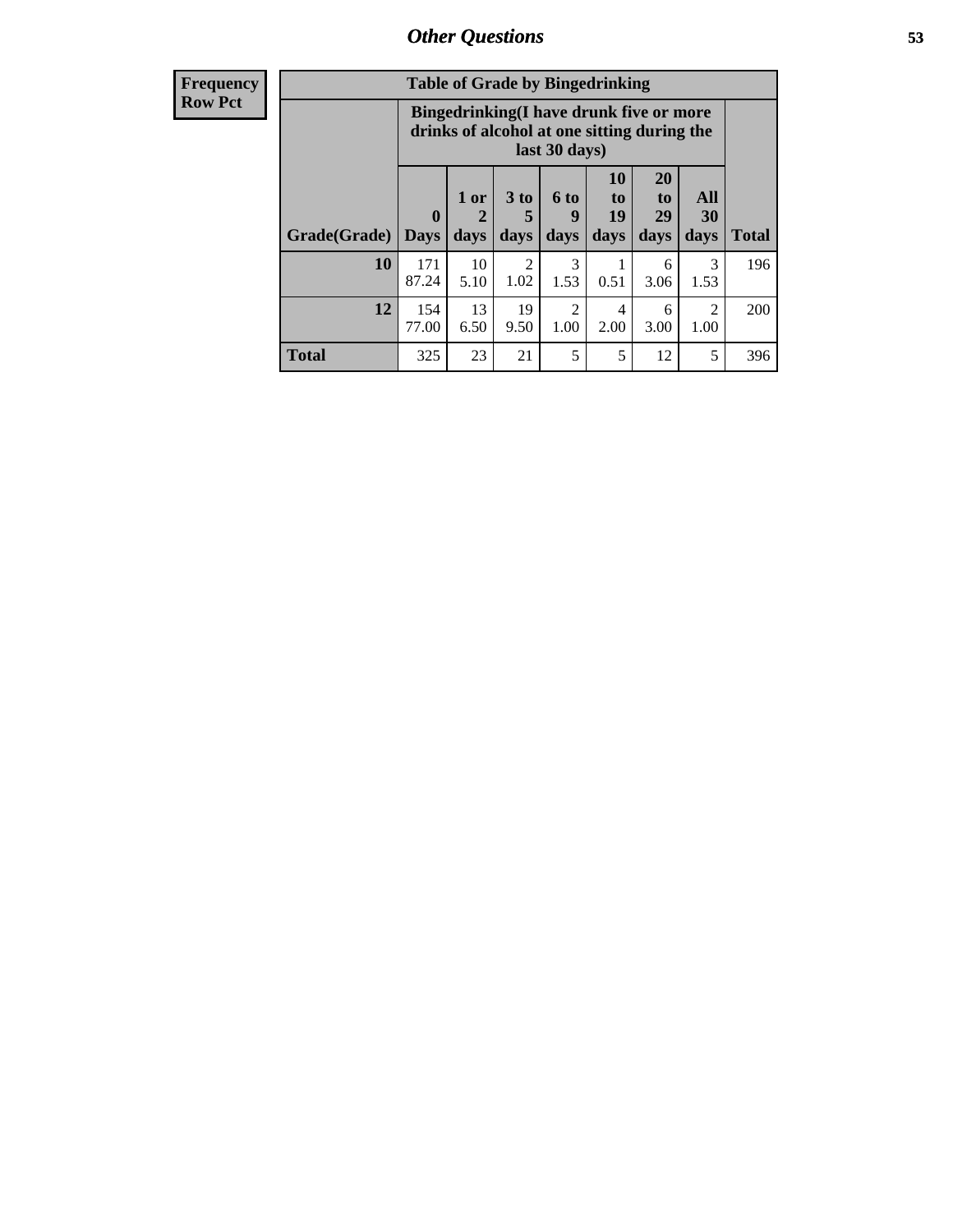10 5.10

13 6.50

2 1.02

19 9.50

**Total** 325 23 21 5 5 12 5 396

3 1.53

2 1.00

| <b>Frequency</b> |                            |                                                                                                         |        | <b>Table of Grade by Bingedrinking</b> |                  |                |                       |                  |
|------------------|----------------------------|---------------------------------------------------------------------------------------------------------|--------|----------------------------------------|------------------|----------------|-----------------------|------------------|
| <b>Row Pct</b>   |                            | Bingedrinking(I have drunk five or more<br>drinks of alcohol at one sitting during the<br>last 30 days) |        |                                        |                  |                |                       |                  |
|                  |                            | $\mathbf{0}$                                                                                            | $1$ or | 3 to                                   | 6 to<br><b>Q</b> | 10<br>to<br>19 | <b>20</b><br>to<br>29 | <b>All</b><br>30 |
|                  | Grade(Grade)   Days   days |                                                                                                         |        | days                                   | $ $ days $ $     | days           | days                  | days             |

**10** 171 87.24

**12** 154 77.00 **Total**

196

200

1 0.51

4 2.00

> 6 3.06

> 6 3.00

**All 30 days**

> 3 1.53

2 1.00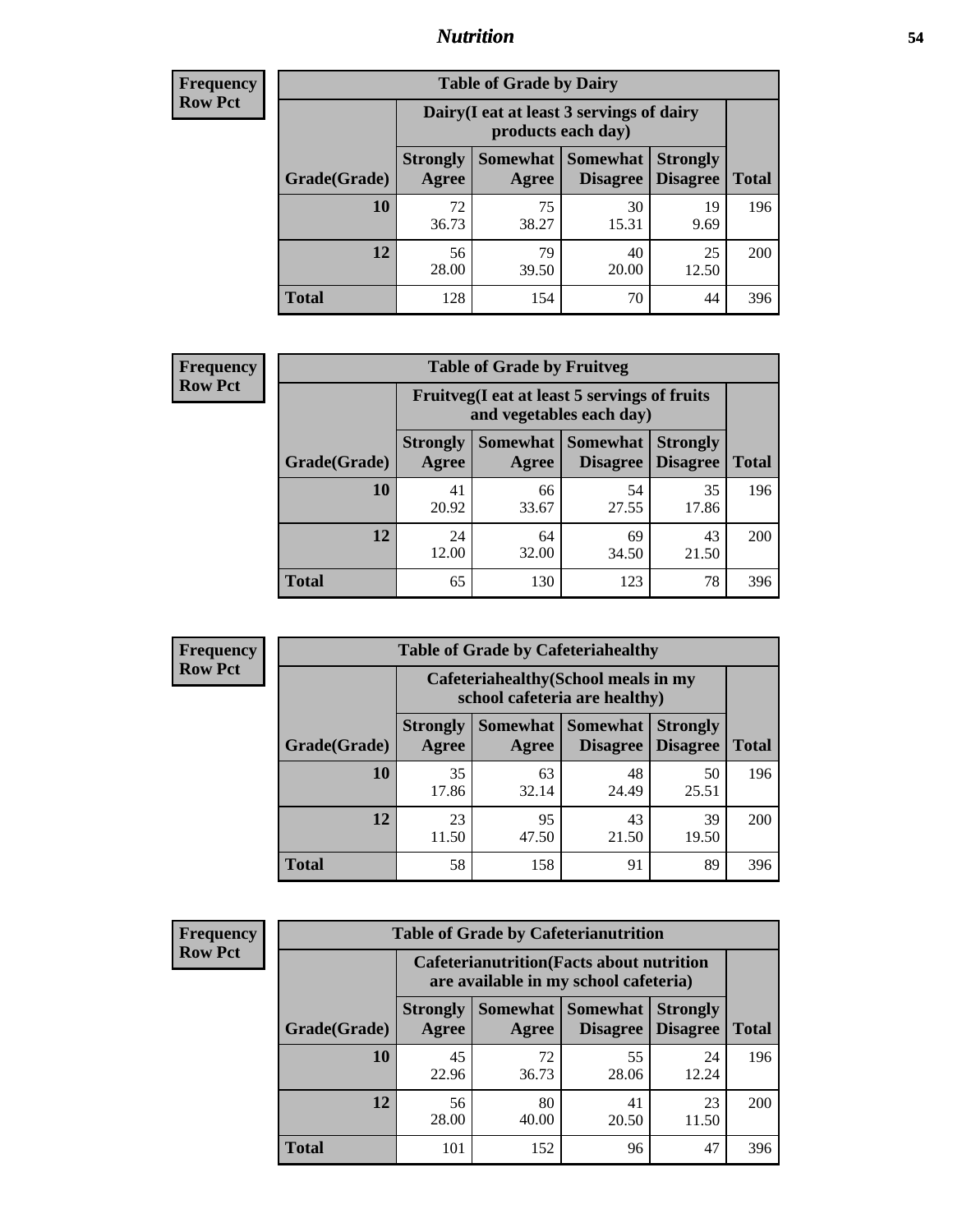## *Nutrition* **54**

| <b>Frequency</b> |
|------------------|
| <b>Row Pct</b>   |

| <b>Table of Grade by Dairy</b> |                          |                                                                 |                                    |                                    |              |  |
|--------------------------------|--------------------------|-----------------------------------------------------------------|------------------------------------|------------------------------------|--------------|--|
|                                |                          | Dairy (I eat at least 3 servings of dairy<br>products each day) |                                    |                                    |              |  |
| Grade(Grade)                   | <b>Strongly</b><br>Agree | <b>Somewhat</b><br>Agree                                        | <b>Somewhat</b><br><b>Disagree</b> | <b>Strongly</b><br><b>Disagree</b> | <b>Total</b> |  |
| 10                             | 72<br>36.73              | 75<br>38.27                                                     | 30<br>15.31                        | 19<br>9.69                         | 196          |  |
| 12                             | 56<br>28.00              | 79<br>39.50                                                     | 40<br>20.00                        | 25<br>12.50                        | 200          |  |
| <b>Total</b>                   | 128                      | 154                                                             | 70                                 | 44                                 | 396          |  |

| <b>Frequency</b> |  |
|------------------|--|
| <b>Row Pct</b>   |  |

| <b>Table of Grade by Fruitveg</b>                                        |                          |             |                            |                                               |              |  |  |
|--------------------------------------------------------------------------|--------------------------|-------------|----------------------------|-----------------------------------------------|--------------|--|--|
| Fruitveg(I eat at least 5 servings of fruits<br>and vegetables each day) |                          |             |                            |                                               |              |  |  |
| Grade(Grade)                                                             | <b>Strongly</b><br>Agree | Agree       | <b>Somewhat   Somewhat</b> | <b>Strongly</b><br><b>Disagree</b>   Disagree | <b>Total</b> |  |  |
| 10                                                                       | 41<br>20.92              | 66<br>33.67 | 54<br>27.55                | 35<br>17.86                                   | 196          |  |  |
| 12                                                                       | 24<br>12.00              | 64<br>32.00 | 69<br>34.50                | 43<br>21.50                                   | 200          |  |  |
| <b>Total</b>                                                             | 65                       | 130         | 123                        | 78                                            | 396          |  |  |

| <b>Frequency</b> | <b>Table of Grade by Cafeteriahealthy</b> |                                                                       |                   |                             |                                    |              |
|------------------|-------------------------------------------|-----------------------------------------------------------------------|-------------------|-----------------------------|------------------------------------|--------------|
| <b>Row Pct</b>   |                                           | Cafeteriahealthy (School meals in my<br>school cafeteria are healthy) |                   |                             |                                    |              |
|                  | Grade(Grade)                              | <b>Strongly</b><br>Agree                                              | Somewhat<br>Agree | Somewhat<br><b>Disagree</b> | <b>Strongly</b><br><b>Disagree</b> | <b>Total</b> |
|                  | 10                                        | 35<br>17.86                                                           | 63<br>32.14       | 48<br>24.49                 | 50<br>25.51                        | 196          |
|                  | 12                                        | 23<br>11.50                                                           | 95<br>47.50       | 43<br>21.50                 | 39<br>19.50                        | <b>200</b>   |
|                  | Total                                     | 58                                                                    | 158               | 91                          | 89                                 | 396          |

| <b>Frequency</b> |
|------------------|
| <b>Row Pct</b>   |

| <b>Table of Grade by Cafeterianutrition</b>                                               |                          |                     |                                    |                                    |              |  |
|-------------------------------------------------------------------------------------------|--------------------------|---------------------|------------------------------------|------------------------------------|--------------|--|
| <b>Cafeterianutrition</b> (Facts about nutrition<br>are available in my school cafeteria) |                          |                     |                                    |                                    |              |  |
| Grade(Grade)                                                                              | <b>Strongly</b><br>Agree | Somewhat  <br>Agree | <b>Somewhat</b><br><b>Disagree</b> | <b>Strongly</b><br><b>Disagree</b> | <b>Total</b> |  |
| 10                                                                                        | 45<br>22.96              | 72<br>36.73         | 55<br>28.06                        | 24<br>12.24                        | 196          |  |
| 12                                                                                        | 56<br>28.00              | 80<br>40.00         | 41<br>20.50                        | 23<br>11.50                        | 200          |  |
| <b>Total</b>                                                                              | 101                      | 152                 | 96                                 | 47                                 | 396          |  |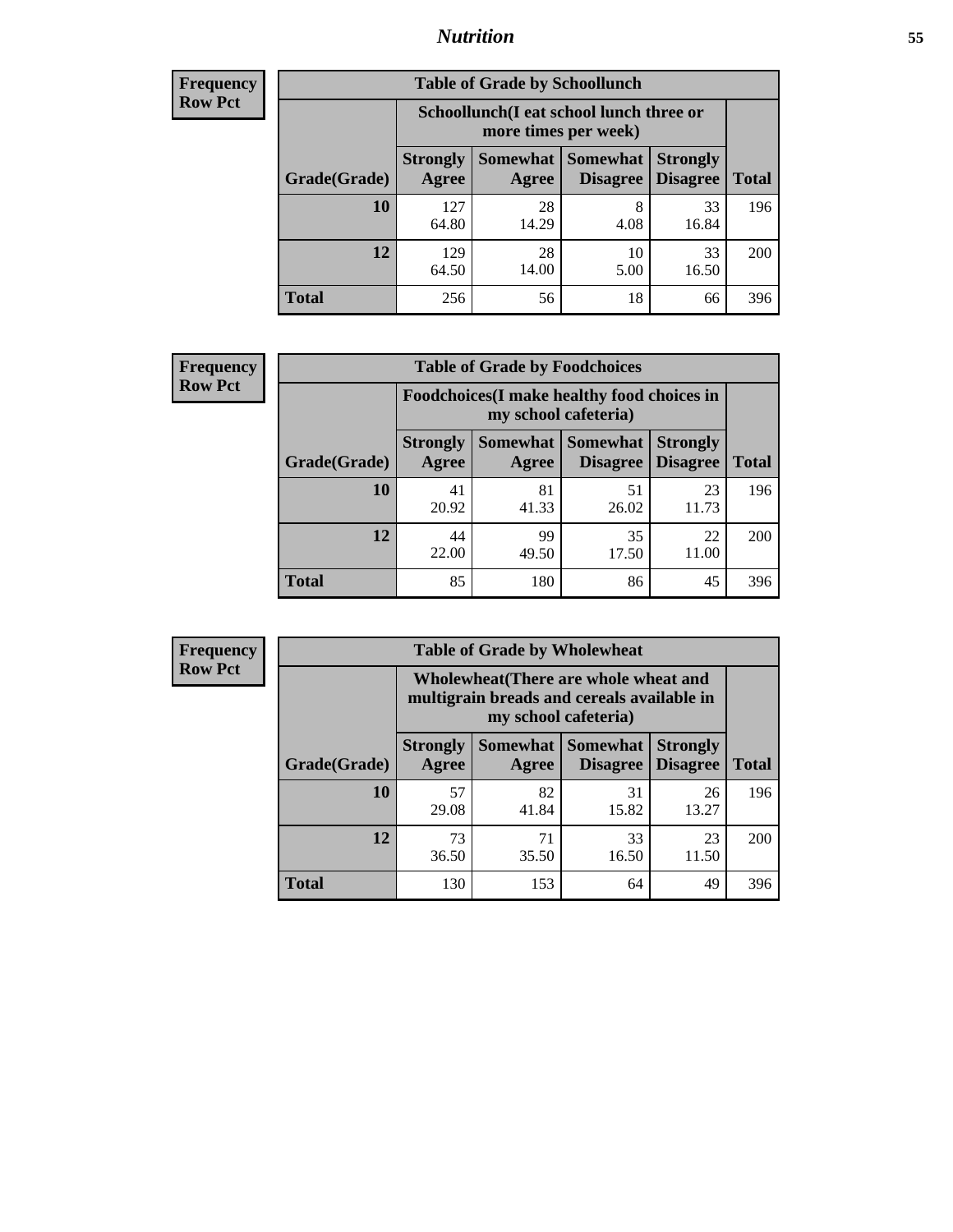## *Nutrition* **55**

| Frequency |
|-----------|
| Row Pct   |

| <b>Table of Grade by Schoollunch</b> |                          |                                                                 |                                 |                                    |              |  |  |
|--------------------------------------|--------------------------|-----------------------------------------------------------------|---------------------------------|------------------------------------|--------------|--|--|
|                                      |                          | Schoollunch(I eat school lunch three or<br>more times per week) |                                 |                                    |              |  |  |
| Grade(Grade)                         | <b>Strongly</b><br>Agree | Agree                                                           | Somewhat   Somewhat<br>Disagree | <b>Strongly</b><br><b>Disagree</b> | <b>Total</b> |  |  |
| 10                                   | 127<br>64.80             | 28<br>14.29                                                     | 8<br>4.08                       | 33<br>16.84                        | 196          |  |  |
| 12                                   | 129<br>64.50             | 28<br>14.00                                                     | 10<br>5.00                      | 33<br>16.50                        | 200          |  |  |
| <b>Total</b>                         | 256                      | 56                                                              | 18                              | 66                                 | 396          |  |  |

| <b>Frequency</b> |  |
|------------------|--|
| <b>Row Pct</b>   |  |

| <b>Table of Grade by Foodchoices</b>                                       |                          |             |                                        |                                    |              |  |
|----------------------------------------------------------------------------|--------------------------|-------------|----------------------------------------|------------------------------------|--------------|--|
| <b>Foodchoices</b> (I make healthy food choices in<br>my school cafeteria) |                          |             |                                        |                                    |              |  |
| Grade(Grade)                                                               | <b>Strongly</b><br>Agree | Agree       | <b>Somewhat   Somewhat</b><br>Disagree | <b>Strongly</b><br><b>Disagree</b> | <b>Total</b> |  |
| 10                                                                         | 41<br>20.92              | 81<br>41.33 | 51<br>26.02                            | 23<br>11.73                        | 196          |  |
| 12                                                                         | 44<br>22.00              | 99<br>49.50 | 35<br>17.50                            | 22<br>11.00                        | 200          |  |
| Total                                                                      | 85                       | 180         | 86                                     | 45                                 | 396          |  |

| <b>Frequency</b> |   |
|------------------|---|
| <b>Row Pct</b>   |   |
|                  | m |
|                  |   |
|                  |   |

| <b>Table of Grade by Wholewheat</b> |                                                                                                             |                          |                                    |                                    |              |  |
|-------------------------------------|-------------------------------------------------------------------------------------------------------------|--------------------------|------------------------------------|------------------------------------|--------------|--|
|                                     | Wholewheat (There are whole wheat and<br>multigrain breads and cereals available in<br>my school cafeteria) |                          |                                    |                                    |              |  |
| Grade(Grade)                        | <b>Strongly</b><br>Agree                                                                                    | <b>Somewhat</b><br>Agree | <b>Somewhat</b><br><b>Disagree</b> | <b>Strongly</b><br><b>Disagree</b> | <b>Total</b> |  |
| 10                                  | 57<br>29.08                                                                                                 | 82<br>41.84              | 31<br>15.82                        | 26<br>13.27                        | 196          |  |
| 12                                  | 73<br>36.50                                                                                                 | 71<br>35.50              | 33<br>16.50                        | 23<br>11.50                        | 200          |  |
| <b>Total</b>                        | 130                                                                                                         | 153                      | 64                                 | 49                                 | 396          |  |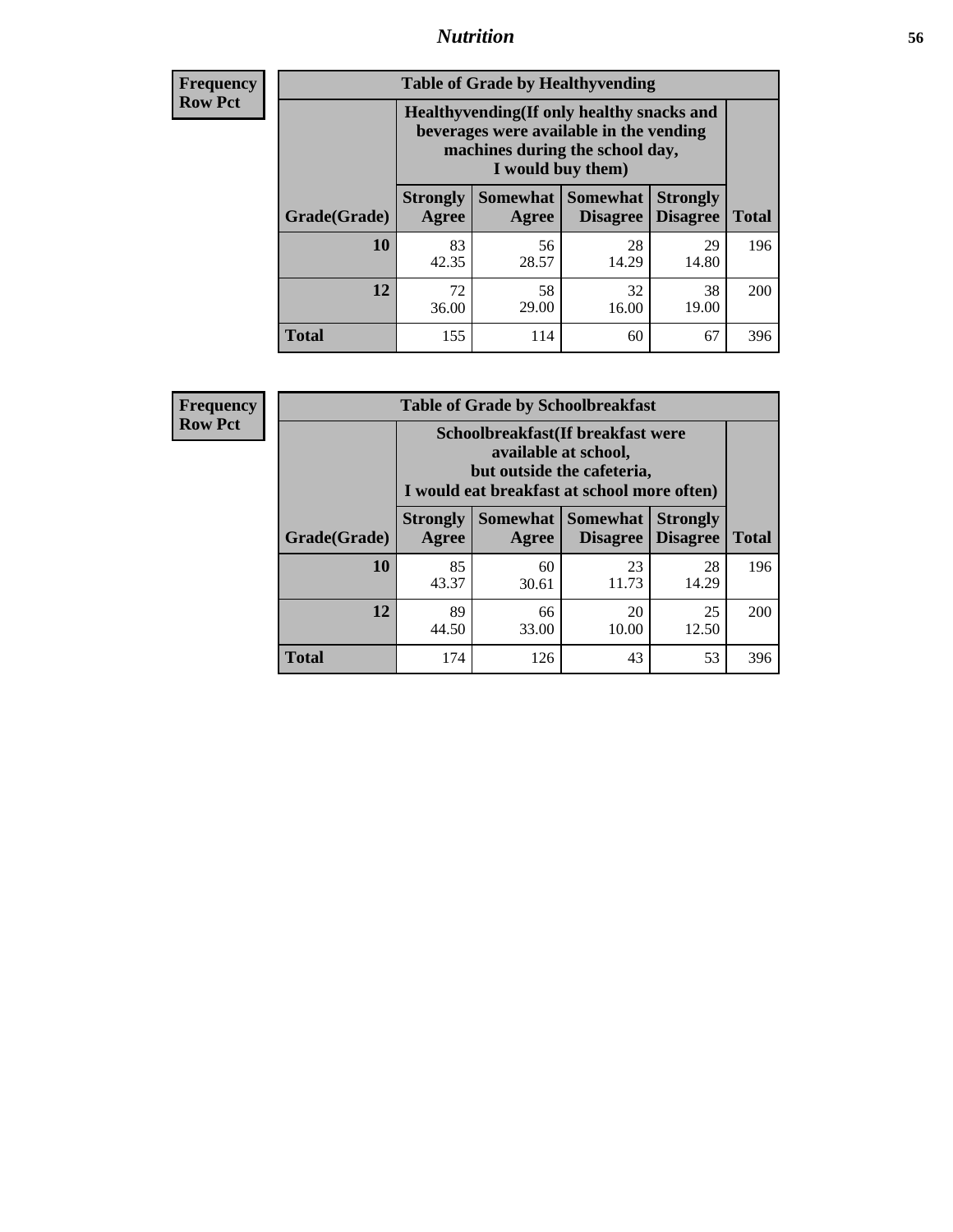## *Nutrition* **56**

**Frequency Row Pct**

| <b>Table of Grade by Healthyvending</b> |                                                                                                                                               |                          |                                    |                                    |              |  |
|-----------------------------------------|-----------------------------------------------------------------------------------------------------------------------------------------------|--------------------------|------------------------------------|------------------------------------|--------------|--|
|                                         | Healthyvending (If only healthy snacks and<br>beverages were available in the vending<br>machines during the school day,<br>I would buy them) |                          |                                    |                                    |              |  |
| Grade(Grade)                            | <b>Strongly</b><br>Agree                                                                                                                      | <b>Somewhat</b><br>Agree | <b>Somewhat</b><br><b>Disagree</b> | <b>Strongly</b><br><b>Disagree</b> | <b>Total</b> |  |
| 10                                      | 83<br>42.35                                                                                                                                   | 56<br>28.57              | 28<br>14.29                        | 29<br>14.80                        | 196          |  |
| 12                                      | 72<br>36.00                                                                                                                                   | 58<br>29.00              | 32<br>16.00                        | 38<br>19.00                        | 200          |  |
| Total                                   | 155                                                                                                                                           | 114                      | 60                                 | 67                                 | 396          |  |

**Frequency Row Pct**

| <b>Table of Grade by Schoolbreakfast</b> |                                                                                                                                        |                     |                                    |                                    |              |  |
|------------------------------------------|----------------------------------------------------------------------------------------------------------------------------------------|---------------------|------------------------------------|------------------------------------|--------------|--|
|                                          | Schoolbreakfast(If breakfast were<br>available at school,<br>but outside the cafeteria,<br>I would eat breakfast at school more often) |                     |                                    |                                    |              |  |
| Grade(Grade)                             | <b>Strongly</b><br>Agree                                                                                                               | Somewhat  <br>Agree | <b>Somewhat</b><br><b>Disagree</b> | <b>Strongly</b><br><b>Disagree</b> | <b>Total</b> |  |
| 10                                       | 85<br>43.37                                                                                                                            | 60<br>30.61         | 23<br>11.73                        | 28<br>14.29                        | 196          |  |
| 12                                       | 89<br>44.50                                                                                                                            | 66<br>33.00         | 20<br>10.00                        | 25<br>12.50                        | 200          |  |
| <b>Total</b>                             | 174                                                                                                                                    | 126                 | 43                                 | 53                                 | 396          |  |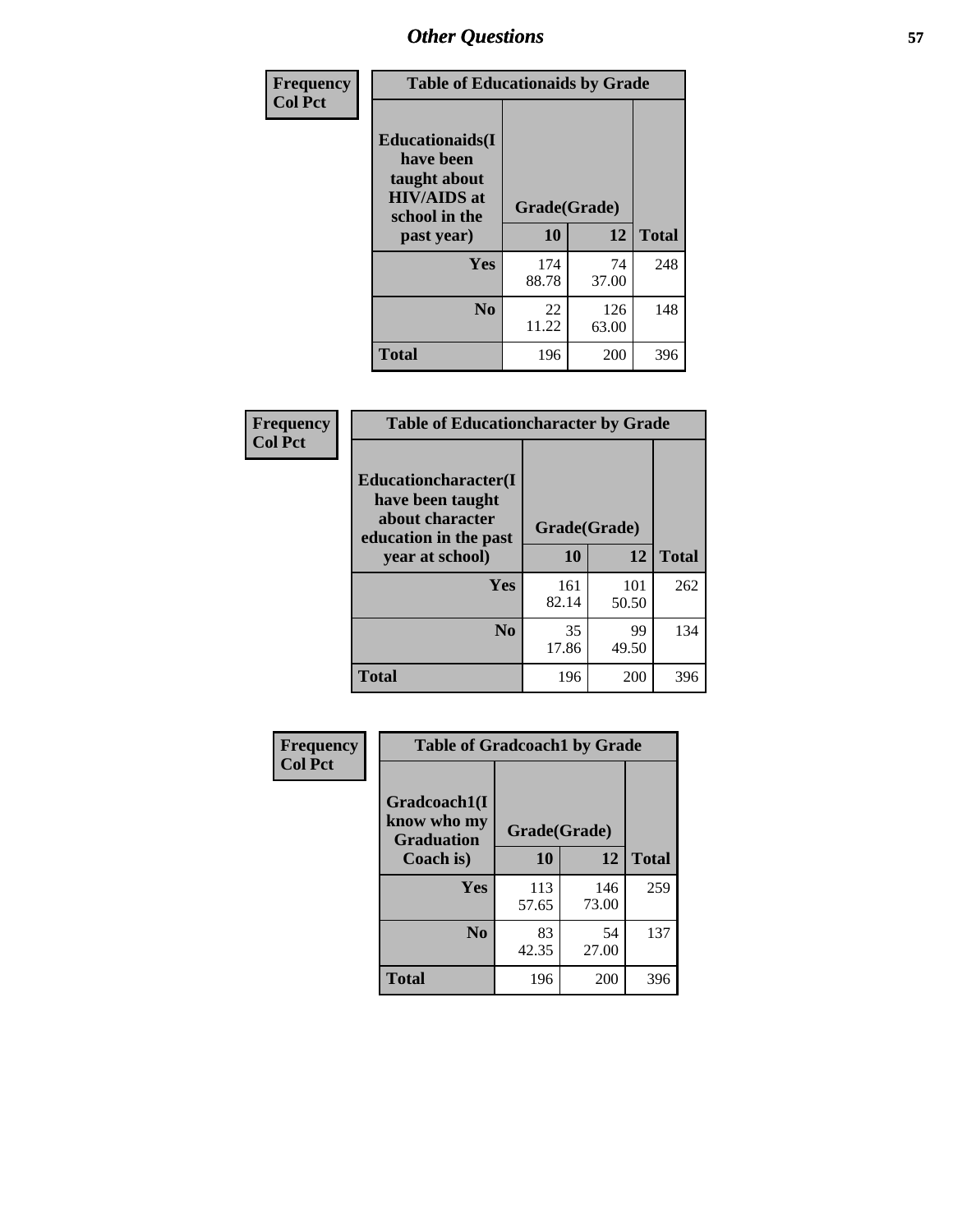| Frequency<br><b>Col Pct</b> |                                                                                                           | <b>Table of Educationaids by Grade</b> |              |              |  |
|-----------------------------|-----------------------------------------------------------------------------------------------------------|----------------------------------------|--------------|--------------|--|
|                             | <b>Educationaids</b> (I<br>have been<br>taught about<br><b>HIV/AIDS</b> at<br>school in the<br>past year) | Grade(Grade)<br>10                     | 12           | <b>Total</b> |  |
|                             |                                                                                                           |                                        |              |              |  |
|                             | Yes                                                                                                       | 174<br>88.78                           | 74<br>37.00  | 248          |  |
|                             | N <sub>0</sub>                                                                                            | 22<br>11.22                            | 126<br>63.00 | 148          |  |
|                             | <b>Total</b>                                                                                              | 196                                    | 200          | 396          |  |

| Frequency      | <b>Table of Educationcharacter by Grade</b>                 |              |              |              |
|----------------|-------------------------------------------------------------|--------------|--------------|--------------|
| <b>Col Pct</b> | Educationcharacter(I<br>have been taught<br>about character |              |              |              |
|                | education in the past                                       | Grade(Grade) |              |              |
|                | year at school)                                             | 10           | 12           | <b>Total</b> |
|                | Yes                                                         | 161<br>82.14 | 101<br>50.50 | 262          |
|                | N <sub>0</sub>                                              | 35<br>17.86  | 99<br>49.50  | 134          |
|                | <b>Total</b>                                                | 196          | 200          | 396          |

| Frequency      | <b>Table of Gradcoach1 by Grade</b> |              |              |              |
|----------------|-------------------------------------|--------------|--------------|--------------|
| <b>Col Pct</b> | Gradcoach1(I<br>know who my         | Grade(Grade) |              |              |
|                | <b>Graduation</b><br>Coach is)      | 10           | 12           | <b>Total</b> |
|                | Yes                                 | 113<br>57.65 | 146<br>73.00 | 259          |
|                | N <sub>0</sub>                      | 83<br>42.35  | 54<br>27.00  | 137          |
|                | <b>Total</b>                        | 196          | 200          | 396          |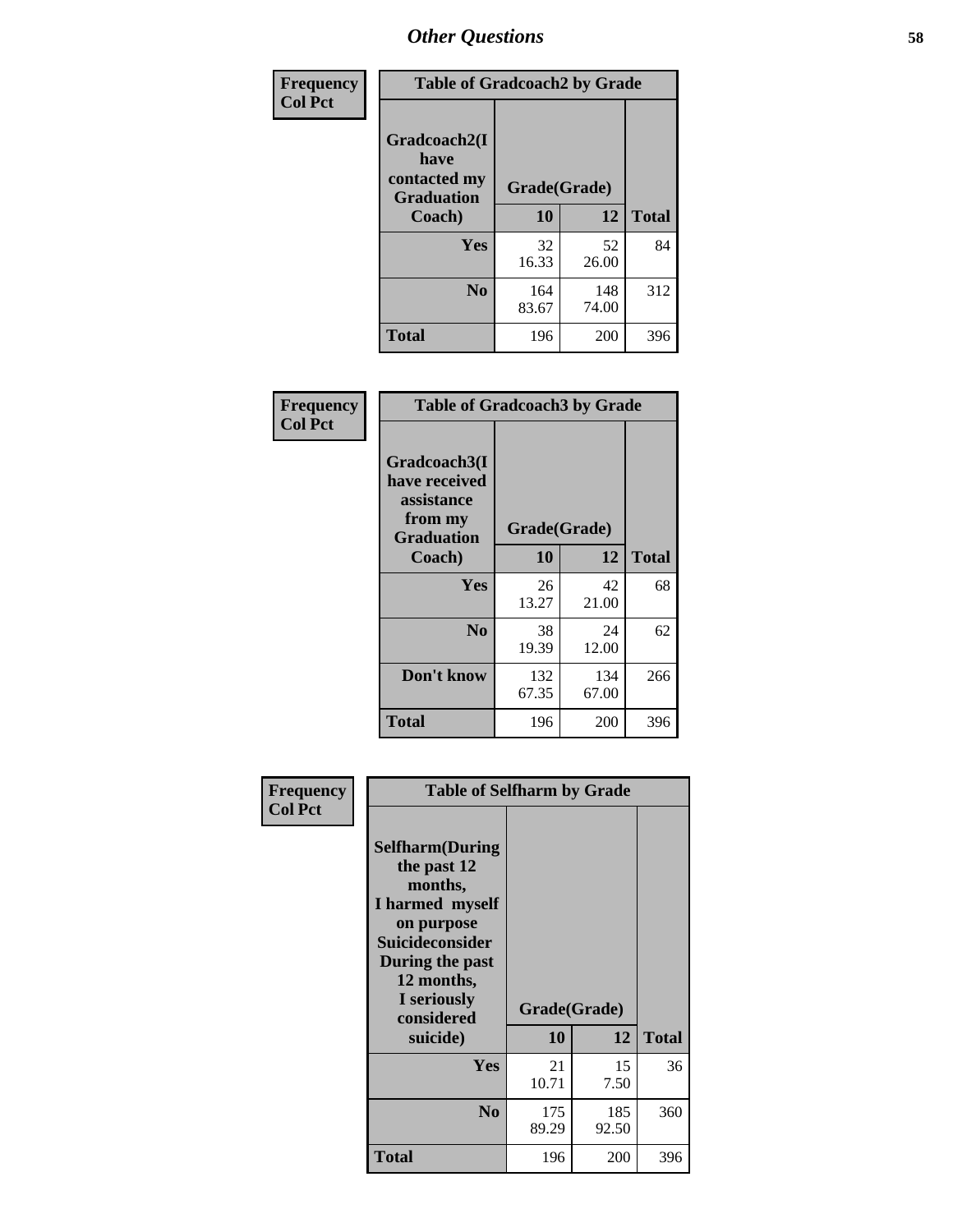| Frequency      | <b>Table of Gradcoach2 by Grade</b> |              |              |              |
|----------------|-------------------------------------|--------------|--------------|--------------|
| <b>Col Pct</b> |                                     |              |              |              |
|                | Gradcoach2(I<br>have                |              |              |              |
|                | contacted my<br><b>Graduation</b>   | Grade(Grade) |              |              |
|                | Coach)                              | 10           | 12           | <b>Total</b> |
|                | Yes                                 | 32<br>16.33  | 52<br>26.00  | 84           |
|                | N <sub>0</sub>                      | 164<br>83.67 | 148<br>74.00 | 312          |
|                | <b>Total</b>                        | 196          | 200          | 396          |

| Frequency<br><b>Col Pct</b> | <b>Table of Gradcoach3 by Grade</b>                                         |              |              |              |
|-----------------------------|-----------------------------------------------------------------------------|--------------|--------------|--------------|
|                             | Gradcoach3(I<br>have received<br>assistance<br>from my<br><b>Graduation</b> | Grade(Grade) |              |              |
|                             | Coach)                                                                      | 10           | 12           | <b>Total</b> |
|                             | Yes                                                                         | 26<br>13.27  | 42<br>21.00  | 68           |
|                             | N <sub>0</sub>                                                              | 38<br>19.39  | 24<br>12.00  | 62           |
|                             | Don't know                                                                  | 132<br>67.35 | 134<br>67.00 | 266          |
|                             | <b>Total</b>                                                                | 196          | 200          | 396          |

| Frequency      | <b>Table of Selfharm by Grade</b>                                                                                                                                                      |                    |              |              |
|----------------|----------------------------------------------------------------------------------------------------------------------------------------------------------------------------------------|--------------------|--------------|--------------|
| <b>Col Pct</b> | <b>Selfharm</b> (During<br>the past 12<br>months,<br>I harmed myself<br>on purpose<br><b>Suicideconsider</b><br>During the past<br>12 months,<br>I seriously<br>considered<br>suicide) | Grade(Grade)<br>10 | 12           | <b>Total</b> |
|                | Yes                                                                                                                                                                                    | 21<br>10.71        | 15<br>7.50   | 36           |
|                | N <sub>0</sub>                                                                                                                                                                         | 175<br>89.29       | 185<br>92.50 | 360          |
|                | <b>Total</b>                                                                                                                                                                           | 196                | 200          | 396          |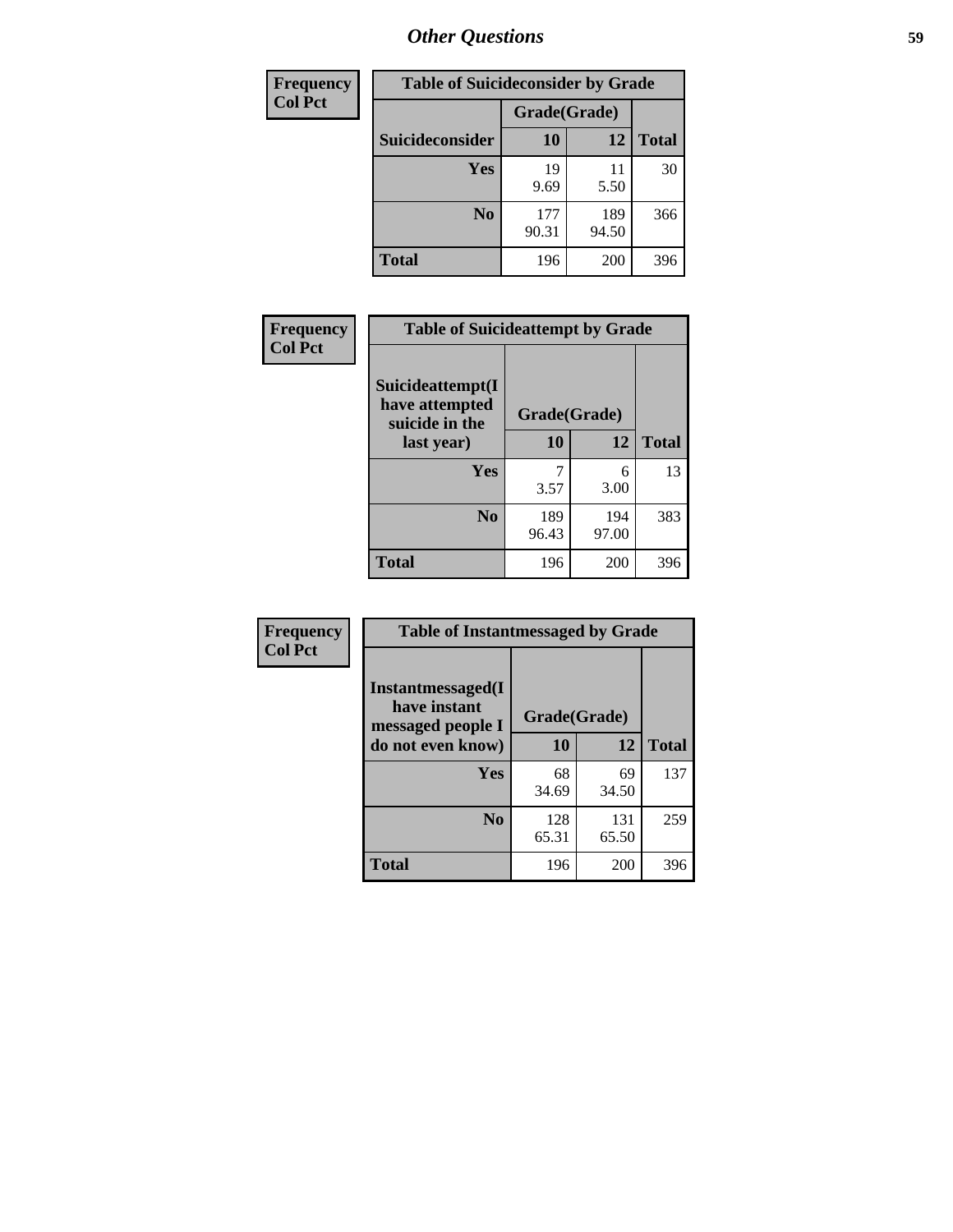| <b>Frequency</b> | <b>Table of Suicideconsider by Grade</b> |              |              |              |
|------------------|------------------------------------------|--------------|--------------|--------------|
| <b>Col Pct</b>   |                                          | Grade(Grade) |              |              |
|                  | <b>Suicideconsider</b>                   | 10           | 12           | <b>Total</b> |
|                  | <b>Yes</b>                               | 19<br>9.69   | 11<br>5.50   | 30           |
|                  | N <sub>0</sub>                           | 177<br>90.31 | 189<br>94.50 | 366          |
|                  | <b>Total</b>                             | 196          | 200          | 396          |

| Frequency      | <b>Table of Suicideattempt by Grade</b>              |              |              |              |
|----------------|------------------------------------------------------|--------------|--------------|--------------|
| <b>Col Pct</b> | Suicideattempt(I<br>have attempted<br>suicide in the | Grade(Grade) |              |              |
|                | last year)                                           | 10           | 12           | <b>Total</b> |
|                | Yes                                                  | 3.57         | 6<br>3.00    | 13           |
|                | N <sub>0</sub>                                       | 189<br>96.43 | 194<br>97.00 | 383          |
|                | <b>Total</b>                                         | 196          | 200          | 396          |

| Frequency      | <b>Table of Instantmessaged by Grade</b>                       |              |              |              |
|----------------|----------------------------------------------------------------|--------------|--------------|--------------|
| <b>Col Pct</b> | <b>Instantmessaged</b> (I<br>have instant<br>messaged people I | Grade(Grade) |              |              |
|                | do not even know)                                              | 10           | 12           | <b>Total</b> |
|                | <b>Yes</b>                                                     | 68<br>34.69  | 69<br>34.50  | 137          |
|                | N <sub>0</sub>                                                 | 128<br>65.31 | 131<br>65.50 | 259          |
|                | <b>Total</b>                                                   | 196          | 200          | 396          |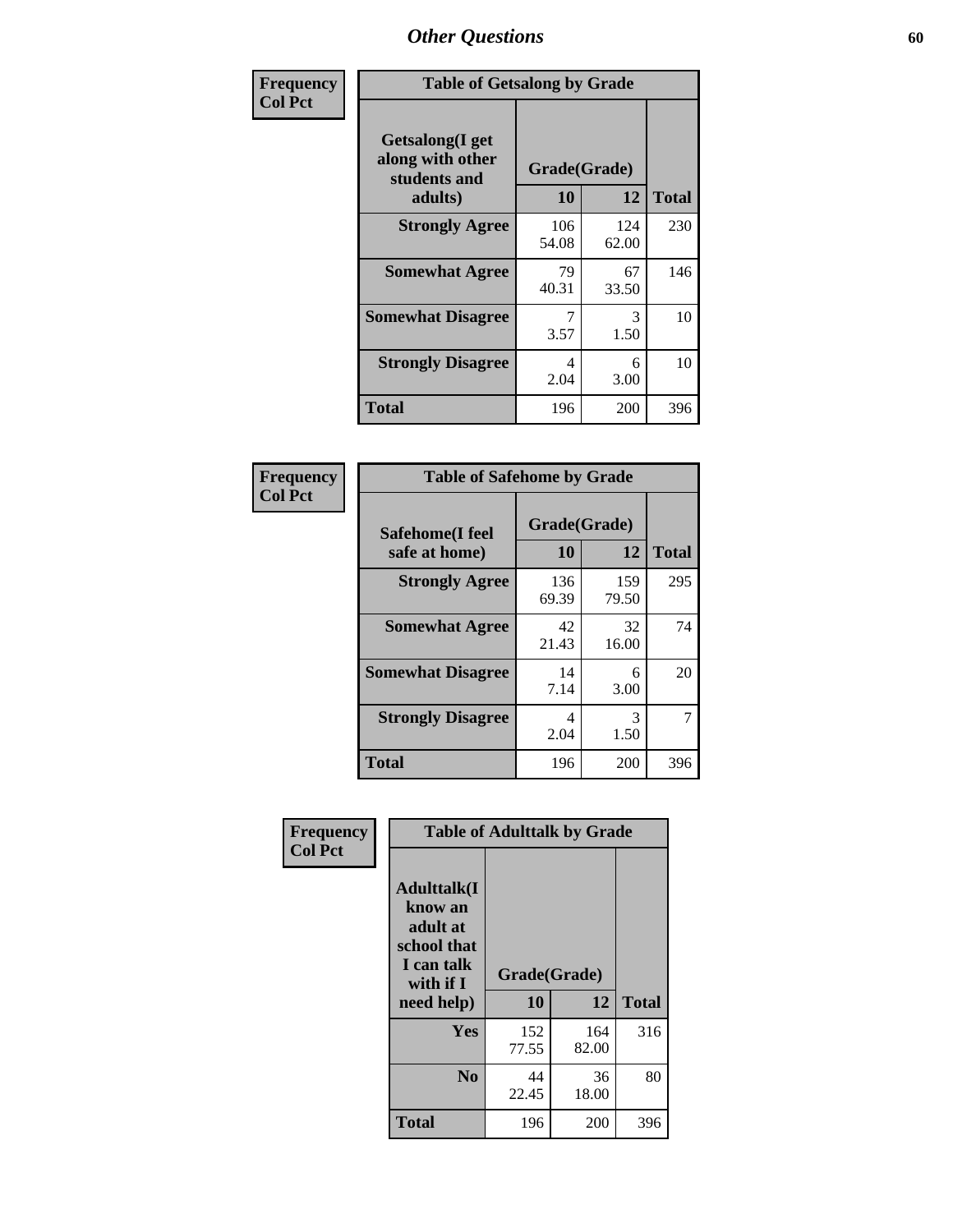| Frequency      | <b>Table of Getsalong by Grade</b>                          |              |              |              |  |  |  |
|----------------|-------------------------------------------------------------|--------------|--------------|--------------|--|--|--|
| <b>Col Pct</b> | <b>Getsalong</b> (I get<br>along with other<br>students and | Grade(Grade) |              |              |  |  |  |
|                | adults)                                                     | 10           | 12           | <b>Total</b> |  |  |  |
|                | <b>Strongly Agree</b>                                       | 106<br>54.08 | 124<br>62.00 | 230          |  |  |  |
|                | <b>Somewhat Agree</b>                                       | 79<br>40.31  | 67<br>33.50  | 146          |  |  |  |
|                | <b>Somewhat Disagree</b>                                    | 3.57         | 3<br>1.50    | 10           |  |  |  |
|                | <b>Strongly Disagree</b>                                    | 4<br>2.04    | 6<br>3.00    | 10           |  |  |  |
|                | <b>Total</b>                                                | 196          | 200          | 396          |  |  |  |

| Frequency      | <b>Table of Safehome by Grade</b> |                    |              |              |  |  |  |
|----------------|-----------------------------------|--------------------|--------------|--------------|--|--|--|
| <b>Col Pct</b> | Safehome(I feel<br>safe at home)  | Grade(Grade)<br>10 | 12           | <b>Total</b> |  |  |  |
|                | <b>Strongly Agree</b>             | 136<br>69.39       | 159<br>79.50 | 295          |  |  |  |
|                | <b>Somewhat Agree</b>             | 42<br>21.43        | 32<br>16.00  | 74           |  |  |  |
|                | <b>Somewhat Disagree</b>          | 14<br>7.14         | 6<br>3.00    | 20           |  |  |  |
|                | <b>Strongly Disagree</b>          | 4<br>2.04          | 3<br>1.50    | 7            |  |  |  |
|                | <b>Total</b>                      | 196                | 200          | 396          |  |  |  |

| Frequency      |                                                                                      | <b>Table of Adulttalk by Grade</b> |              |              |
|----------------|--------------------------------------------------------------------------------------|------------------------------------|--------------|--------------|
| <b>Col Pct</b> | <b>Adulttalk</b> (I<br>know an<br>adult at<br>school that<br>I can talk<br>with if I | Grade(Grade)                       |              |              |
|                | need help)                                                                           | 10                                 | 12           | <b>Total</b> |
|                | <b>Yes</b>                                                                           | 152<br>77.55                       | 164<br>82.00 | 316          |
|                | N <sub>0</sub>                                                                       | 44<br>22.45                        | 36<br>18.00  | 80           |
|                | <b>Total</b>                                                                         | 196                                | 200          | 396          |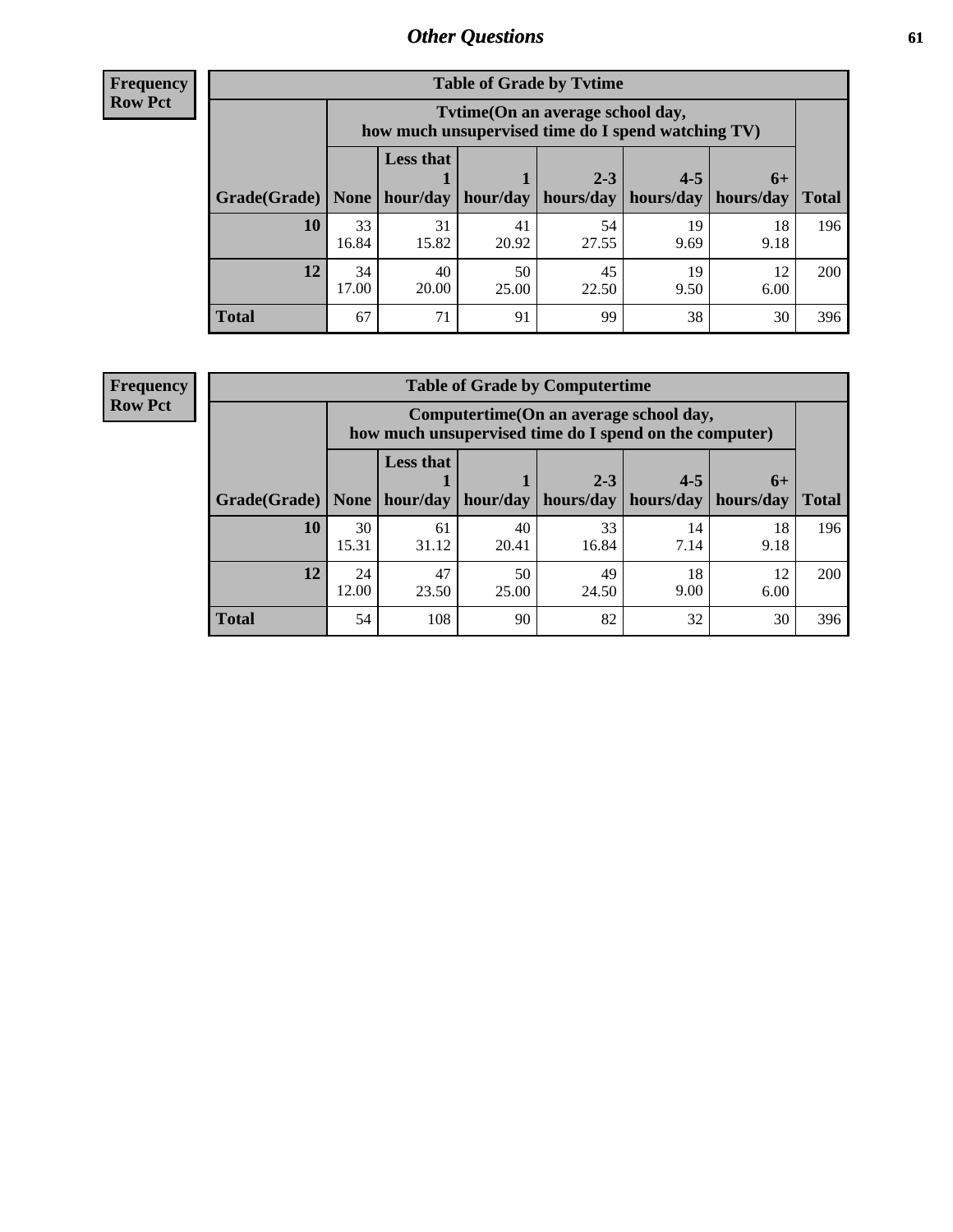**Frequency Row Pct**

| <b>Table of Grade by Tytime</b> |             |                                                                                         |             |                                                           |            |            |              |  |  |  |
|---------------------------------|-------------|-----------------------------------------------------------------------------------------|-------------|-----------------------------------------------------------|------------|------------|--------------|--|--|--|
|                                 |             | Tytime (On an average school day,<br>how much unsupervised time do I spend watching TV) |             |                                                           |            |            |              |  |  |  |
|                                 |             | <b>Less that</b>                                                                        |             | $2 - 3$                                                   | $4 - 5$    | $6+$       |              |  |  |  |
| Grade(Grade)   None             |             |                                                                                         |             | $hour/day$   hour/day   hours/day   hours/day   hours/day |            |            | <b>Total</b> |  |  |  |
| 10                              | 33<br>16.84 | 31<br>15.82                                                                             | 41<br>20.92 | 54<br>27.55                                               | 19<br>9.69 | 18<br>9.18 | 196          |  |  |  |
| 12                              | 34<br>17.00 | 40<br>20.00                                                                             | 50<br>25.00 | 45<br>22.50                                               | 19<br>9.50 | 12<br>6.00 | <b>200</b>   |  |  |  |
| <b>Total</b>                    | 67          | 71                                                                                      | 91          | 99                                                        | 38         | 30         | 396          |  |  |  |

**Frequency Row Pct**

| <b>Table of Grade by Computertime</b> |             |                                                                                                   |             |                      |                      |                   |              |  |  |  |
|---------------------------------------|-------------|---------------------------------------------------------------------------------------------------|-------------|----------------------|----------------------|-------------------|--------------|--|--|--|
|                                       |             | Computertime (On an average school day,<br>how much unsupervised time do I spend on the computer) |             |                      |                      |                   |              |  |  |  |
| Grade(Grade)                          | None        | <b>Less that</b><br>hour/day                                                                      | hour/day    | $2 - 3$<br>hours/day | $4 - 5$<br>hours/day | $6+$<br>hours/day | <b>Total</b> |  |  |  |
| 10                                    | 30<br>15.31 | 61<br>31.12                                                                                       | 40<br>20.41 | 33<br>16.84          | 14<br>7.14           | 18<br>9.18        | 196          |  |  |  |
| 12                                    | 24<br>12.00 | 47<br>50<br>49<br>18<br>12<br>9.00<br>23.50<br>25.00<br>6.00<br>24.50                             |             |                      |                      |                   |              |  |  |  |
| <b>Total</b>                          | 54          | 108                                                                                               | 90          | 82                   | 32                   | 30                | 396          |  |  |  |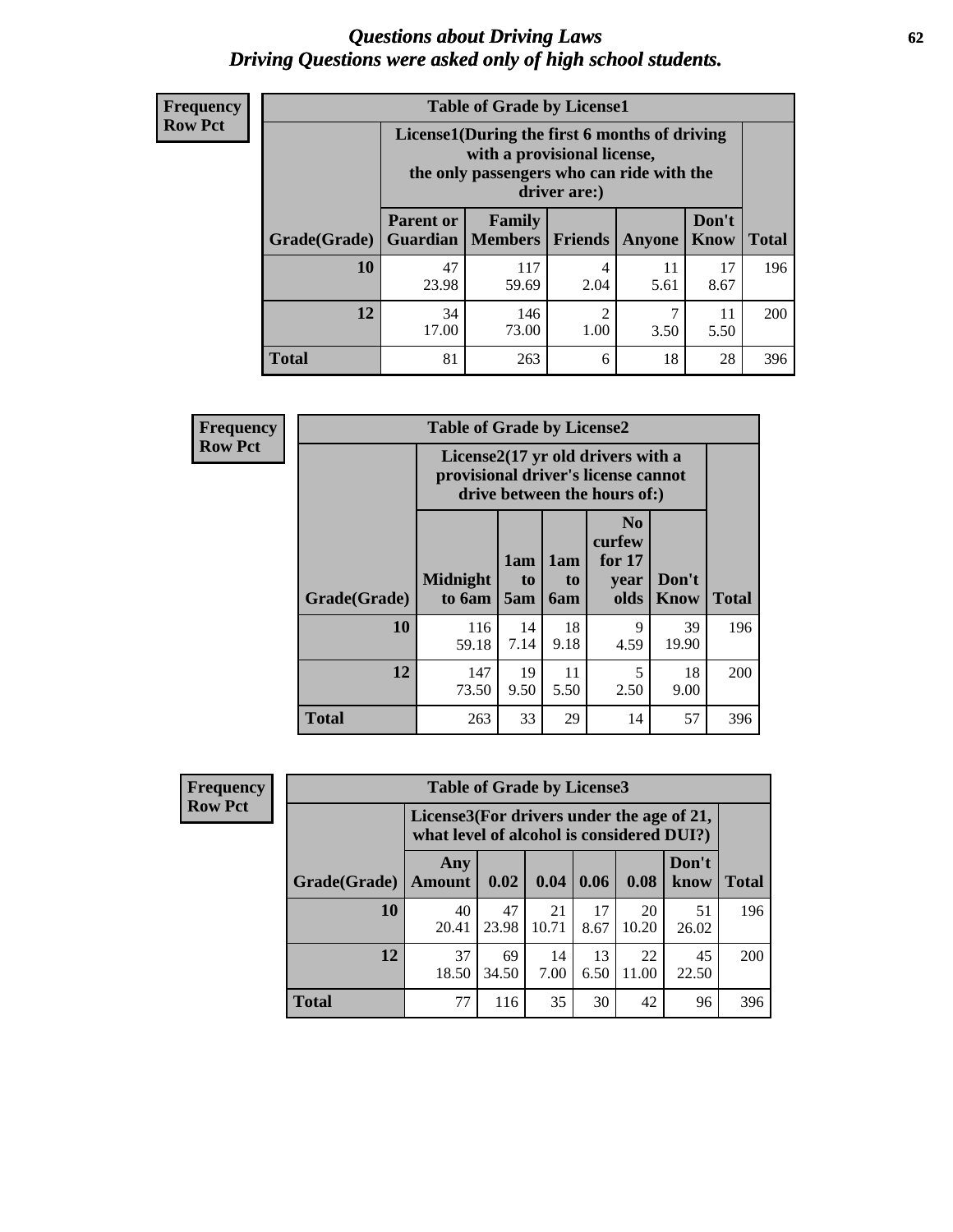#### *Questions about Driving Laws* **62** *Driving Questions were asked only of high school students.*

| <b>Frequency</b> |
|------------------|
| <b>Row Pct</b>   |

| <b>Table of Grade by License1</b> |                                     |                                                                                                                                           |           |            |               |              |  |  |  |  |
|-----------------------------------|-------------------------------------|-------------------------------------------------------------------------------------------------------------------------------------------|-----------|------------|---------------|--------------|--|--|--|--|
|                                   |                                     | License1(During the first 6 months of driving<br>with a provisional license,<br>the only passengers who can ride with the<br>driver are:) |           |            |               |              |  |  |  |  |
| Grade(Grade)                      | <b>Parent or</b><br><b>Guardian</b> | Family<br><b>Members</b>                                                                                                                  | Friends   | Anyone     | Don't<br>Know | <b>Total</b> |  |  |  |  |
| 10                                | 47<br>23.98                         | 117<br>59.69                                                                                                                              | 4<br>2.04 | 11<br>5.61 | 17<br>8.67    | 196          |  |  |  |  |
| 12                                | 34<br>17.00                         | $\overline{c}$<br>7<br>146<br>11<br>73.00<br>1.00<br>3.50<br>5.50                                                                         |           |            |               |              |  |  |  |  |
| <b>Total</b>                      | 81                                  | 263                                                                                                                                       | 6         | 18         | 28            | 396          |  |  |  |  |

| <b>Frequency</b> |              | <b>Table of Grade by License2</b> |                                                                                                          |                              |                                                      |               |              |  |  |
|------------------|--------------|-----------------------------------|----------------------------------------------------------------------------------------------------------|------------------------------|------------------------------------------------------|---------------|--------------|--|--|
| <b>Row Pct</b>   |              |                                   | License2(17 yr old drivers with a<br>provisional driver's license cannot<br>drive between the hours of:) |                              |                                                      |               |              |  |  |
|                  | Grade(Grade) | <b>Midnight</b><br>to 6am         | 1am<br>t <sub>0</sub><br>5am                                                                             | 1am<br>t <sub>0</sub><br>6am | N <sub>0</sub><br>curfew<br>for $17$<br>vear<br>olds | Don't<br>Know | <b>Total</b> |  |  |
|                  | 10           | 116<br>59.18                      | 14<br>7.14                                                                                               | 18<br>9.18                   | 9<br>4.59                                            | 39<br>19.90   | 196          |  |  |
|                  | 12           | 147<br>73.50                      | 19<br>9.50                                                                                               | 11<br>5.50                   | 5<br>2.50                                            | 18<br>9.00    | 200          |  |  |
|                  | <b>Total</b> | 263                               | 33                                                                                                       | 29                           | 14                                                   | 57            | 396          |  |  |

| Frequency      |              | <b>Table of Grade by License3</b> |                                                                                        |             |            |             |               |              |  |  |
|----------------|--------------|-----------------------------------|----------------------------------------------------------------------------------------|-------------|------------|-------------|---------------|--------------|--|--|
| <b>Row Pct</b> |              |                                   | License3(For drivers under the age of 21,<br>what level of alcohol is considered DUI?) |             |            |             |               |              |  |  |
|                | Grade(Grade) | Any<br><b>Amount</b>              | 0.02                                                                                   | 0.04        | 0.06       | 0.08        | Don't<br>know | <b>Total</b> |  |  |
|                | 10           | 40<br>20.41                       | 47<br>23.98                                                                            | 21<br>10.71 | 17<br>8.67 | 20<br>10.20 | 51<br>26.02   | 196          |  |  |
|                | 12           | 37<br>18.50                       | 69<br>34.50                                                                            | 14<br>7.00  | 13<br>6.50 | 22<br>11.00 | 45<br>22.50   | 200          |  |  |
|                | <b>Total</b> | 77                                | 116                                                                                    | 35          | 30         | 42          | 96            | 396          |  |  |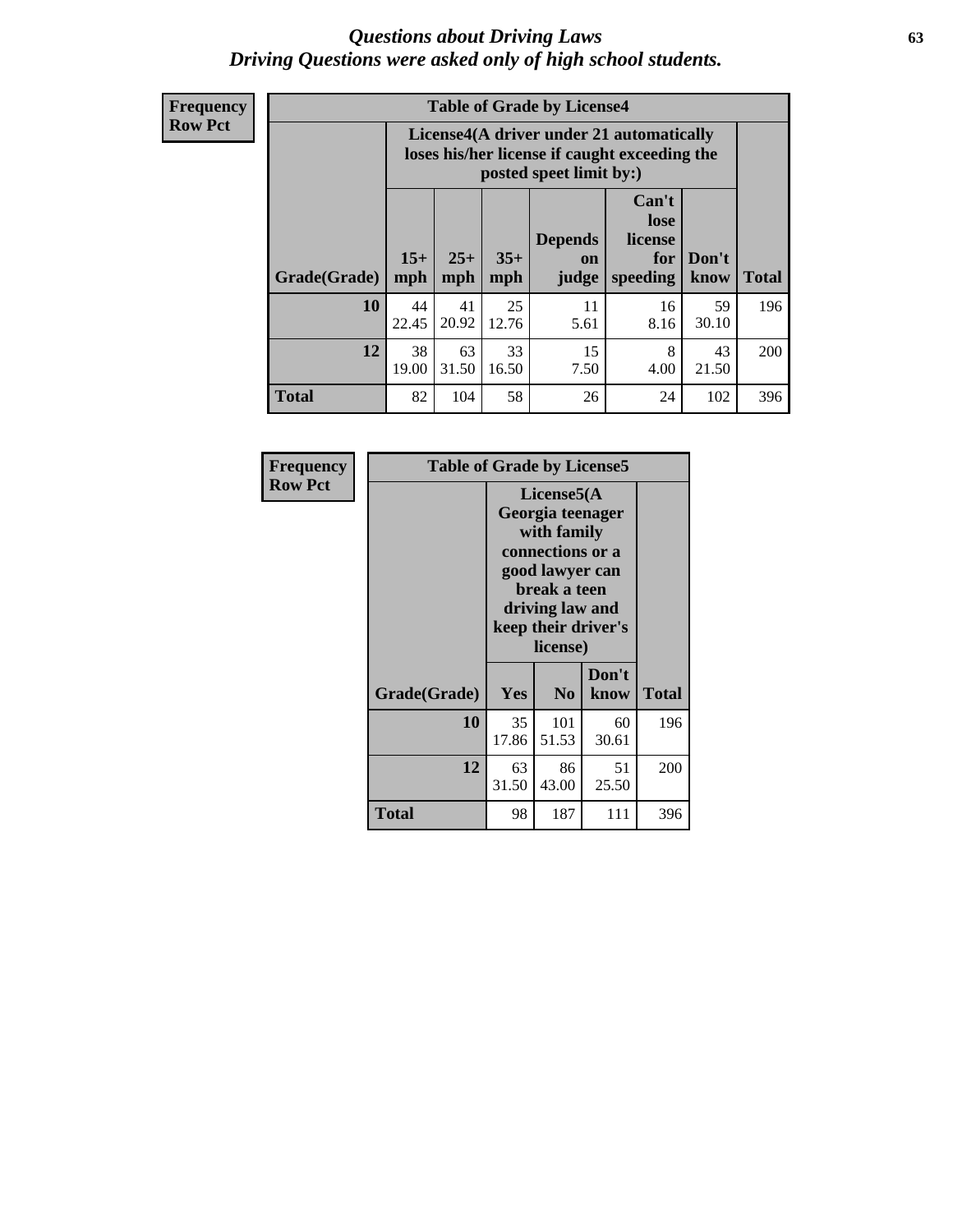#### *Questions about Driving Laws* **63** *Driving Questions were asked only of high school students.*

**Frequency Row Pct**

|              |             |                                                                                                                                                                                                                                                                                |             | <b>Table of Grade by License4</b> |            |             |     |  |  |  |
|--------------|-------------|--------------------------------------------------------------------------------------------------------------------------------------------------------------------------------------------------------------------------------------------------------------------------------|-------------|-----------------------------------|------------|-------------|-----|--|--|--|
|              |             | License4(A driver under 21 automatically<br>loses his/her license if caught exceeding the<br>posted speet limit by:)<br>Can't<br>lose<br><b>Depends</b><br>license<br>$15+$<br>$25+$<br>$35+$<br>Don't<br>for<br>on<br>speeding<br><b>Total</b><br>mph<br>mph<br>know<br>judge |             |                                   |            |             |     |  |  |  |
| Grade(Grade) | mph         |                                                                                                                                                                                                                                                                                |             |                                   |            |             |     |  |  |  |
| 10           | 44<br>22.45 | 41<br>20.92                                                                                                                                                                                                                                                                    | 25<br>12.76 | 11<br>5.61                        | 16<br>8.16 | 59<br>30.10 | 196 |  |  |  |
| 12           | 38<br>19.00 | 33<br>15<br>63<br>8<br>43<br>31.50<br>16.50<br>7.50<br>4.00<br>21.50                                                                                                                                                                                                           |             |                                   |            |             |     |  |  |  |
| <b>Total</b> | 82          | 104                                                                                                                                                                                                                                                                            | 58          | 26                                | 24         | 102         | 396 |  |  |  |

| Frequency<br><b>Row Pct</b> | <b>Table of Grade by License5</b> |             |                                                                                                                                      |                     |       |
|-----------------------------|-----------------------------------|-------------|--------------------------------------------------------------------------------------------------------------------------------------|---------------------|-------|
|                             |                                   |             | License5(A)<br>Georgia teenager<br>with family<br>connections or a<br>good lawyer can<br>break a teen<br>driving law and<br>license) | keep their driver's |       |
|                             | Grade(Grade)                      | <b>Yes</b>  | N <sub>0</sub>                                                                                                                       | Don't<br>know       | Total |
|                             | 10                                | 35<br>17.86 | 101<br>51.53                                                                                                                         | 60<br>30.61         | 196   |
|                             | 12                                | 63<br>31.50 | 86<br>43.00                                                                                                                          | 51<br>25.50         | 200   |
|                             | <b>Total</b>                      | 98          | 187                                                                                                                                  | 111                 | 396   |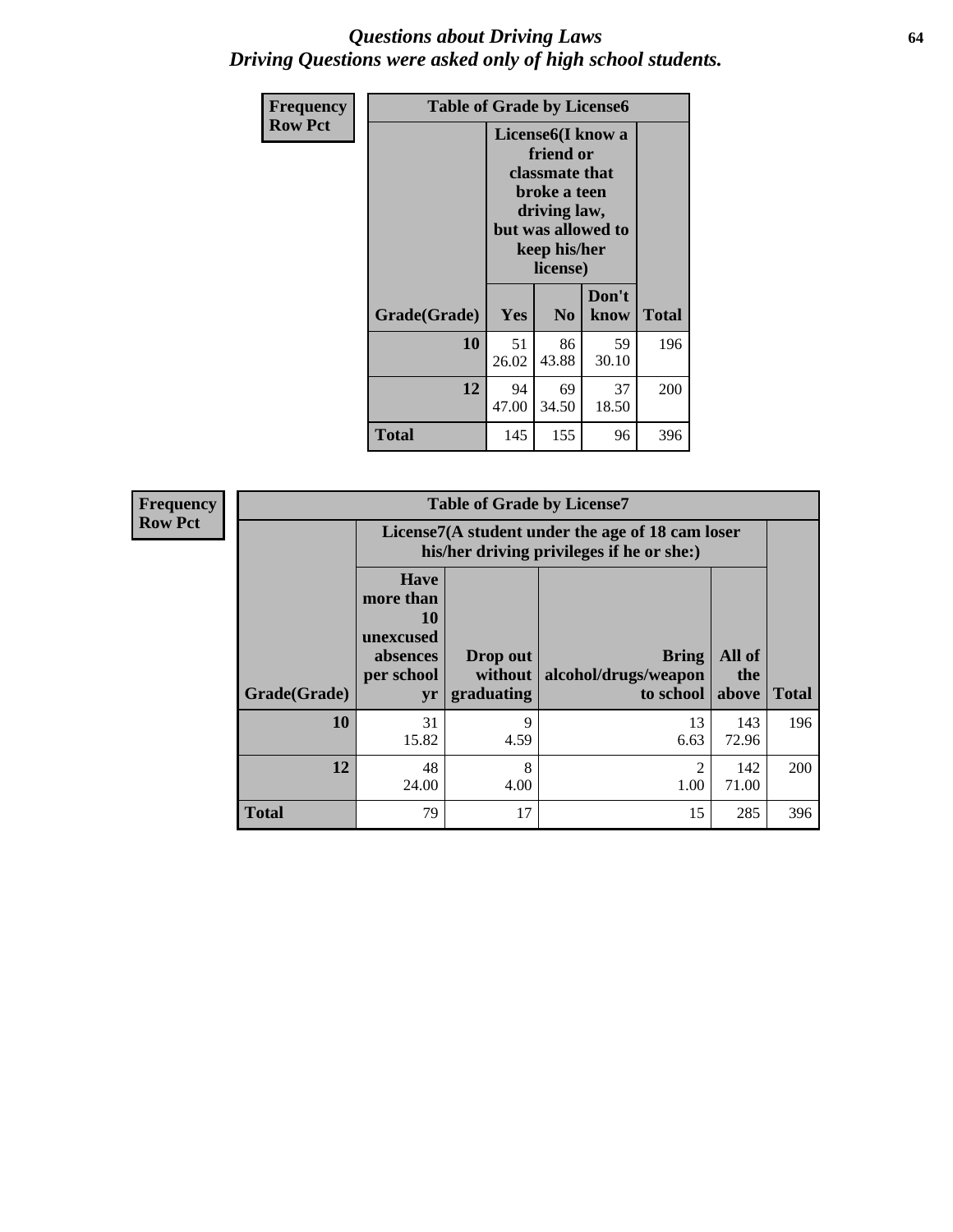#### *Questions about Driving Laws* **64** *Driving Questions were asked only of high school students.*

| <b>Frequency</b> | <b>Table of Grade by License6</b> |             |                                                                                                                                                 |               |              |  |
|------------------|-----------------------------------|-------------|-------------------------------------------------------------------------------------------------------------------------------------------------|---------------|--------------|--|
| <b>Row Pct</b>   |                                   |             | License <sub>6</sub> (I know a<br>friend or<br>classmate that<br>broke a teen<br>driving law,<br>but was allowed to<br>keep his/her<br>license) |               |              |  |
|                  | Grade(Grade)                      | Yes         | N <sub>0</sub>                                                                                                                                  | Don't<br>know | <b>Total</b> |  |
|                  | 10                                | 51<br>26.02 | 86<br>43.88                                                                                                                                     | 59<br>30.10   | 196          |  |
|                  | 12                                | 94<br>47.00 | 200                                                                                                                                             |               |              |  |
|                  | <b>Total</b>                      | 145         | 155                                                                                                                                             | 96            | 396          |  |

| Frequency      |              |                                                                             | <b>Table of Grade by License7</b>                                                             |                                                   |                        |              |  |
|----------------|--------------|-----------------------------------------------------------------------------|-----------------------------------------------------------------------------------------------|---------------------------------------------------|------------------------|--------------|--|
| <b>Row Pct</b> |              |                                                                             | License7(A student under the age of 18 cam loser<br>his/her driving privileges if he or she:) |                                                   |                        |              |  |
|                | Grade(Grade) | <b>Have</b><br>more than<br>10<br>unexcused<br>absences<br>per school<br>yr | Drop out<br>without  <br>graduating                                                           | <b>Bring</b><br>alcohol/drugs/weapon<br>to school | All of<br>the<br>above | <b>Total</b> |  |
|                | 10           | 31<br>15.82                                                                 | 9<br>4.59                                                                                     | 13<br>6.63                                        | 143<br>72.96           | 196          |  |
|                | 12           | 48<br>24.00                                                                 | 8<br>4.00                                                                                     | 2<br>1.00                                         | 142<br>71.00           | 200          |  |
|                | <b>Total</b> | 79                                                                          | 17                                                                                            | 15                                                | 285                    | 396          |  |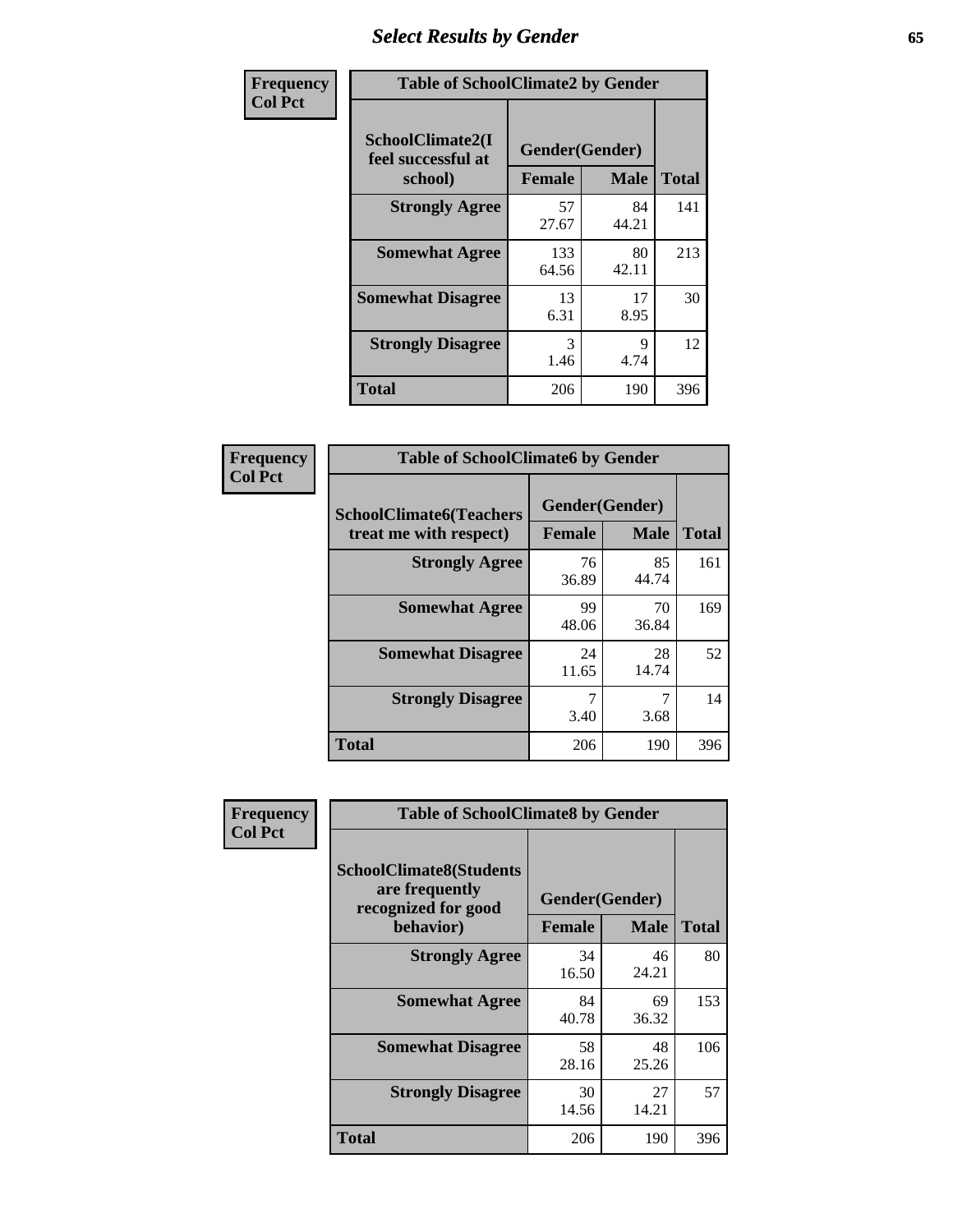# *Select Results by Gender* **65**

| Frequency      | <b>Table of SchoolClimate2 by Gender</b> |                |             |              |
|----------------|------------------------------------------|----------------|-------------|--------------|
| <b>Col Pct</b> | SchoolClimate2(I<br>feel successful at   | Gender(Gender) |             |              |
|                | school)                                  | <b>Female</b>  | <b>Male</b> | <b>Total</b> |
|                | <b>Strongly Agree</b>                    | 57<br>27.67    | 84<br>44.21 | 141          |
|                | <b>Somewhat Agree</b>                    | 133<br>64.56   | 80<br>42.11 | 213          |
|                | <b>Somewhat Disagree</b>                 | 13<br>6.31     | 17<br>8.95  | 30           |
|                | <b>Strongly Disagree</b>                 | 3<br>1.46      | 9<br>4.74   | 12           |
|                | <b>Total</b>                             | 206            | 190         | 396          |

| Frequency      | <b>Table of SchoolClimate6 by Gender</b>                 |                                 |             |              |  |
|----------------|----------------------------------------------------------|---------------------------------|-------------|--------------|--|
| <b>Col Pct</b> | <b>SchoolClimate6(Teachers</b><br>treat me with respect) | Gender(Gender)<br><b>Female</b> | <b>Male</b> | <b>Total</b> |  |
|                | <b>Strongly Agree</b>                                    | 76<br>36.89                     | 85<br>44.74 | 161          |  |
|                | <b>Somewhat Agree</b>                                    | 99<br>48.06                     | 70<br>36.84 | 169          |  |
|                | <b>Somewhat Disagree</b>                                 | 24<br>11.65                     | 28<br>14.74 | 52           |  |
|                | <b>Strongly Disagree</b>                                 | 7<br>3.40                       | 3.68        | 14           |  |
|                | Total                                                    | 206                             | 190         | 396          |  |

| <b>Frequency</b> | <b>Table of SchoolClimate8 by Gender</b>                                             |                                 |              |     |
|------------------|--------------------------------------------------------------------------------------|---------------------------------|--------------|-----|
| <b>Col Pct</b>   | <b>SchoolClimate8(Students</b><br>are frequently<br>recognized for good<br>behavior) | Gender(Gender)<br><b>Female</b> | <b>Total</b> |     |
|                  | <b>Strongly Agree</b>                                                                | 34<br>16.50                     | 46<br>24.21  | 80  |
|                  | <b>Somewhat Agree</b>                                                                | 84<br>40.78                     | 69<br>36.32  | 153 |
|                  | <b>Somewhat Disagree</b>                                                             | 58<br>28.16                     | 48<br>25.26  | 106 |
|                  | <b>Strongly Disagree</b>                                                             | 30<br>14.56                     | 27<br>14.21  | 57  |
|                  | Total                                                                                | 206                             | 190          | 396 |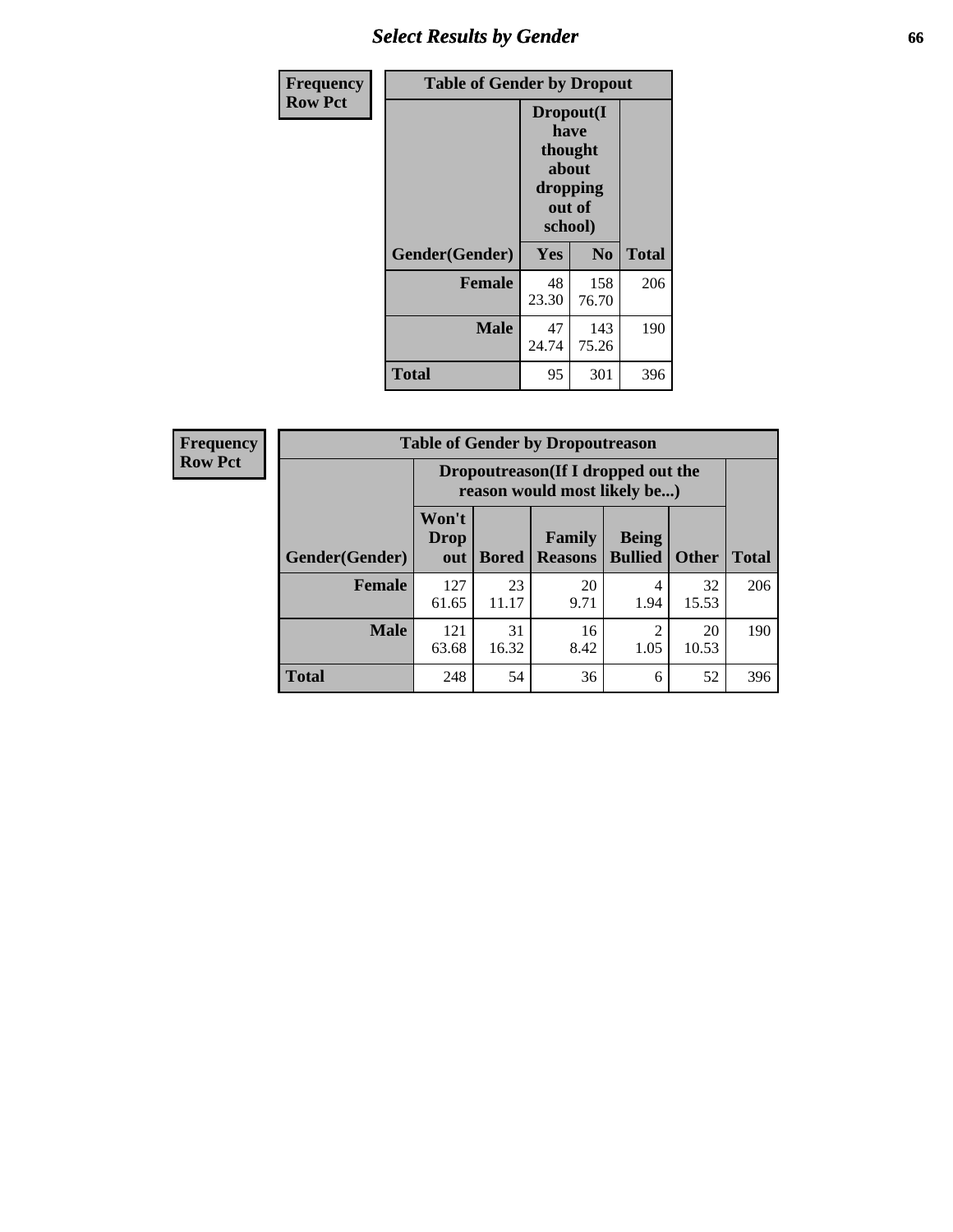# *Select Results by Gender* **66**

| Frequency      | <b>Table of Gender by Dropout</b> |                                                                        |                |              |
|----------------|-----------------------------------|------------------------------------------------------------------------|----------------|--------------|
| <b>Row Pct</b> |                                   | Dropout(I<br>have<br>thought<br>about<br>dropping<br>out of<br>school) |                |              |
|                | Gender(Gender)                    | Yes                                                                    | N <sub>0</sub> | <b>Total</b> |
|                | <b>Female</b>                     | 48<br>23.30                                                            | 158<br>76.70   | 206          |
|                | <b>Male</b>                       | 47<br>24.74                                                            | 143<br>75.26   | 190          |
|                | <b>Total</b>                      | 95                                                                     | 301            | 396          |

| <b>Frequency</b> | <b>Table of Gender by Dropoutreason</b> |                                                                     |              |                          |                                |              |              |
|------------------|-----------------------------------------|---------------------------------------------------------------------|--------------|--------------------------|--------------------------------|--------------|--------------|
| <b>Row Pct</b>   |                                         | Dropoutreason (If I dropped out the<br>reason would most likely be) |              |                          |                                |              |              |
|                  | <b>Gender</b> (Gender)                  | Won't<br><b>Drop</b><br>out                                         | <b>Bored</b> | Family<br><b>Reasons</b> | <b>Being</b><br><b>Bullied</b> | <b>Other</b> | <b>Total</b> |
|                  | <b>Female</b>                           | 127<br>61.65                                                        | 23<br>11.17  | 20<br>9.71               | 4<br>1.94                      | 32<br>15.53  | 206          |
|                  | <b>Male</b>                             | 121<br>63.68                                                        | 31<br>16.32  | 16<br>8.42               | っ<br>1.05                      | 20<br>10.53  | 190          |
|                  | <b>Total</b>                            | 248                                                                 | 54           | 36                       | 6                              | 52           | 396          |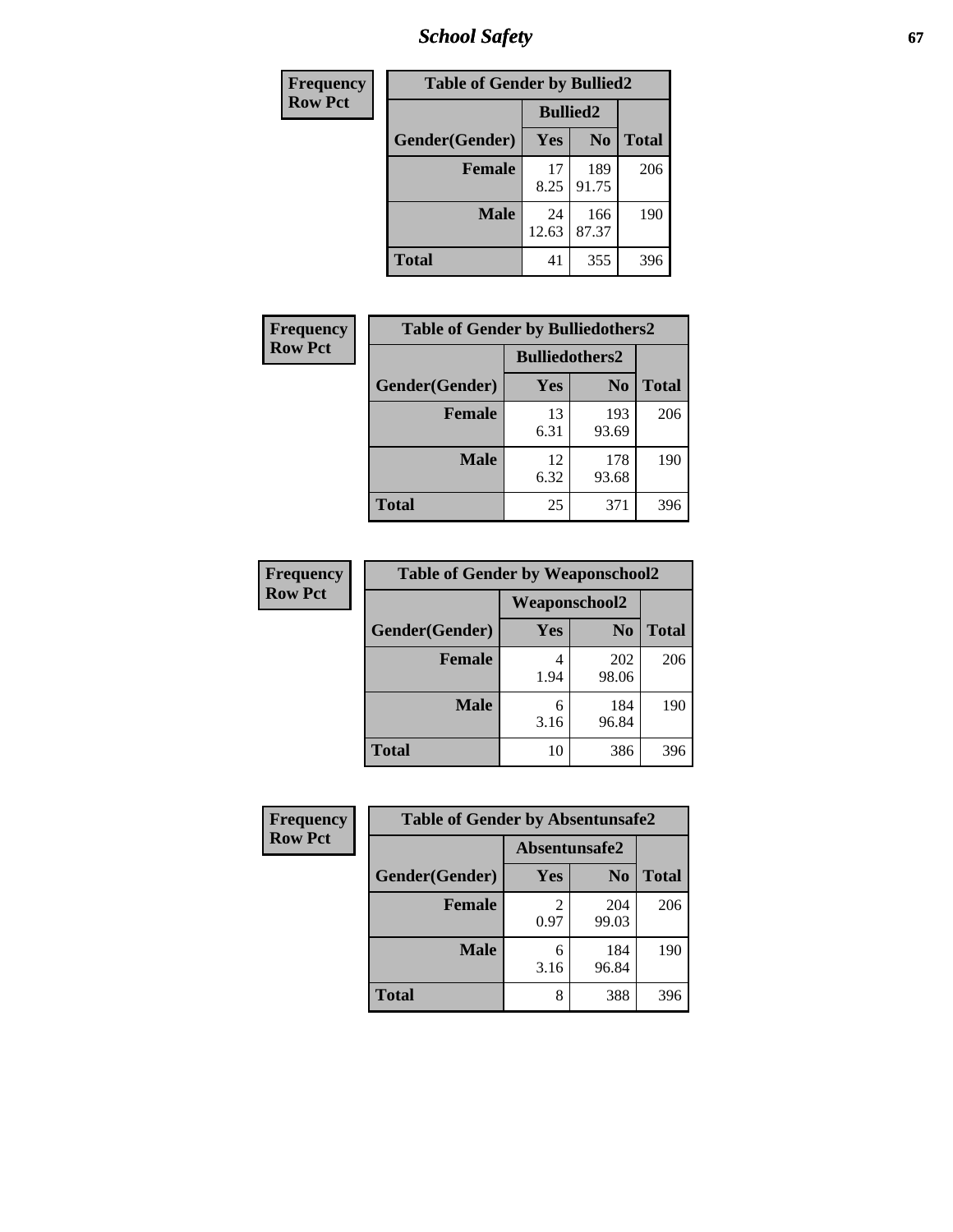*School Safety* **67**

| Frequency      | <b>Table of Gender by Bullied2</b> |                 |                |              |  |
|----------------|------------------------------------|-----------------|----------------|--------------|--|
| <b>Row Pct</b> |                                    | <b>Bullied2</b> |                |              |  |
|                | Gender(Gender)                     | Yes             | N <sub>0</sub> | <b>Total</b> |  |
|                | <b>Female</b>                      | 17<br>8.25      | 189<br>91.75   | 206          |  |
|                | <b>Male</b>                        | 24<br>12.63     | 166<br>87.37   | 190          |  |
|                | <b>Total</b>                       | 41              | 355            | 396          |  |

| Frequency      | <b>Table of Gender by Bulliedothers2</b> |                       |                |              |
|----------------|------------------------------------------|-----------------------|----------------|--------------|
| <b>Row Pct</b> |                                          | <b>Bulliedothers2</b> |                |              |
|                | Gender(Gender)                           | Yes                   | N <sub>0</sub> | <b>Total</b> |
|                | <b>Female</b>                            | 13<br>6.31            | 193<br>93.69   | 206          |
|                | <b>Male</b>                              | 12<br>6.32            | 178<br>93.68   | 190          |
|                | Total                                    | 25                    | 371            | 396          |

| Frequency      |                |               | <b>Table of Gender by Weaponschool2</b> |              |  |
|----------------|----------------|---------------|-----------------------------------------|--------------|--|
| <b>Row Pct</b> |                | Weaponschool2 |                                         |              |  |
|                | Gender(Gender) | Yes           | N <sub>0</sub>                          | <b>Total</b> |  |
|                | <b>Female</b>  | 1.94          | 202<br>98.06                            | 206          |  |
|                | <b>Male</b>    | 6<br>3.16     | 184<br>96.84                            | 190          |  |
|                | <b>Total</b>   | 10            | 386                                     | 396          |  |

| Frequency      | <b>Table of Gender by Absentunsafe2</b> |               |                |              |
|----------------|-----------------------------------------|---------------|----------------|--------------|
| <b>Row Pct</b> |                                         | Absentunsafe2 |                |              |
|                | Gender(Gender)                          | Yes           | N <sub>0</sub> | <b>Total</b> |
|                | <b>Female</b>                           | 0.97          | 204<br>99.03   | 206          |
|                | <b>Male</b>                             | 6<br>3.16     | 184<br>96.84   | 190          |
|                | <b>Total</b>                            | 8             | 388            | 396          |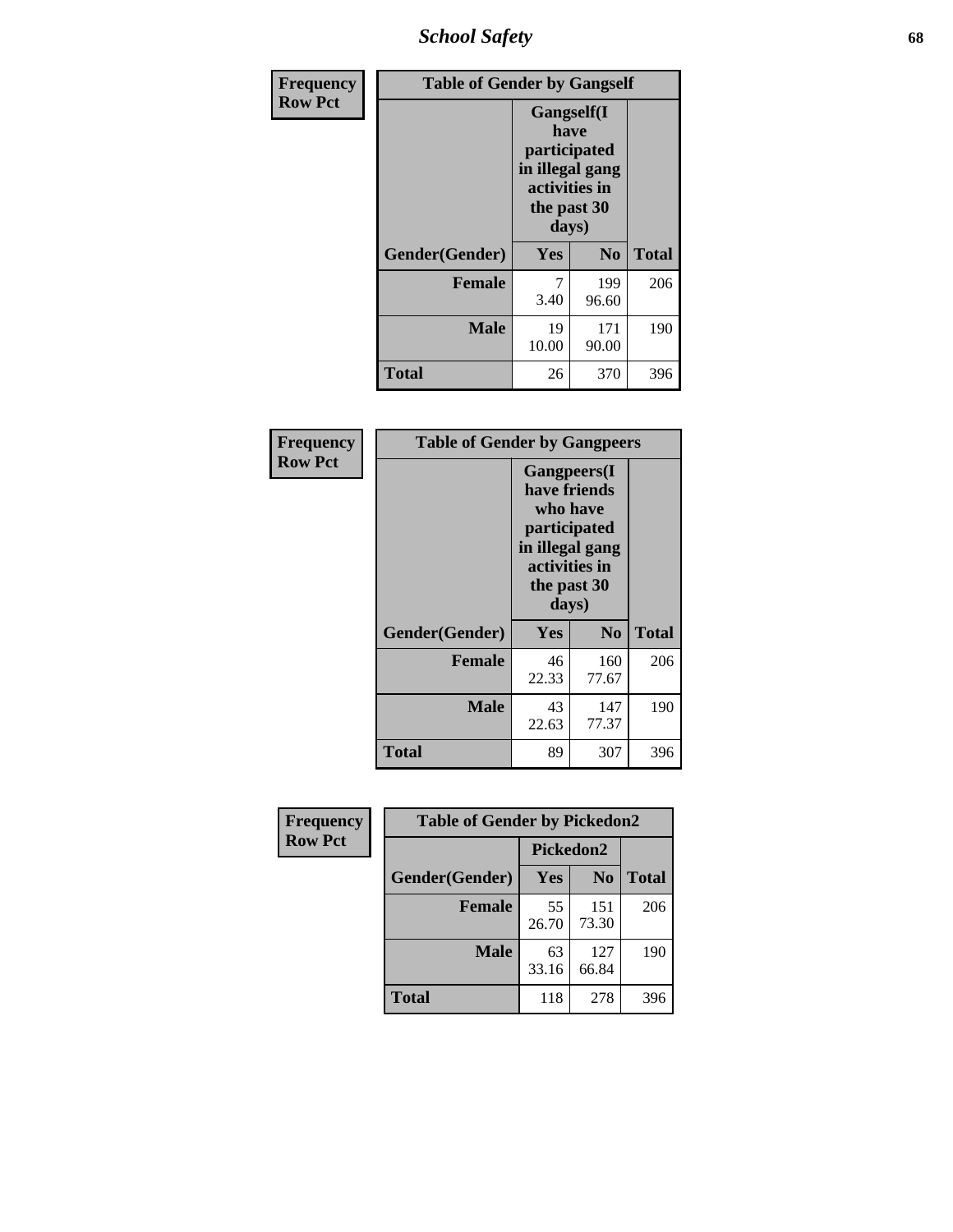*School Safety* **68**

| Frequency      | <b>Table of Gender by Gangself</b> |                                                                                                |                |              |
|----------------|------------------------------------|------------------------------------------------------------------------------------------------|----------------|--------------|
| <b>Row Pct</b> |                                    | Gangself(I<br>have<br>participated<br>in illegal gang<br>activities in<br>the past 30<br>days) |                |              |
|                | Gender(Gender)                     | Yes                                                                                            | N <sub>0</sub> | <b>Total</b> |
|                | <b>Female</b>                      | 7<br>3.40                                                                                      | 199<br>96.60   | 206          |
|                | <b>Male</b>                        | 19<br>10.00                                                                                    | 171<br>90.00   | 190          |
|                | <b>Total</b>                       | 26                                                                                             | 370            | 396          |

| <b>Frequency</b> | <b>Table of Gender by Gangpeers</b> |             |                                                                                                                             |              |
|------------------|-------------------------------------|-------------|-----------------------------------------------------------------------------------------------------------------------------|--------------|
| <b>Row Pct</b>   |                                     |             | <b>Gangpeers</b> (I<br>have friends<br>who have<br>participated<br>in illegal gang<br>activities in<br>the past 30<br>days) |              |
|                  | Gender(Gender)                      | Yes         | N <sub>0</sub>                                                                                                              | <b>Total</b> |
|                  | <b>Female</b>                       | 46<br>22.33 | 160<br>77.67                                                                                                                | 206          |
|                  | <b>Male</b>                         | 43<br>22.63 | 147<br>77.37                                                                                                                | 190          |
|                  | <b>Total</b>                        | 89          | 307                                                                                                                         | 396          |

| Frequency      | <b>Table of Gender by Pickedon2</b> |             |                |              |
|----------------|-------------------------------------|-------------|----------------|--------------|
| <b>Row Pct</b> |                                     | Pickedon2   |                |              |
|                | Gender(Gender)                      | <b>Yes</b>  | N <sub>0</sub> | <b>Total</b> |
|                | <b>Female</b>                       | 55<br>26.70 | 151<br>73.30   | 206          |
|                | <b>Male</b>                         | 63<br>33.16 | 127<br>66.84   | 190          |
|                | <b>Total</b>                        | 118         | 278            | 396          |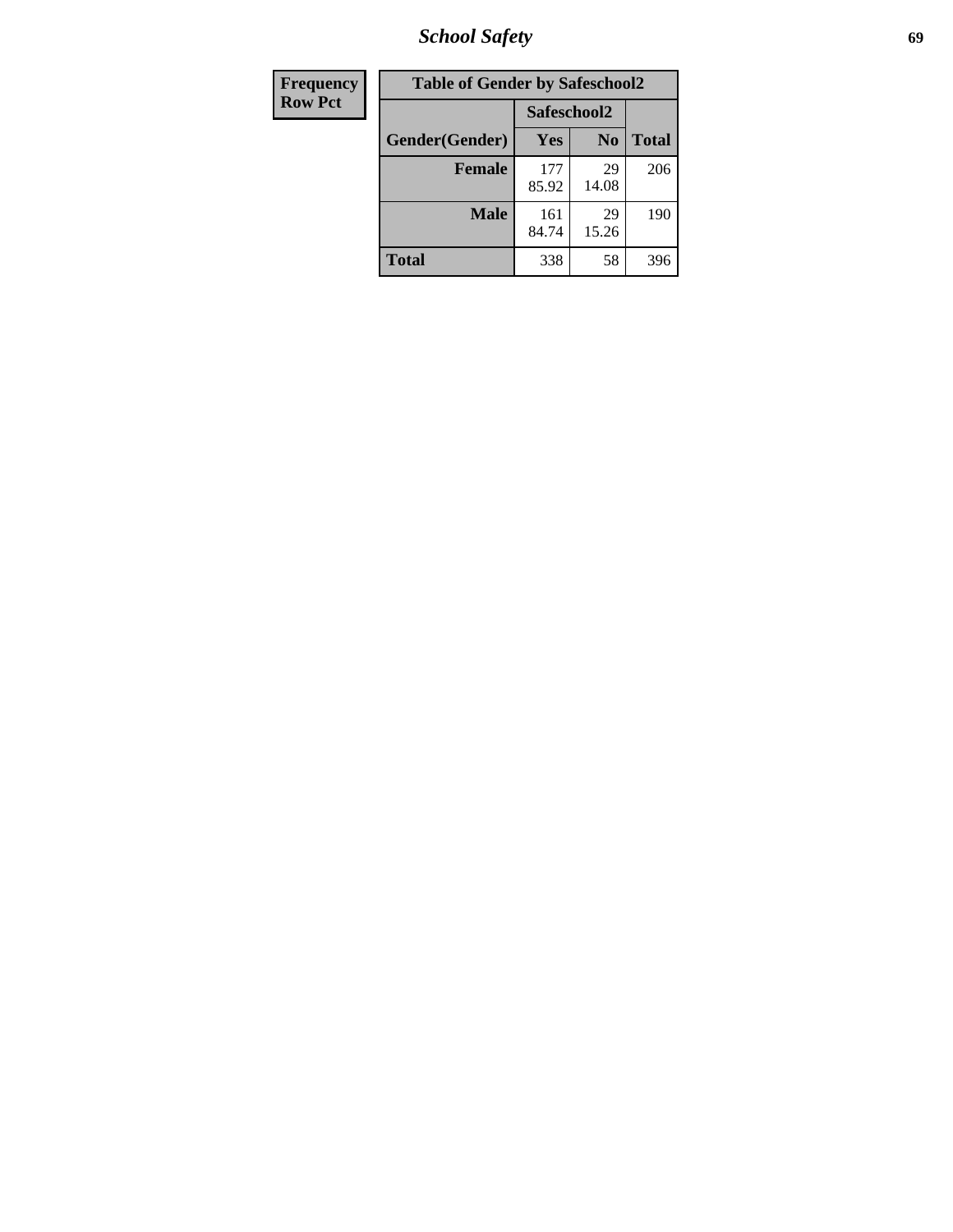*School Safety* **69**

| Frequency      | <b>Table of Gender by Safeschool2</b> |              |                |              |
|----------------|---------------------------------------|--------------|----------------|--------------|
| <b>Row Pct</b> |                                       | Safeschool2  |                |              |
|                | Gender(Gender)                        | <b>Yes</b>   | N <sub>0</sub> | <b>Total</b> |
|                | <b>Female</b>                         | 177<br>85.92 | 29<br>14.08    | 206          |
|                | <b>Male</b>                           | 161<br>84.74 | 29<br>15.26    | 190          |
|                | <b>Total</b>                          | 338          | 58             | 396          |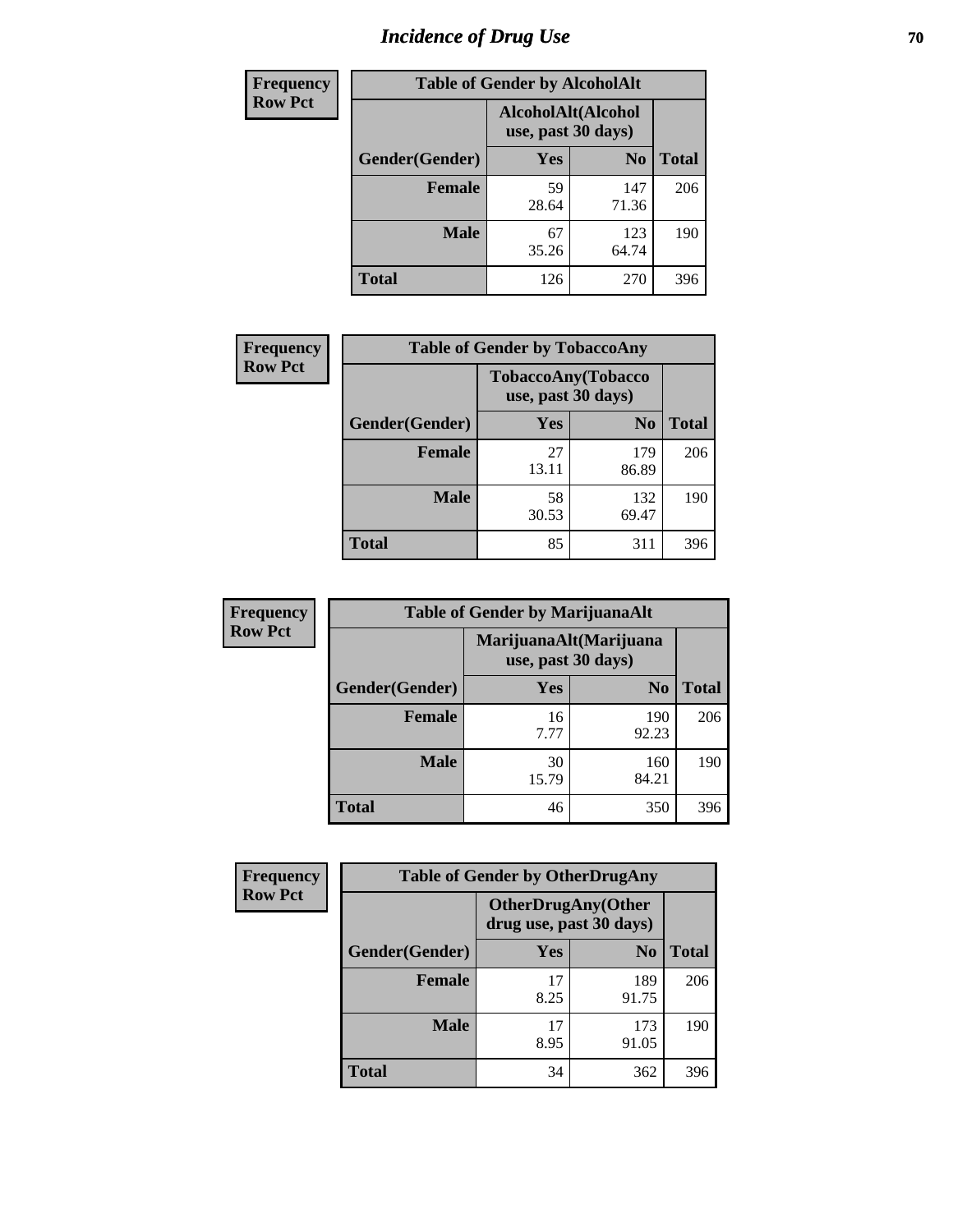# *Incidence of Drug Use* **70**

| <b>Frequency</b> | <b>Table of Gender by AlcoholAlt</b> |                                          |                |              |
|------------------|--------------------------------------|------------------------------------------|----------------|--------------|
| <b>Row Pct</b>   |                                      | AlcoholAlt(Alcohol<br>use, past 30 days) |                |              |
|                  | Gender(Gender)                       | <b>Yes</b>                               | N <sub>0</sub> | <b>Total</b> |
|                  | <b>Female</b>                        | 59<br>28.64                              | 147<br>71.36   | 206          |
|                  | <b>Male</b>                          | 67<br>35.26                              | 123<br>64.74   | 190          |
|                  | <b>Total</b>                         | 126                                      | 270            | 396          |

| Frequency      | <b>Table of Gender by TobaccoAny</b> |                                          |                |              |  |
|----------------|--------------------------------------|------------------------------------------|----------------|--------------|--|
| <b>Row Pct</b> |                                      | TobaccoAny(Tobacco<br>use, past 30 days) |                |              |  |
|                | Gender(Gender)                       | Yes                                      | N <sub>0</sub> | <b>Total</b> |  |
|                | <b>Female</b>                        | 27<br>13.11                              | 179<br>86.89   | 206          |  |
|                | <b>Male</b>                          | 58<br>30.53                              | 132<br>69.47   | 190          |  |
|                | Total                                | 85                                       | 311            | 396          |  |

| <b>Frequency</b> | <b>Table of Gender by MarijuanaAlt</b> |                                              |                |              |
|------------------|----------------------------------------|----------------------------------------------|----------------|--------------|
| <b>Row Pct</b>   |                                        | MarijuanaAlt(Marijuana<br>use, past 30 days) |                |              |
|                  | Gender(Gender)                         | Yes                                          | N <sub>0</sub> | <b>Total</b> |
|                  | <b>Female</b>                          | 16<br>7.77                                   | 190<br>92.23   | 206          |
|                  | <b>Male</b>                            | 30<br>15.79                                  | 160<br>84.21   | 190          |
|                  | <b>Total</b>                           | 46                                           | 350            | 396          |

| <b>Frequency</b> | <b>Table of Gender by OtherDrugAny</b> |                                                      |                |              |
|------------------|----------------------------------------|------------------------------------------------------|----------------|--------------|
| <b>Row Pct</b>   |                                        | <b>OtherDrugAny(Other</b><br>drug use, past 30 days) |                |              |
|                  | Gender(Gender)                         | <b>Yes</b>                                           | N <sub>0</sub> | <b>Total</b> |
|                  | <b>Female</b>                          | 17<br>8.25                                           | 189<br>91.75   | 206          |
|                  | <b>Male</b>                            | 17<br>8.95                                           | 173<br>91.05   | 190          |
|                  | <b>Total</b>                           | 34                                                   | 362            | 396          |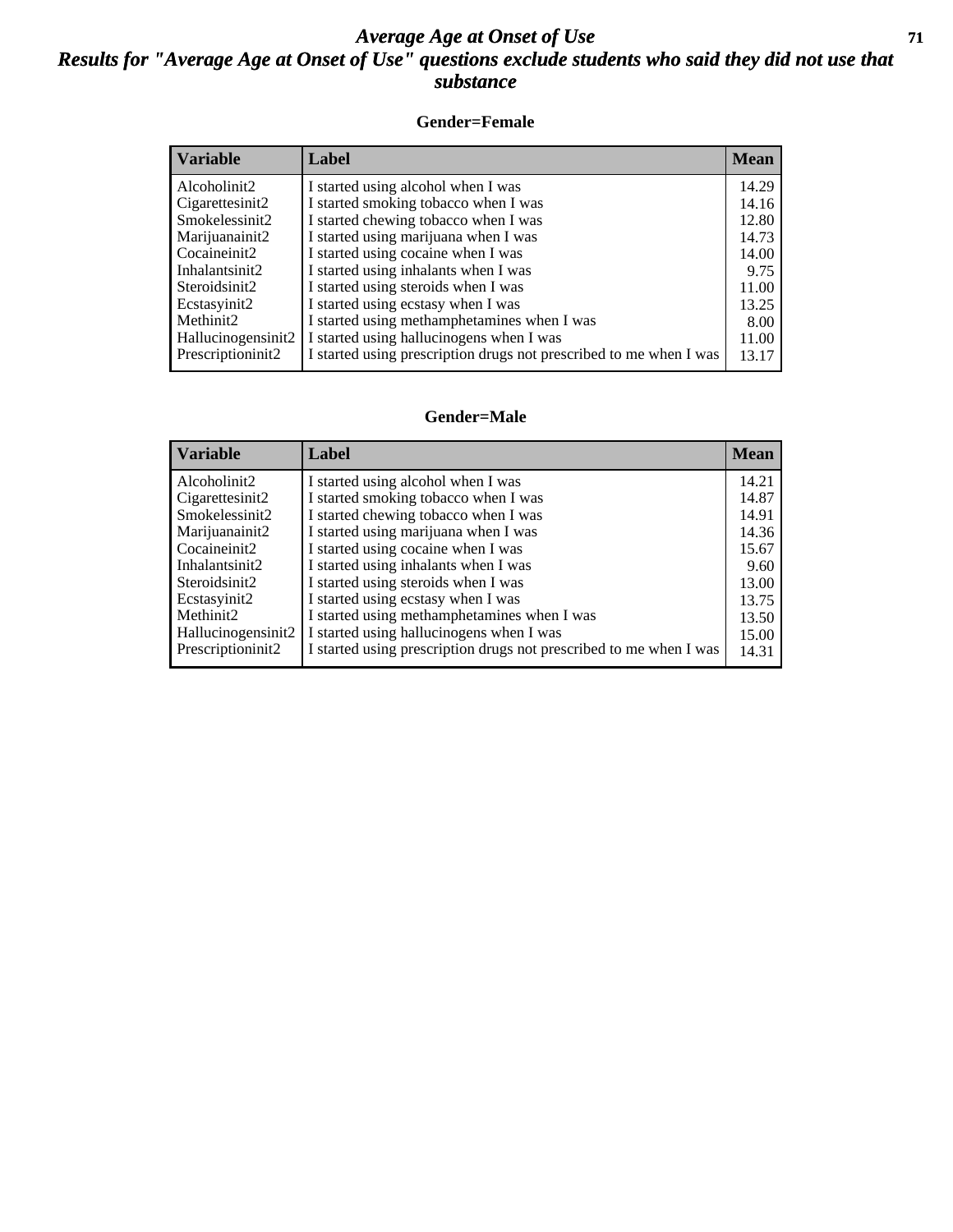#### *Average Age at Onset of Use* **71** *Results for "Average Age at Onset of Use" questions exclude students who said they did not use that substance*

#### **Gender=Female**

| <b>Variable</b>    | Label                                                              | <b>Mean</b> |
|--------------------|--------------------------------------------------------------------|-------------|
| Alcoholinit2       | I started using alcohol when I was                                 | 14.29       |
| Cigarettesinit2    | I started smoking tobacco when I was                               | 14.16       |
| Smokelessinit2     | I started chewing tobacco when I was                               | 12.80       |
| Marijuanainit2     | I started using marijuana when I was                               | 14.73       |
| Cocaineinit2       | I started using cocaine when I was                                 | 14.00       |
| Inhalantsinit2     | I started using inhalants when I was                               | 9.75        |
| Steroidsinit2      | I started using steroids when I was                                | 11.00       |
| Ecstasyinit2       | I started using ecstasy when I was                                 | 13.25       |
| Methinit2          | I started using methamphetamines when I was                        | 8.00        |
| Hallucinogensinit2 | I started using hallucinogens when I was                           | 11.00       |
| Prescriptioninit2  | I started using prescription drugs not prescribed to me when I was | 13.17       |

#### **Gender=Male**

| <b>Variable</b>    | Label                                                              | <b>Mean</b> |
|--------------------|--------------------------------------------------------------------|-------------|
| Alcoholinit2       | I started using alcohol when I was                                 | 14.21       |
| Cigarettesinit2    | I started smoking tobacco when I was                               | 14.87       |
| Smokelessinit2     | I started chewing tobacco when I was                               | 14.91       |
| Marijuanainit2     | I started using marijuana when I was                               | 14.36       |
| Cocaineinit2       | I started using cocaine when I was                                 | 15.67       |
| Inhalantsinit2     | I started using inhalants when I was                               | 9.60        |
| Steroidsinit2      | I started using steroids when I was                                | 13.00       |
| Ecstasyinit2       | I started using ecstasy when I was                                 | 13.75       |
| Methinit2          | I started using methamphetamines when I was                        | 13.50       |
| Hallucinogensinit2 | I started using hallucinogens when I was                           | 15.00       |
| Prescriptioninit2  | I started using prescription drugs not prescribed to me when I was | 14.31       |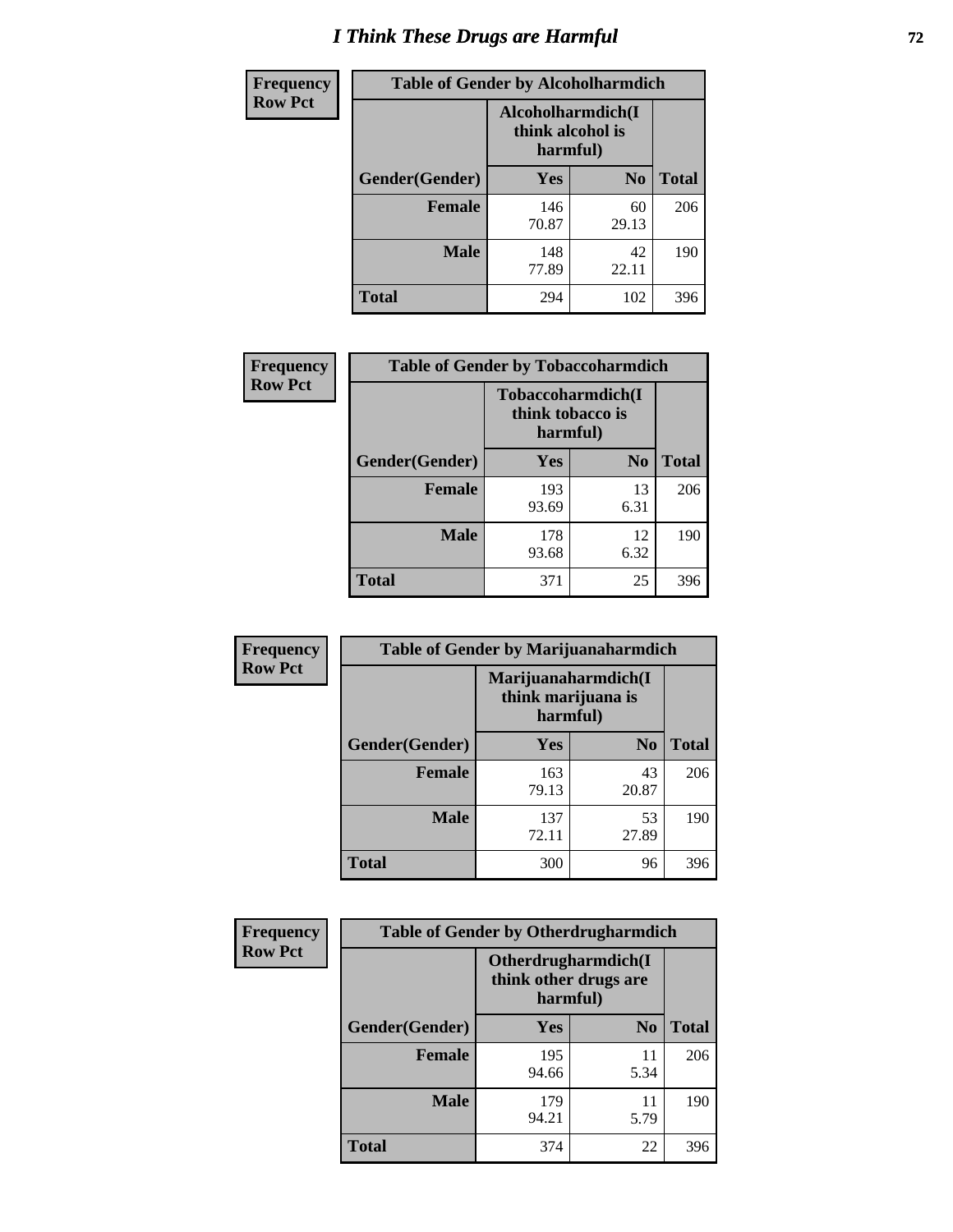# *I Think These Drugs are Harmful* **72**

| <b>Frequency</b> | <b>Table of Gender by Alcoholharmdich</b> |                                                   |                |              |
|------------------|-------------------------------------------|---------------------------------------------------|----------------|--------------|
| <b>Row Pct</b>   |                                           | Alcoholharmdich(I<br>think alcohol is<br>harmful) |                |              |
|                  | Gender(Gender)                            | <b>Yes</b>                                        | N <sub>0</sub> | <b>Total</b> |
|                  | <b>Female</b>                             | 146<br>70.87                                      | 60<br>29.13    | 206          |
|                  | <b>Male</b>                               | 148<br>77.89                                      | 42<br>22.11    | 190          |
|                  | <b>Total</b>                              | 294                                               | 102            | 396          |

| Frequency      | <b>Table of Gender by Tobaccoharmdich</b> |                  |                               |              |
|----------------|-------------------------------------------|------------------|-------------------------------|--------------|
| <b>Row Pct</b> |                                           | think tobacco is | Tobaccoharmdich(I<br>harmful) |              |
|                | Gender(Gender)                            | Yes              | N <sub>0</sub>                | <b>Total</b> |
|                | <b>Female</b>                             | 193<br>93.69     | 13<br>6.31                    | 206          |
|                | <b>Male</b>                               | 178<br>93.68     | 12<br>6.32                    | 190          |
|                | <b>Total</b>                              | 371              | 25                            | 396          |

| Frequency      | <b>Table of Gender by Marijuanaharmdich</b> |                                                       |                |              |  |
|----------------|---------------------------------------------|-------------------------------------------------------|----------------|--------------|--|
| <b>Row Pct</b> |                                             | Marijuanaharmdich(I<br>think marijuana is<br>harmful) |                |              |  |
|                | Gender(Gender)                              | <b>Yes</b>                                            | N <sub>0</sub> | <b>Total</b> |  |
|                | <b>Female</b>                               | 163<br>79.13                                          | 43<br>20.87    | 206          |  |
|                | <b>Male</b>                                 | 137<br>72.11                                          | 53<br>27.89    | 190          |  |
|                | <b>Total</b>                                | 300                                                   | 96             | 396          |  |

| Frequency      | <b>Table of Gender by Otherdrugharmdich</b> |                                   |                     |              |
|----------------|---------------------------------------------|-----------------------------------|---------------------|--------------|
| <b>Row Pct</b> |                                             | think other drugs are<br>harmful) | Otherdrugharmdich(I |              |
|                | Gender(Gender)                              | <b>Yes</b>                        | N <sub>0</sub>      | <b>Total</b> |
|                | <b>Female</b>                               | 195<br>94.66                      | 11<br>5.34          | 206          |
|                | <b>Male</b>                                 | 179<br>94.21                      | 11<br>5.79          | 190          |
|                | <b>Total</b>                                | 374                               | 22                  | 396          |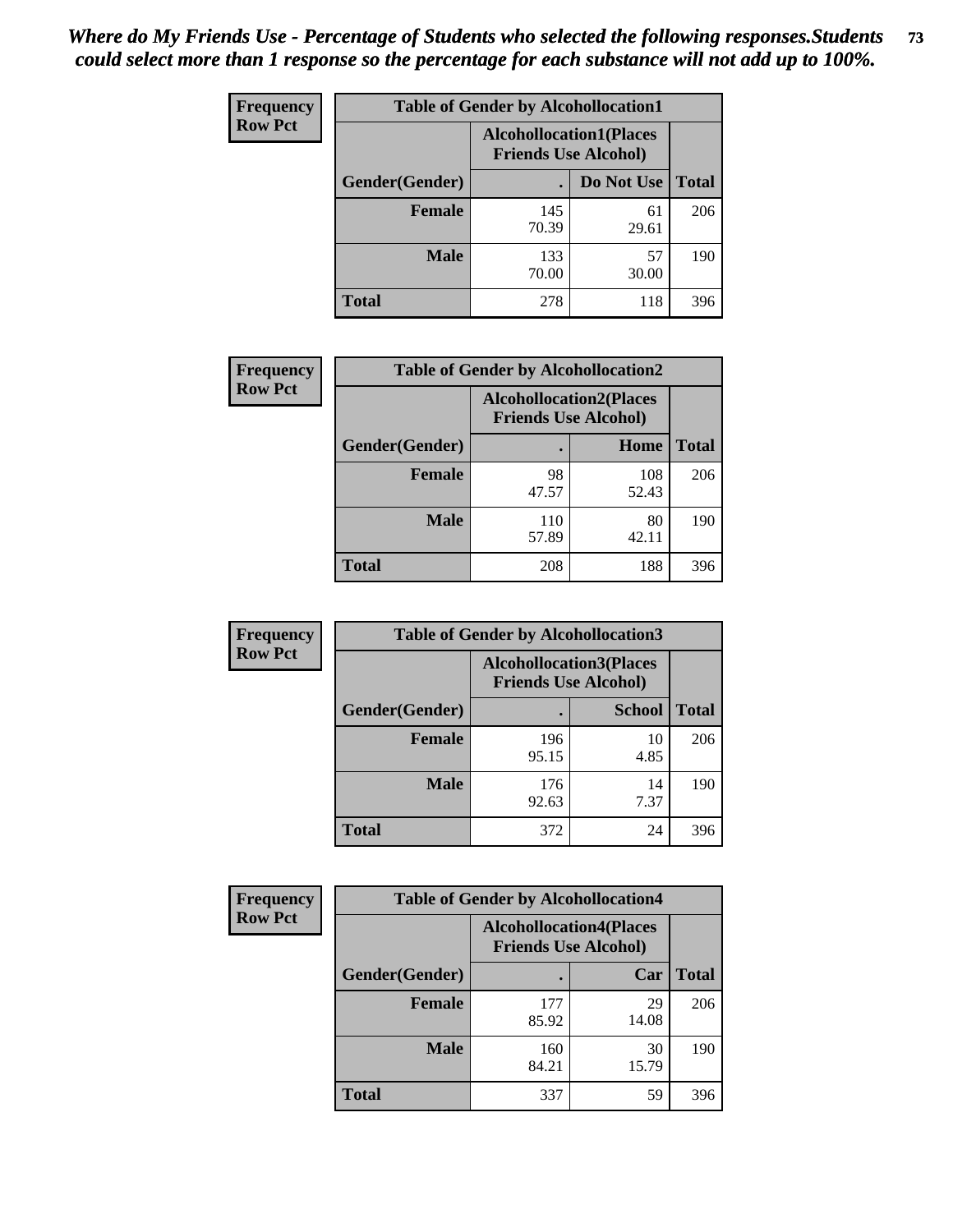| <b>Frequency</b> | <b>Table of Gender by Alcohollocation1</b> |                                                               |             |              |
|------------------|--------------------------------------------|---------------------------------------------------------------|-------------|--------------|
| <b>Row Pct</b>   |                                            | <b>Alcohollocation1(Places</b><br><b>Friends Use Alcohol)</b> |             |              |
|                  | Gender(Gender)                             |                                                               | Do Not Use  | <b>Total</b> |
|                  | <b>Female</b>                              | 145<br>70.39                                                  | 61<br>29.61 | 206          |
|                  | <b>Male</b>                                | 133<br>70.00                                                  | 57<br>30.00 | 190          |
|                  | <b>Total</b>                               | 278                                                           | 118         | 396          |

| <b>Frequency</b> | <b>Table of Gender by Alcohollocation2</b> |                                |                             |              |
|------------------|--------------------------------------------|--------------------------------|-----------------------------|--------------|
| <b>Row Pct</b>   |                                            | <b>Alcohollocation2(Places</b> | <b>Friends Use Alcohol)</b> |              |
|                  | Gender(Gender)                             |                                | Home                        | <b>Total</b> |
|                  | <b>Female</b>                              | 98<br>47.57                    | 108<br>52.43                | 206          |
|                  | <b>Male</b>                                | 110<br>57.89                   | 80<br>42.11                 | 190          |
|                  | <b>Total</b>                               | 208                            | 188                         | 396          |

| Frequency      | <b>Table of Gender by Alcohollocation3</b> |              |                                                               |              |
|----------------|--------------------------------------------|--------------|---------------------------------------------------------------|--------------|
| <b>Row Pct</b> |                                            |              | <b>Alcohollocation3(Places</b><br><b>Friends Use Alcohol)</b> |              |
|                | Gender(Gender)                             |              | <b>School</b>                                                 | <b>Total</b> |
|                | <b>Female</b>                              | 196<br>95.15 | 10<br>4.85                                                    | 206          |
|                | <b>Male</b>                                | 176<br>92.63 | 14<br>7.37                                                    | 190          |
|                | <b>Total</b>                               | 372          | 24                                                            | 396          |

| Frequency      | <b>Table of Gender by Alcohollocation4</b> |                                |                             |              |
|----------------|--------------------------------------------|--------------------------------|-----------------------------|--------------|
| <b>Row Pct</b> |                                            | <b>Alcohollocation4(Places</b> | <b>Friends Use Alcohol)</b> |              |
|                | Gender(Gender)                             |                                | Car                         | <b>Total</b> |
|                | <b>Female</b>                              | 177<br>85.92                   | 29<br>14.08                 | 206          |
|                | <b>Male</b>                                | 160<br>84.21                   | 30<br>15.79                 | 190          |
|                | <b>Total</b>                               | 337                            | 59                          | 396          |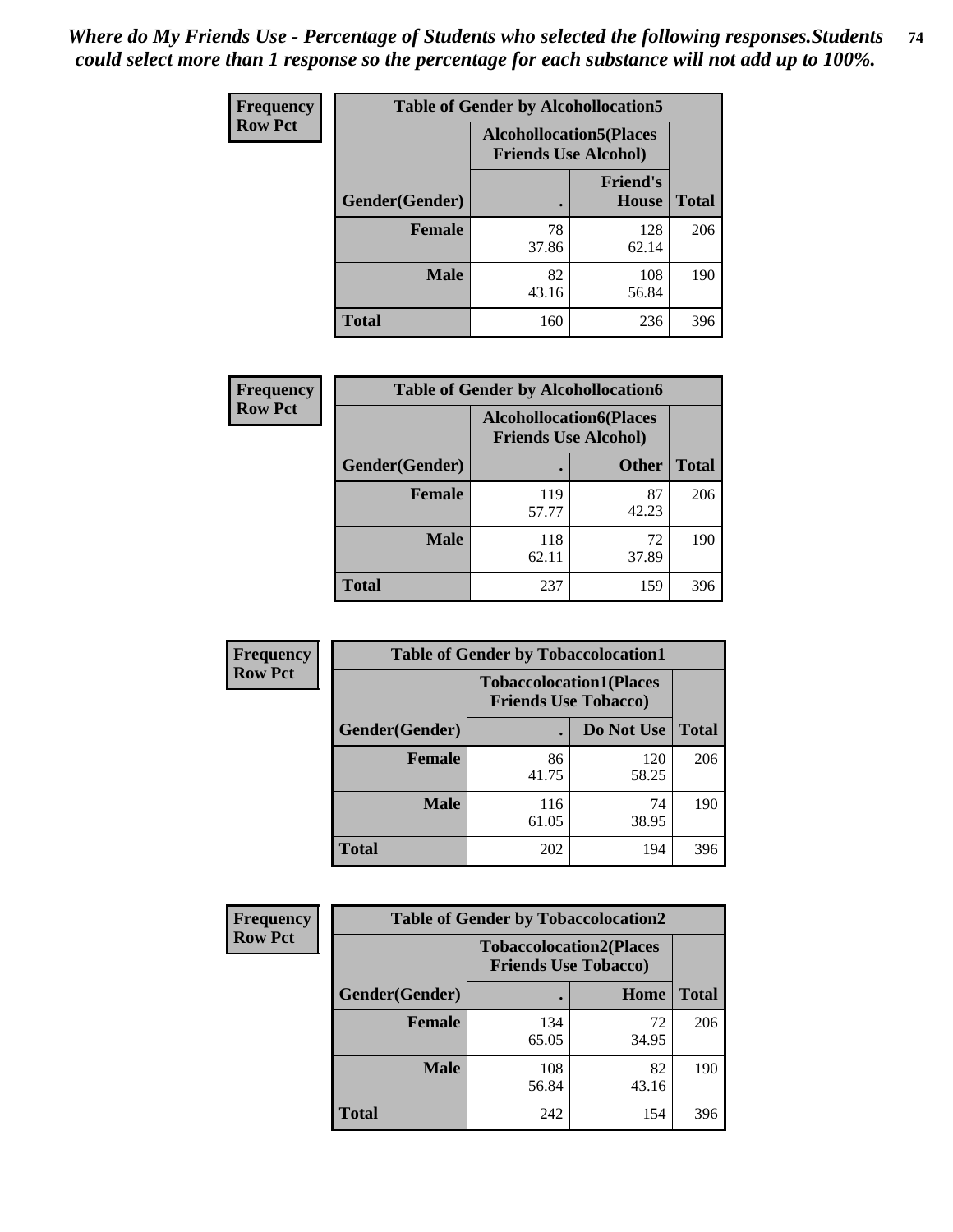| <b>Frequency</b> | <b>Table of Gender by Alcohollocation5</b> |                                                                |                                 |              |
|------------------|--------------------------------------------|----------------------------------------------------------------|---------------------------------|--------------|
| <b>Row Pct</b>   |                                            | <b>Alcohollocation5</b> (Places<br><b>Friends Use Alcohol)</b> |                                 |              |
|                  | Gender(Gender)                             | $\bullet$                                                      | <b>Friend's</b><br><b>House</b> | <b>Total</b> |
|                  | <b>Female</b>                              | 78<br>37.86                                                    | 128<br>62.14                    | 206          |
|                  | <b>Male</b>                                | 82<br>43.16                                                    | 108<br>56.84                    | 190          |
|                  | <b>Total</b>                               | 160                                                            | 236                             | 396          |

| Frequency      | <b>Table of Gender by Alcohollocation6</b> |                                                               |              |              |
|----------------|--------------------------------------------|---------------------------------------------------------------|--------------|--------------|
| <b>Row Pct</b> |                                            | <b>Alcohollocation6(Places</b><br><b>Friends Use Alcohol)</b> |              |              |
|                | <b>Gender</b> (Gender)                     |                                                               | <b>Other</b> | <b>Total</b> |
|                | <b>Female</b>                              | 119<br>57.77                                                  | 87<br>42.23  | 206          |
|                | <b>Male</b>                                | 118<br>62.11                                                  | 72<br>37.89  | 190          |
|                | <b>Total</b>                               | 237                                                           | 159          | 396          |

| Frequency      | <b>Table of Gender by Tobaccolocation1</b> |                                                               |              |              |
|----------------|--------------------------------------------|---------------------------------------------------------------|--------------|--------------|
| <b>Row Pct</b> |                                            | <b>Tobaccolocation1(Places</b><br><b>Friends Use Tobacco)</b> |              |              |
|                | Gender(Gender)                             |                                                               | Do Not Use   | <b>Total</b> |
|                | Female                                     | 86<br>41.75                                                   | 120<br>58.25 | 206          |
|                | <b>Male</b>                                | 116<br>61.05                                                  | 74<br>38.95  | 190          |
|                | <b>Total</b>                               | 202                                                           | 194          | 396          |

| Frequency      | <b>Table of Gender by Tobaccolocation2</b> |                                                               |             |              |  |
|----------------|--------------------------------------------|---------------------------------------------------------------|-------------|--------------|--|
| <b>Row Pct</b> |                                            | <b>Tobaccolocation2(Places</b><br><b>Friends Use Tobacco)</b> |             |              |  |
|                | Gender(Gender)                             |                                                               | Home        | <b>Total</b> |  |
|                | Female                                     | 134<br>65.05                                                  | 72<br>34.95 | 206          |  |
|                | <b>Male</b>                                | 108<br>56.84                                                  | 82<br>43.16 | 190          |  |
|                | <b>Total</b>                               | 242                                                           | 154         | 396          |  |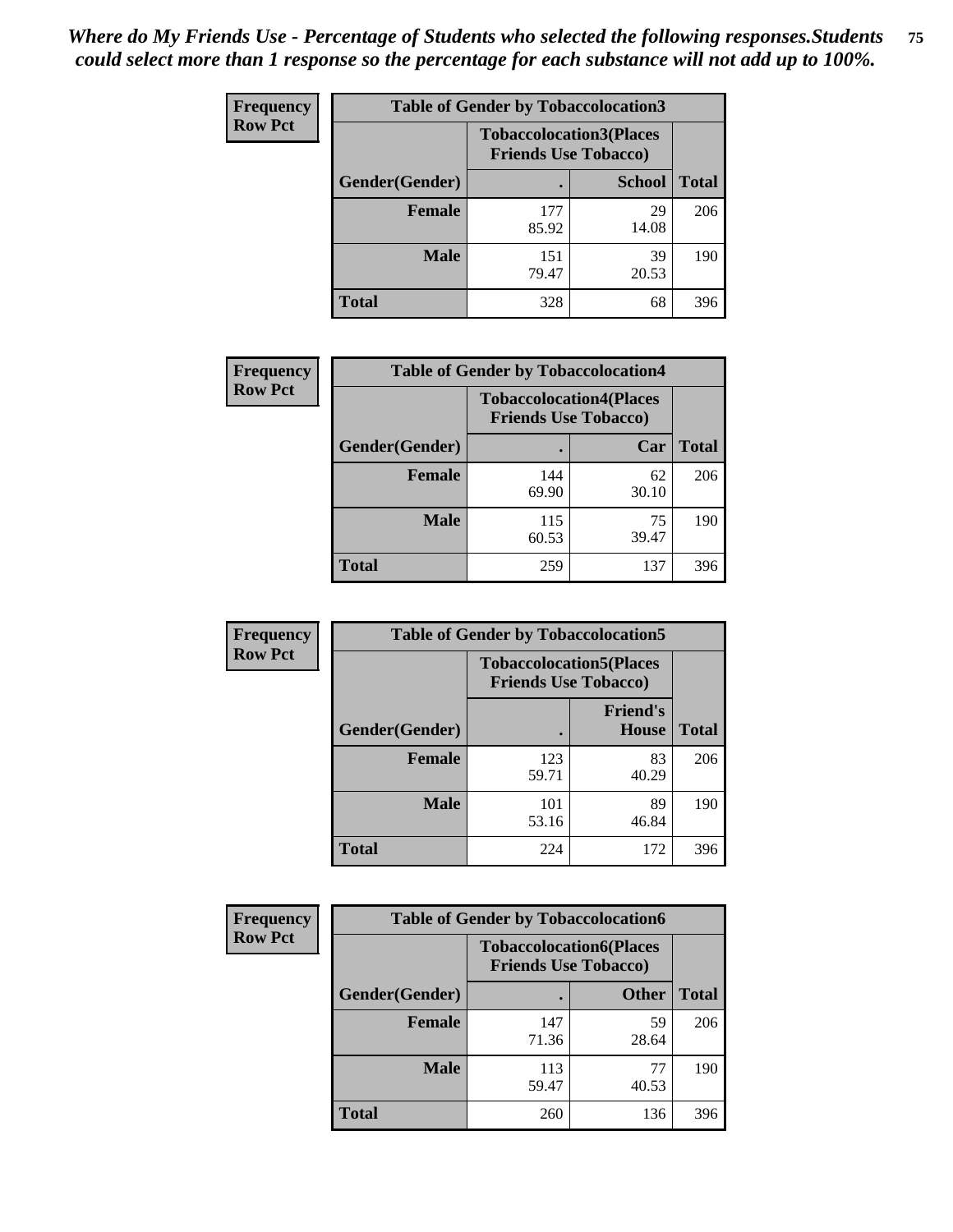| <b>Frequency</b> | <b>Table of Gender by Tobaccolocation3</b> |                                                               |               |              |
|------------------|--------------------------------------------|---------------------------------------------------------------|---------------|--------------|
| <b>Row Pct</b>   |                                            | <b>Tobaccolocation3(Places</b><br><b>Friends Use Tobacco)</b> |               |              |
|                  | Gender(Gender)                             |                                                               | <b>School</b> | <b>Total</b> |
|                  | <b>Female</b>                              | 177<br>85.92                                                  | 29<br>14.08   | 206          |
|                  | <b>Male</b>                                | 151<br>79.47                                                  | 39<br>20.53   | 190          |
|                  | <b>Total</b>                               | 328                                                           | 68            | 396          |

| <b>Frequency</b> | <b>Table of Gender by Tobaccolocation4</b> |                                                               |             |              |
|------------------|--------------------------------------------|---------------------------------------------------------------|-------------|--------------|
| <b>Row Pct</b>   |                                            | <b>Tobaccolocation4(Places</b><br><b>Friends Use Tobacco)</b> |             |              |
|                  | Gender(Gender)                             |                                                               | Car         | <b>Total</b> |
|                  | <b>Female</b>                              | 144<br>69.90                                                  | 62<br>30.10 | 206          |
|                  | <b>Male</b>                                | 115<br>60.53                                                  | 75<br>39.47 | 190          |
|                  | <b>Total</b>                               | 259                                                           | 137         | 396          |

| <b>Frequency</b> | <b>Table of Gender by Tobaccolocation5</b> |                                                               |                                 |              |
|------------------|--------------------------------------------|---------------------------------------------------------------|---------------------------------|--------------|
| <b>Row Pct</b>   |                                            | <b>Tobaccolocation5(Places</b><br><b>Friends Use Tobacco)</b> |                                 |              |
|                  | Gender(Gender)                             |                                                               | <b>Friend's</b><br><b>House</b> | <b>Total</b> |
|                  | <b>Female</b>                              | 123<br>59.71                                                  | 83<br>40.29                     | 206          |
|                  | <b>Male</b>                                | 101<br>53.16                                                  | 89<br>46.84                     | 190          |
|                  | <b>Total</b>                               | 224                                                           | 172                             | 396          |

| <b>Frequency</b> | <b>Table of Gender by Tobaccolocation6</b> |                                                               |              |              |
|------------------|--------------------------------------------|---------------------------------------------------------------|--------------|--------------|
| <b>Row Pct</b>   |                                            | <b>Tobaccolocation6(Places</b><br><b>Friends Use Tobacco)</b> |              |              |
|                  | Gender(Gender)                             |                                                               | <b>Other</b> | <b>Total</b> |
|                  | Female                                     | 147<br>71.36                                                  | 59<br>28.64  | 206          |
|                  | <b>Male</b>                                | 113<br>59.47                                                  | 77<br>40.53  | 190          |
|                  | <b>Total</b>                               | 260                                                           | 136          | 396          |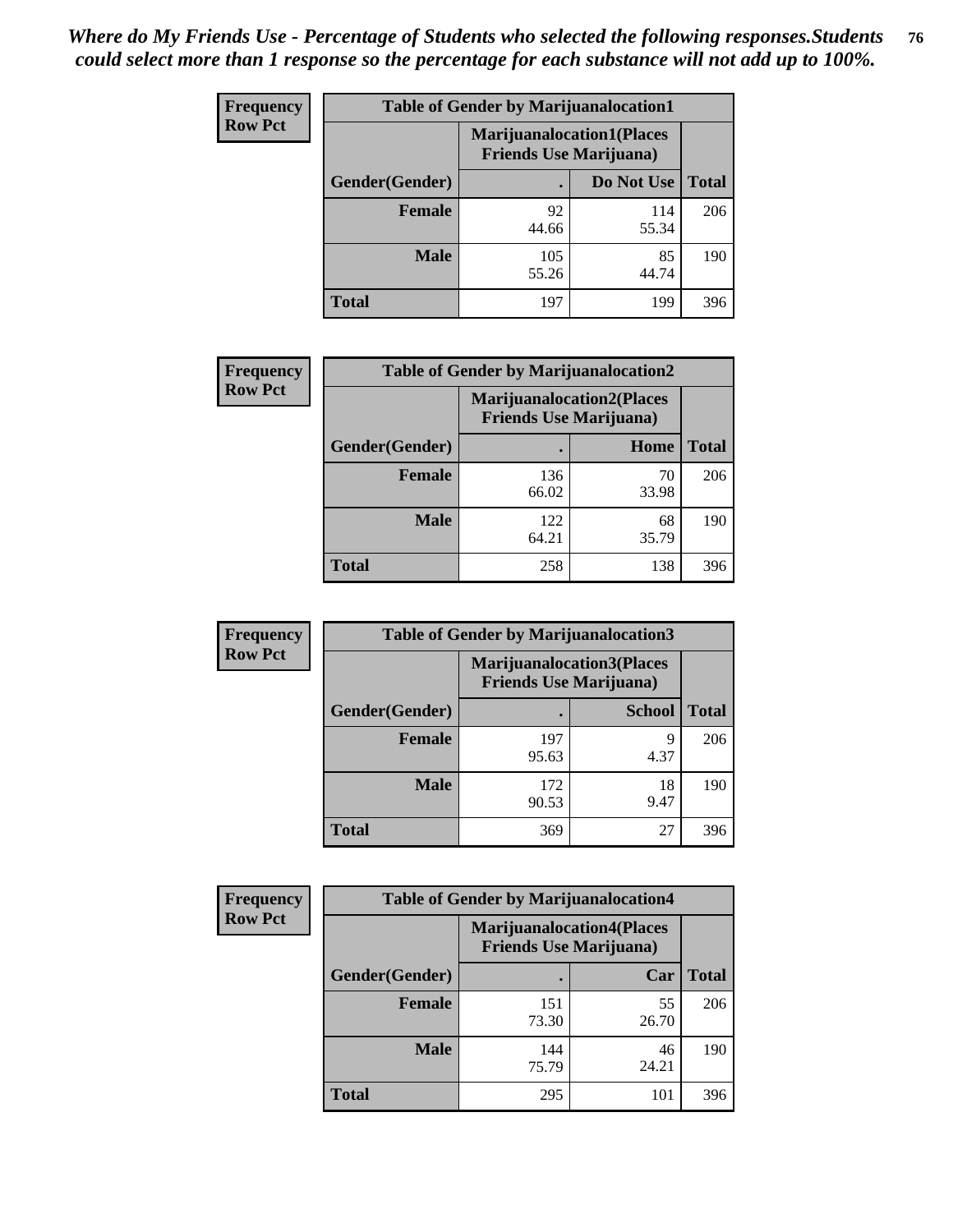| <b>Frequency</b> | <b>Table of Gender by Marijuanalocation1</b> |              |                                                                    |              |
|------------------|----------------------------------------------|--------------|--------------------------------------------------------------------|--------------|
| <b>Row Pct</b>   |                                              |              | <b>Marijuanalocation1(Places</b><br><b>Friends Use Marijuana</b> ) |              |
|                  | Gender(Gender)                               |              | Do Not Use                                                         | <b>Total</b> |
|                  | <b>Female</b>                                | 92<br>44.66  | 114<br>55.34                                                       | 206          |
|                  | <b>Male</b>                                  | 105<br>55.26 | 85<br>44.74                                                        | 190          |
|                  | <b>Total</b>                                 | 197          | 199                                                                | 396          |

| <b>Frequency</b> | <b>Table of Gender by Marijuanalocation2</b> |                                                                    |             |              |  |
|------------------|----------------------------------------------|--------------------------------------------------------------------|-------------|--------------|--|
| <b>Row Pct</b>   |                                              | <b>Marijuanalocation2(Places</b><br><b>Friends Use Marijuana</b> ) |             |              |  |
|                  | Gender(Gender)                               |                                                                    | Home        | <b>Total</b> |  |
|                  | <b>Female</b>                                | 136<br>66.02                                                       | 70<br>33.98 | 206          |  |
|                  | <b>Male</b>                                  | 122<br>64.21                                                       | 68<br>35.79 | 190          |  |
|                  | <b>Total</b>                                 | 258                                                                | 138         | 396          |  |

| Frequency      | <b>Table of Gender by Marijuanalocation3</b> |                                                                     |               |              |
|----------------|----------------------------------------------|---------------------------------------------------------------------|---------------|--------------|
| <b>Row Pct</b> |                                              | <b>Marijuanalocation3(Places)</b><br><b>Friends Use Marijuana</b> ) |               |              |
|                | Gender(Gender)                               |                                                                     | <b>School</b> | <b>Total</b> |
|                | Female                                       | 197<br>95.63                                                        | q<br>4.37     | 206          |
|                | <b>Male</b>                                  | 172<br>90.53                                                        | 18<br>9.47    | 190          |
|                | <b>Total</b>                                 | 369                                                                 | 27            | 396          |

| Frequency      | <b>Table of Gender by Marijuanalocation4</b> |                                |                                  |              |
|----------------|----------------------------------------------|--------------------------------|----------------------------------|--------------|
| <b>Row Pct</b> |                                              | <b>Friends Use Marijuana</b> ) | <b>Marijuanalocation4(Places</b> |              |
|                | Gender(Gender)                               |                                | Car                              | <b>Total</b> |
|                | <b>Female</b>                                | 151<br>73.30                   | 55<br>26.70                      | 206          |
|                | <b>Male</b>                                  | 144<br>75.79                   | 46<br>24.21                      | 190          |
|                | <b>Total</b>                                 | 295                            | 101                              | 396          |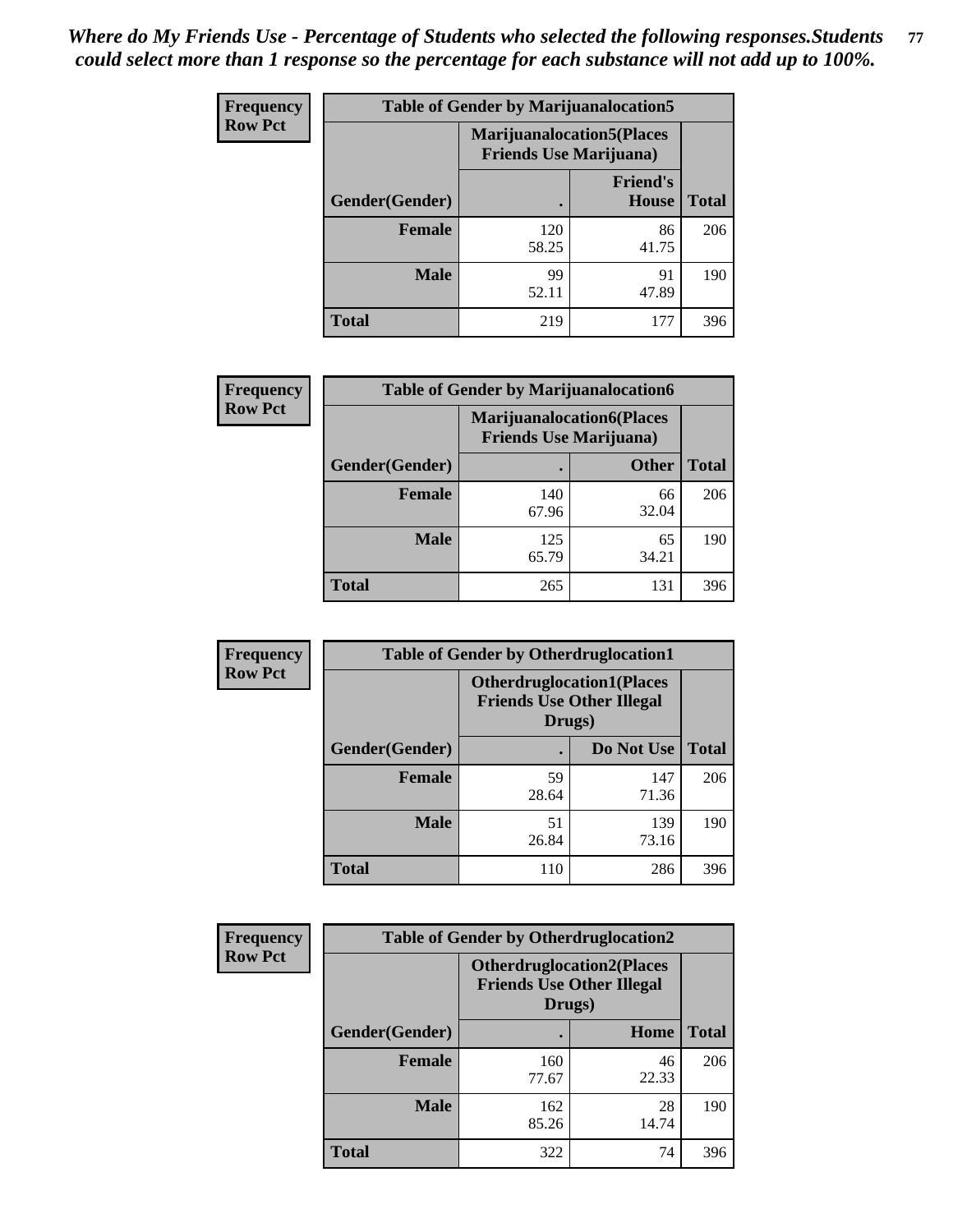| <b>Frequency</b> | <b>Table of Gender by Marijuanalocation5</b> |                                                                     |                                 |              |
|------------------|----------------------------------------------|---------------------------------------------------------------------|---------------------------------|--------------|
| <b>Row Pct</b>   |                                              | <b>Marijuanalocation5</b> (Places<br><b>Friends Use Marijuana</b> ) |                                 |              |
|                  | Gender(Gender)                               |                                                                     | <b>Friend's</b><br><b>House</b> | <b>Total</b> |
|                  | <b>Female</b>                                | 120<br>58.25                                                        | 86<br>41.75                     | 206          |
|                  | <b>Male</b>                                  | 99<br>52.11                                                         | 91<br>47.89                     | 190          |
|                  | <b>Total</b>                                 | 219                                                                 | 177                             | 396          |

| <b>Frequency</b> | <b>Table of Gender by Marijuanalocation6</b> |                                |                                  |              |
|------------------|----------------------------------------------|--------------------------------|----------------------------------|--------------|
| <b>Row Pct</b>   |                                              | <b>Friends Use Marijuana</b> ) | <b>Marijuanalocation6(Places</b> |              |
|                  | <b>Gender</b> (Gender)                       |                                | <b>Other</b>                     | <b>Total</b> |
|                  | Female                                       | 140<br>67.96                   | 66<br>32.04                      | 206          |
|                  | <b>Male</b>                                  | 125<br>65.79                   | 65<br>34.21                      | 190          |
|                  | Total                                        | 265                            | 131                              | 396          |

| <b>Frequency</b> | <b>Table of Gender by Otherdruglocation1</b> |                                                                                |              |              |
|------------------|----------------------------------------------|--------------------------------------------------------------------------------|--------------|--------------|
| <b>Row Pct</b>   |                                              | <b>Otherdruglocation1(Places</b><br><b>Friends Use Other Illegal</b><br>Drugs) |              |              |
|                  | Gender(Gender)                               |                                                                                | Do Not Use   | <b>Total</b> |
|                  | Female                                       | 59<br>28.64                                                                    | 147<br>71.36 | 206          |
|                  | <b>Male</b>                                  | 51<br>26.84                                                                    | 139<br>73.16 | 190          |
|                  | <b>Total</b>                                 | 110                                                                            | 286          | 396          |

| <b>Frequency</b> | <b>Table of Gender by Otherdruglocation2</b> |                                                                                |             |              |
|------------------|----------------------------------------------|--------------------------------------------------------------------------------|-------------|--------------|
| <b>Row Pct</b>   |                                              | <b>Otherdruglocation2(Places</b><br><b>Friends Use Other Illegal</b><br>Drugs) |             |              |
|                  | Gender(Gender)                               |                                                                                | Home        | <b>Total</b> |
|                  | Female                                       | 160<br>77.67                                                                   | 46<br>22.33 | 206          |
|                  | <b>Male</b>                                  | 162<br>85.26                                                                   | 28<br>14.74 | 190          |
|                  | <b>Total</b>                                 | 322                                                                            | 74          | 396          |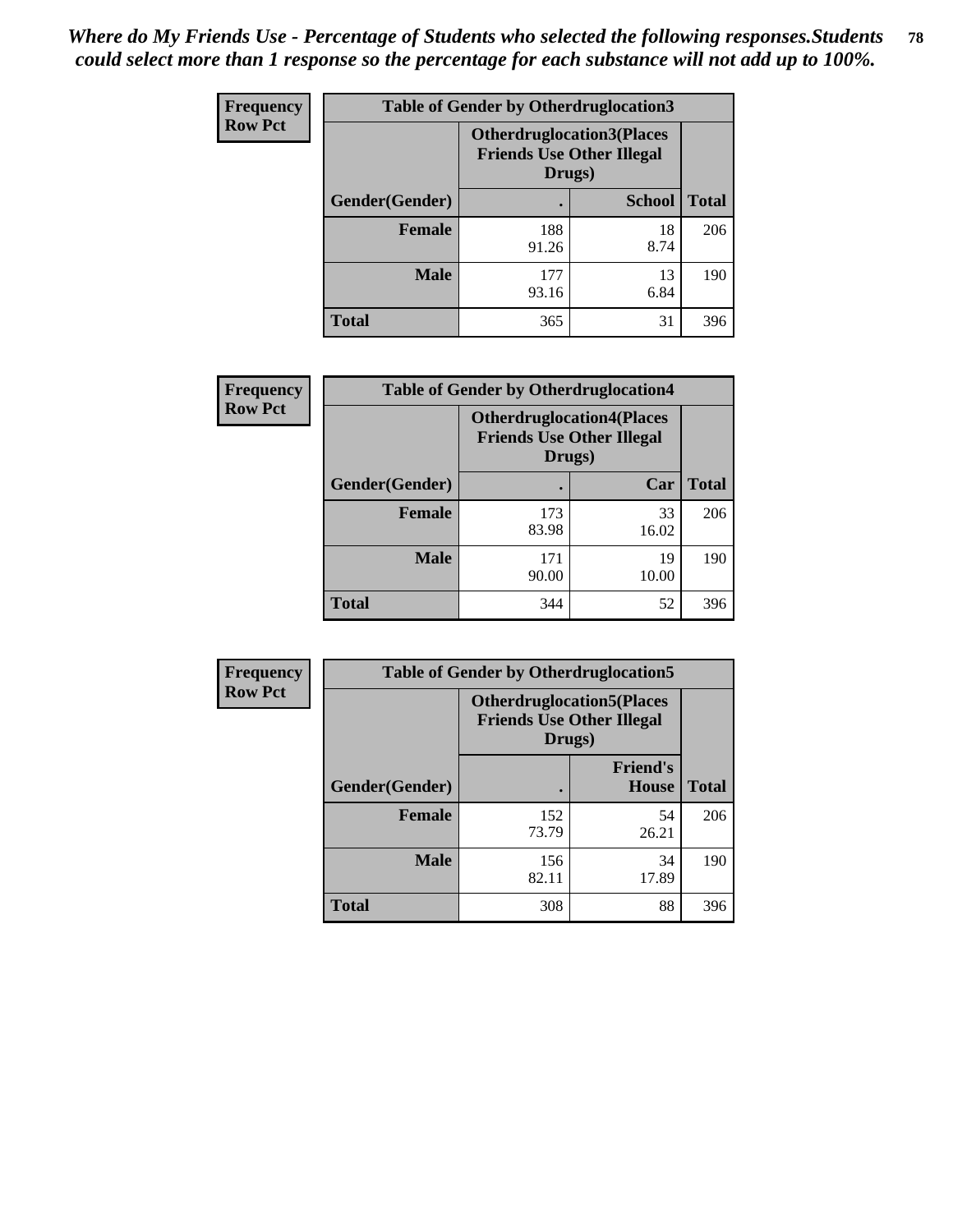| Frequency      | <b>Table of Gender by Otherdruglocation3</b> |                                                                                |               |              |
|----------------|----------------------------------------------|--------------------------------------------------------------------------------|---------------|--------------|
| <b>Row Pct</b> |                                              | <b>Otherdruglocation3(Places</b><br><b>Friends Use Other Illegal</b><br>Drugs) |               |              |
|                | Gender(Gender)                               |                                                                                | <b>School</b> | <b>Total</b> |
|                | Female                                       | 188<br>91.26                                                                   | 18<br>8.74    | 206          |
|                | <b>Male</b>                                  | 177<br>93.16                                                                   | 13<br>6.84    | 190          |
|                | <b>Total</b>                                 | 365                                                                            | 31            | 396          |

| <b>Frequency</b> | <b>Table of Gender by Otherdruglocation4</b>                                   |              |             |              |
|------------------|--------------------------------------------------------------------------------|--------------|-------------|--------------|
| <b>Row Pct</b>   | <b>Otherdruglocation4(Places</b><br><b>Friends Use Other Illegal</b><br>Drugs) |              |             |              |
|                  | Gender(Gender)                                                                 |              | Car         | <b>Total</b> |
|                  | Female                                                                         | 173<br>83.98 | 33<br>16.02 | 206          |
|                  | <b>Male</b>                                                                    | 171<br>90.00 | 19<br>10.00 | 190          |
|                  | <b>Total</b>                                                                   | 344          | 52          | 396          |

| Frequency      | <b>Table of Gender by Otherdruglocation5</b> |                                            |                                  |              |
|----------------|----------------------------------------------|--------------------------------------------|----------------------------------|--------------|
| <b>Row Pct</b> |                                              | <b>Friends Use Other Illegal</b><br>Drugs) | <b>Otherdruglocation5(Places</b> |              |
|                | Gender(Gender)                               |                                            | <b>Friend's</b><br><b>House</b>  | <b>Total</b> |
|                | <b>Female</b>                                | 152<br>73.79                               | 54<br>26.21                      | 206          |
|                | <b>Male</b>                                  | 156<br>82.11                               | 34<br>17.89                      | 190          |
|                | <b>Total</b>                                 | 308                                        | 88                               | 396          |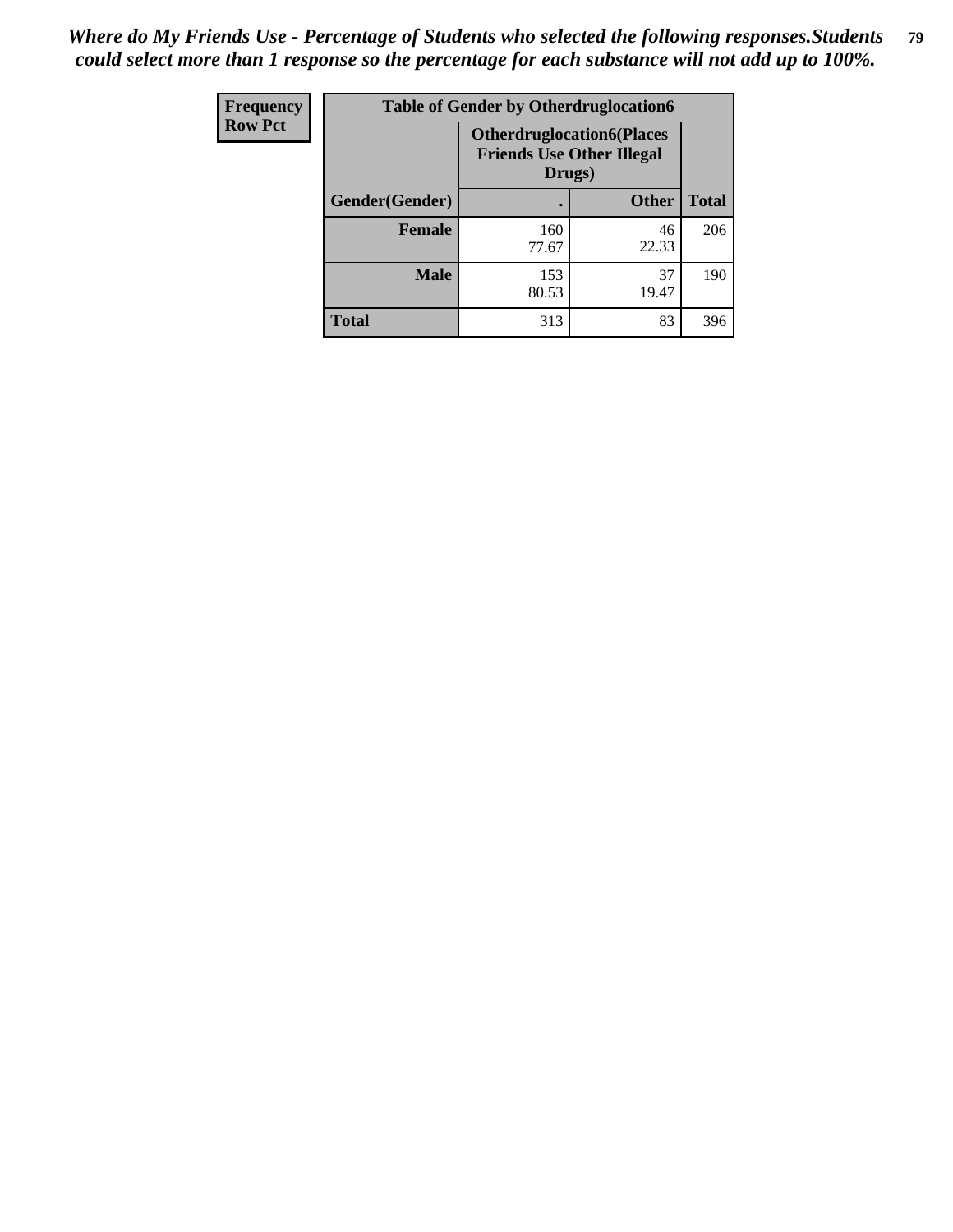| <b>Frequency</b> | <b>Table of Gender by Otherdruglocation6</b> |                                            |                                  |              |
|------------------|----------------------------------------------|--------------------------------------------|----------------------------------|--------------|
| <b>Row Pct</b>   |                                              | <b>Friends Use Other Illegal</b><br>Drugs) | <b>Otherdruglocation6(Places</b> |              |
|                  | Gender(Gender)                               |                                            | <b>Other</b>                     | <b>Total</b> |
|                  | <b>Female</b>                                | 160<br>77.67                               | 46<br>22.33                      | 206          |
|                  | <b>Male</b>                                  | 153<br>80.53                               | 37<br>19.47                      | 190          |
|                  | <b>Total</b>                                 | 313                                        | 83                               | 396          |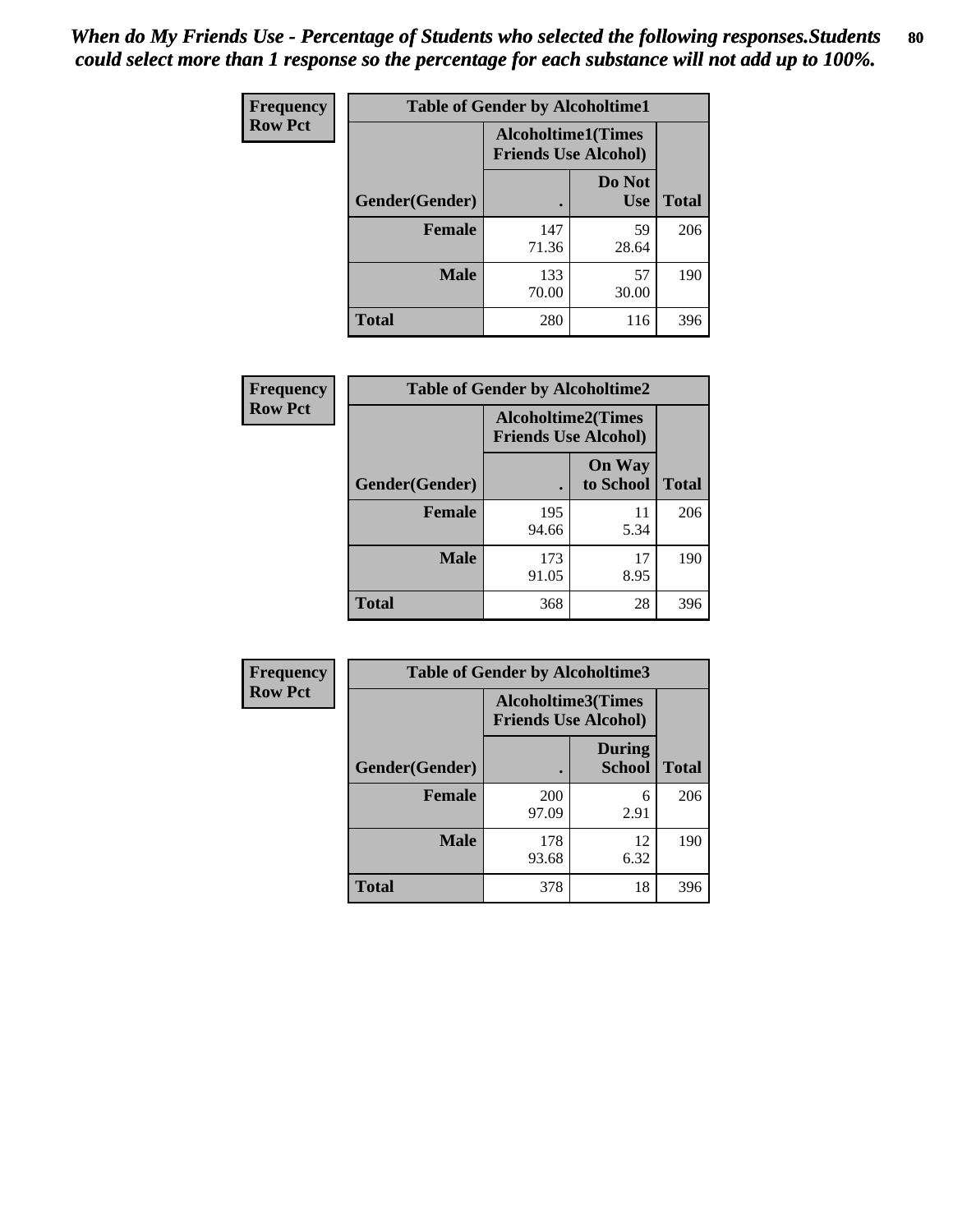| <b>Frequency</b> | <b>Table of Gender by Alcoholtime1</b> |                                                          |                      |              |
|------------------|----------------------------------------|----------------------------------------------------------|----------------------|--------------|
| <b>Row Pct</b>   |                                        | <b>Alcoholtime1(Times</b><br><b>Friends Use Alcohol)</b> |                      |              |
|                  | Gender(Gender)                         | $\bullet$                                                | Do Not<br><b>Use</b> | <b>Total</b> |
|                  | <b>Female</b>                          | 147<br>71.36                                             | 59<br>28.64          | 206          |
|                  | <b>Male</b>                            | 133<br>70.00                                             | 57<br>30.00          | 190          |
|                  | <b>Total</b>                           | 280                                                      | 116                  | 396          |

| Frequency      | <b>Table of Gender by Alcoholtime2</b> |                                                          |                            |              |
|----------------|----------------------------------------|----------------------------------------------------------|----------------------------|--------------|
| <b>Row Pct</b> |                                        | <b>Alcoholtime2(Times</b><br><b>Friends Use Alcohol)</b> |                            |              |
|                | Gender(Gender)                         |                                                          | <b>On Way</b><br>to School | <b>Total</b> |
|                | <b>Female</b>                          | 195<br>94.66                                             | 11<br>5.34                 | 206          |
|                | <b>Male</b>                            | 173<br>91.05                                             | 17<br>8.95                 | 190          |
|                | <b>Total</b>                           | 368                                                      | 28                         | 396          |

| <b>Frequency</b> | <b>Table of Gender by Alcoholtime3</b> |                                                   |                                |              |
|------------------|----------------------------------------|---------------------------------------------------|--------------------------------|--------------|
| <b>Row Pct</b>   |                                        | Alcoholtime3(Times<br><b>Friends Use Alcohol)</b> |                                |              |
|                  | Gender(Gender)                         |                                                   | <b>During</b><br><b>School</b> | <b>Total</b> |
|                  | Female                                 | <b>200</b><br>97.09                               | 6<br>2.91                      | 206          |
|                  | <b>Male</b>                            | 178<br>93.68                                      | 12<br>6.32                     | 190          |
|                  | <b>Total</b>                           | 378                                               | 18                             | 396          |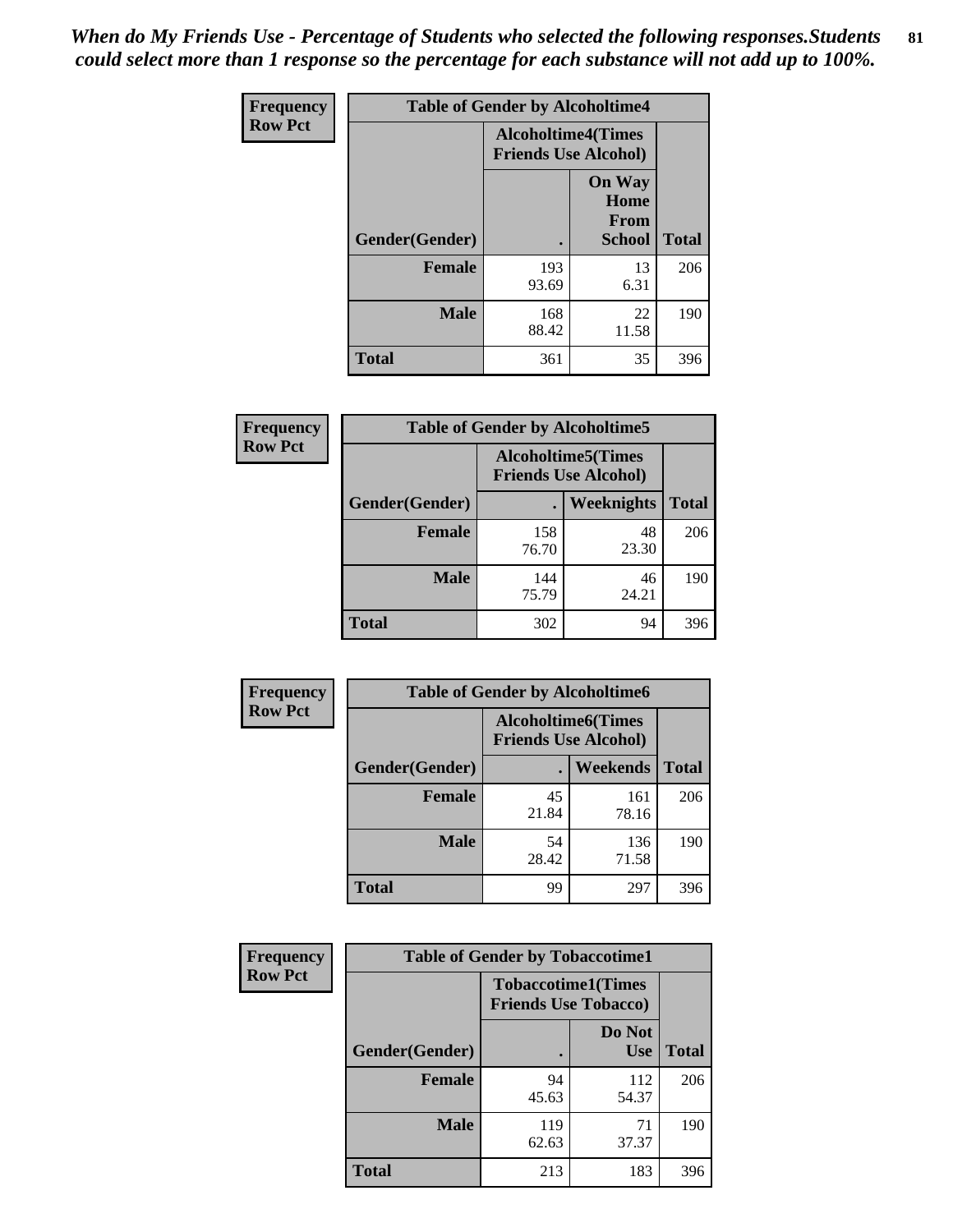*When do My Friends Use - Percentage of Students who selected the following responses.Students could select more than 1 response so the percentage for each substance will not add up to 100%.* **81**

| <b>Frequency</b> | <b>Table of Gender by Alcoholtime4</b> |                                                          |                                                |              |
|------------------|----------------------------------------|----------------------------------------------------------|------------------------------------------------|--------------|
| <b>Row Pct</b>   |                                        | <b>Alcoholtime4(Times</b><br><b>Friends Use Alcohol)</b> |                                                |              |
|                  | Gender(Gender)                         |                                                          | <b>On Way</b><br>Home<br>From<br><b>School</b> | <b>Total</b> |
|                  | <b>Female</b>                          | 193<br>93.69                                             | 13<br>6.31                                     | 206          |
|                  | <b>Male</b>                            | 168<br>88.42                                             | 22<br>11.58                                    | 190          |
|                  | <b>Total</b>                           | 361                                                      | 35                                             | 396          |

| <b>Frequency</b> | <b>Table of Gender by Alcoholtime5</b> |                                                           |             |              |
|------------------|----------------------------------------|-----------------------------------------------------------|-------------|--------------|
| <b>Row Pct</b>   |                                        | <b>Alcoholtime5</b> (Times<br><b>Friends Use Alcohol)</b> |             |              |
|                  | Gender(Gender)                         |                                                           | Weeknights  | <b>Total</b> |
|                  | <b>Female</b>                          | 158<br>76.70                                              | 48<br>23.30 | 206          |
|                  | <b>Male</b>                            | 144<br>75.79                                              | 46<br>24.21 | 190          |
|                  | <b>Total</b>                           | 302                                                       | 94          | 396          |

| <b>Frequency</b> | <b>Table of Gender by Alcoholtime6</b> |             |                                                          |              |
|------------------|----------------------------------------|-------------|----------------------------------------------------------|--------------|
| <b>Row Pct</b>   |                                        |             | <b>Alcoholtime6(Times</b><br><b>Friends Use Alcohol)</b> |              |
|                  | Gender(Gender)                         |             | <b>Weekends</b>                                          | <b>Total</b> |
|                  | <b>Female</b>                          | 45<br>21.84 | 161<br>78.16                                             | 206          |
|                  | <b>Male</b>                            | 54<br>28.42 | 136<br>71.58                                             | 190          |
|                  | <b>Total</b>                           | 99          | 297                                                      | 396          |

| Frequency      | <b>Table of Gender by Tobaccotime1</b> |                                                          |                      |              |  |
|----------------|----------------------------------------|----------------------------------------------------------|----------------------|--------------|--|
| <b>Row Pct</b> |                                        | <b>Tobaccotime1(Times</b><br><b>Friends Use Tobacco)</b> |                      |              |  |
|                | Gender(Gender)                         |                                                          | Do Not<br><b>Use</b> | <b>Total</b> |  |
|                | <b>Female</b>                          | 94<br>45.63                                              | 112<br>54.37         | 206          |  |
|                | <b>Male</b>                            | 119<br>62.63                                             | 71<br>37.37          | 190          |  |
|                | <b>Total</b>                           | 213                                                      | 183                  | 396          |  |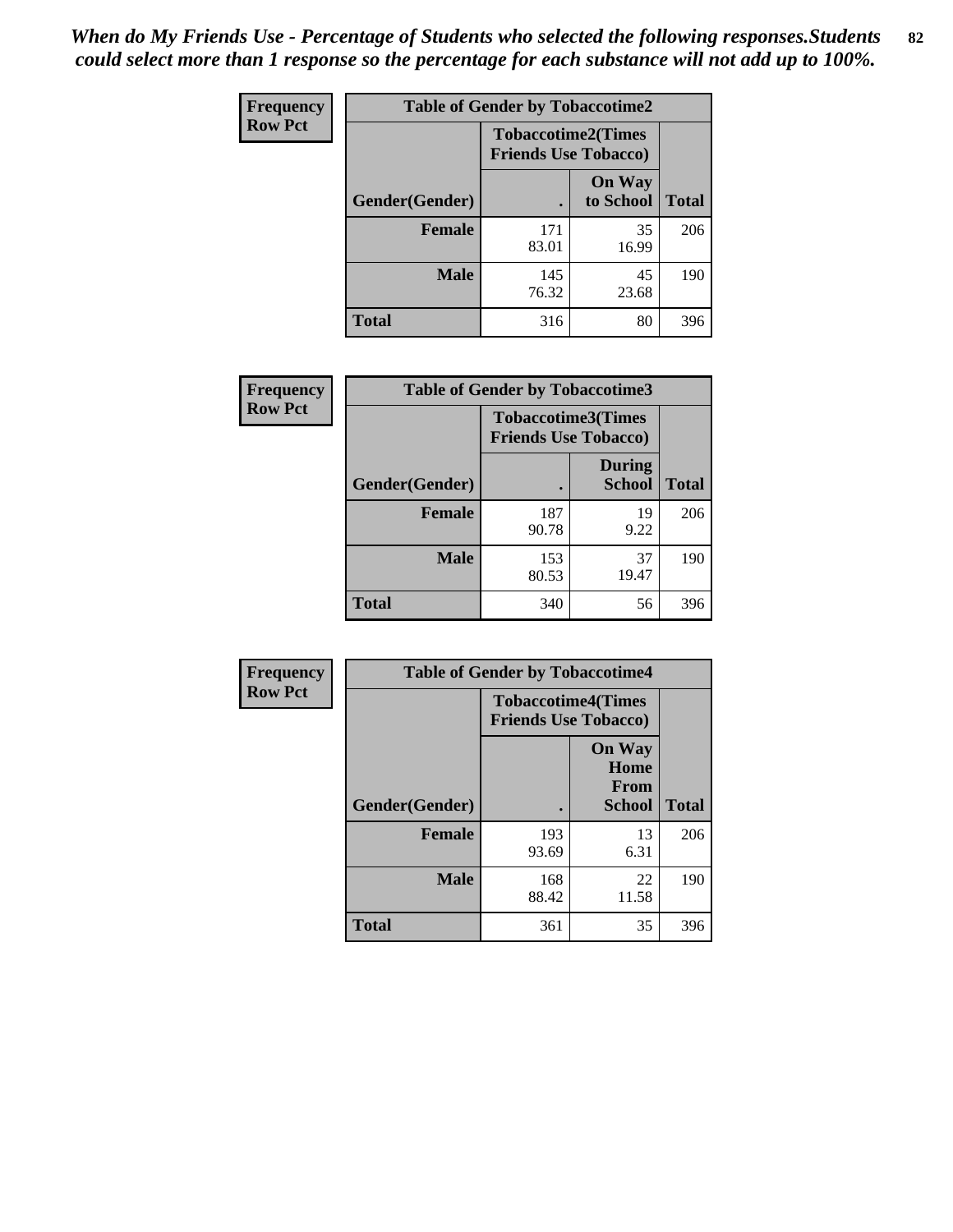| <b>Frequency</b> | <b>Table of Gender by Tobaccotime2</b> |                                                          |                            |              |
|------------------|----------------------------------------|----------------------------------------------------------|----------------------------|--------------|
| <b>Row Pct</b>   |                                        | <b>Tobaccotime2(Times</b><br><b>Friends Use Tobacco)</b> |                            |              |
|                  | Gender(Gender)                         |                                                          | <b>On Way</b><br>to School | <b>Total</b> |
|                  | <b>Female</b>                          | 171<br>83.01                                             | 35<br>16.99                | 206          |
|                  | <b>Male</b>                            | 145<br>76.32                                             | 45<br>23.68                | 190          |
|                  | <b>Total</b>                           | 316                                                      | 80                         | 396          |

| Frequency      | <b>Table of Gender by Tobaccotime3</b> |                                                          |                                |              |
|----------------|----------------------------------------|----------------------------------------------------------|--------------------------------|--------------|
| <b>Row Pct</b> |                                        | <b>Tobaccotime3(Times</b><br><b>Friends Use Tobacco)</b> |                                |              |
|                | Gender(Gender)                         |                                                          | <b>During</b><br><b>School</b> | <b>Total</b> |
|                | Female                                 | 187<br>90.78                                             | 19<br>9.22                     | 206          |
|                | <b>Male</b>                            | 153<br>80.53                                             | 37<br>19.47                    | 190          |
|                | <b>Total</b>                           | 340                                                      | 56                             | 396          |

| <b>Frequency</b> | <b>Table of Gender by Tobaccotime4</b> |                                                          |                                                |              |
|------------------|----------------------------------------|----------------------------------------------------------|------------------------------------------------|--------------|
| <b>Row Pct</b>   |                                        | <b>Tobaccotime4(Times</b><br><b>Friends Use Tobacco)</b> |                                                |              |
|                  | Gender(Gender)                         |                                                          | <b>On Way</b><br>Home<br><b>From</b><br>School | <b>Total</b> |
|                  | <b>Female</b>                          | 193<br>93.69                                             | 13<br>6.31                                     | 206          |
|                  | <b>Male</b>                            | 168<br>88.42                                             | 22<br>11.58                                    | 190          |
|                  | <b>Total</b>                           | 361                                                      | 35                                             | 396          |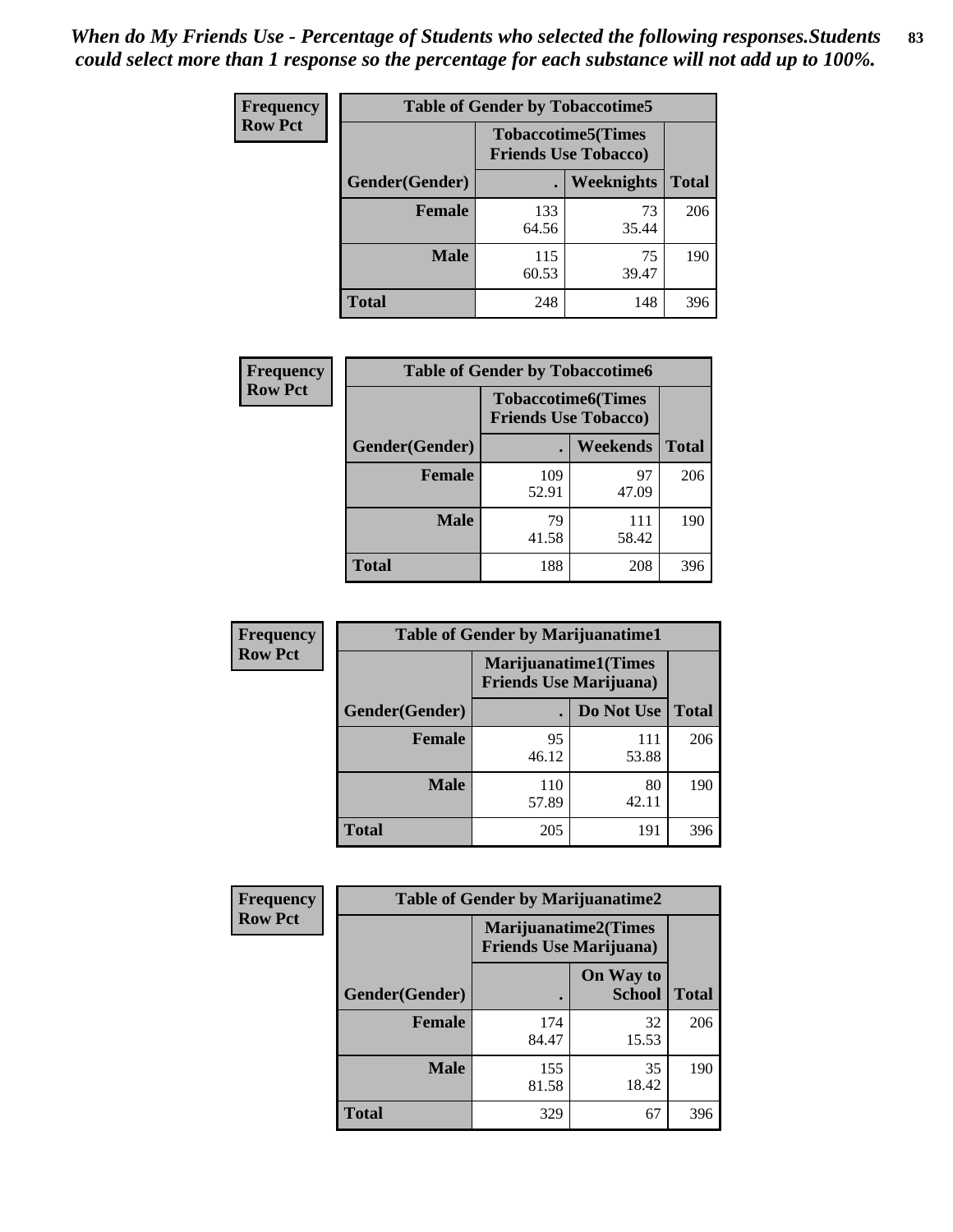| Frequency      | <b>Table of Gender by Tobaccotime5</b> |              |                                                          |              |  |
|----------------|----------------------------------------|--------------|----------------------------------------------------------|--------------|--|
| <b>Row Pct</b> |                                        |              | <b>Tobaccotime5(Times</b><br><b>Friends Use Tobacco)</b> |              |  |
|                | <b>Gender</b> (Gender)                 |              | Weeknights                                               | <b>Total</b> |  |
|                | <b>Female</b>                          | 133<br>64.56 | 73<br>35.44                                              | 206          |  |
|                | <b>Male</b>                            | 115<br>60.53 | 75<br>39.47                                              | 190          |  |
|                | <b>Total</b>                           | 248          | 148                                                      | 396          |  |

| Frequency      | <b>Table of Gender by Tobaccotime6</b> |                                                          |              |              |
|----------------|----------------------------------------|----------------------------------------------------------|--------------|--------------|
| <b>Row Pct</b> |                                        | <b>Tobaccotime6(Times</b><br><b>Friends Use Tobacco)</b> |              |              |
|                | Gender(Gender)                         |                                                          | Weekends     | <b>Total</b> |
|                | Female                                 | 109<br>52.91                                             | 97<br>47.09  | 206          |
|                | <b>Male</b>                            | 79<br>41.58                                              | 111<br>58.42 | 190          |
|                | <b>Total</b>                           | 188                                                      | 208          | 396          |

| <b>Frequency</b> | <b>Table of Gender by Marijuanatime1</b> |                                                        |              |              |
|------------------|------------------------------------------|--------------------------------------------------------|--------------|--------------|
| <b>Row Pct</b>   |                                          | Marijuanatime1(Times<br><b>Friends Use Marijuana</b> ) |              |              |
|                  | Gender(Gender)                           |                                                        | Do Not Use   | <b>Total</b> |
|                  | <b>Female</b>                            | 95<br>46.12                                            | 111<br>53.88 | 206          |
|                  | <b>Male</b>                              | 110<br>57.89                                           | 80<br>42.11  | 190          |
|                  | <b>Total</b>                             | 205                                                    | 191          | 396          |

| <b>Frequency</b> | <b>Table of Gender by Marijuanatime2</b> |                                                               |                            |              |
|------------------|------------------------------------------|---------------------------------------------------------------|----------------------------|--------------|
| <b>Row Pct</b>   |                                          | <b>Marijuanatime2(Times</b><br><b>Friends Use Marijuana</b> ) |                            |              |
|                  | Gender(Gender)                           |                                                               | On Way to<br><b>School</b> | <b>Total</b> |
|                  | <b>Female</b>                            | 174<br>84.47                                                  | 32<br>15.53                | 206          |
|                  | <b>Male</b>                              | 155<br>81.58                                                  | 35<br>18.42                | 190          |
|                  | <b>Total</b>                             | 329                                                           | 67                         | 396          |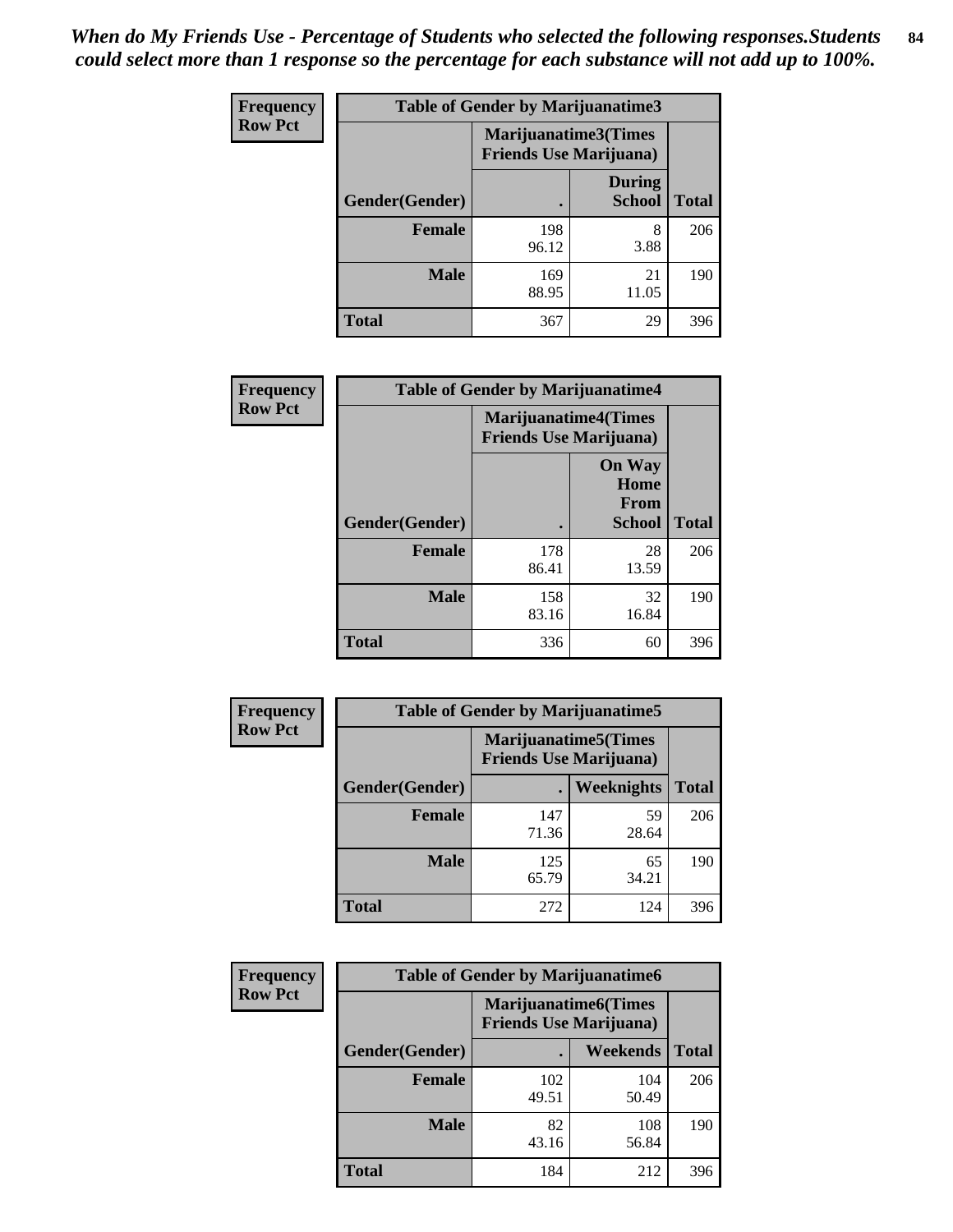| Frequency      | Table of Gender by Marijuanatime3 |                                                        |                                |              |
|----------------|-----------------------------------|--------------------------------------------------------|--------------------------------|--------------|
| <b>Row Pct</b> |                                   | Marijuanatime3(Times<br><b>Friends Use Marijuana</b> ) |                                |              |
|                | Gender(Gender)                    |                                                        | <b>During</b><br><b>School</b> | <b>Total</b> |
|                | <b>Female</b>                     | 198<br>96.12                                           | 8<br>3.88                      | 206          |
|                | <b>Male</b>                       | 169<br>88.95                                           | 21<br>11.05                    | 190          |
|                | <b>Total</b>                      | 367                                                    | 29                             | 396          |

| <b>Frequency</b> | <b>Table of Gender by Marijuanatime4</b> |              |                                                               |              |
|------------------|------------------------------------------|--------------|---------------------------------------------------------------|--------------|
| <b>Row Pct</b>   |                                          |              | <b>Marijuanatime4(Times</b><br><b>Friends Use Marijuana</b> ) |              |
|                  |                                          |              | <b>On Way</b><br>Home<br><b>From</b>                          |              |
|                  | Gender(Gender)                           |              | School                                                        | <b>Total</b> |
|                  | <b>Female</b>                            | 178<br>86.41 | 28<br>13.59                                                   | 206          |
|                  | <b>Male</b>                              | 158<br>83.16 | 32<br>16.84                                                   | 190          |
|                  | <b>Total</b>                             | 336          | 60                                                            | 396          |

| Frequency      | <b>Table of Gender by Marijuanatime5</b> |                                                                |                   |              |  |
|----------------|------------------------------------------|----------------------------------------------------------------|-------------------|--------------|--|
| <b>Row Pct</b> |                                          | <b>Marijuanatime5</b> (Times<br><b>Friends Use Marijuana</b> ) |                   |              |  |
|                | Gender(Gender)                           |                                                                | <b>Weeknights</b> | <b>Total</b> |  |
|                | <b>Female</b>                            | 147<br>71.36                                                   | 59<br>28.64       | 206          |  |
|                | <b>Male</b>                              | 125<br>65.79                                                   | 65<br>34.21       | 190          |  |
|                | <b>Total</b>                             | 272                                                            | 124               | 396          |  |

| Frequency      | <b>Table of Gender by Marijuanatime6</b> |                                                               |                 |              |  |
|----------------|------------------------------------------|---------------------------------------------------------------|-----------------|--------------|--|
| <b>Row Pct</b> |                                          | <b>Marijuanatime6(Times</b><br><b>Friends Use Marijuana</b> ) |                 |              |  |
|                | Gender(Gender)                           |                                                               | <b>Weekends</b> | <b>Total</b> |  |
|                | <b>Female</b>                            | 102<br>49.51                                                  | 104<br>50.49    | 206          |  |
|                | <b>Male</b>                              | 82<br>43.16                                                   | 108<br>56.84    | 190          |  |
|                | <b>Total</b>                             | 184                                                           | 212             | 396          |  |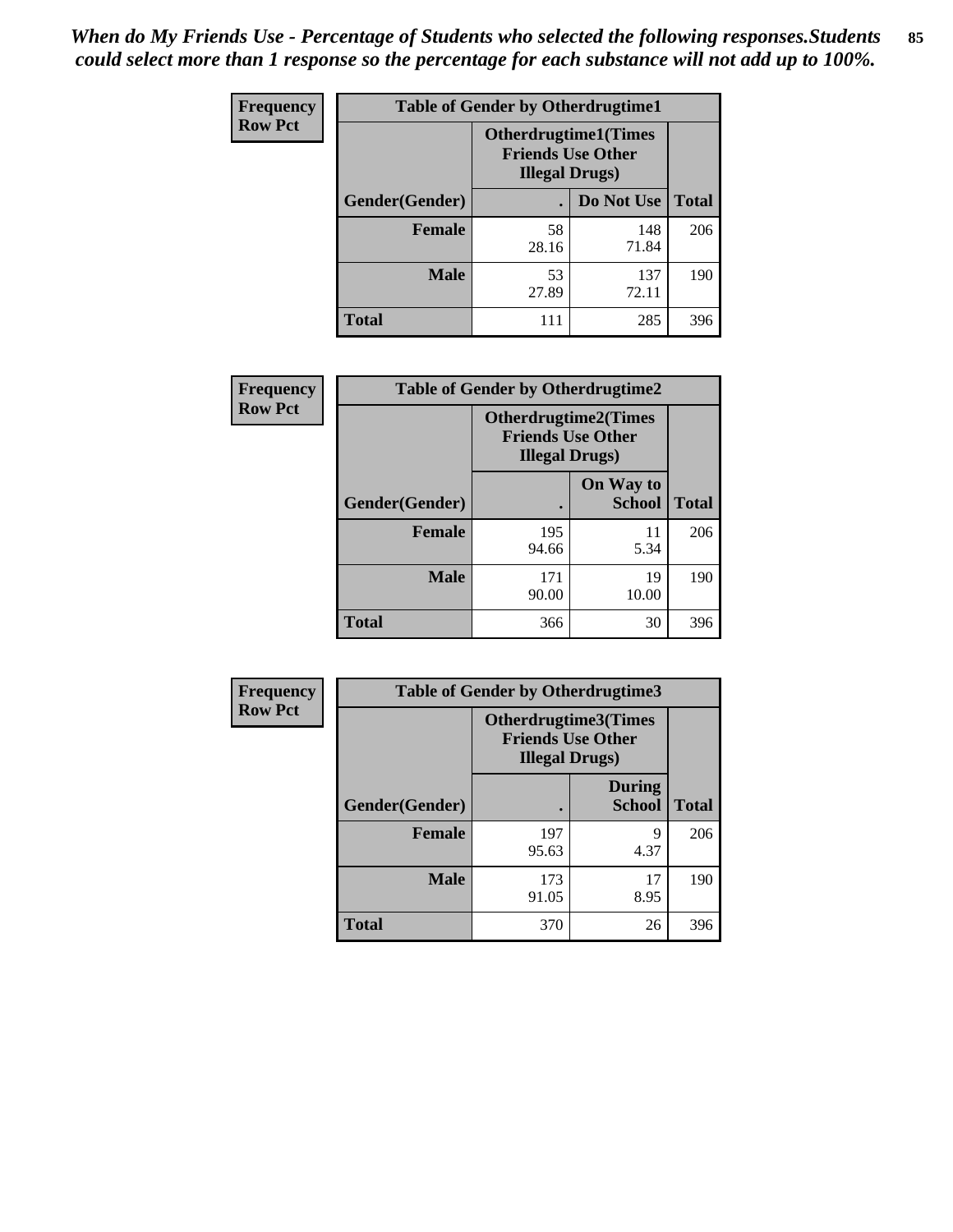*When do My Friends Use - Percentage of Students who selected the following responses.Students could select more than 1 response so the percentage for each substance will not add up to 100%.* **85**

| <b>Frequency</b> | <b>Table of Gender by Otherdrugtime1</b> |                                                                                    |                    |     |  |
|------------------|------------------------------------------|------------------------------------------------------------------------------------|--------------------|-----|--|
| <b>Row Pct</b>   |                                          | <b>Otherdrugtime1</b> (Times<br><b>Friends Use Other</b><br><b>Illegal Drugs</b> ) |                    |     |  |
|                  | Gender(Gender)                           |                                                                                    | Do Not Use   Total |     |  |
|                  | <b>Female</b>                            | 58<br>28.16                                                                        | 148<br>71.84       | 206 |  |
|                  | <b>Male</b>                              | 53<br>27.89                                                                        | 137<br>72.11       | 190 |  |
|                  | <b>Total</b>                             | 111                                                                                | 285                | 396 |  |

| Frequency      | <b>Table of Gender by Otherdrugtime2</b> |                                                                                   |                            |              |
|----------------|------------------------------------------|-----------------------------------------------------------------------------------|----------------------------|--------------|
| <b>Row Pct</b> |                                          | <b>Otherdrugtime2(Times</b><br><b>Friends Use Other</b><br><b>Illegal Drugs</b> ) |                            |              |
|                | Gender(Gender)                           |                                                                                   | On Way to<br><b>School</b> | <b>Total</b> |
|                | <b>Female</b>                            | 195<br>94.66                                                                      | 11<br>5.34                 | 206          |
|                | <b>Male</b>                              | 171<br>90.00                                                                      | 19<br>10.00                | 190          |
|                | <b>Total</b>                             | 366                                                                               | 30                         | 396          |

| Frequency      | <b>Table of Gender by Otherdrugtime3</b> |                       |                                                         |              |
|----------------|------------------------------------------|-----------------------|---------------------------------------------------------|--------------|
| <b>Row Pct</b> |                                          | <b>Illegal Drugs)</b> | <b>Otherdrugtime3(Times</b><br><b>Friends Use Other</b> |              |
|                | Gender(Gender)                           |                       | <b>During</b><br><b>School</b>                          | <b>Total</b> |
|                | <b>Female</b>                            | 197<br>95.63          | 9<br>4.37                                               | 206          |
|                | <b>Male</b>                              | 173<br>91.05          | 17<br>8.95                                              | 190          |
|                | <b>Total</b>                             | 370                   | 26                                                      | 396          |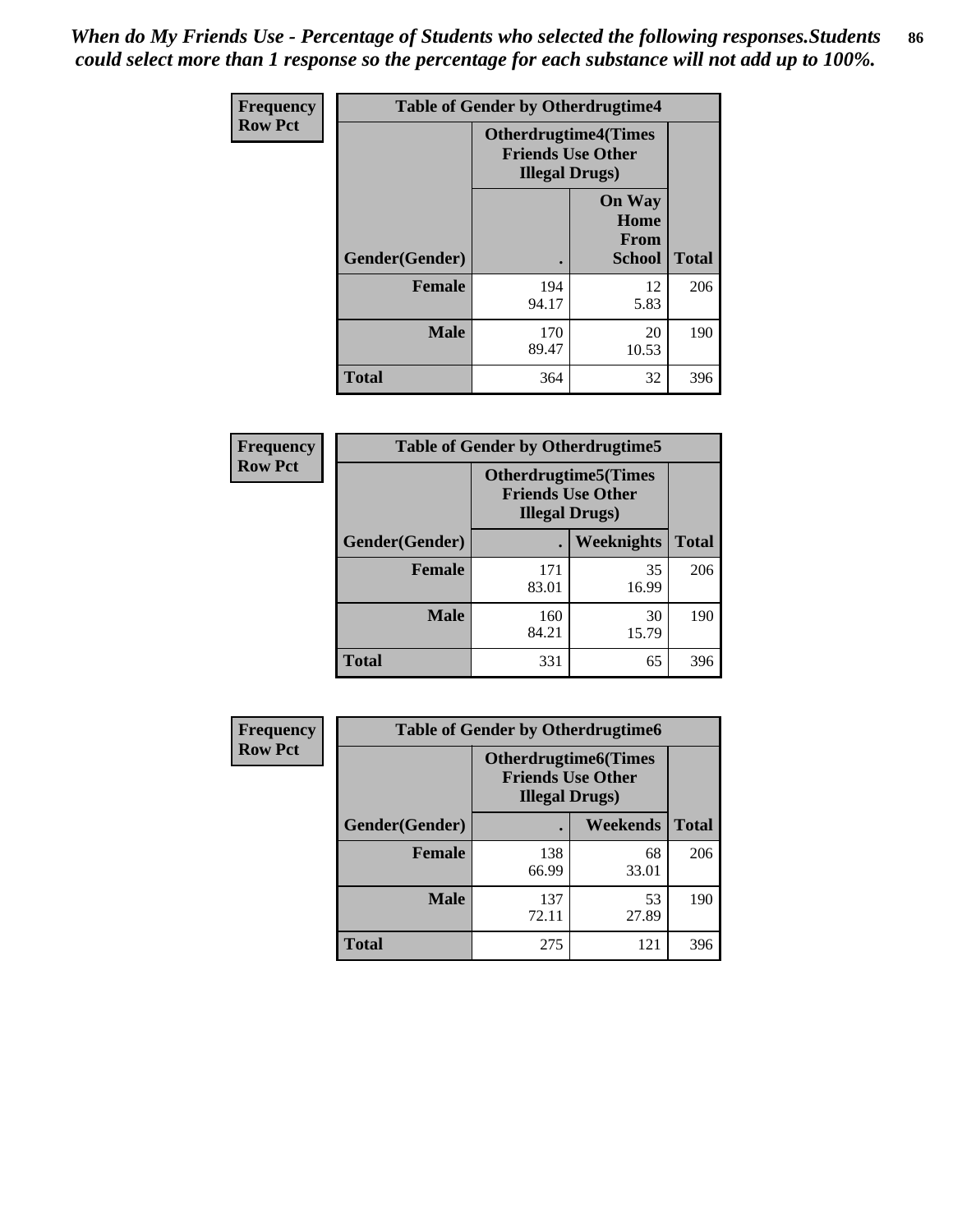*When do My Friends Use - Percentage of Students who selected the following responses.Students could select more than 1 response so the percentage for each substance will not add up to 100%.* **86**

| <b>Frequency</b> | <b>Table of Gender by Otherdrugtime4</b> |                                                    |                                                |              |
|------------------|------------------------------------------|----------------------------------------------------|------------------------------------------------|--------------|
| <b>Row Pct</b>   |                                          | <b>Friends Use Other</b><br><b>Illegal Drugs</b> ) | <b>Otherdrugtime4(Times</b>                    |              |
|                  | Gender(Gender)                           |                                                    | <b>On Way</b><br>Home<br><b>From</b><br>School | <b>Total</b> |
|                  | <b>Female</b>                            | 194<br>94.17                                       | 12<br>5.83                                     | 206          |
|                  | <b>Male</b>                              | 170<br>89.47                                       | 20<br>10.53                                    | 190          |
|                  | <b>Total</b>                             | 364                                                | 32                                             | 396          |

| Frequency      | <b>Table of Gender by Otherdrugtime5</b> |                                                                                    |                   |              |
|----------------|------------------------------------------|------------------------------------------------------------------------------------|-------------------|--------------|
| <b>Row Pct</b> |                                          | <b>Otherdrugtime5</b> (Times<br><b>Friends Use Other</b><br><b>Illegal Drugs</b> ) |                   |              |
|                | Gender(Gender)                           |                                                                                    | <b>Weeknights</b> | <b>Total</b> |
|                | <b>Female</b>                            | 171<br>83.01                                                                       | 35<br>16.99       | 206          |
|                | <b>Male</b>                              | 160<br>84.21                                                                       | 30<br>15.79       | 190          |
|                | <b>Total</b>                             | 331                                                                                | 65                | 396          |

| <b>Frequency</b> | <b>Table of Gender by Otherdrugtime6</b> |                                                                                   |             |              |
|------------------|------------------------------------------|-----------------------------------------------------------------------------------|-------------|--------------|
| <b>Row Pct</b>   |                                          | <b>Otherdrugtime6(Times</b><br><b>Friends Use Other</b><br><b>Illegal Drugs</b> ) |             |              |
|                  | Gender(Gender)                           |                                                                                   | Weekends    | <b>Total</b> |
|                  | <b>Female</b>                            | 138<br>66.99                                                                      | 68<br>33.01 | 206          |
|                  | <b>Male</b>                              | 137<br>72.11                                                                      | 53<br>27.89 | 190          |
|                  | <b>Total</b>                             | 275                                                                               | 121         | 396          |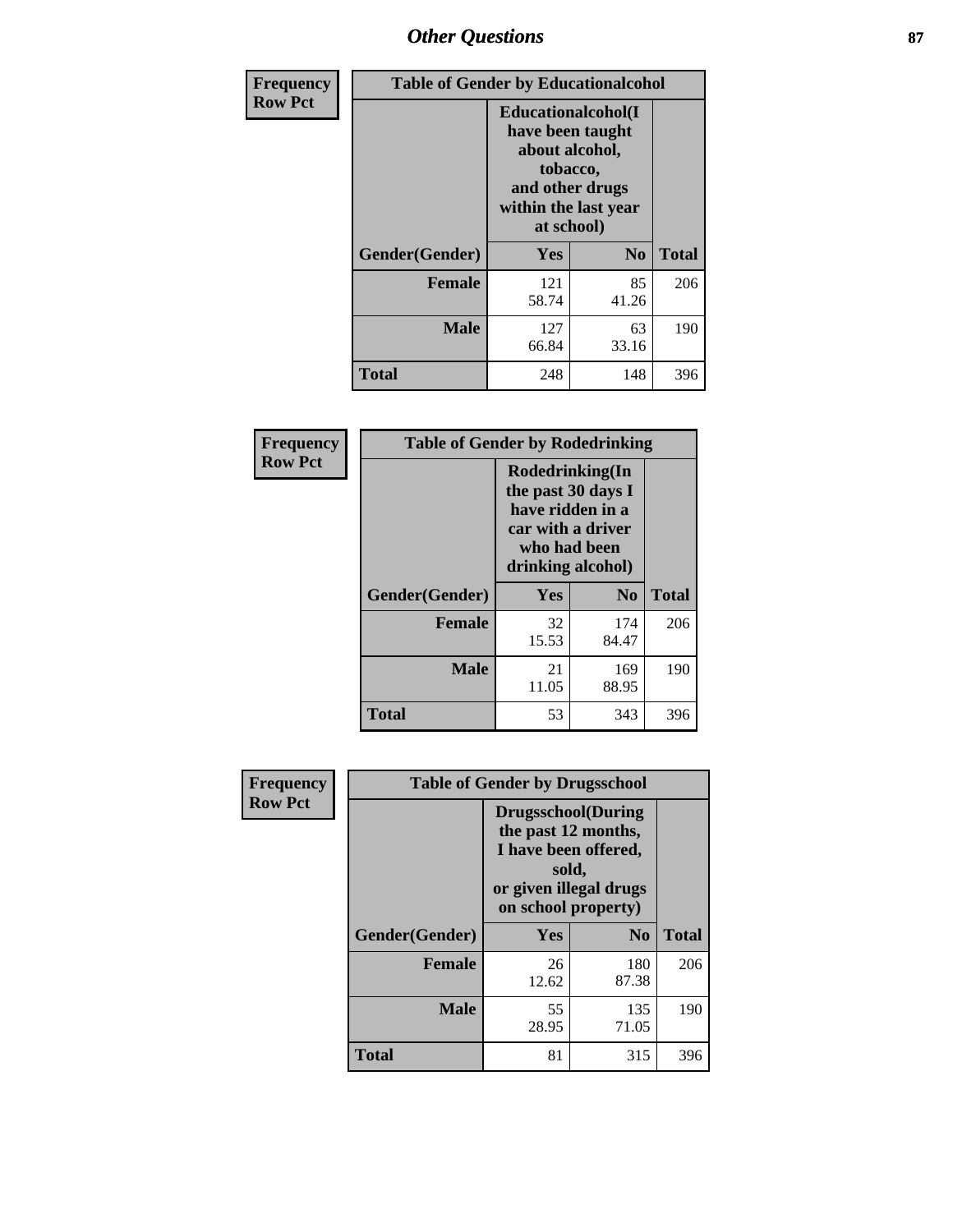# *Other Questions* **87**

| <b>Frequency</b> | <b>Table of Gender by Educationalcohol</b> |                                                                                                                               |                |              |  |
|------------------|--------------------------------------------|-------------------------------------------------------------------------------------------------------------------------------|----------------|--------------|--|
| <b>Row Pct</b>   |                                            | Educationalcohol(I<br>have been taught<br>about alcohol,<br>tobacco,<br>and other drugs<br>within the last year<br>at school) |                |              |  |
|                  | Gender(Gender)                             | <b>Yes</b>                                                                                                                    | N <sub>0</sub> | <b>Total</b> |  |
|                  | <b>Female</b>                              | 121<br>58.74                                                                                                                  | 85<br>41.26    | 206          |  |
|                  | <b>Male</b>                                | 127<br>66.84                                                                                                                  | 63<br>33.16    | 190          |  |
|                  | <b>Total</b>                               | 248                                                                                                                           | 148            | 396          |  |

| Frequency      | <b>Table of Gender by Rodedrinking</b> |                                                                                                                     |                |              |  |
|----------------|----------------------------------------|---------------------------------------------------------------------------------------------------------------------|----------------|--------------|--|
| <b>Row Pct</b> |                                        | Rodedrinking(In<br>the past 30 days I<br>have ridden in a<br>car with a driver<br>who had been<br>drinking alcohol) |                |              |  |
|                | Gender(Gender)                         | Yes                                                                                                                 | N <sub>0</sub> | <b>Total</b> |  |
|                | <b>Female</b>                          | 32<br>15.53                                                                                                         | 174<br>84.47   | 206          |  |
|                | <b>Male</b>                            | 21<br>11.05                                                                                                         | 169<br>88.95   | 190          |  |
|                | <b>Total</b>                           | 53                                                                                                                  | 343            | 396          |  |

| Frequency      | <b>Table of Gender by Drugsschool</b> |                                                                                                                                     |                |              |  |
|----------------|---------------------------------------|-------------------------------------------------------------------------------------------------------------------------------------|----------------|--------------|--|
| <b>Row Pct</b> |                                       | <b>Drugsschool</b> (During<br>the past 12 months,<br>I have been offered,<br>sold,<br>or given illegal drugs<br>on school property) |                |              |  |
|                | Gender(Gender)                        | Yes                                                                                                                                 | N <sub>0</sub> | <b>Total</b> |  |
|                | <b>Female</b>                         | 26<br>12.62                                                                                                                         | 180<br>87.38   | 206          |  |
|                | <b>Male</b>                           | 55<br>28.95                                                                                                                         | 135<br>71.05   | 190          |  |
|                | <b>Total</b>                          | 81                                                                                                                                  | 315            | 396          |  |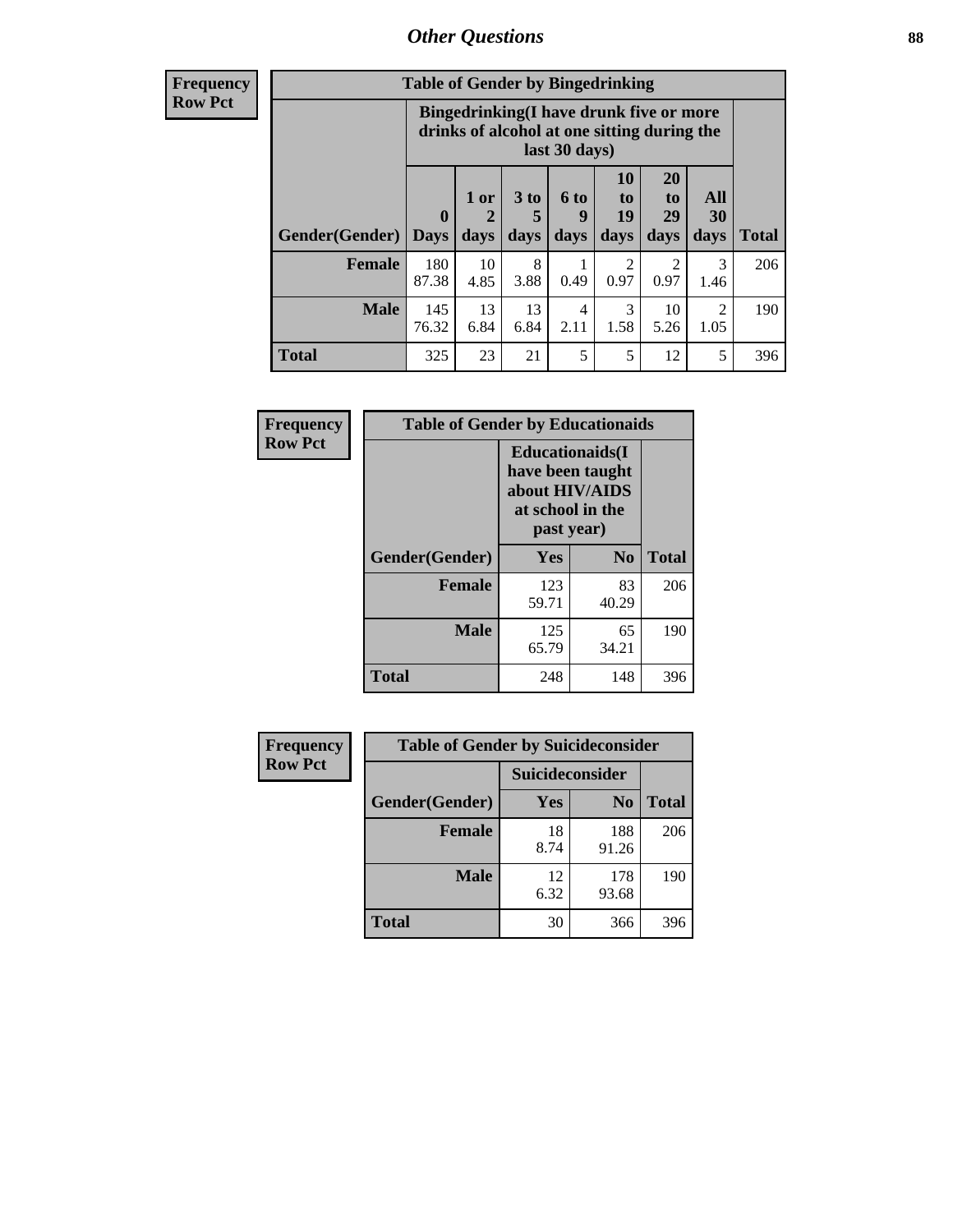# *Other Questions* **88**

**Frequency Row Pct**

| <b>Table of Gender by Bingedrinking</b> |                         |                                                                                                         |                   |                   |                        |                               |                        |              |
|-----------------------------------------|-------------------------|---------------------------------------------------------------------------------------------------------|-------------------|-------------------|------------------------|-------------------------------|------------------------|--------------|
|                                         |                         | Bingedrinking(I have drunk five or more<br>drinks of alcohol at one sitting during the<br>last 30 days) |                   |                   |                        |                               |                        |              |
| <b>Gender</b> (Gender)                  | $\bf{0}$<br><b>Days</b> | 1 or<br>days                                                                                            | 3 to<br>5<br>days | 6 to<br>9<br>days | 10<br>to<br>19<br>days | <b>20</b><br>to<br>29<br>days | All<br>30<br>days      | <b>Total</b> |
| <b>Female</b>                           | 180<br>87.38            | 10<br>4.85                                                                                              | 8<br>3.88         | 0.49              | 2<br>0.97              | 2<br>0.97                     | 3<br>1.46              | 206          |
|                                         |                         |                                                                                                         |                   |                   |                        |                               |                        |              |
| <b>Male</b>                             | 145<br>76.32            | 13<br>6.84                                                                                              | 13<br>6.84        | 4<br>2.11         | 3<br>1.58              | 10<br>5.26                    | $\mathfrak{D}$<br>1.05 | 190          |

| Frequency      | <b>Table of Gender by Educationaids</b> |                                                                                                 |                |              |  |
|----------------|-----------------------------------------|-------------------------------------------------------------------------------------------------|----------------|--------------|--|
| <b>Row Pct</b> |                                         | <b>Educationaids</b> (I<br>have been taught<br>about HIV/AIDS<br>at school in the<br>past year) |                |              |  |
|                | Gender(Gender)                          | Yes                                                                                             | N <sub>0</sub> | <b>Total</b> |  |
|                | <b>Female</b>                           | 123<br>59.71                                                                                    | 83<br>40.29    | 206          |  |
|                | <b>Male</b>                             | 125<br>65.79                                                                                    | 65<br>34.21    | 190          |  |
|                | <b>Total</b>                            | 248                                                                                             | 148            | 396          |  |

| <b>Frequency</b> | <b>Table of Gender by Suicideconsider</b> |                 |                |              |  |
|------------------|-------------------------------------------|-----------------|----------------|--------------|--|
| <b>Row Pct</b>   |                                           | Suicideconsider |                |              |  |
|                  | Gender(Gender)                            | Yes             | N <sub>0</sub> | <b>Total</b> |  |
|                  | <b>Female</b>                             | 18<br>8.74      | 188<br>91.26   | 206          |  |
|                  | <b>Male</b>                               | 12<br>6.32      | 178<br>93.68   | 190          |  |
|                  | Total                                     | 30              | 366            | 396          |  |